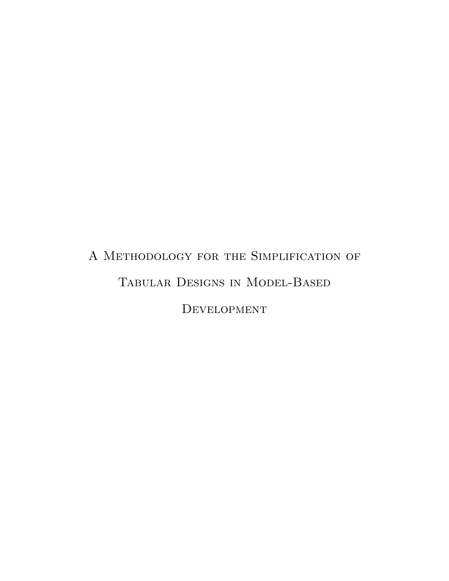# <span id="page-0-0"></span>A Methodology for the Simplification of Tabular Designs in Model-Based DEVELOPMENT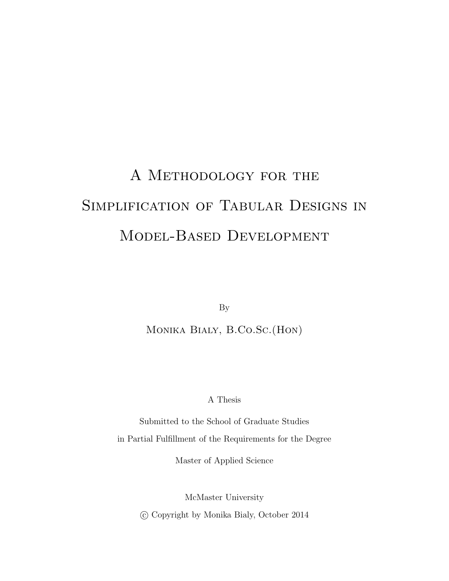# A Methodology for the Simplification of Tabular Designs in Model-Based Development

By

Monika Bialy, B.Co.Sc.(Hon)

A Thesis

Submitted to the School of Graduate Studies in Partial Fulfillment of the Requirements for the Degree

Master of Applied Science

McMaster University c Copyright by Monika Bialy, October 2014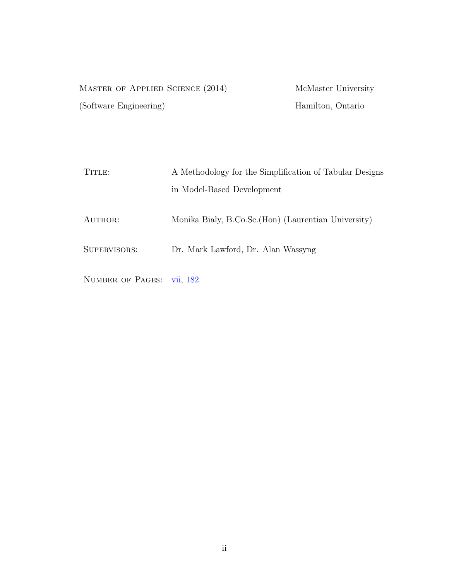| MASTER OF APPLIED SCIENCE (2014) | McMaster University |
|----------------------------------|---------------------|
| (Software Engineering)           | Hamilton, Ontario   |

| A Methodology for the Simplification of Tabular Designs |
|---------------------------------------------------------|
| in Model-Based Development                              |
| Monika Bialy, B.Co.Sc. (Hon) (Laurentian University)    |
| Dr. Mark Lawford, Dr. Alan Wassyng                      |
|                                                         |

NUMBER OF PAGES: [vii,](#page-5-0) [182](#page-190-0)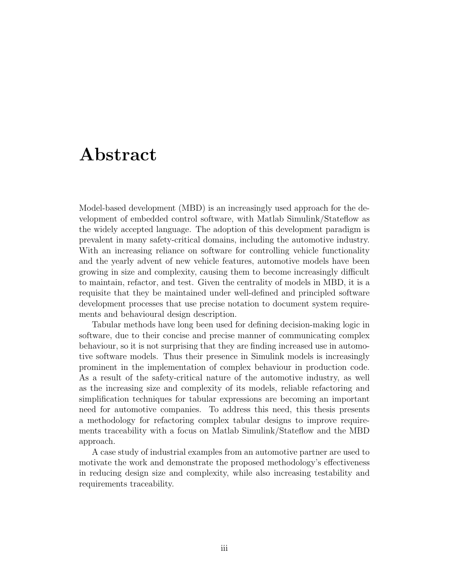## <span id="page-3-0"></span>Abstract

Model-based development (MBD) is an increasingly used approach for the development of embedded control software, with Matlab Simulink/Stateflow as the widely accepted language. The adoption of this development paradigm is prevalent in many safety-critical domains, including the automotive industry. With an increasing reliance on software for controlling vehicle functionality and the yearly advent of new vehicle features, automotive models have been growing in size and complexity, causing them to become increasingly difficult to maintain, refactor, and test. Given the centrality of models in MBD, it is a requisite that they be maintained under well-defined and principled software development processes that use precise notation to document system requirements and behavioural design description.

Tabular methods have long been used for defining decision-making logic in software, due to their concise and precise manner of communicating complex behaviour, so it is not surprising that they are finding increased use in automotive software models. Thus their presence in Simulink models is increasingly prominent in the implementation of complex behaviour in production code. As a result of the safety-critical nature of the automotive industry, as well as the increasing size and complexity of its models, reliable refactoring and simplification techniques for tabular expressions are becoming an important need for automotive companies. To address this need, this thesis presents a methodology for refactoring complex tabular designs to improve requirements traceability with a focus on Matlab Simulink/Stateflow and the MBD approach.

A case study of industrial examples from an automotive partner are used to motivate the work and demonstrate the proposed methodology's effectiveness in reducing design size and complexity, while also increasing testability and requirements traceability.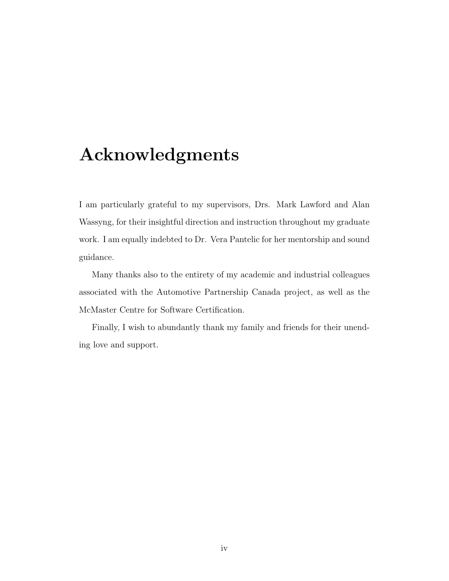# <span id="page-4-0"></span>Acknowledgments

I am particularly grateful to my supervisors, Drs. Mark Lawford and Alan Wassyng, for their insightful direction and instruction throughout my graduate work. I am equally indebted to Dr. Vera Pantelic for her mentorship and sound guidance.

Many thanks also to the entirety of my academic and industrial colleagues associated with the Automotive Partnership Canada project, as well as the McMaster Centre for Software Certification.

Finally, I wish to abundantly thank my family and friends for their unending love and support.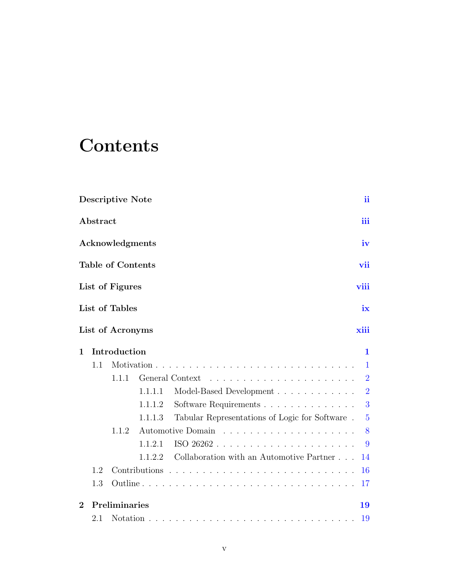# <span id="page-5-0"></span>**Contents**

|              |          | <b>Descriptive Note</b>  |         |                                                | $\mathbf{ii}$  |
|--------------|----------|--------------------------|---------|------------------------------------------------|----------------|
|              | Abstract |                          |         |                                                | iii            |
|              |          | Acknowledgments          |         |                                                | iv             |
|              |          | <b>Table of Contents</b> |         |                                                | vii            |
|              |          | List of Figures          |         |                                                | viii           |
|              |          | List of Tables           |         |                                                | ix             |
|              |          | List of Acronyms         |         |                                                | xiii           |
| $\mathbf{1}$ |          | Introduction             |         |                                                | 1              |
|              | 1.1      |                          |         |                                                | $\mathbf{1}$   |
|              |          | 1.1.1                    |         |                                                | $\overline{2}$ |
|              |          |                          | 1.1.1.1 | Model-Based Development                        | $\overline{2}$ |
|              |          |                          | 1.1.1.2 | Software Requirements                          | 3              |
|              |          |                          | 1.1.1.3 | Tabular Representations of Logic for Software. | $\overline{5}$ |
|              |          | 1.1.2                    |         |                                                | 8              |
|              |          |                          | 1.1.2.1 | ISO 26262                                      | 9              |
|              |          |                          | 1.1.2.2 | Collaboration with an Automotive Partner       | 14             |
|              | 1.2      |                          |         |                                                | 16             |
|              | 1.3      |                          |         |                                                | 17             |
| $\mathbf{2}$ |          | Preliminaries            |         |                                                | 19             |
|              | 2.1      |                          |         |                                                | 19             |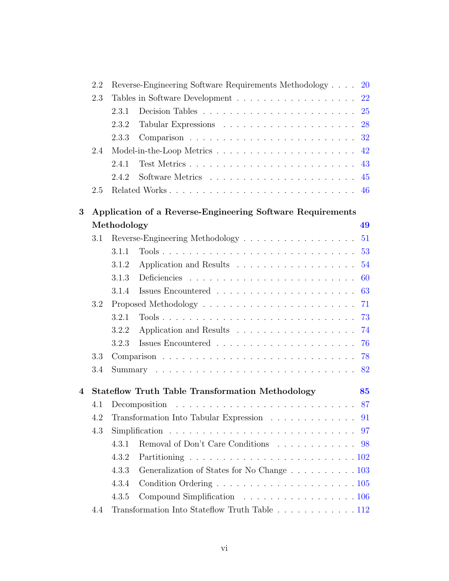|   | 2.2     | Reverse-Engineering Software Requirements Methodology<br><b>20</b>                          |
|---|---------|---------------------------------------------------------------------------------------------|
|   | 2.3     | <b>22</b>                                                                                   |
|   |         | 2.3.1<br><b>25</b>                                                                          |
|   |         | 2.3.2<br>28                                                                                 |
|   |         | 2.3.3                                                                                       |
|   | 2.4     | 42                                                                                          |
|   |         | 2.4.1<br>43                                                                                 |
|   |         | 2.4.2<br>45                                                                                 |
|   | 2.5     | Related Works 46                                                                            |
| 3 |         | Application of a Reverse-Engineering Software Requirements                                  |
|   |         | Methodology<br>49                                                                           |
|   | 3.1     | 51<br>Reverse-Engineering Methodology                                                       |
|   |         | 53<br>3.1.1                                                                                 |
|   |         | 54<br>3.1.2                                                                                 |
|   |         | 3.1.3<br>60                                                                                 |
|   |         | 63<br>3.1.4                                                                                 |
|   | 3.2     | 71                                                                                          |
|   |         | 73<br>3.2.1                                                                                 |
|   |         | 74<br>3.2.2                                                                                 |
|   |         | 76<br>3.2.3                                                                                 |
|   | 3.3     | 78                                                                                          |
|   | $3.4\,$ | 82                                                                                          |
| 4 |         | <b>Stateflow Truth Table Transformation Methodology</b><br>85                               |
|   | 4.1     | 87<br>Decomposition $\ldots \ldots \ldots \ldots \ldots \ldots \ldots \ldots \ldots \ldots$ |
|   | 4.2     | Transformation Into Tabular Expression 91                                                   |
|   | 4.3     | 97                                                                                          |
|   |         | 4.3.1<br>Removal of Don't Care Conditions 98                                                |
|   |         | 4.3.2                                                                                       |
|   |         | 4.3.3<br>Generalization of States for No Change 103                                         |
|   |         | 4.3.4                                                                                       |
|   |         | Compound Simplification 106<br>4.3.5                                                        |
|   | 4.4     | Transformation Into Stateflow Truth Table 112                                               |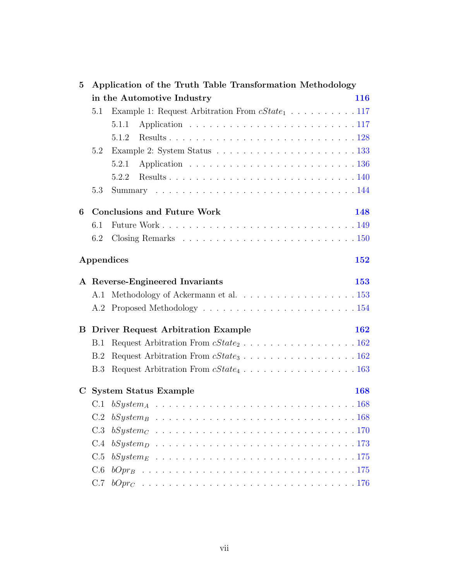| $\bf{5}$    |     | Application of the Truth Table Transformation Methodology                  |            |
|-------------|-----|----------------------------------------------------------------------------|------------|
|             |     | in the Automotive Industry                                                 | 116        |
|             | 5.1 | Example 1: Request Arbitration From $cState_1 \ldots \ldots \ldots 117$    |            |
|             |     | 5.1.1                                                                      |            |
|             |     | 5.1.2                                                                      |            |
|             | 5.2 |                                                                            |            |
|             |     | 5.2.1                                                                      |            |
|             |     | 5.2.2                                                                      |            |
|             | 5.3 |                                                                            |            |
| 6           |     | <b>Conclusions and Future Work</b>                                         | 148        |
|             | 6.1 |                                                                            |            |
|             | 6.2 |                                                                            |            |
|             |     | Appendices                                                                 | 152        |
|             |     | A Reverse-Engineered Invariants                                            | <b>153</b> |
|             | A.1 |                                                                            |            |
|             |     |                                                                            |            |
|             |     | <b>B</b> Driver Request Arbitration Example                                | 162        |
|             | B.1 | Request Arbitration From $cState_2 \ldots \ldots \ldots \ldots \ldots 162$ |            |
|             | B.2 | Request Arbitration From $cState_3 \ldots \ldots \ldots \ldots \ldots 162$ |            |
|             | B.3 |                                                                            |            |
| $\mathbf C$ |     | <b>System Status Example</b>                                               | 168        |
|             |     |                                                                            |            |
|             | C.2 |                                                                            |            |
|             | C.3 |                                                                            |            |
|             | C.4 |                                                                            |            |
|             | C.5 |                                                                            |            |
|             | C.6 |                                                                            |            |
|             | C.7 |                                                                            |            |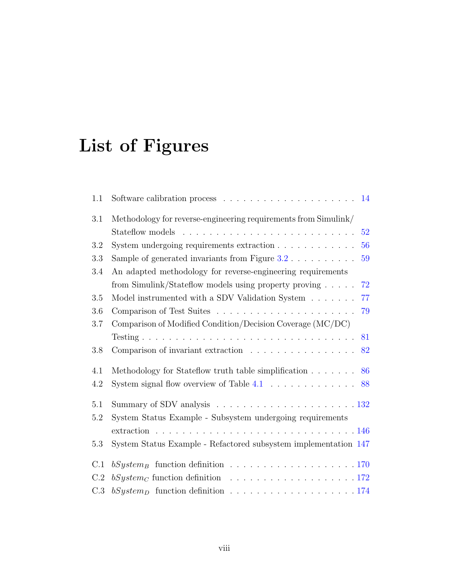# <span id="page-8-0"></span>List of Figures

| 1.1 | Software calibration process $\dots \dots \dots \dots \dots \dots \dots \dots \dots \dots \dots \dots \dots \dots \dots \dots$ |
|-----|--------------------------------------------------------------------------------------------------------------------------------|
| 3.1 | Methodology for reverse-engineering requirements from Simulink/                                                                |
|     | 52                                                                                                                             |
| 3.2 | System undergoing requirements extraction<br>56                                                                                |
| 3.3 | Sample of generated invariants from Figure $3.2 \ldots \ldots \ldots$<br>59                                                    |
| 3.4 | An adapted methodology for reverse-engineering requirements                                                                    |
|     | 72<br>from Simulink/Stateflow models using property proving                                                                    |
| 3.5 | Model instrumented with a SDV Validation System<br>77                                                                          |
| 3.6 | 79                                                                                                                             |
| 3.7 | Comparison of Modified Condition/Decision Coverage (MC/DC)                                                                     |
|     | 81                                                                                                                             |
| 3.8 | Comparison of invariant extraction<br>82                                                                                       |
| 4.1 | Methodology for Stateflow truth table simplification<br>86                                                                     |
| 4.2 | System signal flow overview of Table $4.1 \ldots \ldots \ldots \ldots$<br>88                                                   |
| 5.1 |                                                                                                                                |
| 5.2 | System Status Example - Subsystem undergoing requirements                                                                      |
|     |                                                                                                                                |
| 5.3 | System Status Example - Refactored subsystem implementation 147                                                                |
| C.1 |                                                                                                                                |
| C.2 |                                                                                                                                |
| C.3 | $bSystem_D$ function definition 174                                                                                            |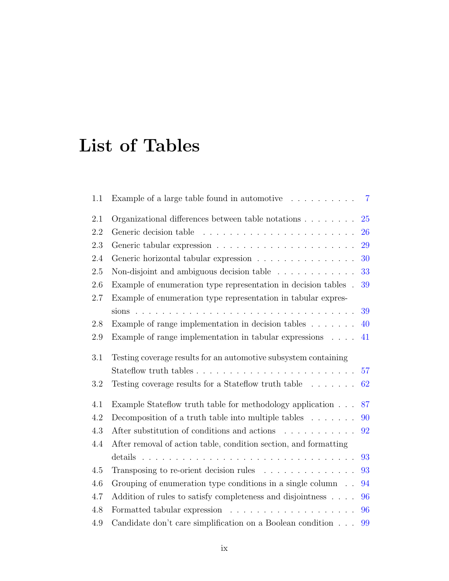# <span id="page-9-0"></span>List of Tables

| 1.1     | Example of a large table found in automotive $\dots \dots \dots$                           | $\overline{7}$ |
|---------|--------------------------------------------------------------------------------------------|----------------|
| 2.1     | Organizational differences between table notations                                         | 25             |
| 2.2     |                                                                                            | 26             |
| 2.3     |                                                                                            | 29             |
| 2.4     | Generic horizontal tabular expression                                                      | 30             |
| 2.5     | Non-disjoint and ambiguous decision table $\ldots \ldots \ldots$                           | 33             |
| 2.6     | Example of enumeration type representation in decision tables.                             | 39             |
| 2.7     | Example of enumeration type representation in tabular expres-                              |                |
|         |                                                                                            | 39             |
| $2.8\,$ | Example of range implementation in decision tables $\dots \dots$                           | 40             |
| 2.9     | Example of range implementation in tabular expressions $\ldots$ .                          | 41             |
| 3.1     | Testing coverage results for an automotive subsystem containing                            |                |
|         | Stateflow truth tables $\ldots \ldots \ldots \ldots \ldots \ldots \ldots \ldots$           | 57             |
| 3.2     | Testing coverage results for a Stateflow truth table<br>$\quad \ldots \; \ldots \; .$      | 62             |
| 4.1     | Example Stateflow truth table for methodology application                                  | 87             |
| 4.2     | Decomposition of a truth table into multiple tables $\dots \dots$                          | 90             |
| 4.3     | After substitution of conditions and actions $\hfill\ldots\ldots\ldots\ldots\ldots$        | 92             |
| 4.4     | After removal of action table, condition section, and formatting                           |                |
|         |                                                                                            | 93             |
| 4.5     | Transposing to re-orient decision rules $\ldots \ldots \ldots \ldots$                      | 93             |
| 4.6     | Grouping of enumeration type conditions in a single column $\phantom{1}$ . $\phantom{1}$ . | 94             |
| 4.7     | Addition of rules to satisfy completeness and disjointness                                 | 96             |
| 4.8     |                                                                                            | 96             |
| 4.9     | Candidate don't care simplification on a Boolean condition                                 | 99             |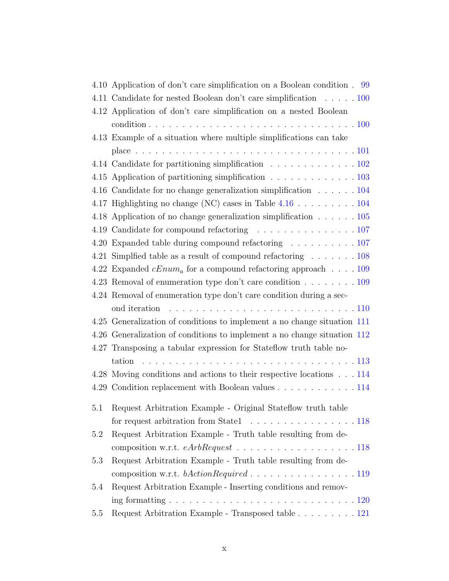|     | 4.10 Application of don't care simplification on a Boolean condition. 99           |
|-----|------------------------------------------------------------------------------------|
|     | 4.11 Candidate for nested Boolean don't care simplification 100                    |
|     | 4.12 Application of don't care simplification on a nested Boolean                  |
|     | 4.13 Example of a situation where multiple simplifications can take                |
|     |                                                                                    |
|     | 4.14 Candidate for partitioning simplification 102                                 |
|     | 4.15 Application of partitioning simplification 103                                |
|     | 4.16 Candidate for no change generalization simplification 104                     |
|     |                                                                                    |
|     | 4.18 Application of no change generalization simplification $\ldots \ldots 105$    |
|     |                                                                                    |
|     | 4.20 Expanded table during compound refactoring 107                                |
|     | 4.21 Simplified table as a result of compound refactoring $\ldots \ldots 108$      |
|     | 4.22 Expanded $cEnum_a$ for a compound refactoring approach 109                    |
|     | 4.23 Removal of enumeration type don't care condition 109                          |
|     | 4.24 Removal of enumeration type don't care condition during a sec-                |
|     | ond iteration                                                                      |
|     | 4.25 Generalization of conditions to implement a no change situation 111           |
|     | 4.26 Generalization of conditions to implement a no change situation 112           |
|     | 4.27 Transposing a tabular expression for Stateflow truth table no-                |
|     | tation                                                                             |
|     | 4.28 Moving conditions and actions to their respective locations 114               |
|     | 4.29 Condition replacement with Boolean values 114                                 |
| 5.1 | Request Arbitration Example - Original Stateflow truth table                       |
|     | for request arbitration from State $1 \ldots \ldots \ldots \ldots \ldots 118$      |
| 5.2 | Request Arbitration Example - Truth table resulting from de-                       |
|     | composition w.r.t. $eArbRequest$ 118                                               |
| 5.3 | Request Arbitration Example - Truth table resulting from de-                       |
|     | composition w.r.t. $bActionRequired \ldots \ldots \ldots \ldots \ldots \ldots 119$ |
| 5.4 | Request Arbitration Example - Inserting conditions and remov-                      |
|     |                                                                                    |
| 5.5 | Request Arbitration Example - Transposed table 121                                 |
|     |                                                                                    |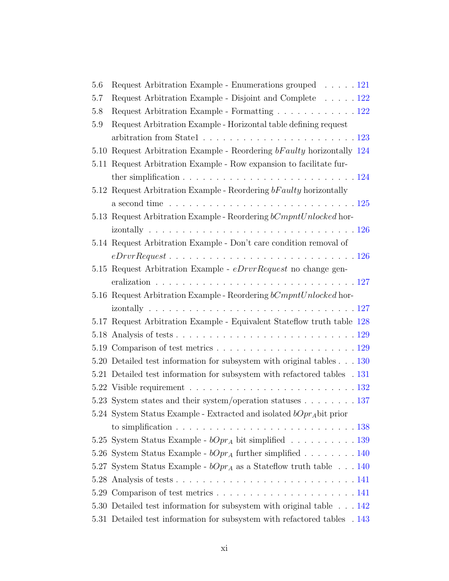| 5.6  | Request Arbitration Example - Enumerations grouped 121                                               |
|------|------------------------------------------------------------------------------------------------------|
| 5.7  | Request Arbitration Example - Disjoint and Complete 122                                              |
| 5.8  | Request Arbitration Example - Formatting 122                                                         |
| 5.9  | Request Arbitration Example - Horizontal table defining request                                      |
|      |                                                                                                      |
| 5.10 | Request Arbitration Example - Reordering bFaulty horizontally 124                                    |
|      | 5.11 Request Arbitration Example - Row expansion to facilitate fur-                                  |
|      | ther simplification $\ldots \ldots \ldots \ldots \ldots \ldots \ldots \ldots \ldots \ldots 124$      |
|      | 5.12 Request Arbitration Example - Reordering bFaulty horizontally                                   |
|      | a second time $\ldots \ldots \ldots \ldots \ldots \ldots \ldots \ldots \ldots \ldots \ldots 125$     |
|      | 5.13 Request Arbitration Example - Reordering bCmpntUnlocked hor-                                    |
|      |                                                                                                      |
|      | 5.14 Request Arbitration Example - Don't care condition removal of                                   |
|      | $eDrvrRequest \ldots \ldots \ldots \ldots \ldots \ldots \ldots \ldots \ldots \ldots 126$             |
|      | 5.15 Request Arbitration Example - <i>eDrvrRequest</i> no change gen-                                |
|      |                                                                                                      |
|      | 5.16 Request Arbitration Example - Reordering bCmpntUnlocked hor-                                    |
|      |                                                                                                      |
|      | 5.17 Request Arbitration Example - Equivalent Stateflow truth table 128                              |
|      |                                                                                                      |
|      |                                                                                                      |
|      | 5.20 Detailed test information for subsystem with original tables 130                                |
|      | 5.21 Detailed test information for subsystem with refactored tables . 131                            |
|      |                                                                                                      |
|      | 5.23 System states and their system/operation statuses $\ldots \ldots \ldots 137$                    |
|      | 5.24 System Status Example - Extracted and isolated $bOpr_A$ bit prior                               |
|      | to simplification $\ldots \ldots \ldots \ldots \ldots \ldots \ldots \ldots \ldots \ldots \ldots 138$ |
|      | 5.25 System Status Example - $bOpr_A$ bit simplified 139                                             |
|      | 5.26 System Status Example - $bOpr_A$ further simplified 140                                         |
|      | 5.27 System Status Example - $bOpr_A$ as a Stateflow truth table 140                                 |
|      |                                                                                                      |
|      |                                                                                                      |
|      | 5.30 Detailed test information for subsystem with original table 142                                 |
|      | 5.31 Detailed test information for subsystem with refactored tables . 143                            |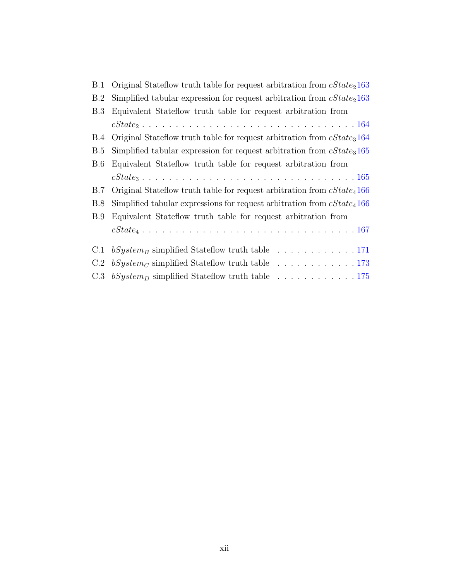| <b>B.1</b> | Original Stateflow truth table for request arbitration from $cState_2163$                          |
|------------|----------------------------------------------------------------------------------------------------|
| B.2        | Simplified tabular expression for request arbitration from $cState_2163$                           |
| B.3        | Equivalent Stateflow truth table for request arbitration from                                      |
|            |                                                                                                    |
| B.4        | Original Stateflow truth table for request arbitration from $cState_3164$                          |
| B.5        | Simplified tabular expression for request arbitration from $cState_3165$                           |
| <b>B.6</b> | Equivalent Stateflow truth table for request arbitration from                                      |
|            |                                                                                                    |
| B.7        | Original Stateflow truth table for request arbitration from $cState_4166$                          |
| B.8        | Simplified tabular expressions for request arbitration from $cState_4166$                          |
| B.9        | Equivalent Stateflow truth table for request arbitration from                                      |
|            | $cState_4 \ldots \ldots \ldots \ldots \ldots \ldots \ldots \ldots \ldots \ldots \ldots \ldots 167$ |
| C.1        | $bSystem_B$ simplified Stateflow truth table 171                                                   |
| C.2        | $bSystem_C$ simplified Stateflow truth table 173                                                   |
| C.3        |                                                                                                    |
|            |                                                                                                    |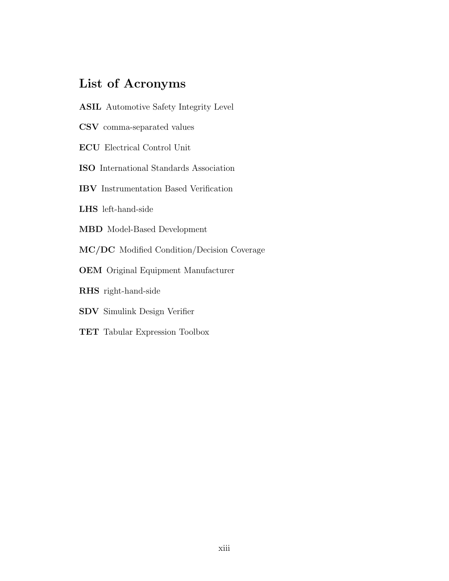## <span id="page-13-0"></span>List of Acronyms

- <span id="page-13-6"></span>ASIL Automotive Safety Integrity Level
- CSV comma-separated values
- <span id="page-13-4"></span>ECU Electrical Control Unit
- <span id="page-13-5"></span>ISO International Standards Association
- IBV Instrumentation Based Verification
- LHS left-hand-side
- <span id="page-13-2"></span>MBD Model-Based Development
- <span id="page-13-1"></span>MC/DC Modified Condition/Decision Coverage
- <span id="page-13-3"></span>OEM Original Equipment Manufacturer
- RHS right-hand-side
- SDV Simulink Design Verifier
- TET Tabular Expression Toolbox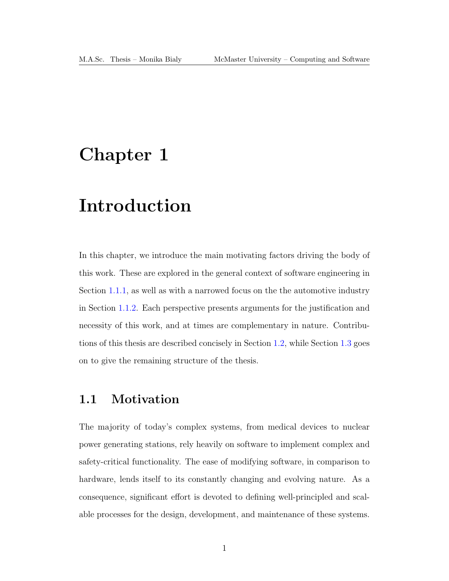## <span id="page-14-0"></span>Chapter 1

# Introduction

In this chapter, we introduce the main motivating factors driving the body of this work. These are explored in the general context of software engineering in Section [1.1.1,](#page-15-0) as well as with a narrowed focus on the the automotive industry in Section [1.1.2.](#page-21-0) Each perspective presents arguments for the justification and necessity of this work, and at times are complementary in nature. Contributions of this thesis are described concisely in Section [1.2,](#page-29-0) while Section [1.3](#page-30-0) goes on to give the remaining structure of the thesis.

### <span id="page-14-1"></span>1.1 Motivation

The majority of today's complex systems, from medical devices to nuclear power generating stations, rely heavily on software to implement complex and safety-critical functionality. The ease of modifying software, in comparison to hardware, lends itself to its constantly changing and evolving nature. As a consequence, significant effort is devoted to defining well-principled and scalable processes for the design, development, and maintenance of these systems.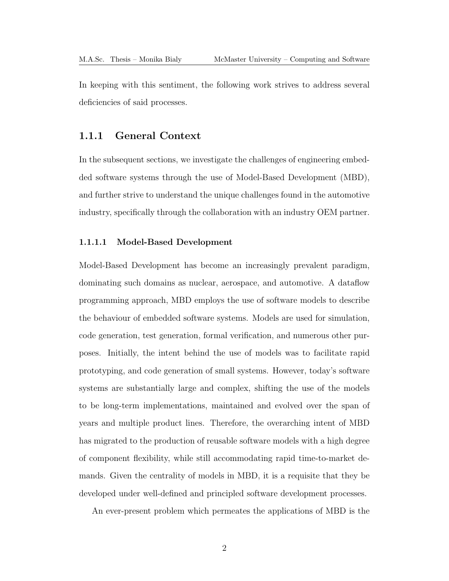In keeping with this sentiment, the following work strives to address several deficiencies of said processes.

#### <span id="page-15-0"></span>1.1.1 General Context

In the subsequent sections, we investigate the challenges of engineering embedded software systems through the use of Model-Based Development [\(MBD\)](#page-13-2), and further strive to understand the unique challenges found in the automotive industry, specifically through the collaboration with an industry OEM partner.

#### <span id="page-15-1"></span>1.1.1.1 Model-Based Development

Model-Based Development has become an increasingly prevalent paradigm, dominating such domains as nuclear, aerospace, and automotive. A dataflow programming approach, [MBD](#page-13-2) employs the use of software models to describe the behaviour of embedded software systems. Models are used for simulation, code generation, test generation, formal verification, and numerous other purposes. Initially, the intent behind the use of models was to facilitate rapid prototyping, and code generation of small systems. However, today's software systems are substantially large and complex, shifting the use of the models to be long-term implementations, maintained and evolved over the span of years and multiple product lines. Therefore, the overarching intent of [MBD](#page-13-2) has migrated to the production of reusable software models with a high degree of component flexibility, while still accommodating rapid time-to-market demands. Given the centrality of models in [MBD,](#page-13-2) it is a requisite that they be developed under well-defined and principled software development processes.

An ever-present problem which permeates the applications of [MBD](#page-13-2) is the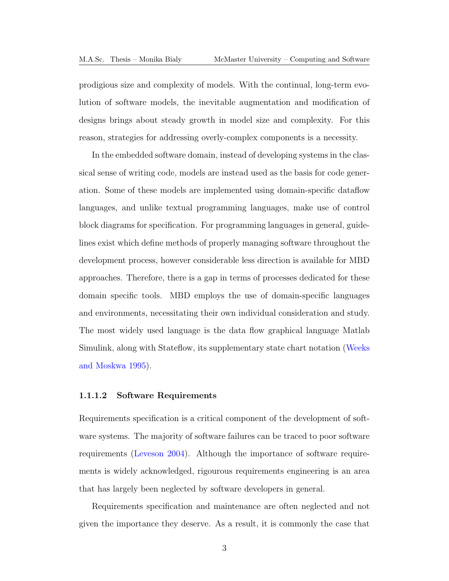prodigious size and complexity of models. With the continual, long-term evolution of software models, the inevitable augmentation and modification of designs brings about steady growth in model size and complexity. For this reason, strategies for addressing overly-complex components is a necessity.

In the embedded software domain, instead of developing systems in the classical sense of writing code, models are instead used as the basis for code generation. Some of these models are implemented using domain-specific dataflow languages, and unlike textual programming languages, make use of control block diagrams for specification. For programming languages in general, guidelines exist which define methods of properly managing software throughout the development process, however considerable less direction is available for [MBD](#page-13-2) approaches. Therefore, there is a gap in terms of processes dedicated for these domain specific tools. [MBD](#page-13-2) employs the use of domain-specific languages and environments, necessitating their own individual consideration and study. The most widely used language is the data flow graphical language Matlab Simulink, along with Stateflow, its supplementary state chart notation [\(Weeks](#page-195-0) [and Moskwa 1995\)](#page-195-0).

#### <span id="page-16-0"></span>1.1.1.2 Software Requirements

Requirements specification is a critical component of the development of software systems. The majority of software failures can be traced to poor software requirements [\(Leveson 2004\)](#page-192-0). Although the importance of software requirements is widely acknowledged, rigourous requirements engineering is an area that has largely been neglected by software developers in general.

Requirements specification and maintenance are often neglected and not given the importance they deserve. As a result, it is commonly the case that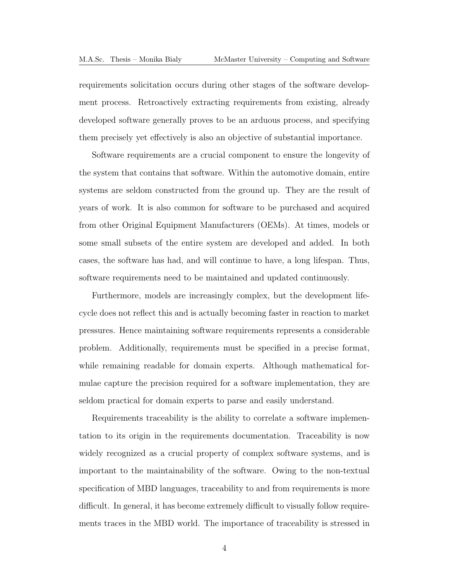requirements solicitation occurs during other stages of the software development process. Retroactively extracting requirements from existing, already developed software generally proves to be an arduous process, and specifying them precisely yet effectively is also an objective of substantial importance.

Software requirements are a crucial component to ensure the longevity of the system that contains that software. Within the automotive domain, entire systems are seldom constructed from the ground up. They are the result of years of work. It is also common for software to be purchased and acquired from other Original Equipment Manufacturers [\(OEMs](#page-13-3)). At times, models or some small subsets of the entire system are developed and added. In both cases, the software has had, and will continue to have, a long lifespan. Thus, software requirements need to be maintained and updated continuously.

Furthermore, models are increasingly complex, but the development lifecycle does not reflect this and is actually becoming faster in reaction to market pressures. Hence maintaining software requirements represents a considerable problem. Additionally, requirements must be specified in a precise format, while remaining readable for domain experts. Although mathematical formulae capture the precision required for a software implementation, they are seldom practical for domain experts to parse and easily understand.

Requirements traceability is the ability to correlate a software implementation to its origin in the requirements documentation. Traceability is now widely recognized as a crucial property of complex software systems, and is important to the maintainability of the software. Owing to the non-textual specification of [MBD](#page-13-2) languages, traceability to and from requirements is more difficult. In general, it has become extremely difficult to visually follow requirements traces in the [MBD](#page-13-2) world. The importance of traceability is stressed in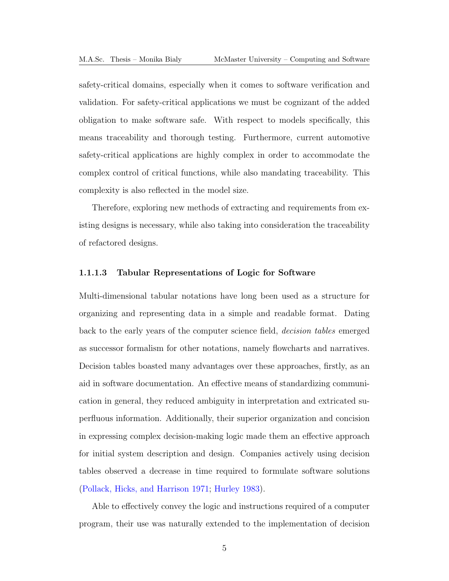safety-critical domains, especially when it comes to software verification and validation. For safety-critical applications we must be cognizant of the added obligation to make software safe. With respect to models specifically, this means traceability and thorough testing. Furthermore, current automotive safety-critical applications are highly complex in order to accommodate the complex control of critical functions, while also mandating traceability. This complexity is also reflected in the model size.

Therefore, exploring new methods of extracting and requirements from existing designs is necessary, while also taking into consideration the traceability of refactored designs.

#### <span id="page-18-0"></span>1.1.1.3 Tabular Representations of Logic for Software

Multi-dimensional tabular notations have long been used as a structure for organizing and representing data in a simple and readable format. Dating back to the early years of the computer science field, decision tables emerged as successor formalism for other notations, namely flowcharts and narratives. Decision tables boasted many advantages over these approaches, firstly, as an aid in software documentation. An effective means of standardizing communication in general, they reduced ambiguity in interpretation and extricated superfluous information. Additionally, their superior organization and concision in expressing complex decision-making logic made them an effective approach for initial system description and design. Companies actively using decision tables observed a decrease in time required to formulate software solutions [\(Pollack, Hicks, and Harrison 1971;](#page-193-0) [Hurley 1983\)](#page-192-1).

Able to effectively convey the logic and instructions required of a computer program, their use was naturally extended to the implementation of decision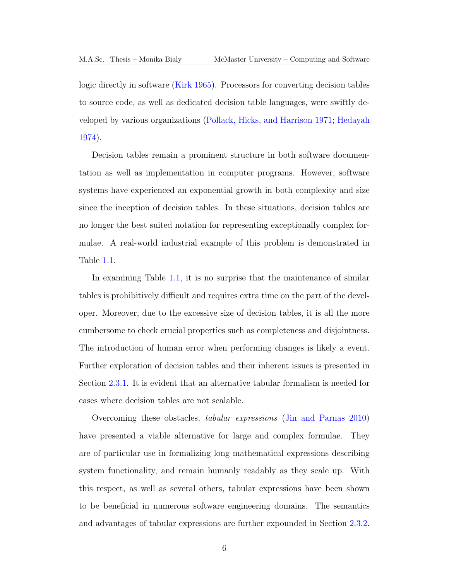logic directly in software [\(Kirk 1965\)](#page-192-2). Processors for converting decision tables to source code, as well as dedicated decision table languages, were swiftly developed by various organizations [\(Pollack, Hicks, and Harrison 1971;](#page-193-0) [Hedayah](#page-191-0) [1974\)](#page-191-0).

Decision tables remain a prominent structure in both software documentation as well as implementation in computer programs. However, software systems have experienced an exponential growth in both complexity and size since the inception of decision tables. In these situations, decision tables are no longer the best suited notation for representing exceptionally complex formulae. A real-world industrial example of this problem is demonstrated in Table [1.1.](#page-20-0)

In examining Table [1.1,](#page-20-0) it is no surprise that the maintenance of similar tables is prohibitively difficult and requires extra time on the part of the developer. Moreover, due to the excessive size of decision tables, it is all the more cumbersome to check crucial properties such as completeness and disjointness. The introduction of human error when performing changes is likely a event. Further exploration of decision tables and their inherent issues is presented in Section [2.3.1.](#page-38-0) It is evident that an alternative tabular formalism is needed for cases where decision tables are not scalable.

Overcoming these obstacles, tabular expressions [\(Jin and Parnas 2010\)](#page-192-3) have presented a viable alternative for large and complex formulae. They are of particular use in formalizing long mathematical expressions describing system functionality, and remain humanly readably as they scale up. With this respect, as well as several others, tabular expressions have been shown to be beneficial in numerous software engineering domains. The semantics and advantages of tabular expressions are further expounded in Section [2.3.2.](#page-41-0)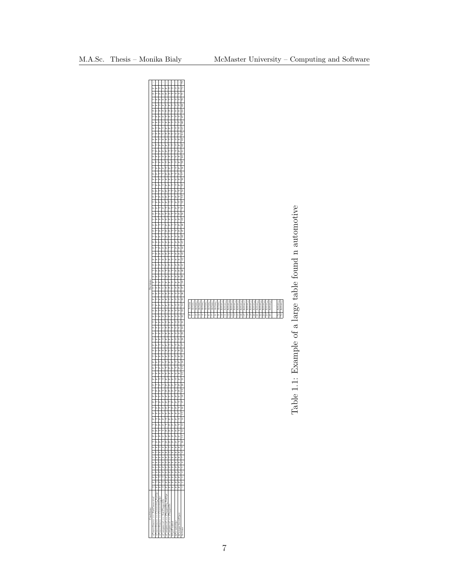<span id="page-20-0"></span>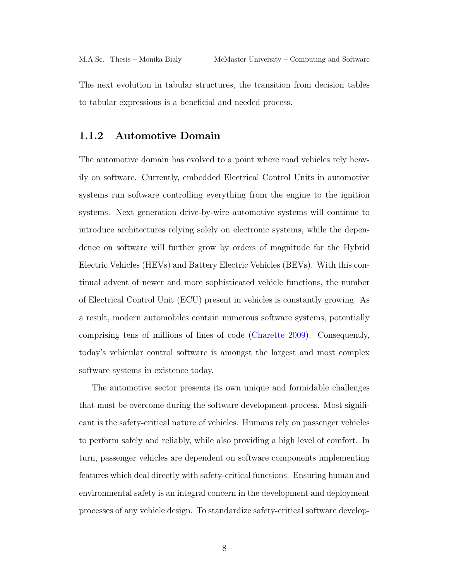The next evolution in tabular structures, the transition from decision tables to tabular expressions is a beneficial and needed process.

#### <span id="page-21-0"></span>1.1.2 Automotive Domain

The automotive domain has evolved to a point where road vehicles rely heavily on software. Currently, embedded Electrical Control Units in automotive systems run software controlling everything from the engine to the ignition systems. Next generation drive-by-wire automotive systems will continue to introduce architectures relying solely on electronic systems, while the dependence on software will further grow by orders of magnitude for the Hybrid Electric Vehicles (HEVs) and Battery Electric Vehicles (BEVs). With this continual advent of newer and more sophisticated vehicle functions, the number of Electrical Control Unit [\(ECU\)](#page-13-4) present in vehicles is constantly growing. As a result, modern automobiles contain numerous software systems, potentially comprising tens of millions of lines of code [\(Charette 2009\)](#page-191-1). Consequently, today's vehicular control software is amongst the largest and most complex software systems in existence today.

The automotive sector presents its own unique and formidable challenges that must be overcome during the software development process. Most significant is the safety-critical nature of vehicles. Humans rely on passenger vehicles to perform safely and reliably, while also providing a high level of comfort. In turn, passenger vehicles are dependent on software components implementing features which deal directly with safety-critical functions. Ensuring human and environmental safety is an integral concern in the development and deployment processes of any vehicle design. To standardize safety-critical software develop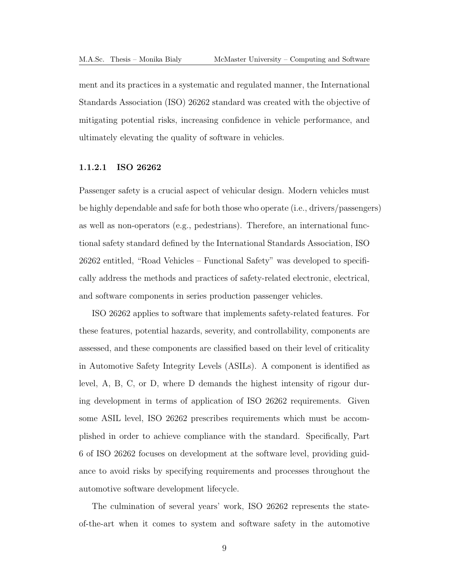ment and its practices in a systematic and regulated manner, the International Standards Association [\(ISO\)](#page-13-5) 26262 standard was created with the objective of mitigating potential risks, increasing confidence in vehicle performance, and ultimately elevating the quality of software in vehicles.

#### <span id="page-22-0"></span>1.1.2.1 ISO 26262

Passenger safety is a crucial aspect of vehicular design. Modern vehicles must be highly dependable and safe for both those who operate (i.e., drivers/passengers) as well as non-operators (e.g., pedestrians). Therefore, an international functional safety standard defined by the International Standards Association, [ISO](#page-13-5) 26262 entitled, "Road Vehicles – Functional Safety" was developed to specifically address the methods and practices of safety-related electronic, electrical, and software components in series production passenger vehicles.

[ISO](#page-13-5) 26262 applies to software that implements safety-related features. For these features, potential hazards, severity, and controllability, components are assessed, and these components are classified based on their level of criticality in Automotive Safety Integrity Levels [\(ASILs](#page-13-6)). A component is identified as level, A, B, C, or D, where D demands the highest intensity of rigour during development in terms of application of [ISO](#page-13-5) 26262 requirements. Given some [ASIL](#page-13-6) level, [ISO](#page-13-5) 26262 prescribes requirements which must be accomplished in order to achieve compliance with the standard. Specifically, Part 6 of [ISO](#page-13-5) 26262 focuses on development at the software level, providing guidance to avoid risks by specifying requirements and processes throughout the automotive software development lifecycle.

The culmination of several years' work, [ISO](#page-13-5) 26262 represents the stateof-the-art when it comes to system and software safety in the automotive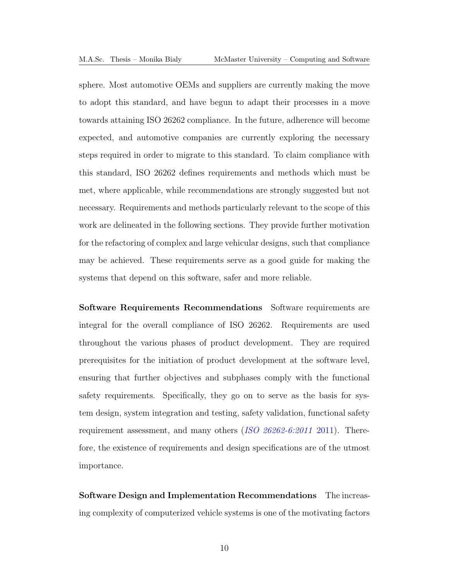sphere. Most automotive [OEMs](#page-13-3) and suppliers are currently making the move to adopt this standard, and have begun to adapt their processes in a move towards attaining [ISO](#page-13-5) 26262 compliance. In the future, adherence will become expected, and automotive companies are currently exploring the necessary steps required in order to migrate to this standard. To claim compliance with this standard, [ISO](#page-13-5) 26262 defines requirements and methods which must be met, where applicable, while recommendations are strongly suggested but not necessary. Requirements and methods particularly relevant to the scope of this work are delineated in the following sections. They provide further motivation for the refactoring of complex and large vehicular designs, such that compliance may be achieved. These requirements serve as a good guide for making the systems that depend on this software, safer and more reliable.

Software Requirements Recommendations Software requirements are integral for the overall compliance of [ISO](#page-13-5) 26262. Requirements are used throughout the various phases of product development. They are required prerequisites for the initiation of product development at the software level, ensuring that further objectives and subphases comply with the functional safety requirements. Specifically, they go on to serve as the basis for system design, system integration and testing, safety validation, functional safety requirement assessment, and many others ([ISO 26262-6:2011](#page-192-4) 2011). Therefore, the existence of requirements and design specifications are of the utmost importance.

Software Design and Implementation Recommendations The increasing complexity of computerized vehicle systems is one of the motivating factors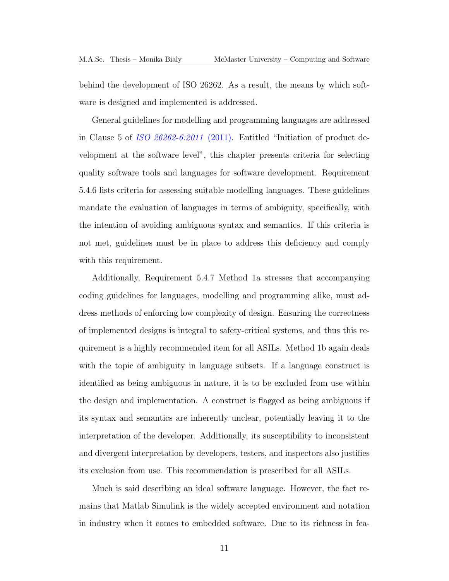behind the development of [ISO](#page-13-5) 26262. As a result, the means by which software is designed and implemented is addressed.

General guidelines for modelling and programming languages are addressed in Clause 5 of [ISO 26262-6:2011](#page-192-4) (2011). Entitled "Initiation of product development at the software level", this chapter presents criteria for selecting quality software tools and languages for software development. Requirement 5.4.6 lists criteria for assessing suitable modelling languages. These guidelines mandate the evaluation of languages in terms of ambiguity, specifically, with the intention of avoiding ambiguous syntax and semantics. If this criteria is not met, guidelines must be in place to address this deficiency and comply with this requirement.

Additionally, Requirement 5.4.7 Method 1a stresses that accompanying coding guidelines for languages, modelling and programming alike, must address methods of enforcing low complexity of design. Ensuring the correctness of implemented designs is integral to safety-critical systems, and thus this requirement is a highly recommended item for all [ASILs](#page-13-6). Method 1b again deals with the topic of ambiguity in language subsets. If a language construct is identified as being ambiguous in nature, it is to be excluded from use within the design and implementation. A construct is flagged as being ambiguous if its syntax and semantics are inherently unclear, potentially leaving it to the interpretation of the developer. Additionally, its susceptibility to inconsistent and divergent interpretation by developers, testers, and inspectors also justifies its exclusion from use. This recommendation is prescribed for all [ASILs](#page-13-6).

Much is said describing an ideal software language. However, the fact remains that Matlab Simulink is the widely accepted environment and notation in industry when it comes to embedded software. Due to its richness in fea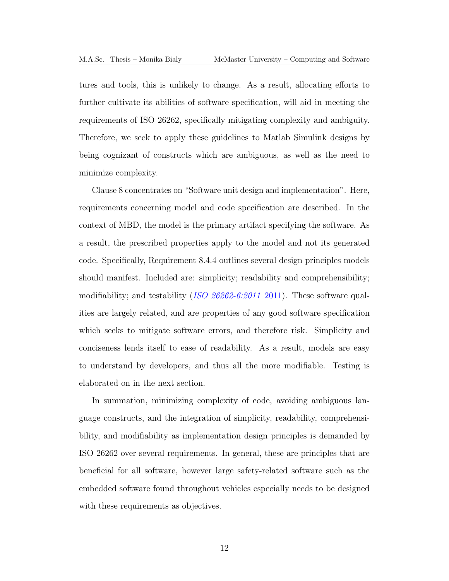tures and tools, this is unlikely to change. As a result, allocating efforts to further cultivate its abilities of software specification, will aid in meeting the requirements of [ISO](#page-13-5) 26262, specifically mitigating complexity and ambiguity. Therefore, we seek to apply these guidelines to Matlab Simulink designs by being cognizant of constructs which are ambiguous, as well as the need to minimize complexity.

Clause 8 concentrates on "Software unit design and implementation". Here, requirements concerning model and code specification are described. In the context of [MBD,](#page-13-2) the model is the primary artifact specifying the software. As a result, the prescribed properties apply to the model and not its generated code. Specifically, Requirement 8.4.4 outlines several design principles models should manifest. Included are: simplicity; readability and comprehensibility; modifiability; and testability ([ISO 26262-6:2011](#page-192-4) 2011). These software qualities are largely related, and are properties of any good software specification which seeks to mitigate software errors, and therefore risk. Simplicity and conciseness lends itself to ease of readability. As a result, models are easy to understand by developers, and thus all the more modifiable. Testing is elaborated on in the next section.

In summation, minimizing complexity of code, avoiding ambiguous language constructs, and the integration of simplicity, readability, comprehensibility, and modifiability as implementation design principles is demanded by [ISO](#page-13-5) 26262 over several requirements. In general, these are principles that are beneficial for all software, however large safety-related software such as the embedded software found throughout vehicles especially needs to be designed with these requirements as objectives.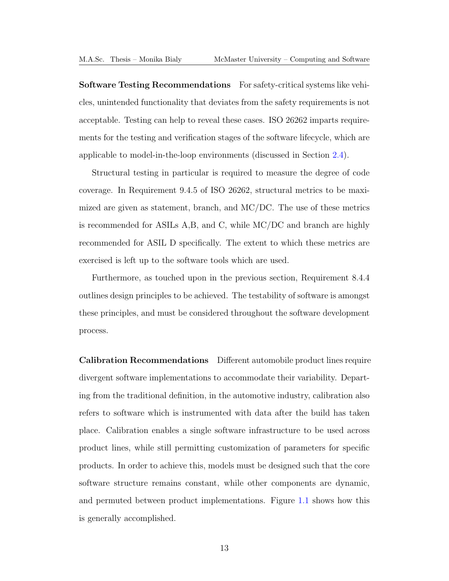Software Testing Recommendations For safety-critical systems like vehicles, unintended functionality that deviates from the safety requirements is not acceptable. Testing can help to reveal these cases. [ISO](#page-13-5) 26262 imparts requirements for the testing and verification stages of the software lifecycle, which are applicable to model-in-the-loop environments (discussed in Section [2.4\)](#page-55-0).

Structural testing in particular is required to measure the degree of code coverage. In Requirement 9.4.5 of [ISO](#page-13-5) 26262, structural metrics to be maximized are given as statement, branch, and [MC/DC.](#page-13-1) The use of these metrics is recommended for [ASILs](#page-13-6) A,B, and C, while [MC/DC](#page-13-1) and branch are highly recommended for [ASIL](#page-13-6) D specifically. The extent to which these metrics are exercised is left up to the software tools which are used.

Furthermore, as touched upon in the previous section, Requirement 8.4.4 outlines design principles to be achieved. The testability of software is amongst these principles, and must be considered throughout the software development process.

Calibration Recommendations Different automobile product lines require divergent software implementations to accommodate their variability. Departing from the traditional definition, in the automotive industry, calibration also refers to software which is instrumented with data after the build has taken place. Calibration enables a single software infrastructure to be used across product lines, while still permitting customization of parameters for specific products. In order to achieve this, models must be designed such that the core software structure remains constant, while other components are dynamic, and permuted between product implementations. Figure [1.1](#page-27-1) shows how this is generally accomplished.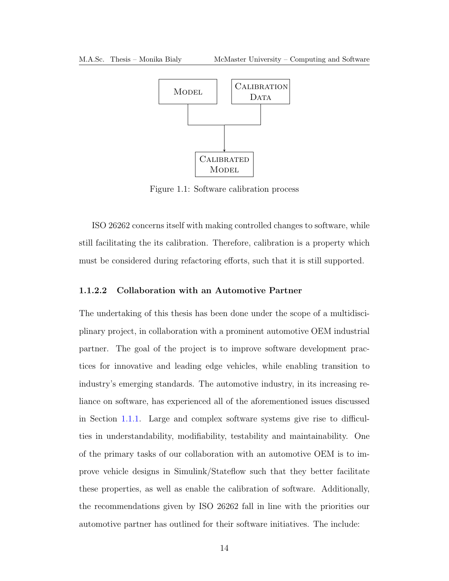<span id="page-27-1"></span>

Figure 1.1: Software calibration process

[ISO](#page-13-5) 26262 concerns itself with making controlled changes to software, while still facilitating the its calibration. Therefore, calibration is a property which must be considered during refactoring efforts, such that it is still supported.

#### <span id="page-27-0"></span>1.1.2.2 Collaboration with an Automotive Partner

The undertaking of this thesis has been done under the scope of a multidisciplinary project, in collaboration with a prominent automotive [OEM](#page-13-3) industrial partner. The goal of the project is to improve software development practices for innovative and leading edge vehicles, while enabling transition to industry's emerging standards. The automotive industry, in its increasing reliance on software, has experienced all of the aforementioned issues discussed in Section [1.1.1.](#page-15-0) Large and complex software systems give rise to difficulties in understandability, modifiability, testability and maintainability. One of the primary tasks of our collaboration with an automotive [OEM](#page-13-3) is to improve vehicle designs in Simulink/Stateflow such that they better facilitate these properties, as well as enable the calibration of software. Additionally, the recommendations given by [ISO](#page-13-5) 26262 fall in line with the priorities our automotive partner has outlined for their software initiatives. The include: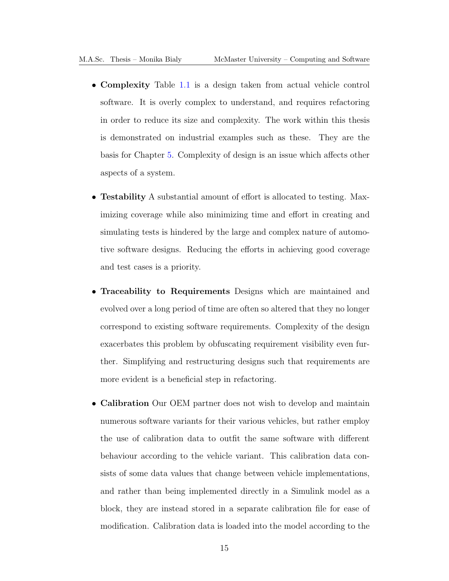- Complexity Table [1.1](#page-20-0) is a design taken from actual vehicle control software. It is overly complex to understand, and requires refactoring in order to reduce its size and complexity. The work within this thesis is demonstrated on industrial examples such as these. They are the basis for Chapter [5.](#page-129-0) Complexity of design is an issue which affects other aspects of a system.
- Testability A substantial amount of effort is allocated to testing. Maximizing coverage while also minimizing time and effort in creating and simulating tests is hindered by the large and complex nature of automotive software designs. Reducing the efforts in achieving good coverage and test cases is a priority.
- Traceability to Requirements Designs which are maintained and evolved over a long period of time are often so altered that they no longer correspond to existing software requirements. Complexity of the design exacerbates this problem by obfuscating requirement visibility even further. Simplifying and restructuring designs such that requirements are more evident is a beneficial step in refactoring.
- Calibration Our [OEM](#page-13-3) partner does not wish to develop and maintain numerous software variants for their various vehicles, but rather employ the use of calibration data to outfit the same software with different behaviour according to the vehicle variant. This calibration data consists of some data values that change between vehicle implementations, and rather than being implemented directly in a Simulink model as a block, they are instead stored in a separate calibration file for ease of modification. Calibration data is loaded into the model according to the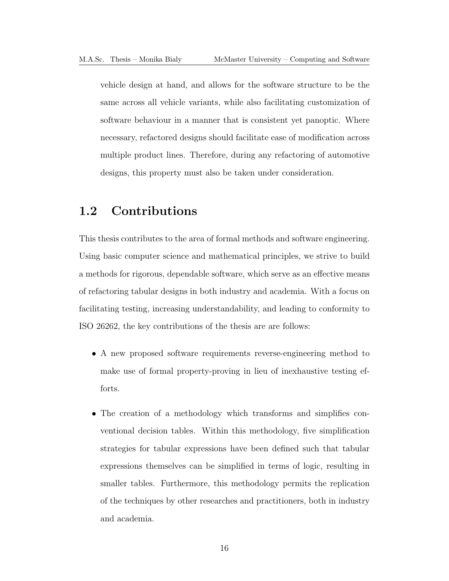vehicle design at hand, and allows for the software structure to be the same across all vehicle variants, while also facilitating customization of software behaviour in a manner that is consistent yet panoptic. Where necessary, refactored designs should facilitate ease of modification across multiple product lines. Therefore, during any refactoring of automotive designs, this property must also be taken under consideration.

## <span id="page-29-0"></span>1.2 Contributions

This thesis contributes to the area of formal methods and software engineering. Using basic computer science and mathematical principles, we strive to build a methods for rigorous, dependable software, which serve as an effective means of refactoring tabular designs in both industry and academia. With a focus on facilitating testing, increasing understandability, and leading to conformity to [ISO](#page-13-5) 26262, the key contributions of the thesis are are follows:

- A new proposed software requirements reverse-engineering method to make use of formal property-proving in lieu of inexhaustive testing efforts.
- The creation of a methodology which transforms and simplifies conventional decision tables. Within this methodology, five simplification strategies for tabular expressions have been defined such that tabular expressions themselves can be simplified in terms of logic, resulting in smaller tables. Furthermore, this methodology permits the replication of the techniques by other researches and practitioners, both in industry and academia.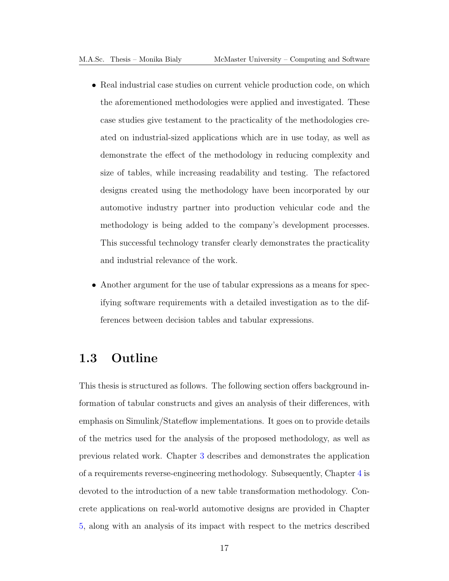- Real industrial case studies on current vehicle production code, on which the aforementioned methodologies were applied and investigated. These case studies give testament to the practicality of the methodologies created on industrial-sized applications which are in use today, as well as demonstrate the effect of the methodology in reducing complexity and size of tables, while increasing readability and testing. The refactored designs created using the methodology have been incorporated by our automotive industry partner into production vehicular code and the methodology is being added to the company's development processes. This successful technology transfer clearly demonstrates the practicality and industrial relevance of the work.
- Another argument for the use of tabular expressions as a means for specifying software requirements with a detailed investigation as to the differences between decision tables and tabular expressions.

## <span id="page-30-0"></span>1.3 Outline

This thesis is structured as follows. The following section offers background information of tabular constructs and gives an analysis of their differences, with emphasis on Simulink/Stateflow implementations. It goes on to provide details of the metrics used for the analysis of the proposed methodology, as well as previous related work. Chapter [3](#page-62-0) describes and demonstrates the application of a requirements reverse-engineering methodology. Subsequently, Chapter [4](#page-98-0) is devoted to the introduction of a new table transformation methodology. Concrete applications on real-world automotive designs are provided in Chapter [5,](#page-129-0) along with an analysis of its impact with respect to the metrics described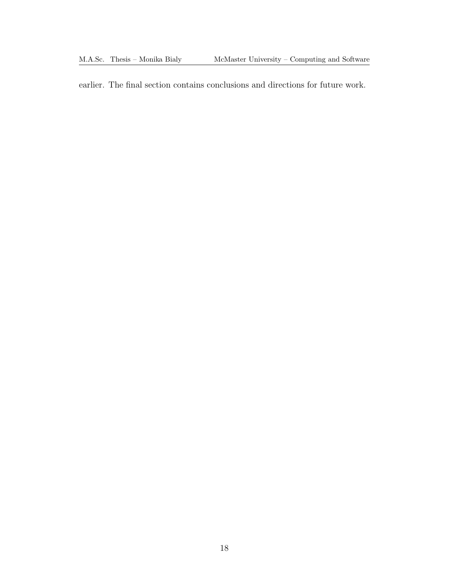earlier. The final section contains conclusions and directions for future work.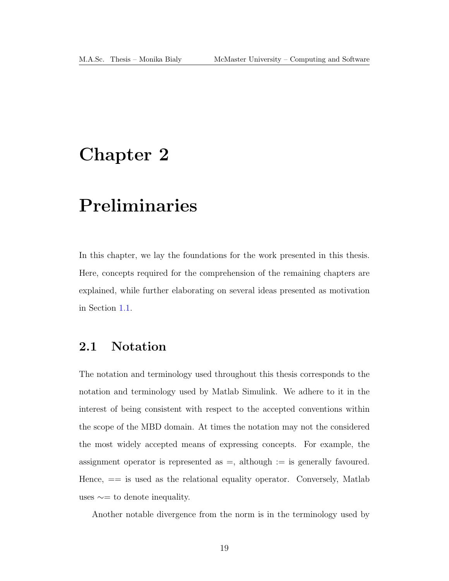## <span id="page-32-0"></span>Chapter 2

# Preliminaries

In this chapter, we lay the foundations for the work presented in this thesis. Here, concepts required for the comprehension of the remaining chapters are explained, while further elaborating on several ideas presented as motivation in Section [1.1.](#page-14-1)

## <span id="page-32-1"></span>2.1 Notation

The notation and terminology used throughout this thesis corresponds to the notation and terminology used by Matlab Simulink. We adhere to it in the interest of being consistent with respect to the accepted conventions within the scope of the [MBD](#page-13-2) domain. At times the notation may not the considered the most widely accepted means of expressing concepts. For example, the assignment operator is represented as  $=$ , although  $:=$  is generally favoured. Hence,  $==$  is used as the relational equality operator. Conversely, Matlab uses  $\sim$ = to denote inequality.

Another notable divergence from the norm is in the terminology used by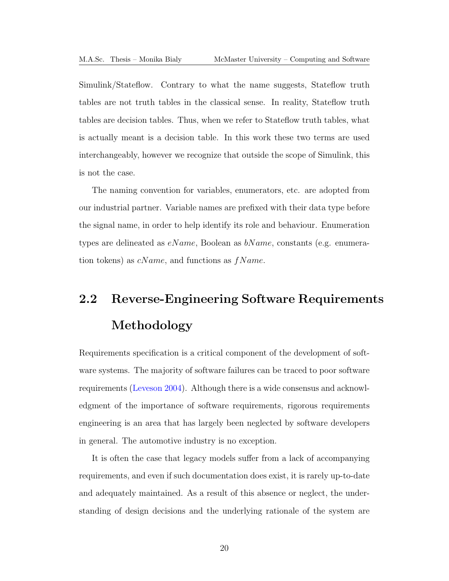Simulink/Stateflow. Contrary to what the name suggests, Stateflow truth tables are not truth tables in the classical sense. In reality, Stateflow truth tables are decision tables. Thus, when we refer to Stateflow truth tables, what is actually meant is a decision table. In this work these two terms are used interchangeably, however we recognize that outside the scope of Simulink, this is not the case.

The naming convention for variables, enumerators, etc. are adopted from our industrial partner. Variable names are prefixed with their data type before the signal name, in order to help identify its role and behaviour. Enumeration types are delineated as  $eName$ , Boolean as  $bName$ , constants (e.g. enumeration tokens) as  $cName$ , and functions as  $fName$ .

# <span id="page-33-0"></span>2.2 Reverse-Engineering Software Requirements Methodology

Requirements specification is a critical component of the development of software systems. The majority of software failures can be traced to poor software requirements [\(Leveson 2004\)](#page-192-0). Although there is a wide consensus and acknowledgment of the importance of software requirements, rigorous requirements engineering is an area that has largely been neglected by software developers in general. The automotive industry is no exception.

It is often the case that legacy models suffer from a lack of accompanying requirements, and even if such documentation does exist, it is rarely up-to-date and adequately maintained. As a result of this absence or neglect, the understanding of design decisions and the underlying rationale of the system are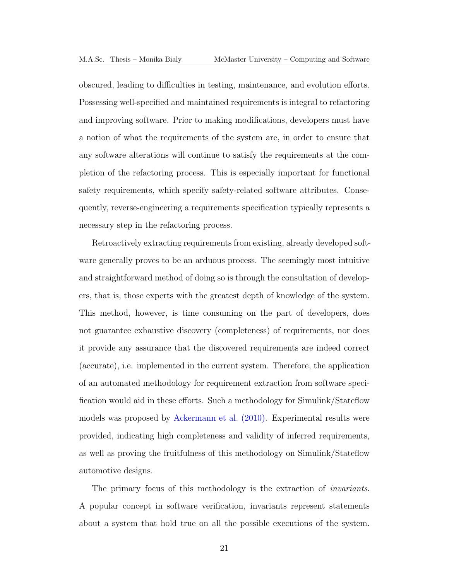obscured, leading to difficulties in testing, maintenance, and evolution efforts. Possessing well-specified and maintained requirements is integral to refactoring and improving software. Prior to making modifications, developers must have a notion of what the requirements of the system are, in order to ensure that any software alterations will continue to satisfy the requirements at the completion of the refactoring process. This is especially important for functional safety requirements, which specify safety-related software attributes. Consequently, reverse-engineering a requirements specification typically represents a necessary step in the refactoring process.

Retroactively extracting requirements from existing, already developed software generally proves to be an arduous process. The seemingly most intuitive and straightforward method of doing so is through the consultation of developers, that is, those experts with the greatest depth of knowledge of the system. This method, however, is time consuming on the part of developers, does not guarantee exhaustive discovery (completeness) of requirements, nor does it provide any assurance that the discovered requirements are indeed correct (accurate), i.e. implemented in the current system. Therefore, the application of an automated methodology for requirement extraction from software specification would aid in these efforts. Such a methodology for Simulink/Stateflow models was proposed by [Ackermann et al. \(2010\).](#page-190-1) Experimental results were provided, indicating high completeness and validity of inferred requirements, as well as proving the fruitfulness of this methodology on Simulink/Stateflow automotive designs.

The primary focus of this methodology is the extraction of invariants. A popular concept in software verification, invariants represent statements about a system that hold true on all the possible executions of the system.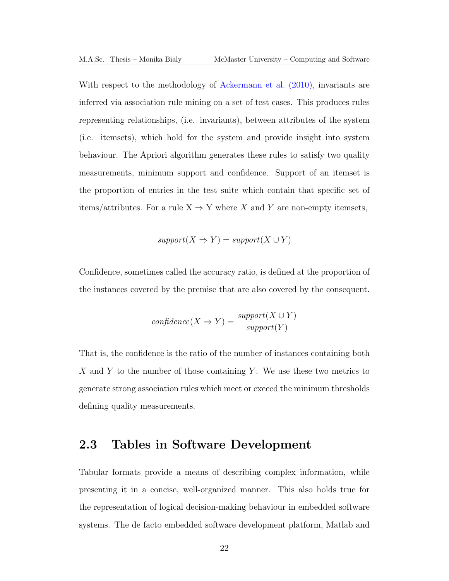With respect to the methodology of [Ackermann et al. \(2010\),](#page-190-1) invariants are inferred via association rule mining on a set of test cases. This produces rules representing relationships, (i.e. invariants), between attributes of the system (i.e. itemsets), which hold for the system and provide insight into system behaviour. The Apriori algorithm generates these rules to satisfy two quality measurements, minimum support and confidence. Support of an itemset is the proportion of entries in the test suite which contain that specific set of items/attributes. For a rule  $X \Rightarrow Y$  where X and Y are non-empty itemsets,

$$
support(X \Rightarrow Y) = support(X \cup Y)
$$

Confidence, sometimes called the accuracy ratio, is defined at the proportion of the instances covered by the premise that are also covered by the consequent.

$$
confidence(X \Rightarrow Y) = \frac{support(X \cup Y)}{support(Y)}
$$

That is, the confidence is the ratio of the number of instances containing both X and Y to the number of those containing Y. We use these two metrics to generate strong association rules which meet or exceed the minimum thresholds defining quality measurements.

### <span id="page-35-0"></span>2.3 Tables in Software Development

Tabular formats provide a means of describing complex information, while presenting it in a concise, well-organized manner. This also holds true for the representation of logical decision-making behaviour in embedded software systems. The de facto embedded software development platform, Matlab and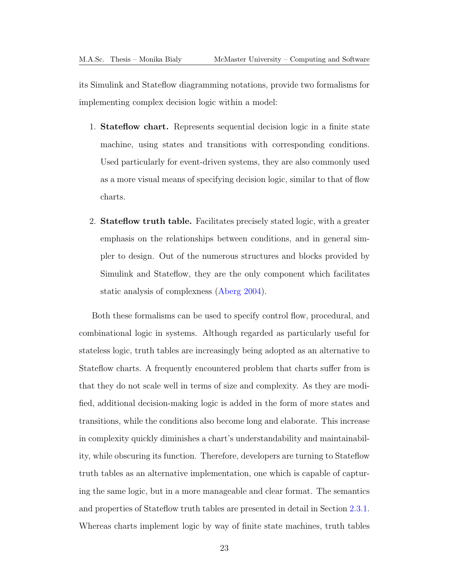its Simulink and Stateflow diagramming notations, provide two formalisms for implementing complex decision logic within a model:

- 1. Stateflow chart. Represents sequential decision logic in a finite state machine, using states and transitions with corresponding conditions. Used particularly for event-driven systems, they are also commonly used as a more visual means of specifying decision logic, similar to that of flow charts.
- 2. Stateflow truth table. Facilitates precisely stated logic, with a greater emphasis on the relationships between conditions, and in general simpler to design. Out of the numerous structures and blocks provided by Simulink and Stateflow, they are the only component which facilitates static analysis of complexness [\(Aberg 2004\)](#page-190-0).

Both these formalisms can be used to specify control flow, procedural, and combinational logic in systems. Although regarded as particularly useful for stateless logic, truth tables are increasingly being adopted as an alternative to Stateflow charts. A frequently encountered problem that charts suffer from is that they do not scale well in terms of size and complexity. As they are modified, additional decision-making logic is added in the form of more states and transitions, while the conditions also become long and elaborate. This increase in complexity quickly diminishes a chart's understandability and maintainability, while obscuring its function. Therefore, developers are turning to Stateflow truth tables as an alternative implementation, one which is capable of capturing the same logic, but in a more manageable and clear format. The semantics and properties of Stateflow truth tables are presented in detail in Section [2.3.1.](#page-38-0) Whereas charts implement logic by way of finite state machines, truth tables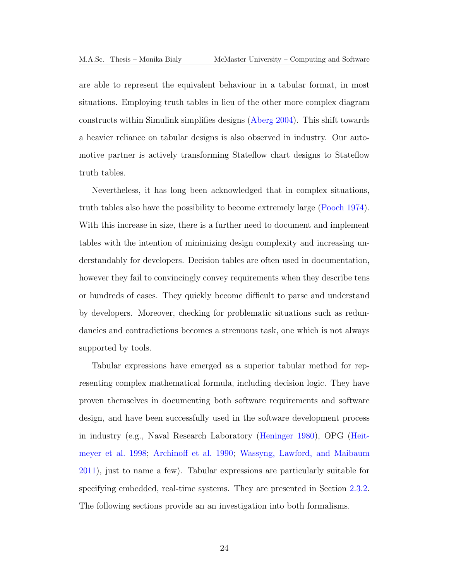are able to represent the equivalent behaviour in a tabular format, in most situations. Employing truth tables in lieu of the other more complex diagram constructs within Simulink simplifies designs [\(Aberg 2004\)](#page-190-0). This shift towards a heavier reliance on tabular designs is also observed in industry. Our automotive partner is actively transforming Stateflow chart designs to Stateflow truth tables.

Nevertheless, it has long been acknowledged that in complex situations, truth tables also have the possibility to become extremely large [\(Pooch 1974\)](#page-193-0). With this increase in size, there is a further need to document and implement tables with the intention of minimizing design complexity and increasing understandably for developers. Decision tables are often used in documentation, however they fail to convincingly convey requirements when they describe tens or hundreds of cases. They quickly become difficult to parse and understand by developers. Moreover, checking for problematic situations such as redundancies and contradictions becomes a strenuous task, one which is not always supported by tools.

Tabular expressions have emerged as a superior tabular method for representing complex mathematical formula, including decision logic. They have proven themselves in documenting both software requirements and software design, and have been successfully used in the software development process in industry (e.g., Naval Research Laboratory [\(Heninger 1980\)](#page-191-0), OPG [\(Heit](#page-191-1)[meyer et al. 1998;](#page-191-1) [Archinoff et al. 1990;](#page-190-1) [Wassyng, Lawford, and Maibaum](#page-194-0) [2011\)](#page-194-0), just to name a few). Tabular expressions are particularly suitable for specifying embedded, real-time systems. They are presented in Section [2.3.2.](#page-41-0) The following sections provide an an investigation into both formalisms.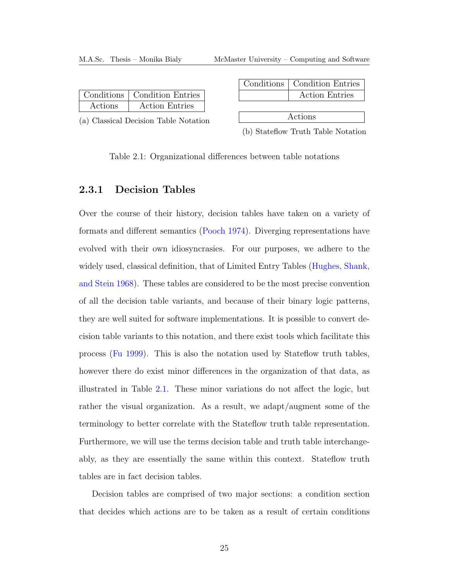<span id="page-38-1"></span>

|         | Conditions   Condition Entries |
|---------|--------------------------------|
| Actions | <b>Action Entries</b>          |

(a) Classical Decision Table Notation

|         | Conditions   Condition Entries |  |  |  |  |
|---------|--------------------------------|--|--|--|--|
|         | <b>Action Entries</b>          |  |  |  |  |
|         |                                |  |  |  |  |
| Actions |                                |  |  |  |  |

(b) Stateflow Truth Table Notation

Table 2.1: Organizational differences between table notations

## <span id="page-38-0"></span>2.3.1 Decision Tables

Over the course of their history, decision tables have taken on a variety of formats and different semantics [\(Pooch 1974\)](#page-193-0). Diverging representations have evolved with their own idiosyncrasies. For our purposes, we adhere to the widely used, classical definition, that of Limited Entry Tables [\(Hughes, Shank,](#page-192-0) [and Stein 1968\)](#page-192-0). These tables are considered to be the most precise convention of all the decision table variants, and because of their binary logic patterns, they are well suited for software implementations. It is possible to convert decision table variants to this notation, and there exist tools which facilitate this process [\(Fu 1999\)](#page-191-2). This is also the notation used by Stateflow truth tables, however there do exist minor differences in the organization of that data, as illustrated in Table [2.1.](#page-38-1) These minor variations do not affect the logic, but rather the visual organization. As a result, we adapt/augment some of the terminology to better correlate with the Stateflow truth table representation. Furthermore, we will use the terms decision table and truth table interchangeably, as they are essentially the same within this context. Stateflow truth tables are in fact decision tables.

Decision tables are comprised of two major sections: a condition section that decides which actions are to be taken as a result of certain conditions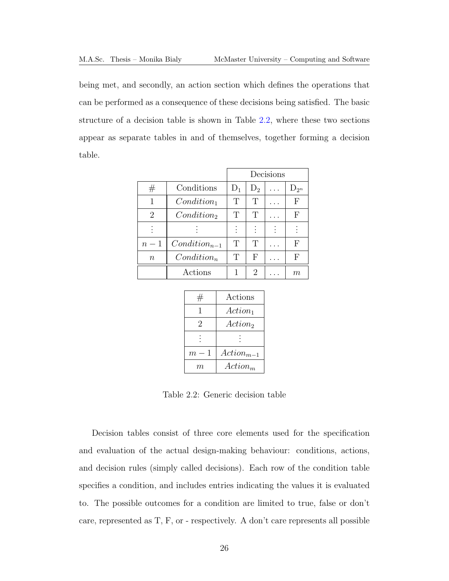being met, and secondly, an action section which defines the operations that can be performed as a consequence of these decisions being satisfied. The basic structure of a decision table is shown in Table [2.2,](#page-39-0) where these two sections appear as separate tables in and of themselves, together forming a decision table.

<span id="page-39-0"></span>

|                  |                   | Decisions |                             |  |           |
|------------------|-------------------|-----------|-----------------------------|--|-----------|
| #                | Conditions        | $D_1$     | $D_2$                       |  | $D_{2^n}$ |
| 1                | $Condition_1$     | Т         | Т                           |  | F         |
| $\overline{2}$   | $Condition_2$     | T         | Т                           |  | F         |
|                  |                   |           |                             |  |           |
| $n-1$            | $Condition_{n-1}$ | T         | T                           |  | F         |
| $\boldsymbol{n}$ | $Condition_n$     | T         | F                           |  | F         |
|                  | Actions           |           | $\mathcal{D}_{\mathcal{L}}$ |  | $m\,$     |

| $^{\#}$          | Actions             |
|------------------|---------------------|
| 1                | $Action_1$          |
| 2                | Action <sub>2</sub> |
|                  |                     |
|                  |                     |
| $m \cdot$<br>- 1 | $Action_{m-1}$      |
| m                | $Action_m$          |

Table 2.2: Generic decision table

Decision tables consist of three core elements used for the specification and evaluation of the actual design-making behaviour: conditions, actions, and decision rules (simply called decisions). Each row of the condition table specifies a condition, and includes entries indicating the values it is evaluated to. The possible outcomes for a condition are limited to true, false or don't care, represented as T, F, or - respectively. A don't care represents all possible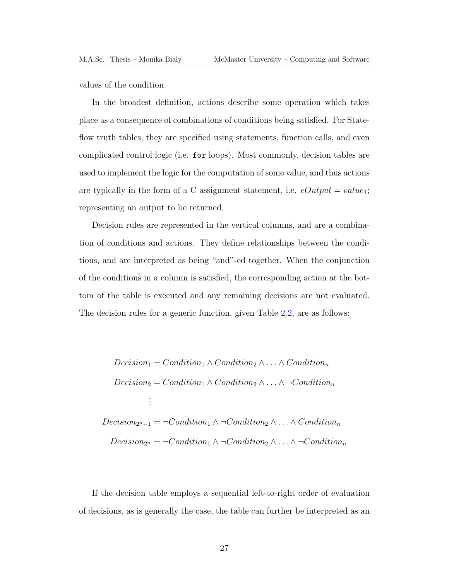values of the condition.

In the broadest definition, actions describe some operation which takes place as a consequence of combinations of conditions being satisfied. For Stateflow truth tables, they are specified using statements, function calls, and even complicated control logic (i.e. for loops). Most commonly, decision tables are used to implement the logic for the computation of some value, and thus actions are typically in the form of a C assignment statement, i.e.  $eOutput = value_1$ ; representing an output to be returned.

Decision rules are represented in the vertical columns, and are a combination of conditions and actions. They define relationships between the conditions, and are interpreted as being "and"-ed together. When the conjunction of the conditions in a column is satisfied, the corresponding action at the bottom of the table is executed and any remaining decisions are not evaluated. The decision rules for a generic function, given Table [2.2,](#page-39-0) are as follows:

$$
Decision_1 = Condition_1 \wedge Condition_2 \wedge ... \wedge Condition_n
$$
  
\n
$$
Decision_2 = Condition_1 \wedge Condition_2 \wedge ... \wedge \neg Condition_n
$$
  
\n
$$
\vdots
$$
  
\n
$$
Decision_{2^n-1} = \neg Condition_1 \wedge \neg Condition_2 \wedge ... \wedge Condition_n
$$
  
\n
$$
Decision_{2^n} = \neg Condition_1 \wedge \neg Condition_2 \wedge ... \wedge \neg Condition_n
$$

If the decision table employs a sequential left-to-right order of evaluation of decisions, as is generally the case, the table can further be interpreted as an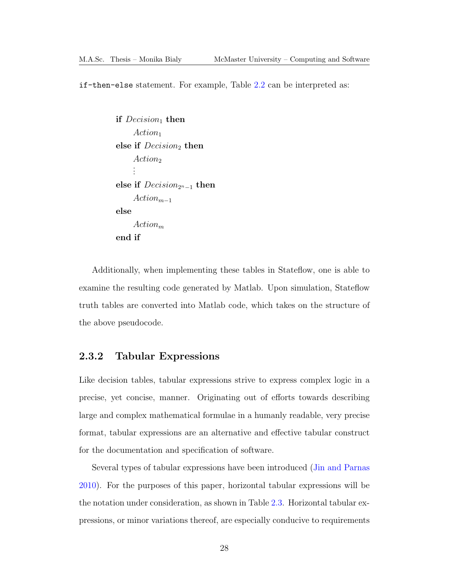if-then-else statement. For example, Table [2.2](#page-39-0) can be interpreted as:

```
if Decision_1 then
     Action_1else if Decision_2 then
     Action<sub>2</sub>.
     .
     .
else if Decision_{2^n-1} then
     Action_{m-1}else
     Action_mend if
```
Additionally, when implementing these tables in Stateflow, one is able to examine the resulting code generated by Matlab. Upon simulation, Stateflow truth tables are converted into Matlab code, which takes on the structure of the above pseudocode.

## <span id="page-41-0"></span>2.3.2 Tabular Expressions

Like decision tables, tabular expressions strive to express complex logic in a precise, yet concise, manner. Originating out of efforts towards describing large and complex mathematical formulae in a humanly readable, very precise format, tabular expressions are an alternative and effective tabular construct for the documentation and specification of software.

Several types of tabular expressions have been introduced [\(Jin and Parnas](#page-192-1) [2010\)](#page-192-1). For the purposes of this paper, horizontal tabular expressions will be the notation under consideration, as shown in Table [2.3.](#page-42-0) Horizontal tabular expressions, or minor variations thereof, are especially conducive to requirements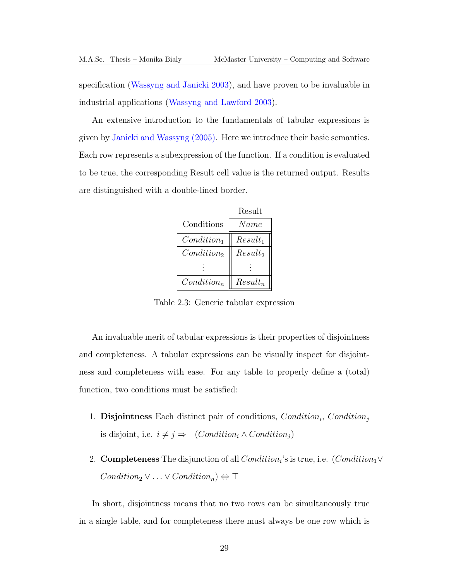specification [\(Wassyng and Janicki 2003\)](#page-194-1), and have proven to be invaluable in industrial applications [\(Wassyng and Lawford 2003\)](#page-194-2).

An extensive introduction to the fundamentals of tabular expressions is given by [Janicki and Wassyng \(2005\).](#page-192-2) Here we introduce their basic semantics. Each row represents a subexpression of the function. If a condition is evaluated to be true, the corresponding Result cell value is the returned output. Results are distinguished with a double-lined border.

|               | Result     |
|---------------|------------|
| Conditions    | Name       |
| $Condition_1$ | $Result_1$ |
| $Condition_2$ | $Result_2$ |
|               |            |
| $Condition_n$ | $Result_n$ |

<span id="page-42-0"></span>Table 2.3: Generic tabular expression

An invaluable merit of tabular expressions is their properties of disjointness and completeness. A tabular expressions can be visually inspect for disjointness and completeness with ease. For any table to properly define a (total) function, two conditions must be satisfied:

- 1. Disjointness Each distinct pair of conditions,  $Condition_i$ ,  $Condition_j$ is disjoint, i.e.  $i\neq j \Rightarrow \neg (Condition_i \wedge Condition_j)$
- 2. **Completeness** The disjunction of all  $Condition_i$ 's is true, i.e.  $(Condition_1 \vee$  $Condition_2 \vee \ldots \vee Condition_n) \Leftrightarrow \top$

In short, disjointness means that no two rows can be simultaneously true in a single table, and for completeness there must always be one row which is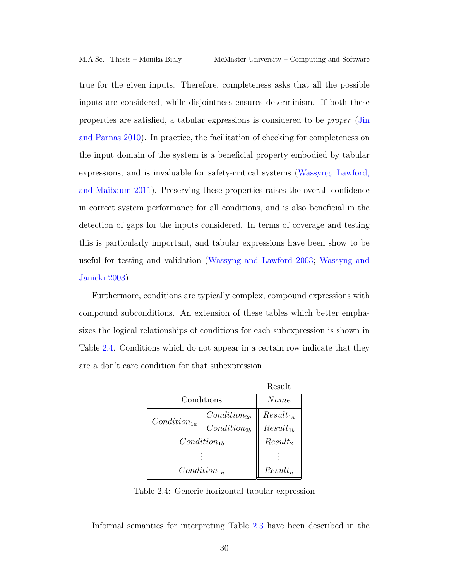true for the given inputs. Therefore, completeness asks that all the possible inputs are considered, while disjointness ensures determinism. If both these properties are satisfied, a tabular expressions is considered to be proper [\(Jin](#page-192-1) [and Parnas 2010\)](#page-192-1). In practice, the facilitation of checking for completeness on the input domain of the system is a beneficial property embodied by tabular expressions, and is invaluable for safety-critical systems [\(Wassyng, Lawford,](#page-194-0) [and Maibaum 2011\)](#page-194-0). Preserving these properties raises the overall confidence in correct system performance for all conditions, and is also beneficial in the detection of gaps for the inputs considered. In terms of coverage and testing this is particularly important, and tabular expressions have been show to be useful for testing and validation [\(Wassyng and Lawford 2003;](#page-194-2) [Wassyng and](#page-194-1) [Janicki 2003\)](#page-194-1).

Furthermore, conditions are typically complex, compound expressions with compound subconditions. An extension of these tables which better emphasizes the logical relationships of conditions for each subexpression is shown in Table [2.4.](#page-43-0) Conditions which do not appear in a certain row indicate that they are a don't care condition for that subexpression.

|                  | Result           |               |
|------------------|------------------|---------------|
| Conditions       |                  | Name          |
| $Condition_{1a}$ | $Condition_{2a}$ | $Result_{1a}$ |
|                  | $Condition_{2b}$ | $Result_{1b}$ |
| $Condition_{1h}$ |                  | $Result_2$    |
|                  |                  |               |
| $Condition_{1n}$ |                  | $Result_n$    |

<span id="page-43-0"></span>Table 2.4: Generic horizontal tabular expression

Informal semantics for interpreting Table [2.3](#page-42-0) have been described in the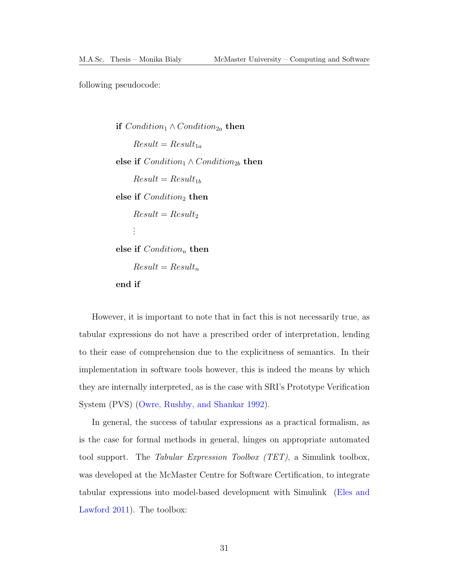following pseudocode:

**if**  $Condition_1 \wedge Condition_{2a}$  **then**  $Result = Result_{1a}$ else if  $Condition_1 \wedge Condition_{2b}$  then  $Result = Result_{1b}$ else if  $Condition_2$  then  $Result = Result_2$ . . . else if  $Condition_n$  then  $Result = Result_n$ end if

However, it is important to note that in fact this is not necessarily true, as tabular expressions do not have a prescribed order of interpretation, lending to their ease of comprehension due to the explicitness of semantics. In their implementation in software tools however, this is indeed the means by which they are internally interpreted, as is the case with SRI's Prototype Verification System (PVS) [\(Owre, Rushby, and Shankar 1992\)](#page-193-1).

In general, the success of tabular expressions as a practical formalism, as is the case for formal methods in general, hinges on appropriate automated tool support. The Tabular Expression Toolbox [\(TET\)](#page-13-0), a Simulink toolbox, was developed at the McMaster Centre for Software Certification, to integrate tabular expressions into model-based development with Simulink [\(Eles and](#page-191-3) [Lawford 2011\)](#page-191-3). The toolbox: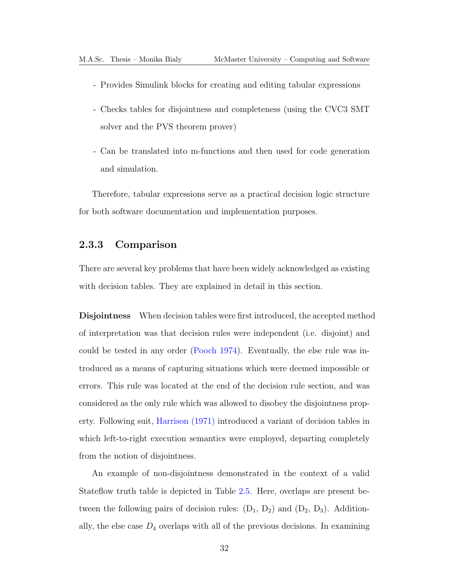- Provides Simulink blocks for creating and editing tabular expressions
- Checks tables for disjointness and completeness (using the CVC3 SMT solver and the PVS theorem prover)
- Can be translated into m-functions and then used for code generation and simulation.

Therefore, tabular expressions serve as a practical decision logic structure for both software documentation and implementation purposes.

## 2.3.3 Comparison

There are several key problems that have been widely acknowledged as existing with decision tables. They are explained in detail in this section.

Disjointness When decision tables were first introduced, the accepted method of interpretation was that decision rules were independent (i.e. disjoint) and could be tested in any order [\(Pooch 1974\)](#page-193-0). Eventually, the else rule was introduced as a means of capturing situations which were deemed impossible or errors. This rule was located at the end of the decision rule section, and was considered as the only rule which was allowed to disobey the disjointness property. Following suit, [Harrison \(1971\)](#page-191-4) introduced a variant of decision tables in which left-to-right execution semantics were employed, departing completely from the notion of disjointness.

An example of non-disjointness demonstrated in the context of a valid Stateflow truth table is depicted in Table [2.5.](#page-46-0) Here, overlaps are present between the following pairs of decision rules:  $(D_1, D_2)$  and  $(D_2, D_3)$ . Additionally, the else case  $D_4$  overlaps with all of the previous decisions. In examining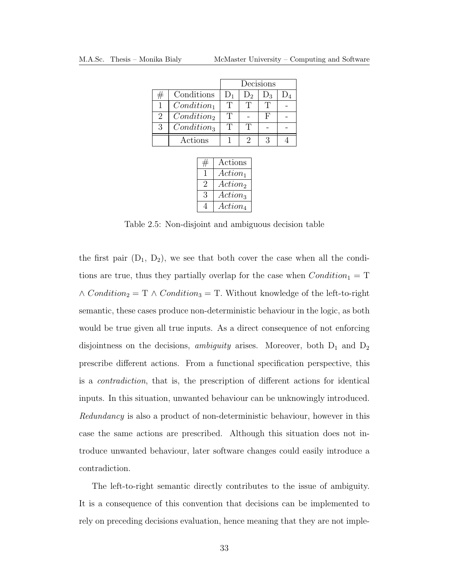<span id="page-46-0"></span>

|                |                        |                |                   | Decisions |  |
|----------------|------------------------|----------------|-------------------|-----------|--|
|                | Conditions             | $\mathbf{D}_1$ | $1)$ <sub>2</sub> | ور        |  |
|                | $Condition_1$          |                |                   |           |  |
| $\overline{2}$ | $Condition_2$          |                |                   | н         |  |
| 3              | Condition <sub>3</sub> | T              | T                 |           |  |
|                | Actions                |                |                   |           |  |

|    | Actions             |
|----|---------------------|
|    | $Action_1$          |
| '2 | Action <sub>2</sub> |
| 3  | $Action_3$          |
|    | $Action_4$          |

Table 2.5: Non-disjoint and ambiguous decision table

the first pair  $(D_1, D_2)$ , we see that both cover the case when all the conditions are true, thus they partially overlap for the case when  $Condition_1 = T$  $\wedge Condition_2 = T \wedge Condition_3 = T$ . Without knowledge of the left-to-right semantic, these cases produce non-deterministic behaviour in the logic, as both would be true given all true inputs. As a direct consequence of not enforcing disjointness on the decisions, *ambiguity* arises. Moreover, both  $D_1$  and  $D_2$ prescribe different actions. From a functional specification perspective, this is a contradiction, that is, the prescription of different actions for identical inputs. In this situation, unwanted behaviour can be unknowingly introduced. Redundancy is also a product of non-deterministic behaviour, however in this case the same actions are prescribed. Although this situation does not introduce unwanted behaviour, later software changes could easily introduce a contradiction.

The left-to-right semantic directly contributes to the issue of ambiguity. It is a consequence of this convention that decisions can be implemented to rely on preceding decisions evaluation, hence meaning that they are not imple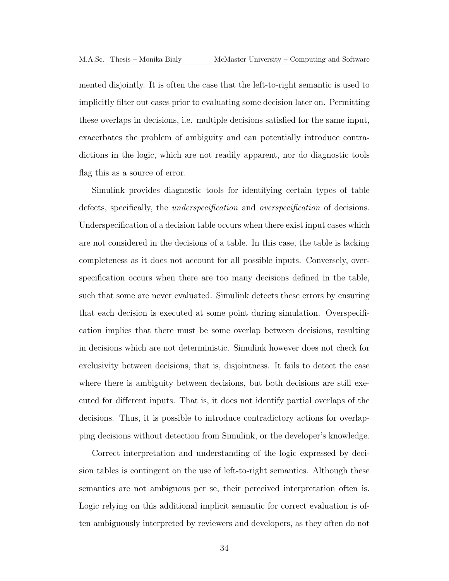mented disjointly. It is often the case that the left-to-right semantic is used to implicitly filter out cases prior to evaluating some decision later on. Permitting these overlaps in decisions, i.e. multiple decisions satisfied for the same input, exacerbates the problem of ambiguity and can potentially introduce contradictions in the logic, which are not readily apparent, nor do diagnostic tools flag this as a source of error.

Simulink provides diagnostic tools for identifying certain types of table defects, specifically, the underspecification and overspecification of decisions. Underspecification of a decision table occurs when there exist input cases which are not considered in the decisions of a table. In this case, the table is lacking completeness as it does not account for all possible inputs. Conversely, overspecification occurs when there are too many decisions defined in the table, such that some are never evaluated. Simulink detects these errors by ensuring that each decision is executed at some point during simulation. Overspecification implies that there must be some overlap between decisions, resulting in decisions which are not deterministic. Simulink however does not check for exclusivity between decisions, that is, disjointness. It fails to detect the case where there is ambiguity between decisions, but both decisions are still executed for different inputs. That is, it does not identify partial overlaps of the decisions. Thus, it is possible to introduce contradictory actions for overlapping decisions without detection from Simulink, or the developer's knowledge.

Correct interpretation and understanding of the logic expressed by decision tables is contingent on the use of left-to-right semantics. Although these semantics are not ambiguous per se, their perceived interpretation often is. Logic relying on this additional implicit semantic for correct evaluation is often ambiguously interpreted by reviewers and developers, as they often do not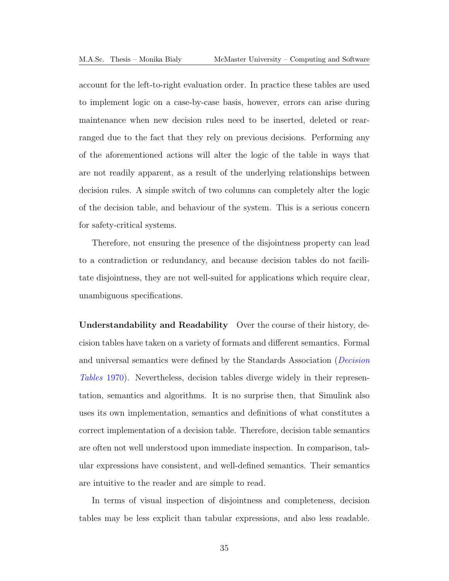account for the left-to-right evaluation order. In practice these tables are used to implement logic on a case-by-case basis, however, errors can arise during maintenance when new decision rules need to be inserted, deleted or rearranged due to the fact that they rely on previous decisions. Performing any of the aforementioned actions will alter the logic of the table in ways that are not readily apparent, as a result of the underlying relationships between decision rules. A simple switch of two columns can completely alter the logic of the decision table, and behaviour of the system. This is a serious concern for safety-critical systems.

Therefore, not ensuring the presence of the disjointness property can lead to a contradiction or redundancy, and because decision tables do not facilitate disjointness, they are not well-suited for applications which require clear, unambiguous specifications.

Understandability and Readability Over the course of their history, decision tables have taken on a variety of formats and different semantics. Formal and universal semantics were defined by the Standards Association (*[Decision](#page-191-5)*) [Tables](#page-191-5) 1970). Nevertheless, decision tables diverge widely in their representation, semantics and algorithms. It is no surprise then, that Simulink also uses its own implementation, semantics and definitions of what constitutes a correct implementation of a decision table. Therefore, decision table semantics are often not well understood upon immediate inspection. In comparison, tabular expressions have consistent, and well-defined semantics. Their semantics are intuitive to the reader and are simple to read.

In terms of visual inspection of disjointness and completeness, decision tables may be less explicit than tabular expressions, and also less readable.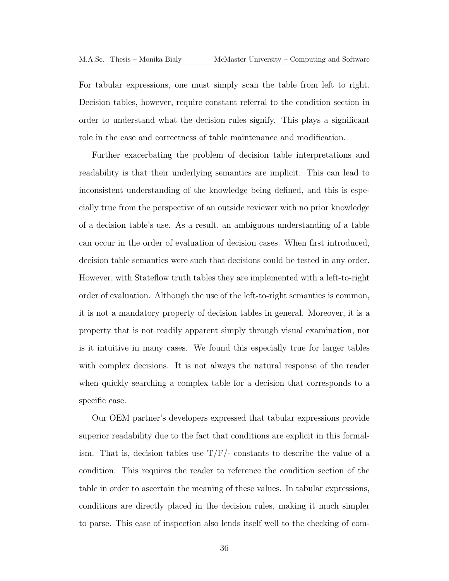For tabular expressions, one must simply scan the table from left to right. Decision tables, however, require constant referral to the condition section in order to understand what the decision rules signify. This plays a significant role in the ease and correctness of table maintenance and modification.

Further exacerbating the problem of decision table interpretations and readability is that their underlying semantics are implicit. This can lead to inconsistent understanding of the knowledge being defined, and this is especially true from the perspective of an outside reviewer with no prior knowledge of a decision table's use. As a result, an ambiguous understanding of a table can occur in the order of evaluation of decision cases. When first introduced, decision table semantics were such that decisions could be tested in any order. However, with Stateflow truth tables they are implemented with a left-to-right order of evaluation. Although the use of the left-to-right semantics is common, it is not a mandatory property of decision tables in general. Moreover, it is a property that is not readily apparent simply through visual examination, nor is it intuitive in many cases. We found this especially true for larger tables with complex decisions. It is not always the natural response of the reader when quickly searching a complex table for a decision that corresponds to a specific case.

Our [OEM](#page-13-1) partner's developers expressed that tabular expressions provide superior readability due to the fact that conditions are explicit in this formalism. That is, decision tables use  $T/F$  constants to describe the value of a condition. This requires the reader to reference the condition section of the table in order to ascertain the meaning of these values. In tabular expressions, conditions are directly placed in the decision rules, making it much simpler to parse. This ease of inspection also lends itself well to the checking of com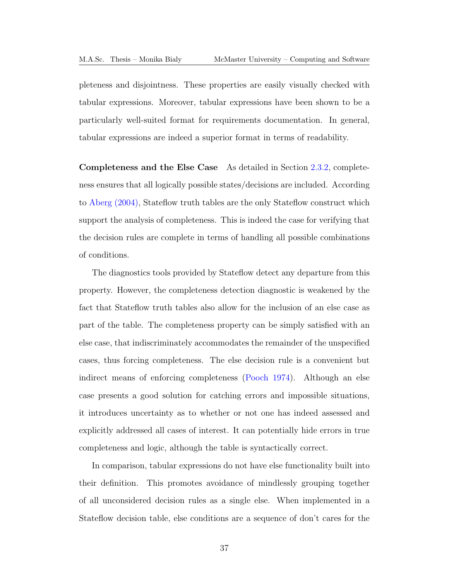pleteness and disjointness. These properties are easily visually checked with tabular expressions. Moreover, tabular expressions have been shown to be a particularly well-suited format for requirements documentation. In general, tabular expressions are indeed a superior format in terms of readability.

Completeness and the Else Case As detailed in Section [2.3.2,](#page-41-0) completeness ensures that all logically possible states/decisions are included. According to [Aberg \(2004\),](#page-190-0) Stateflow truth tables are the only Stateflow construct which support the analysis of completeness. This is indeed the case for verifying that the decision rules are complete in terms of handling all possible combinations of conditions.

The diagnostics tools provided by Stateflow detect any departure from this property. However, the completeness detection diagnostic is weakened by the fact that Stateflow truth tables also allow for the inclusion of an else case as part of the table. The completeness property can be simply satisfied with an else case, that indiscriminately accommodates the remainder of the unspecified cases, thus forcing completeness. The else decision rule is a convenient but indirect means of enforcing completeness [\(Pooch 1974\)](#page-193-0). Although an else case presents a good solution for catching errors and impossible situations, it introduces uncertainty as to whether or not one has indeed assessed and explicitly addressed all cases of interest. It can potentially hide errors in true completeness and logic, although the table is syntactically correct.

In comparison, tabular expressions do not have else functionality built into their definition. This promotes avoidance of mindlessly grouping together of all unconsidered decision rules as a single else. When implemented in a Stateflow decision table, else conditions are a sequence of don't cares for the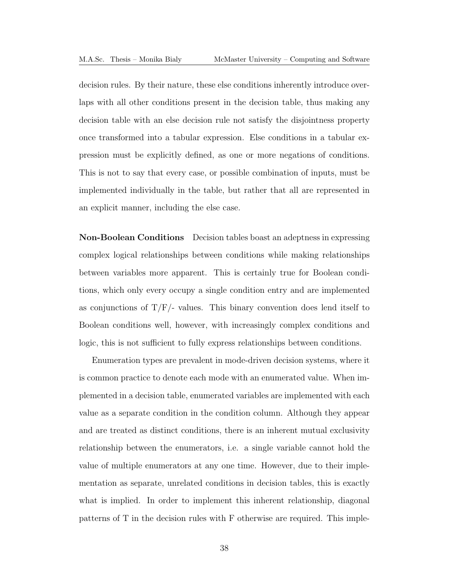decision rules. By their nature, these else conditions inherently introduce overlaps with all other conditions present in the decision table, thus making any decision table with an else decision rule not satisfy the disjointness property once transformed into a tabular expression. Else conditions in a tabular expression must be explicitly defined, as one or more negations of conditions. This is not to say that every case, or possible combination of inputs, must be implemented individually in the table, but rather that all are represented in an explicit manner, including the else case.

Non-Boolean Conditions Decision tables boast an adeptness in expressing complex logical relationships between conditions while making relationships between variables more apparent. This is certainly true for Boolean conditions, which only every occupy a single condition entry and are implemented as conjunctions of  $T/F$  values. This binary convention does lend itself to Boolean conditions well, however, with increasingly complex conditions and logic, this is not sufficient to fully express relationships between conditions.

Enumeration types are prevalent in mode-driven decision systems, where it is common practice to denote each mode with an enumerated value. When implemented in a decision table, enumerated variables are implemented with each value as a separate condition in the condition column. Although they appear and are treated as distinct conditions, there is an inherent mutual exclusivity relationship between the enumerators, i.e. a single variable cannot hold the value of multiple enumerators at any one time. However, due to their implementation as separate, unrelated conditions in decision tables, this is exactly what is implied. In order to implement this inherent relationship, diagonal patterns of T in the decision rules with F otherwise are required. This imple-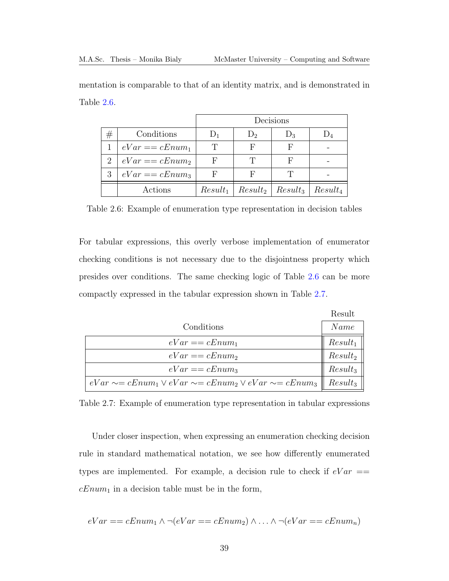|   |                          | Decisions  |         |                        |            |
|---|--------------------------|------------|---------|------------------------|------------|
| # | Conditions               | $D_1$      | $D_{2}$ | $D_3$                  |            |
|   | $1 \mid eVar == cEnum_1$ | T          | F       | F                      |            |
|   | 2   $eVar == cEnum_2$    | F          | T       | F                      |            |
|   | $3 \mid eVar == cEnum_3$ | F          | н       |                        |            |
|   | Actions                  | $Result_1$ |         | $Result_2   Result_3 $ | $Result_4$ |

mentation is comparable to that of an identity matrix, and is demonstrated in Table [2.6.](#page-52-0)

<span id="page-52-0"></span>Table 2.6: Example of enumeration type representation in decision tables

For tabular expressions, this overly verbose implementation of enumerator checking conditions is not necessary due to the disjointness property which presides over conditions. The same checking logic of Table [2.6](#page-52-0) can be more compactly expressed in the tabular expression shown in Table [2.7.](#page-52-1)

|                                                                         | Result     |
|-------------------------------------------------------------------------|------------|
| Conditions                                                              | Name       |
| $eVar == cEnum_1$                                                       | $Result_1$ |
| $eVar == cEnum_2$                                                       | $Result_2$ |
| $eVar == cEnum_3$                                                       | $Result_3$ |
| $eVar \sim = cEnum_1 \vee eVar \sim = cEnum_2 \vee eVar \sim = cEnum_3$ | $Result_3$ |

<span id="page-52-1"></span>Table 2.7: Example of enumeration type representation in tabular expressions

Under closer inspection, when expressing an enumeration checking decision rule in standard mathematical notation, we see how differently enumerated types are implemented. For example, a decision rule to check if  $eVar =$  $cEnum_1$  in a decision table must be in the form,

$$
eVar == cEnum_1 \land \neg(eVar == cEnum_2) \land \dots \land \neg(eVar == cEnum_n)
$$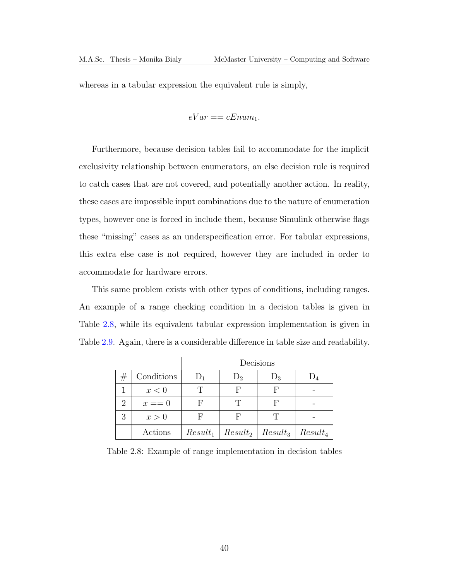whereas in a tabular expression the equivalent rule is simply,

$$
eVar == cEnum_1.
$$

Furthermore, because decision tables fail to accommodate for the implicit exclusivity relationship between enumerators, an else decision rule is required to catch cases that are not covered, and potentially another action. In reality, these cases are impossible input combinations due to the nature of enumeration types, however one is forced in include them, because Simulink otherwise flags these "missing" cases as an underspecification error. For tabular expressions, this extra else case is not required, however they are included in order to accommodate for hardware errors.

This same problem exists with other types of conditions, including ranges. An example of a range checking condition in a decision tables is given in Table [2.8,](#page-53-0) while its equivalent tabular expression implementation is given in Table [2.9.](#page-54-0) Again, there is a considerable difference in table size and readability.

|   |            | Decisions |                                                      |       |  |
|---|------------|-----------|------------------------------------------------------|-------|--|
| # | Conditions | $D_1$     | $D_2$                                                | $D_3$ |  |
|   | x<0        |           | F                                                    |       |  |
| 2 | $x == 0$   |           | T                                                    |       |  |
| 3 | x>0        |           | F                                                    |       |  |
|   | Actions    |           | $Result_1 \mid Result_2 \mid Result_3 \mid Result_4$ |       |  |

<span id="page-53-0"></span>Table 2.8: Example of range implementation in decision tables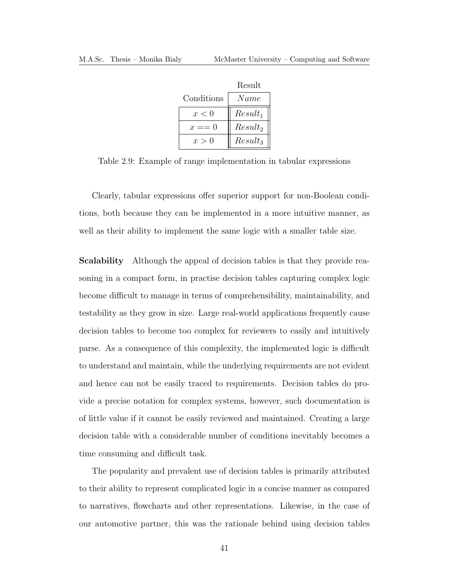|            | Result     |
|------------|------------|
| Conditions | Name       |
| x < 0      | $Result_1$ |
| $x == 0$   | $Result_2$ |
| x > 0      | $Result_3$ |

<span id="page-54-0"></span>Table 2.9: Example of range implementation in tabular expressions

Clearly, tabular expressions offer superior support for non-Boolean conditions, both because they can be implemented in a more intuitive manner, as well as their ability to implement the same logic with a smaller table size.

Scalability Although the appeal of decision tables is that they provide reasoning in a compact form, in practise decision tables capturing complex logic become difficult to manage in terms of comprehensibility, maintainability, and testability as they grow in size. Large real-world applications frequently cause decision tables to become too complex for reviewers to easily and intuitively parse. As a consequence of this complexity, the implemented logic is difficult to understand and maintain, while the underlying requirements are not evident and hence can not be easily traced to requirements. Decision tables do provide a precise notation for complex systems, however, such documentation is of little value if it cannot be easily reviewed and maintained. Creating a large decision table with a considerable number of conditions inevitably becomes a time consuming and difficult task.

The popularity and prevalent use of decision tables is primarily attributed to their ability to represent complicated logic in a concise manner as compared to narratives, flowcharts and other representations. Likewise, in the case of our automotive partner, this was the rationale behind using decision tables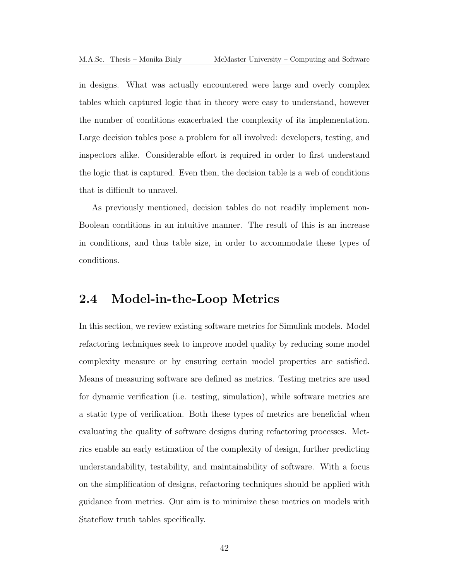in designs. What was actually encountered were large and overly complex tables which captured logic that in theory were easy to understand, however the number of conditions exacerbated the complexity of its implementation. Large decision tables pose a problem for all involved: developers, testing, and inspectors alike. Considerable effort is required in order to first understand the logic that is captured. Even then, the decision table is a web of conditions that is difficult to unravel.

As previously mentioned, decision tables do not readily implement non-Boolean conditions in an intuitive manner. The result of this is an increase in conditions, and thus table size, in order to accommodate these types of conditions.

## 2.4 Model-in-the-Loop Metrics

In this section, we review existing software metrics for Simulink models. Model refactoring techniques seek to improve model quality by reducing some model complexity measure or by ensuring certain model properties are satisfied. Means of measuring software are defined as metrics. Testing metrics are used for dynamic verification (i.e. testing, simulation), while software metrics are a static type of verification. Both these types of metrics are beneficial when evaluating the quality of software designs during refactoring processes. Metrics enable an early estimation of the complexity of design, further predicting understandability, testability, and maintainability of software. With a focus on the simplification of designs, refactoring techniques should be applied with guidance from metrics. Our aim is to minimize these metrics on models with Stateflow truth tables specifically.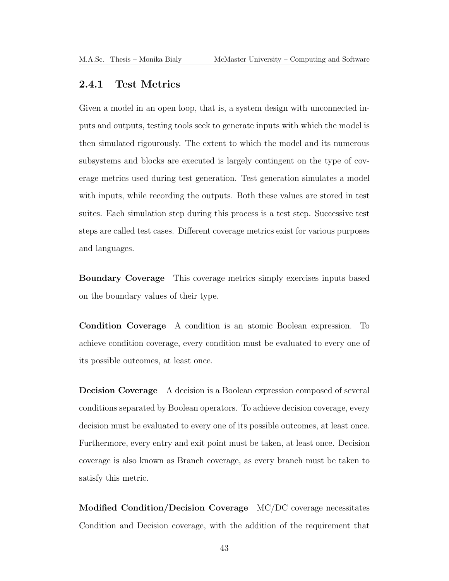## 2.4.1 Test Metrics

Given a model in an open loop, that is, a system design with unconnected inputs and outputs, testing tools seek to generate inputs with which the model is then simulated rigourously. The extent to which the model and its numerous subsystems and blocks are executed is largely contingent on the type of coverage metrics used during test generation. Test generation simulates a model with inputs, while recording the outputs. Both these values are stored in test suites. Each simulation step during this process is a test step. Successive test steps are called test cases. Different coverage metrics exist for various purposes and languages.

Boundary Coverage This coverage metrics simply exercises inputs based on the boundary values of their type.

Condition Coverage A condition is an atomic Boolean expression. To achieve condition coverage, every condition must be evaluated to every one of its possible outcomes, at least once.

Decision Coverage A decision is a Boolean expression composed of several conditions separated by Boolean operators. To achieve decision coverage, every decision must be evaluated to every one of its possible outcomes, at least once. Furthermore, every entry and exit point must be taken, at least once. Decision coverage is also known as Branch coverage, as every branch must be taken to satisfy this metric.

Modified Condition/Decision Coverage [MC/DC](#page-13-2) coverage necessitates Condition and Decision coverage, with the addition of the requirement that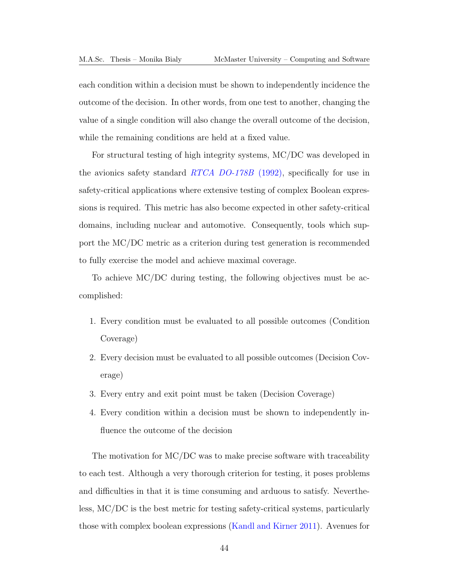each condition within a decision must be shown to independently incidence the outcome of the decision. In other words, from one test to another, changing the value of a single condition will also change the overall outcome of the decision, while the remaining conditions are held at a fixed value.

For structural testing of high integrity systems, [MC/DC](#page-13-2) was developed in the avionics safety standard [RTCA DO-178B](#page-193-2) (1992), specifically for use in safety-critical applications where extensive testing of complex Boolean expressions is required. This metric has also become expected in other safety-critical domains, including nuclear and automotive. Consequently, tools which support the [MC/DC](#page-13-2) metric as a criterion during test generation is recommended to fully exercise the model and achieve maximal coverage.

To achieve [MC/DC](#page-13-2) during testing, the following objectives must be accomplished:

- 1. Every condition must be evaluated to all possible outcomes (Condition Coverage)
- 2. Every decision must be evaluated to all possible outcomes (Decision Coverage)
- 3. Every entry and exit point must be taken (Decision Coverage)
- 4. Every condition within a decision must be shown to independently influence the outcome of the decision

The motivation for [MC/DC](#page-13-2) was to make precise software with traceability to each test. Although a very thorough criterion for testing, it poses problems and difficulties in that it is time consuming and arduous to satisfy. Nevertheless, [MC/DC](#page-13-2) is the best metric for testing safety-critical systems, particularly those with complex boolean expressions [\(Kandl and Kirner 2011\)](#page-192-3). Avenues for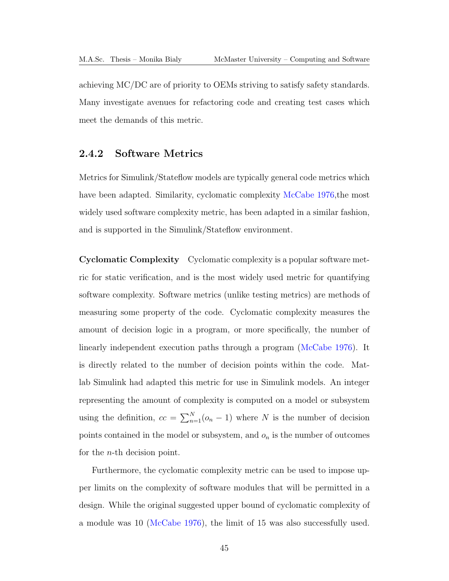achieving [MC/DC](#page-13-2) are of priority to [OEMs](#page-13-1) striving to satisfy safety standards. Many investigate avenues for refactoring code and creating test cases which meet the demands of this metric.

#### 2.4.2 Software Metrics

Metrics for Simulink/Stateflow models are typically general code metrics which have been adapted. Similarity, cyclomatic complexity [McCabe 1976,](#page-192-4)the most widely used software complexity metric, has been adapted in a similar fashion, and is supported in the Simulink/Stateflow environment.

Cyclomatic Complexity Cyclomatic complexity is a popular software metric for static verification, and is the most widely used metric for quantifying software complexity. Software metrics (unlike testing metrics) are methods of measuring some property of the code. Cyclomatic complexity measures the amount of decision logic in a program, or more specifically, the number of linearly independent execution paths through a program [\(McCabe 1976\)](#page-192-4). It is directly related to the number of decision points within the code. Matlab Simulink had adapted this metric for use in Simulink models. An integer representing the amount of complexity is computed on a model or subsystem using the definition,  $cc = \sum_{n=1}^{N} (o_n - 1)$  where N is the number of decision points contained in the model or subsystem, and  $o_n$  is the number of outcomes for the n-th decision point.

Furthermore, the cyclomatic complexity metric can be used to impose upper limits on the complexity of software modules that will be permitted in a design. While the original suggested upper bound of cyclomatic complexity of a module was 10 [\(McCabe 1976\)](#page-192-4), the limit of 15 was also successfully used.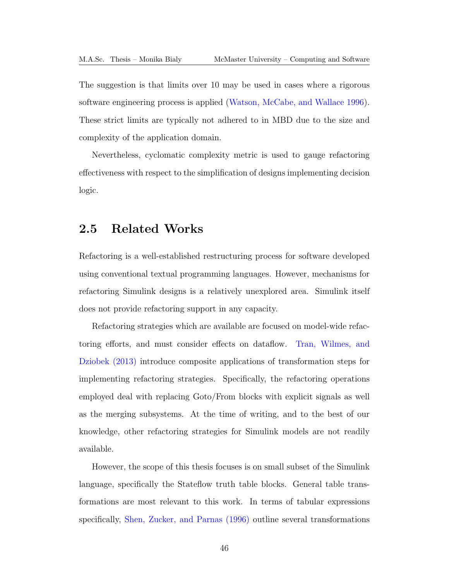The suggestion is that limits over 10 may be used in cases where a rigorous software engineering process is applied [\(Watson, McCabe, and Wallace 1996\)](#page-194-3). These strict limits are typically not adhered to in [MBD](#page-13-3) due to the size and complexity of the application domain.

Nevertheless, cyclomatic complexity metric is used to gauge refactoring effectiveness with respect to the simplification of designs implementing decision logic.

## 2.5 Related Works

Refactoring is a well-established restructuring process for software developed using conventional textual programming languages. However, mechanisms for refactoring Simulink designs is a relatively unexplored area. Simulink itself does not provide refactoring support in any capacity.

Refactoring strategies which are available are focused on model-wide refactoring efforts, and must consider effects on dataflow. [Tran, Wilmes, and](#page-194-4) [Dziobek \(2013\)](#page-194-4) introduce composite applications of transformation steps for implementing refactoring strategies. Specifically, the refactoring operations employed deal with replacing Goto/From blocks with explicit signals as well as the merging subsystems. At the time of writing, and to the best of our knowledge, other refactoring strategies for Simulink models are not readily available.

However, the scope of this thesis focuses is on small subset of the Simulink language, specifically the Stateflow truth table blocks. General table transformations are most relevant to this work. In terms of tabular expressions specifically, [Shen, Zucker, and Parnas \(1996\)](#page-193-3) outline several transformations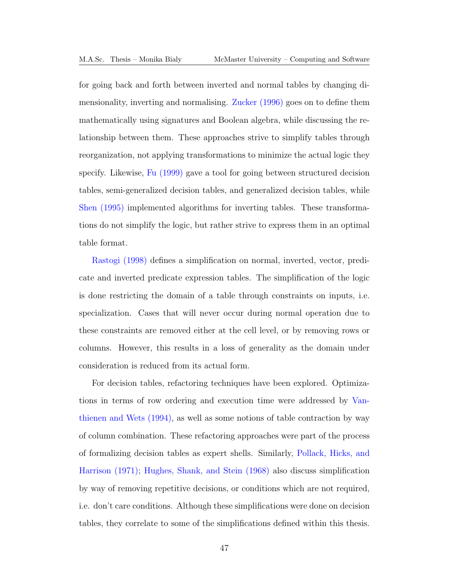for going back and forth between inverted and normal tables by changing dimensionality, inverting and normalising. [Zucker \(1996\)](#page-195-0) goes on to define them mathematically using signatures and Boolean algebra, while discussing the relationship between them. These approaches strive to simplify tables through reorganization, not applying transformations to minimize the actual logic they specify. Likewise, [Fu \(1999\)](#page-191-2) gave a tool for going between structured decision tables, semi-generalized decision tables, and generalized decision tables, while [Shen \(1995\)](#page-193-4) implemented algorithms for inverting tables. These transformations do not simplify the logic, but rather strive to express them in an optimal table format.

[Rastogi \(1998\)](#page-193-5) defines a simplification on normal, inverted, vector, predicate and inverted predicate expression tables. The simplification of the logic is done restricting the domain of a table through constraints on inputs, i.e. specialization. Cases that will never occur during normal operation due to these constraints are removed either at the cell level, or by removing rows or columns. However, this results in a loss of generality as the domain under consideration is reduced from its actual form.

For decision tables, refactoring techniques have been explored. Optimizations in terms of row ordering and execution time were addressed by [Van](#page-194-5)[thienen and Wets \(1994\),](#page-194-5) as well as some notions of table contraction by way of column combination. These refactoring approaches were part of the process of formalizing decision tables as expert shells. Similarly, [Pollack, Hicks, and](#page-193-6) [Harrison \(1971\);](#page-193-6) [Hughes, Shank, and Stein \(1968\)](#page-192-0) also discuss simplification by way of removing repetitive decisions, or conditions which are not required, i.e. don't care conditions. Although these simplifications were done on decision tables, they correlate to some of the simplifications defined within this thesis.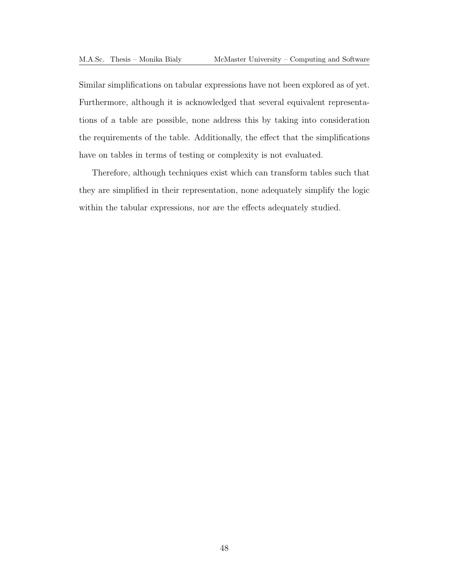Similar simplifications on tabular expressions have not been explored as of yet. Furthermore, although it is acknowledged that several equivalent representations of a table are possible, none address this by taking into consideration the requirements of the table. Additionally, the effect that the simplifications have on tables in terms of testing or complexity is not evaluated.

Therefore, although techniques exist which can transform tables such that they are simplified in their representation, none adequately simplify the logic within the tabular expressions, nor are the effects adequately studied.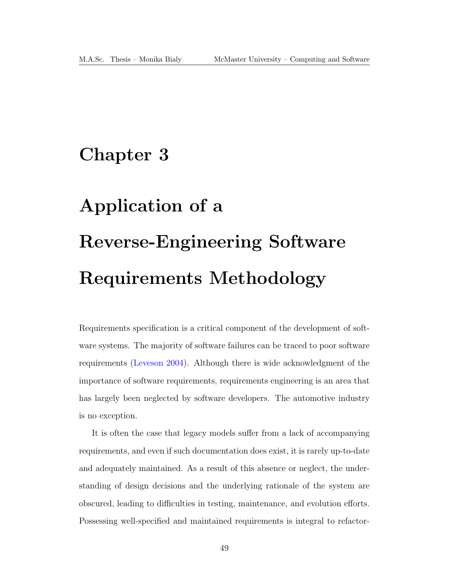## Chapter 3

# Application of a Reverse-Engineering Software Requirements Methodology

Requirements specification is a critical component of the development of software systems. The majority of software failures can be traced to poor software requirements [\(Leveson 2004\)](#page-192-5). Although there is wide acknowledgment of the importance of software requirements, requirements engineering is an area that has largely been neglected by software developers. The automotive industry is no exception.

It is often the case that legacy models suffer from a lack of accompanying requirements, and even if such documentation does exist, it is rarely up-to-date and adequately maintained. As a result of this absence or neglect, the understanding of design decisions and the underlying rationale of the system are obscured, leading to difficulties in testing, maintenance, and evolution efforts. Possessing well-specified and maintained requirements is integral to refactor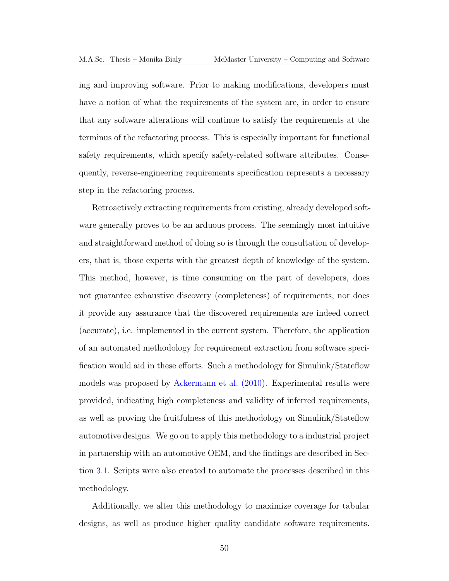ing and improving software. Prior to making modifications, developers must have a notion of what the requirements of the system are, in order to ensure that any software alterations will continue to satisfy the requirements at the terminus of the refactoring process. This is especially important for functional safety requirements, which specify safety-related software attributes. Consequently, reverse-engineering requirements specification represents a necessary step in the refactoring process.

Retroactively extracting requirements from existing, already developed software generally proves to be an arduous process. The seemingly most intuitive and straightforward method of doing so is through the consultation of developers, that is, those experts with the greatest depth of knowledge of the system. This method, however, is time consuming on the part of developers, does not guarantee exhaustive discovery (completeness) of requirements, nor does it provide any assurance that the discovered requirements are indeed correct (accurate), i.e. implemented in the current system. Therefore, the application of an automated methodology for requirement extraction from software specification would aid in these efforts. Such a methodology for Simulink/Stateflow models was proposed by [Ackermann et al. \(2010\).](#page-190-2) Experimental results were provided, indicating high completeness and validity of inferred requirements, as well as proving the fruitfulness of this methodology on Simulink/Stateflow automotive designs. We go on to apply this methodology to a industrial project in partnership with an automotive [OEM,](#page-13-1) and the findings are described in Section [3.1.](#page-64-0) Scripts were also created to automate the processes described in this methodology.

Additionally, we alter this methodology to maximize coverage for tabular designs, as well as produce higher quality candidate software requirements.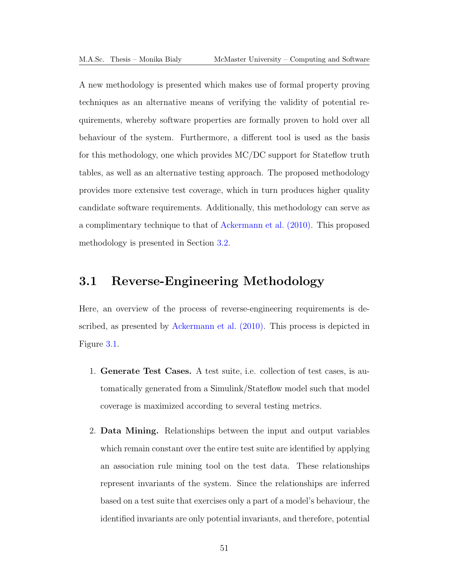A new methodology is presented which makes use of formal property proving techniques as an alternative means of verifying the validity of potential requirements, whereby software properties are formally proven to hold over all behaviour of the system. Furthermore, a different tool is used as the basis for this methodology, one which provides [MC/DC](#page-13-2) support for Stateflow truth tables, as well as an alternative testing approach. The proposed methodology provides more extensive test coverage, which in turn produces higher quality candidate software requirements. Additionally, this methodology can serve as a complimentary technique to that of [Ackermann et al. \(2010\).](#page-190-2) This proposed methodology is presented in Section [3.2.](#page-84-0)

## <span id="page-64-0"></span>3.1 Reverse-Engineering Methodology

Here, an overview of the process of reverse-engineering requirements is described, as presented by [Ackermann et al. \(2010\).](#page-190-2) This process is depicted in Figure [3.1.](#page-65-0)

- 1. Generate Test Cases. A test suite, i.e. collection of test cases, is automatically generated from a Simulink/Stateflow model such that model coverage is maximized according to several testing metrics.
- 2. Data Mining. Relationships between the input and output variables which remain constant over the entire test suite are identified by applying an association rule mining tool on the test data. These relationships represent invariants of the system. Since the relationships are inferred based on a test suite that exercises only a part of a model's behaviour, the identified invariants are only potential invariants, and therefore, potential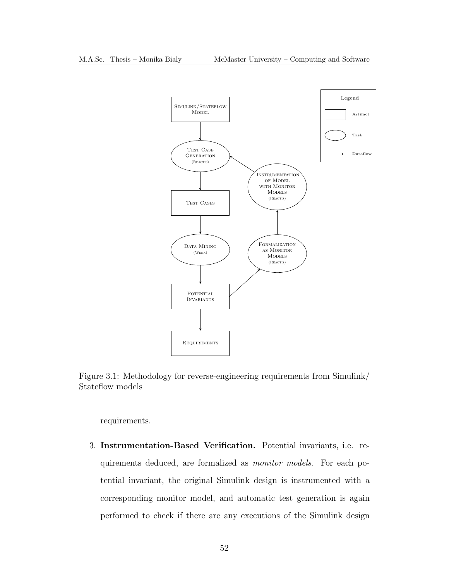<span id="page-65-0"></span>

Figure 3.1: Methodology for reverse-engineering requirements from Simulink/ Stateflow models

requirements.

3. Instrumentation-Based Verification. Potential invariants, i.e. requirements deduced, are formalized as monitor models. For each potential invariant, the original Simulink design is instrumented with a corresponding monitor model, and automatic test generation is again performed to check if there are any executions of the Simulink design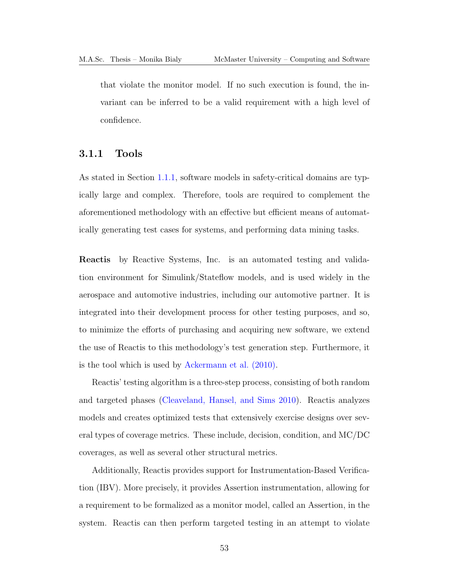that violate the monitor model. If no such execution is found, the invariant can be inferred to be a valid requirement with a high level of confidence.

#### 3.1.1 Tools

As stated in Section [1.1.1,](#page-15-0) software models in safety-critical domains are typically large and complex. Therefore, tools are required to complement the aforementioned methodology with an effective but efficient means of automatically generating test cases for systems, and performing data mining tasks.

Reactis by Reactive Systems, Inc. is an automated testing and validation environment for Simulink/Stateflow models, and is used widely in the aerospace and automotive industries, including our automotive partner. It is integrated into their development process for other testing purposes, and so, to minimize the efforts of purchasing and acquiring new software, we extend the use of Reactis to this methodology's test generation step. Furthermore, it is the tool which is used by [Ackermann et al. \(2010\).](#page-190-2)

Reactis' testing algorithm is a three-step process, consisting of both random and targeted phases [\(Cleaveland, Hansel, and Sims 2010\)](#page-191-6). Reactis analyzes models and creates optimized tests that extensively exercise designs over several types of coverage metrics. These include, decision, condition, and [MC/DC](#page-13-2) coverages, as well as several other structural metrics.

Additionally, Reactis provides support for Instrumentation-Based Verification (IBV). More precisely, it provides Assertion instrumentation, allowing for a requirement to be formalized as a monitor model, called an Assertion, in the system. Reactis can then perform targeted testing in an attempt to violate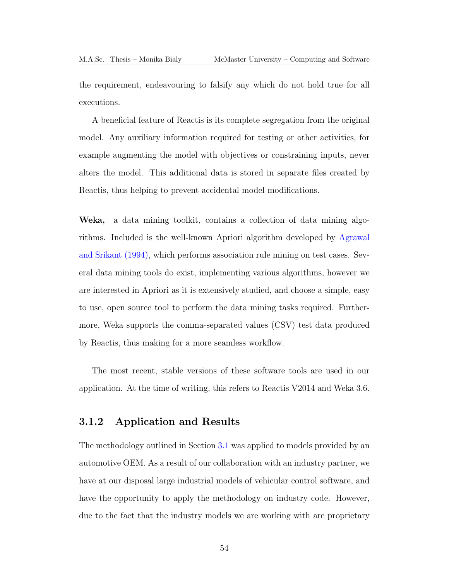the requirement, endeavouring to falsify any which do not hold true for all executions.

A beneficial feature of Reactis is its complete segregation from the original model. Any auxiliary information required for testing or other activities, for example augmenting the model with objectives or constraining inputs, never alters the model. This additional data is stored in separate files created by Reactis, thus helping to prevent accidental model modifications.

Weka, a data mining toolkit, contains a collection of data mining algorithms. Included is the well-known Apriori algorithm developed by [Agrawal](#page-190-3) [and Srikant \(1994\),](#page-190-3) which performs association rule mining on test cases. Several data mining tools do exist, implementing various algorithms, however we are interested in Apriori as it is extensively studied, and choose a simple, easy to use, open source tool to perform the data mining tasks required. Furthermore, Weka supports the comma-separated values [\(CSV\)](#page-13-4) test data produced by Reactis, thus making for a more seamless workflow.

The most recent, stable versions of these software tools are used in our application. At the time of writing, this refers to Reactis V2014 and Weka 3.6.

#### 3.1.2 Application and Results

The methodology outlined in Section [3.1](#page-64-0) was applied to models provided by an automotive OEM. As a result of our collaboration with an industry partner, we have at our disposal large industrial models of vehicular control software, and have the opportunity to apply the methodology on industry code. However, due to the fact that the industry models we are working with are proprietary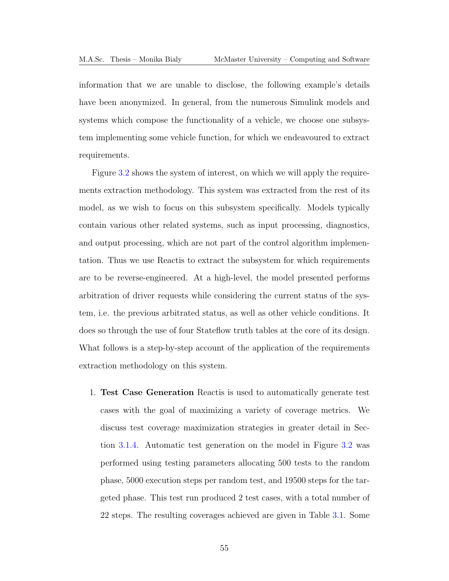information that we are unable to disclose, the following example's details have been anonymized. In general, from the numerous Simulink models and systems which compose the functionality of a vehicle, we choose one subsystem implementing some vehicle function, for which we endeavoured to extract requirements.

Figure [3.2](#page-69-0) shows the system of interest, on which we will apply the requirements extraction methodology. This system was extracted from the rest of its model, as we wish to focus on this subsystem specifically. Models typically contain various other related systems, such as input processing, diagnostics, and output processing, which are not part of the control algorithm implementation. Thus we use Reactis to extract the subsystem for which requirements are to be reverse-engineered. At a high-level, the model presented performs arbitration of driver requests while considering the current status of the system, i.e. the previous arbitrated status, as well as other vehicle conditions. It does so through the use of four Stateflow truth tables at the core of its design. What follows is a step-by-step account of the application of the requirements extraction methodology on this system.

1. Test Case Generation Reactis is used to automatically generate test cases with the goal of maximizing a variety of coverage metrics. We discuss test coverage maximization strategies in greater detail in Section [3.1.4.](#page-76-0) Automatic test generation on the model in Figure [3.2](#page-69-0) was performed using testing parameters allocating 500 tests to the random phase, 5000 execution steps per random test, and 19500 steps for the targeted phase. This test run produced 2 test cases, with a total number of 22 steps. The resulting coverages achieved are given in Table [3.1.](#page-70-0) Some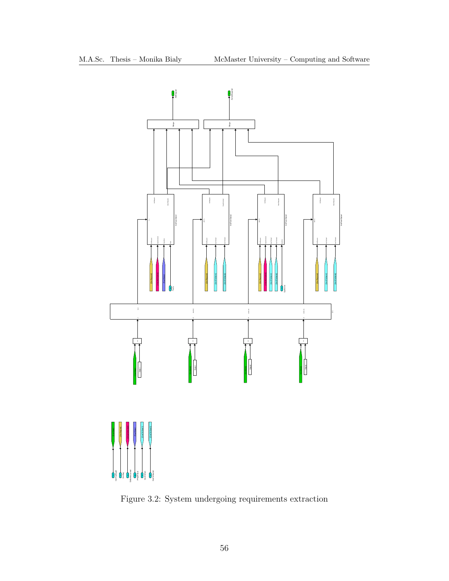<span id="page-69-0"></span>

Figure 3.2: System undergoing requirements extraction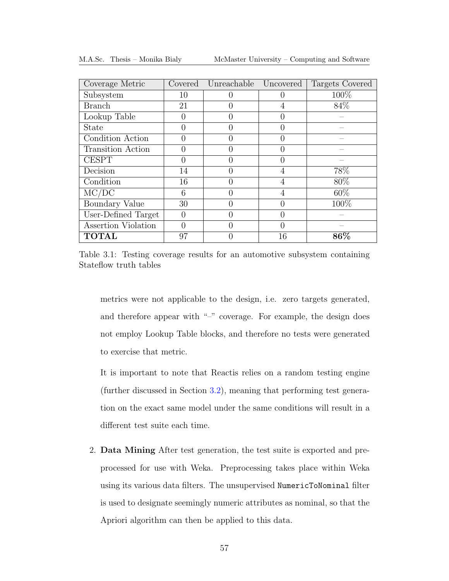<span id="page-70-0"></span>

| Coverage Metric          | Covered  | Unreachable | Uncovered | Targets Covered |
|--------------------------|----------|-------------|-----------|-----------------|
| Subsystem                | 10       |             |           | 100%            |
| <b>Branch</b>            | 21       |             |           | 84\%            |
| Lookup Table             | 0        |             |           |                 |
| <b>State</b>             | 0        |             |           |                 |
| Condition Action         | 0        |             |           |                 |
| <b>Transition Action</b> | 0        |             |           |                 |
| <b>CESPT</b>             | 0        |             |           |                 |
| Decision                 | 14       |             |           | 78%             |
| Condition                | 16       |             |           | 80%             |
| MC/DC                    | 6        |             |           | $60\%$          |
| Boundary Value           | 30       |             |           | 100\%           |
| User-Defined Target      | $\Omega$ | ⋂           |           |                 |
| Assertion Violation      | 0        |             |           |                 |
| <b>TOTAL</b>             | 97       |             | 16        | 86%             |

M.A.Sc. Thesis – Monika Bialy McMaster University – Computing and Software

Table 3.1: Testing coverage results for an automotive subsystem containing Stateflow truth tables

metrics were not applicable to the design, i.e. zero targets generated, and therefore appear with "–" coverage. For example, the design does not employ Lookup Table blocks, and therefore no tests were generated to exercise that metric.

It is important to note that Reactis relies on a random testing engine (further discussed in Section [3.2\)](#page-84-0), meaning that performing test generation on the exact same model under the same conditions will result in a different test suite each time.

2. Data Mining After test generation, the test suite is exported and preprocessed for use with Weka. Preprocessing takes place within Weka using its various data filters. The unsupervised NumericToNominal filter is used to designate seemingly numeric attributes as nominal, so that the Apriori algorithm can then be applied to this data.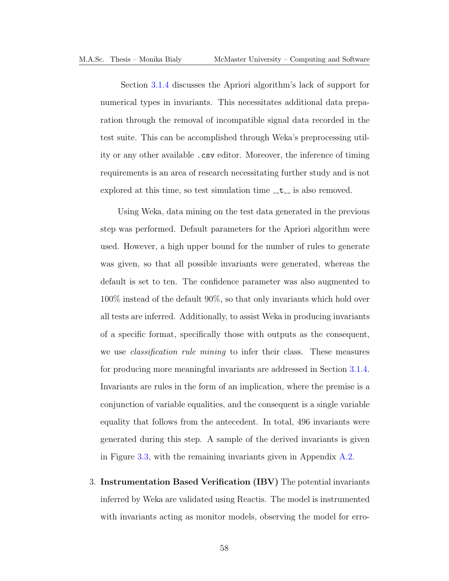Section [3.1.4](#page-76-0) discusses the Apriori algorithm's lack of support for numerical types in invariants. This necessitates additional data preparation through the removal of incompatible signal data recorded in the test suite. This can be accomplished through Weka's preprocessing utility or any other available .csv editor. Moreover, the inference of timing requirements is an area of research necessitating further study and is not explored at this time, so test simulation time  $-t$  is also removed.

Using Weka, data mining on the test data generated in the previous step was performed. Default parameters for the Apriori algorithm were used. However, a high upper bound for the number of rules to generate was given, so that all possible invariants were generated, whereas the default is set to ten. The confidence parameter was also augmented to 100% instead of the default 90%, so that only invariants which hold over all tests are inferred. Additionally, to assist Weka in producing invariants of a specific format, specifically those with outputs as the consequent, we use *classification rule mining* to infer their class. These measures for producing more meaningful invariants are addressed in Section [3.1.4.](#page-76-0) Invariants are rules in the form of an implication, where the premise is a conjunction of variable equalities, and the consequent is a single variable equality that follows from the antecedent. In total, 496 invariants were generated during this step. A sample of the derived invariants is given in Figure [3.3,](#page-72-0) with the remaining invariants given in Appendix [A.2.](#page-167-0)

3. Instrumentation Based Verification [\(IBV\)](#page-13-5) The potential invariants inferred by Weka are validated using Reactis. The model is instrumented with invariants acting as monitor models, observing the model for erro-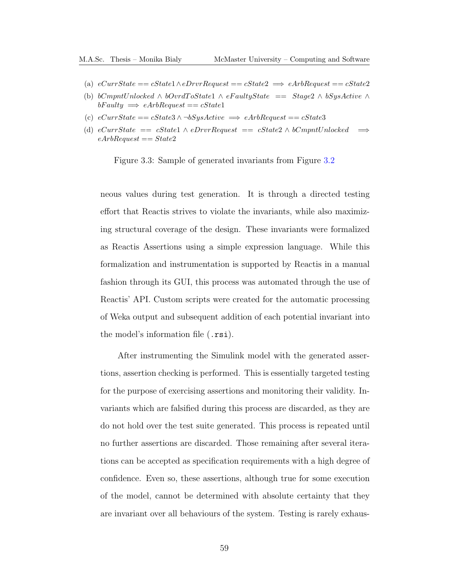- (a)  $eCurrentate == cState1 \wedge eDrvrRequest == cState2 \implies eArbRequest == cState2$
- (b) bCmpntUnlocked ∧ bOvrdToState1 ∧ eFaultyState == Stage2 ∧ bSysActive ∧  $bFaulty \implies eArbRequest == cState1$
- (c)  $eCurrentState == cState3 \land \neg bSysActive \implies eArbRequest == cState3$
- (d)  $eCurrentate == cState1 \wedge eDrvR equest == cState2 \wedge bCmmtUnlocked$   $\implies$  $eArbRequest == State2$

Figure 3.3: Sample of generated invariants from Figure [3.2](#page-69-0)

neous values during test generation. It is through a directed testing effort that Reactis strives to violate the invariants, while also maximizing structural coverage of the design. These invariants were formalized as Reactis Assertions using a simple expression language. While this formalization and instrumentation is supported by Reactis in a manual fashion through its GUI, this process was automated through the use of Reactis' API. Custom scripts were created for the automatic processing of Weka output and subsequent addition of each potential invariant into the model's information file (.rsi).

After instrumenting the Simulink model with the generated assertions, assertion checking is performed. This is essentially targeted testing for the purpose of exercising assertions and monitoring their validity. Invariants which are falsified during this process are discarded, as they are do not hold over the test suite generated. This process is repeated until no further assertions are discarded. Those remaining after several iterations can be accepted as specification requirements with a high degree of confidence. Even so, these assertions, although true for some execution of the model, cannot be determined with absolute certainty that they are invariant over all behaviours of the system. Testing is rarely exhaus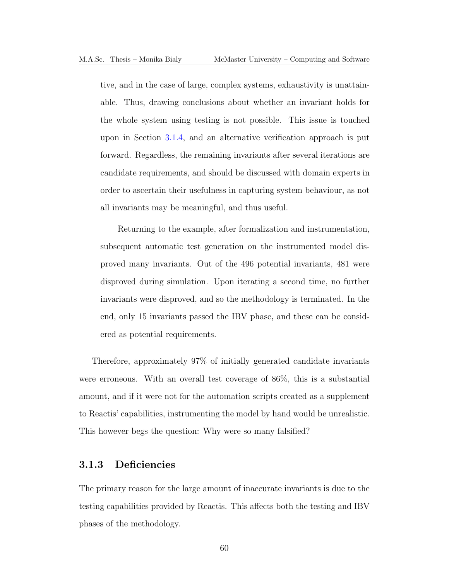tive, and in the case of large, complex systems, exhaustivity is unattainable. Thus, drawing conclusions about whether an invariant holds for the whole system using testing is not possible. This issue is touched upon in Section [3.1.4,](#page-76-0) and an alternative verification approach is put forward. Regardless, the remaining invariants after several iterations are candidate requirements, and should be discussed with domain experts in order to ascertain their usefulness in capturing system behaviour, as not all invariants may be meaningful, and thus useful.

Returning to the example, after formalization and instrumentation, subsequent automatic test generation on the instrumented model disproved many invariants. Out of the 496 potential invariants, 481 were disproved during simulation. Upon iterating a second time, no further invariants were disproved, and so the methodology is terminated. In the end, only 15 invariants passed the [IBV](#page-13-0) phase, and these can be considered as potential requirements.

Therefore, approximately 97% of initially generated candidate invariants were erroneous. With an overall test coverage of 86%, this is a substantial amount, and if it were not for the automation scripts created as a supplement to Reactis' capabilities, instrumenting the model by hand would be unrealistic. This however begs the question: Why were so many falsified?

#### 3.1.3 Deficiencies

The primary reason for the large amount of inaccurate invariants is due to the testing capabilities provided by Reactis. This affects both the testing and [IBV](#page-13-0) phases of the methodology.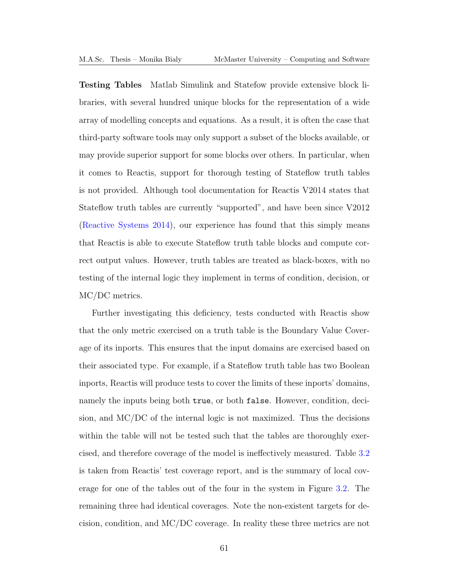Testing Tables Matlab Simulink and Statefow provide extensive block libraries, with several hundred unique blocks for the representation of a wide array of modelling concepts and equations. As a result, it is often the case that third-party software tools may only support a subset of the blocks available, or may provide superior support for some blocks over others. In particular, when it comes to Reactis, support for thorough testing of Stateflow truth tables is not provided. Although tool documentation for Reactis V2014 states that Stateflow truth tables are currently "supported", and have been since V2012 [\(Reactive Systems 2014\)](#page-193-0), our experience has found that this simply means that Reactis is able to execute Stateflow truth table blocks and compute correct output values. However, truth tables are treated as black-boxes, with no testing of the internal logic they implement in terms of condition, decision, or [MC/DC](#page-13-1) metrics.

Further investigating this deficiency, tests conducted with Reactis show that the only metric exercised on a truth table is the Boundary Value Coverage of its inports. This ensures that the input domains are exercised based on their associated type. For example, if a Stateflow truth table has two Boolean inports, Reactis will produce tests to cover the limits of these inports' domains, namely the inputs being both true, or both false. However, condition, decision, and [MC/DC](#page-13-1) of the internal logic is not maximized. Thus the decisions within the table will not be tested such that the tables are thoroughly exercised, and therefore coverage of the model is ineffectively measured. Table [3.2](#page-75-0) is taken from Reactis' test coverage report, and is the summary of local coverage for one of the tables out of the four in the system in Figure [3.2.](#page-69-0) The remaining three had identical coverages. Note the non-existent targets for decision, condition, and [MC/DC](#page-13-1) coverage. In reality these three metrics are not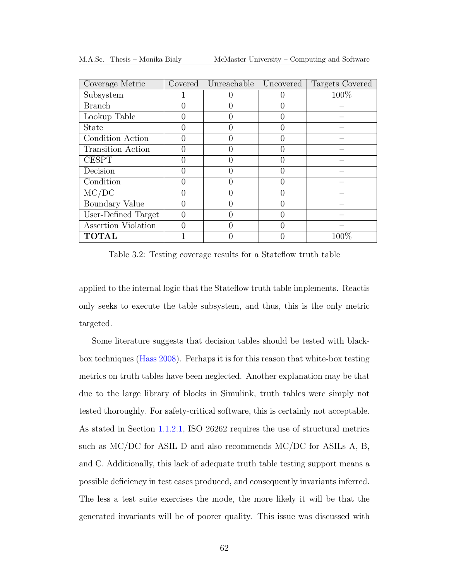<span id="page-75-0"></span>

| Coverage Metric     | Covered          | Unreachable | Uncovered | Targets Covered |
|---------------------|------------------|-------------|-----------|-----------------|
| Subsystem           |                  |             |           | 100%            |
| <b>Branch</b>       | $\mathbf{0}$     |             |           |                 |
| Lookup Table        | $\left( \right)$ |             |           |                 |
| <b>State</b>        | 0                |             |           |                 |
| Condition Action    | 0                |             |           |                 |
| Transition Action   | $\Omega$         |             |           |                 |
| <b>CESPT</b>        | 0                |             |           |                 |
| Decision            | $\mathcal{O}$    |             |           |                 |
| Condition           | 0                |             |           |                 |
| MC/DC               | 0                |             |           |                 |
| Boundary Value      | 0                |             |           |                 |
| User-Defined Target | $\theta$         |             |           |                 |
| Assertion Violation | 0                |             |           |                 |
| <b>TOTAL</b>        |                  |             |           | $100\%$         |

M.A.Sc. Thesis – Monika Bialy McMaster University – Computing and Software

Table 3.2: Testing coverage results for a Stateflow truth table

applied to the internal logic that the Stateflow truth table implements. Reactis only seeks to execute the table subsystem, and thus, this is the only metric targeted.

Some literature suggests that decision tables should be tested with blackbox techniques [\(Hass 2008\)](#page-191-0). Perhaps it is for this reason that white-box testing metrics on truth tables have been neglected. Another explanation may be that due to the large library of blocks in Simulink, truth tables were simply not tested thoroughly. For safety-critical software, this is certainly not acceptable. As stated in Section [1.1.2.1,](#page-22-0) [ISO](#page-13-2) 26262 requires the use of structural metrics such as [MC/DC](#page-13-1) for [ASIL](#page-13-3) D and also recommends [MC/DC](#page-13-1) for [ASILs](#page-13-3) A, B, and C. Additionally, this lack of adequate truth table testing support means a possible deficiency in test cases produced, and consequently invariants inferred. The less a test suite exercises the mode, the more likely it will be that the generated invariants will be of poorer quality. This issue was discussed with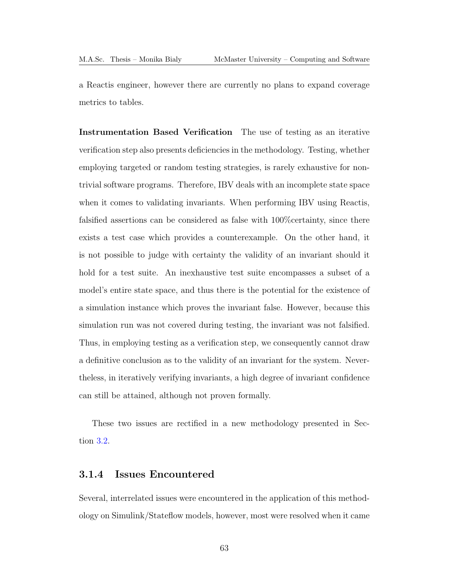a Reactis engineer, however there are currently no plans to expand coverage metrics to tables.

Instrumentation Based Verification The use of testing as an iterative verification step also presents deficiencies in the methodology. Testing, whether employing targeted or random testing strategies, is rarely exhaustive for nontrivial software programs. Therefore, [IBV](#page-13-0) deals with an incomplete state space when it comes to validating invariants. When performing [IBV](#page-13-0) using Reactis, falsified assertions can be considered as false with 100%certainty, since there exists a test case which provides a counterexample. On the other hand, it is not possible to judge with certainty the validity of an invariant should it hold for a test suite. An inexhaustive test suite encompasses a subset of a model's entire state space, and thus there is the potential for the existence of a simulation instance which proves the invariant false. However, because this simulation run was not covered during testing, the invariant was not falsified. Thus, in employing testing as a verification step, we consequently cannot draw a definitive conclusion as to the validity of an invariant for the system. Nevertheless, in iteratively verifying invariants, a high degree of invariant confidence can still be attained, although not proven formally.

These two issues are rectified in a new methodology presented in Section [3.2.](#page-84-0)

#### <span id="page-76-0"></span>3.1.4 Issues Encountered

Several, interrelated issues were encountered in the application of this methodology on Simulink/Stateflow models, however, most were resolved when it came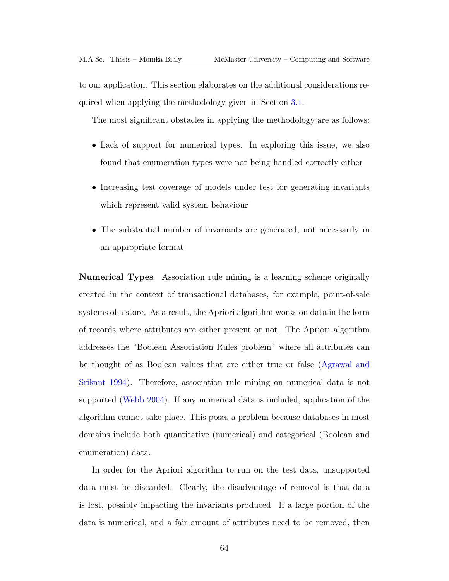to our application. This section elaborates on the additional considerations required when applying the methodology given in Section [3.1.](#page-64-0)

The most significant obstacles in applying the methodology are as follows:

- Lack of support for numerical types. In exploring this issue, we also found that enumeration types were not being handled correctly either
- Increasing test coverage of models under test for generating invariants which represent valid system behaviour
- The substantial number of invariants are generated, not necessarily in an appropriate format

Numerical Types Association rule mining is a learning scheme originally created in the context of transactional databases, for example, point-of-sale systems of a store. As a result, the Apriori algorithm works on data in the form of records where attributes are either present or not. The Apriori algorithm addresses the "Boolean Association Rules problem" where all attributes can be thought of as Boolean values that are either true or false [\(Agrawal and](#page-190-0) [Srikant 1994\)](#page-190-0). Therefore, association rule mining on numerical data is not supported [\(Webb 2004\)](#page-195-0). If any numerical data is included, application of the algorithm cannot take place. This poses a problem because databases in most domains include both quantitative (numerical) and categorical (Boolean and enumeration) data.

In order for the Apriori algorithm to run on the test data, unsupported data must be discarded. Clearly, the disadvantage of removal is that data is lost, possibly impacting the invariants produced. If a large portion of the data is numerical, and a fair amount of attributes need to be removed, then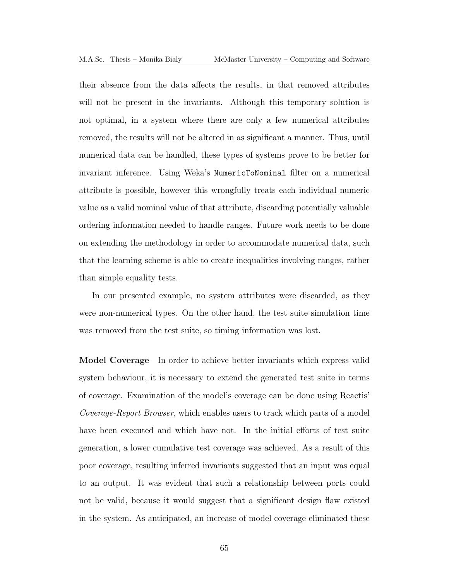their absence from the data affects the results, in that removed attributes will not be present in the invariants. Although this temporary solution is not optimal, in a system where there are only a few numerical attributes removed, the results will not be altered in as significant a manner. Thus, until numerical data can be handled, these types of systems prove to be better for invariant inference. Using Weka's NumericToNominal filter on a numerical attribute is possible, however this wrongfully treats each individual numeric value as a valid nominal value of that attribute, discarding potentially valuable ordering information needed to handle ranges. Future work needs to be done on extending the methodology in order to accommodate numerical data, such that the learning scheme is able to create inequalities involving ranges, rather than simple equality tests.

In our presented example, no system attributes were discarded, as they were non-numerical types. On the other hand, the test suite simulation time was removed from the test suite, so timing information was lost.

Model Coverage In order to achieve better invariants which express valid system behaviour, it is necessary to extend the generated test suite in terms of coverage. Examination of the model's coverage can be done using Reactis' Coverage-Report Browser, which enables users to track which parts of a model have been executed and which have not. In the initial efforts of test suite generation, a lower cumulative test coverage was achieved. As a result of this poor coverage, resulting inferred invariants suggested that an input was equal to an output. It was evident that such a relationship between ports could not be valid, because it would suggest that a significant design flaw existed in the system. As anticipated, an increase of model coverage eliminated these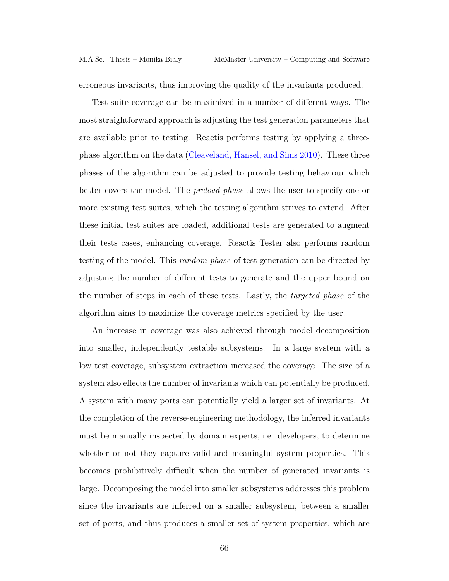erroneous invariants, thus improving the quality of the invariants produced.

Test suite coverage can be maximized in a number of different ways. The most straightforward approach is adjusting the test generation parameters that are available prior to testing. Reactis performs testing by applying a threephase algorithm on the data [\(Cleaveland, Hansel, and Sims 2010\)](#page-191-1). These three phases of the algorithm can be adjusted to provide testing behaviour which better covers the model. The preload phase allows the user to specify one or more existing test suites, which the testing algorithm strives to extend. After these initial test suites are loaded, additional tests are generated to augment their tests cases, enhancing coverage. Reactis Tester also performs random testing of the model. This random phase of test generation can be directed by adjusting the number of different tests to generate and the upper bound on the number of steps in each of these tests. Lastly, the targeted phase of the algorithm aims to maximize the coverage metrics specified by the user.

An increase in coverage was also achieved through model decomposition into smaller, independently testable subsystems. In a large system with a low test coverage, subsystem extraction increased the coverage. The size of a system also effects the number of invariants which can potentially be produced. A system with many ports can potentially yield a larger set of invariants. At the completion of the reverse-engineering methodology, the inferred invariants must be manually inspected by domain experts, i.e. developers, to determine whether or not they capture valid and meaningful system properties. This becomes prohibitively difficult when the number of generated invariants is large. Decomposing the model into smaller subsystems addresses this problem since the invariants are inferred on a smaller subsystem, between a smaller set of ports, and thus produces a smaller set of system properties, which are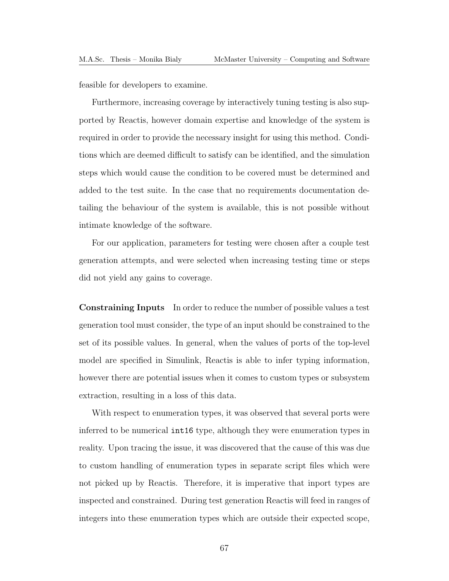feasible for developers to examine.

Furthermore, increasing coverage by interactively tuning testing is also supported by Reactis, however domain expertise and knowledge of the system is required in order to provide the necessary insight for using this method. Conditions which are deemed difficult to satisfy can be identified, and the simulation steps which would cause the condition to be covered must be determined and added to the test suite. In the case that no requirements documentation detailing the behaviour of the system is available, this is not possible without intimate knowledge of the software.

For our application, parameters for testing were chosen after a couple test generation attempts, and were selected when increasing testing time or steps did not yield any gains to coverage.

Constraining Inputs In order to reduce the number of possible values a test generation tool must consider, the type of an input should be constrained to the set of its possible values. In general, when the values of ports of the top-level model are specified in Simulink, Reactis is able to infer typing information, however there are potential issues when it comes to custom types or subsystem extraction, resulting in a loss of this data.

With respect to enumeration types, it was observed that several ports were inferred to be numerical int16 type, although they were enumeration types in reality. Upon tracing the issue, it was discovered that the cause of this was due to custom handling of enumeration types in separate script files which were not picked up by Reactis. Therefore, it is imperative that inport types are inspected and constrained. During test generation Reactis will feed in ranges of integers into these enumeration types which are outside their expected scope,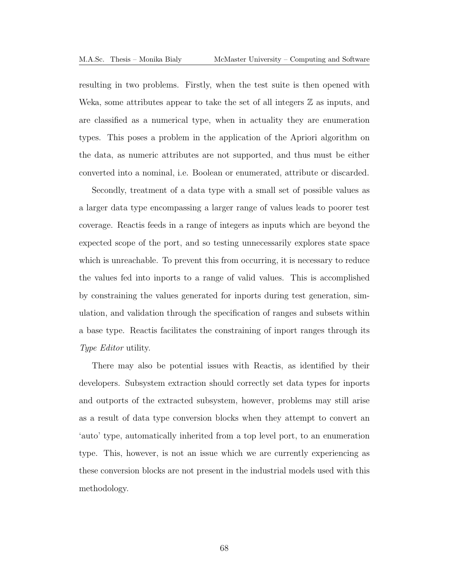resulting in two problems. Firstly, when the test suite is then opened with Weka, some attributes appear to take the set of all integers  $\mathbb Z$  as inputs, and are classified as a numerical type, when in actuality they are enumeration types. This poses a problem in the application of the Apriori algorithm on the data, as numeric attributes are not supported, and thus must be either converted into a nominal, i.e. Boolean or enumerated, attribute or discarded.

Secondly, treatment of a data type with a small set of possible values as a larger data type encompassing a larger range of values leads to poorer test coverage. Reactis feeds in a range of integers as inputs which are beyond the expected scope of the port, and so testing unnecessarily explores state space which is unreachable. To prevent this from occurring, it is necessary to reduce the values fed into inports to a range of valid values. This is accomplished by constraining the values generated for inports during test generation, simulation, and validation through the specification of ranges and subsets within a base type. Reactis facilitates the constraining of inport ranges through its Type Editor utility.

There may also be potential issues with Reactis, as identified by their developers. Subsystem extraction should correctly set data types for inports and outports of the extracted subsystem, however, problems may still arise as a result of data type conversion blocks when they attempt to convert an 'auto' type, automatically inherited from a top level port, to an enumeration type. This, however, is not an issue which we are currently experiencing as these conversion blocks are not present in the industrial models used with this methodology.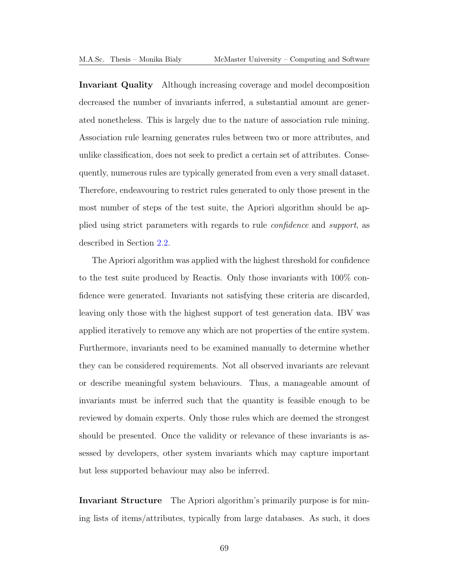Invariant Quality Although increasing coverage and model decomposition decreased the number of invariants inferred, a substantial amount are generated nonetheless. This is largely due to the nature of association rule mining. Association rule learning generates rules between two or more attributes, and unlike classification, does not seek to predict a certain set of attributes. Consequently, numerous rules are typically generated from even a very small dataset. Therefore, endeavouring to restrict rules generated to only those present in the most number of steps of the test suite, the Apriori algorithm should be applied using strict parameters with regards to rule confidence and support, as described in Section [2.2.](#page-33-0)

The Apriori algorithm was applied with the highest threshold for confidence to the test suite produced by Reactis. Only those invariants with 100% confidence were generated. Invariants not satisfying these criteria are discarded, leaving only those with the highest support of test generation data. [IBV](#page-13-0) was applied iteratively to remove any which are not properties of the entire system. Furthermore, invariants need to be examined manually to determine whether they can be considered requirements. Not all observed invariants are relevant or describe meaningful system behaviours. Thus, a manageable amount of invariants must be inferred such that the quantity is feasible enough to be reviewed by domain experts. Only those rules which are deemed the strongest should be presented. Once the validity or relevance of these invariants is assessed by developers, other system invariants which may capture important but less supported behaviour may also be inferred.

Invariant Structure The Apriori algorithm's primarily purpose is for mining lists of items/attributes, typically from large databases. As such, it does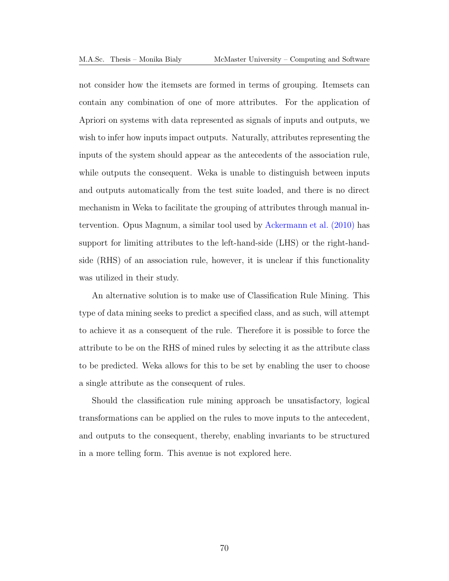not consider how the itemsets are formed in terms of grouping. Itemsets can contain any combination of one of more attributes. For the application of Apriori on systems with data represented as signals of inputs and outputs, we wish to infer how inputs impact outputs. Naturally, attributes representing the inputs of the system should appear as the antecedents of the association rule, while outputs the consequent. Weka is unable to distinguish between inputs and outputs automatically from the test suite loaded, and there is no direct mechanism in Weka to facilitate the grouping of attributes through manual intervention. Opus Magnum, a similar tool used by [Ackermann et al. \(2010\)](#page-190-1) has support for limiting attributes to the left-hand-side [\(LHS\)](#page-13-4) or the right-handside [\(RHS\)](#page-13-5) of an association rule, however, it is unclear if this functionality was utilized in their study.

An alternative solution is to make use of Classification Rule Mining. This type of data mining seeks to predict a specified class, and as such, will attempt to achieve it as a consequent of the rule. Therefore it is possible to force the attribute to be on the [RHS](#page-13-5) of mined rules by selecting it as the attribute class to be predicted. Weka allows for this to be set by enabling the user to choose a single attribute as the consequent of rules.

Should the classification rule mining approach be unsatisfactory, logical transformations can be applied on the rules to move inputs to the antecedent, and outputs to the consequent, thereby, enabling invariants to be structured in a more telling form. This avenue is not explored here.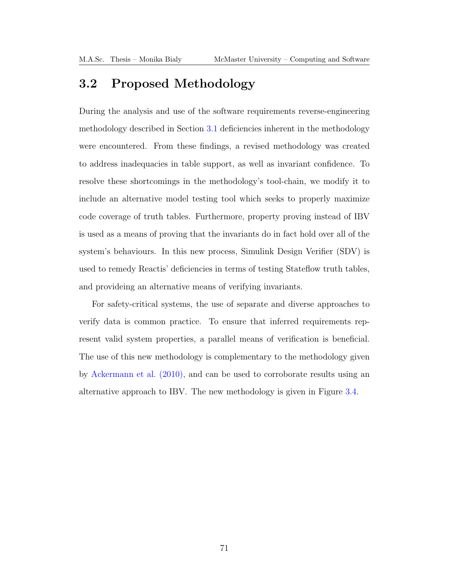# <span id="page-84-0"></span>3.2 Proposed Methodology

During the analysis and use of the software requirements reverse-engineering methodology described in Section [3.1](#page-64-0) deficiencies inherent in the methodology were encountered. From these findings, a revised methodology was created to address inadequacies in table support, as well as invariant confidence. To resolve these shortcomings in the methodology's tool-chain, we modify it to include an alternative model testing tool which seeks to properly maximize code coverage of truth tables. Furthermore, property proving instead of [IBV](#page-13-0) is used as a means of proving that the invariants do in fact hold over all of the system's behaviours. In this new process, Simulink Design Verifier (SDV) is used to remedy Reactis' deficiencies in terms of testing Stateflow truth tables, and provideing an alternative means of verifying invariants.

For safety-critical systems, the use of separate and diverse approaches to verify data is common practice. To ensure that inferred requirements represent valid system properties, a parallel means of verification is beneficial. The use of this new methodology is complementary to the methodology given by [Ackermann et al. \(2010\),](#page-190-1) and can be used to corroborate results using an alternative approach to [IBV.](#page-13-0) The new methodology is given in Figure [3.4.](#page-85-0)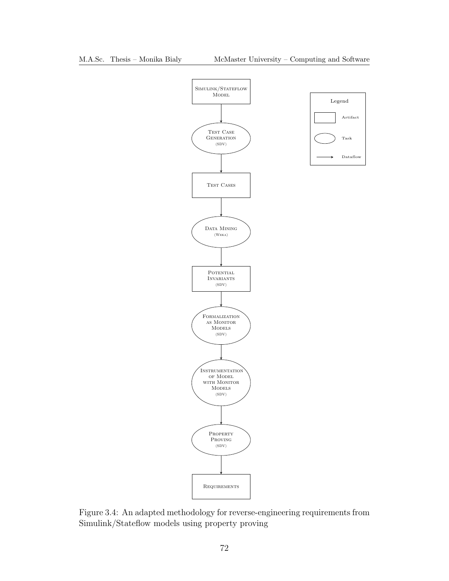

<span id="page-85-0"></span>Figure 3.4: An adapted methodology for reverse-engineering requirements from Simulink/Stateflow models using property proving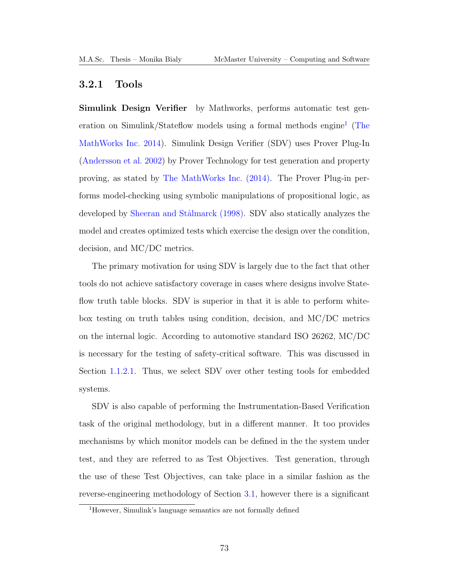#### 3.2.1 Tools

Simulink Design Verifier by Mathworks, performs automatic test gen-eration on Simulink/Stateflow models using a formal methods engine<sup>[1](#page-86-0)</sup> [\(The](#page-194-0) [MathWorks Inc. 2014\)](#page-194-0). Simulink Design Verifier [\(SDV\)](#page-13-6) uses Prover Plug-In [\(Andersson et al. 2002\)](#page-190-2) by Prover Technology for test generation and property proving, as stated by [The MathWorks Inc. \(2014\).](#page-194-0) The Prover Plug-in performs model-checking using symbolic manipulations of propositional logic, as developed by Sheeran and Stålmarck (1998). [SDV](#page-13-6) also statically analyzes the model and creates optimized tests which exercise the design over the condition, decision, and [MC/DC](#page-13-1) metrics.

The primary motivation for using [SDV](#page-13-6) is largely due to the fact that other tools do not achieve satisfactory coverage in cases where designs involve Stateflow truth table blocks. [SDV](#page-13-6) is superior in that it is able to perform whitebox testing on truth tables using condition, decision, and [MC/DC](#page-13-1) metrics on the internal logic. According to automotive standard [ISO](#page-13-2) 26262, [MC/DC](#page-13-1) is necessary for the testing of safety-critical software. This was discussed in Section [1.1.2.1.](#page-22-0) Thus, we select [SDV](#page-13-6) over other testing tools for embedded systems.

[SDV](#page-13-6) is also capable of performing the Instrumentation-Based Verification task of the original methodology, but in a different manner. It too provides mechanisms by which monitor models can be defined in the the system under test, and they are referred to as Test Objectives. Test generation, through the use of these Test Objectives, can take place in a similar fashion as the reverse-engineering methodology of Section [3.1,](#page-64-0) however there is a significant

<span id="page-86-0"></span><sup>1</sup>However, Simulink's language semantics are not formally defined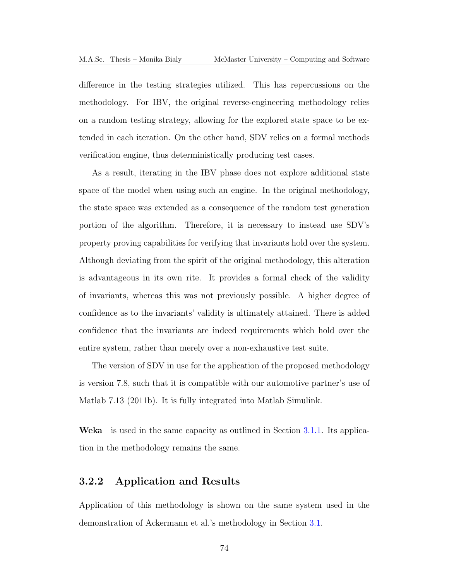difference in the testing strategies utilized. This has repercussions on the methodology. For [IBV,](#page-13-0) the original reverse-engineering methodology relies on a random testing strategy, allowing for the explored state space to be extended in each iteration. On the other hand, [SDV](#page-13-6) relies on a formal methods verification engine, thus deterministically producing test cases.

As a result, iterating in the [IBV](#page-13-0) phase does not explore additional state space of the model when using such an engine. In the original methodology, the state space was extended as a consequence of the random test generation portion of the algorithm. Therefore, it is necessary to instead use [SDV'](#page-13-6)s property proving capabilities for verifying that invariants hold over the system. Although deviating from the spirit of the original methodology, this alteration is advantageous in its own rite. It provides a formal check of the validity of invariants, whereas this was not previously possible. A higher degree of confidence as to the invariants' validity is ultimately attained. There is added confidence that the invariants are indeed requirements which hold over the entire system, rather than merely over a non-exhaustive test suite.

The version of [SDV](#page-13-6) in use for the application of the proposed methodology is version 7.8, such that it is compatible with our automotive partner's use of Matlab 7.13 (2011b). It is fully integrated into Matlab Simulink.

Weka is used in the same capacity as outlined in Section [3.1.1.](#page-66-0) Its application in the methodology remains the same.

#### 3.2.2 Application and Results

Application of this methodology is shown on the same system used in the demonstration of Ackermann et al.'s methodology in Section [3.1.](#page-64-0)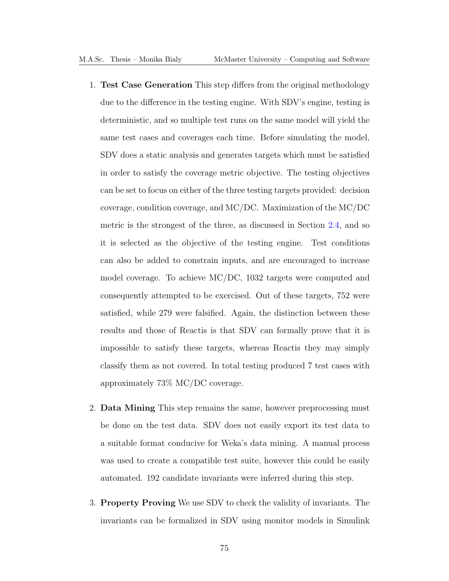- 1. Test Case Generation This step differs from the original methodology due to the difference in the testing engine. With [SDV'](#page-13-6)s engine, testing is deterministic, and so multiple test runs on the same model will yield the same test cases and coverages each time. Before simulating the model, [SDV](#page-13-6) does a static analysis and generates targets which must be satisfied in order to satisfy the coverage metric objective. The testing objectives can be set to focus on either of the three testing targets provided: decision coverage, condition coverage, and [MC/DC.](#page-13-1) Maximization of the [MC/DC](#page-13-1) metric is the strongest of the three, as discussed in Section [2.4,](#page-55-0) and so it is selected as the objective of the testing engine. Test conditions can also be added to constrain inputs, and are encouraged to increase model coverage. To achieve [MC/DC,](#page-13-1) 1032 targets were computed and consequently attempted to be exercised. Out of these targets, 752 were satisfied, while 279 were falsified. Again, the distinction between these results and those of Reactis is that [SDV](#page-13-6) can formally prove that it is impossible to satisfy these targets, whereas Reactis they may simply classify them as not covered. In total testing produced 7 test cases with approximately 73% [MC/DC](#page-13-1) coverage.
- 2. Data Mining This step remains the same, however preprocessing must be done on the test data. [SDV](#page-13-6) does not easily export its test data to a suitable format conducive for Weka's data mining. A manual process was used to create a compatible test suite, however this could be easily automated. 192 candidate invariants were inferred during this step.
- 3. Property Proving We use [SDV](#page-13-6) to check the validity of invariants. The invariants can be formalized in [SDV](#page-13-6) using monitor models in Simulink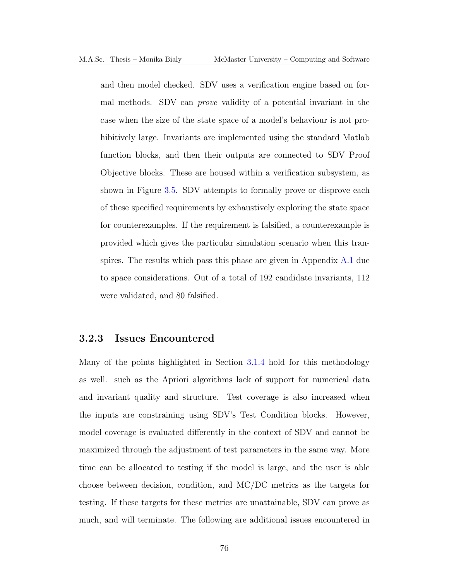and then model checked. [SDV](#page-13-6) uses a verification engine based on formal methods. [SDV](#page-13-6) can prove validity of a potential invariant in the case when the size of the state space of a model's behaviour is not prohibitively large. Invariants are implemented using the standard Matlab function blocks, and then their outputs are connected to [SDV](#page-13-6) Proof Objective blocks. These are housed within a verification subsystem, as shown in Figure [3.5.](#page-90-0) [SDV](#page-13-6) attempts to formally prove or disprove each of these specified requirements by exhaustively exploring the state space for counterexamples. If the requirement is falsified, a counterexample is provided which gives the particular simulation scenario when this transpires. The results which pass this phase are given in Appendix [A.1](#page-166-0) due to space considerations. Out of a total of 192 candidate invariants, 112 were validated, and 80 falsified.

#### 3.2.3 Issues Encountered

Many of the points highlighted in Section [3.1.4](#page-76-0) hold for this methodology as well. such as the Apriori algorithms lack of support for numerical data and invariant quality and structure. Test coverage is also increased when the inputs are constraining using SDV's Test Condition blocks. However, model coverage is evaluated differently in the context of [SDV](#page-13-6) and cannot be maximized through the adjustment of test parameters in the same way. More time can be allocated to testing if the model is large, and the user is able choose between decision, condition, and [MC/DC](#page-13-1) metrics as the targets for testing. If these targets for these metrics are unattainable, [SDV](#page-13-6) can prove as much, and will terminate. The following are additional issues encountered in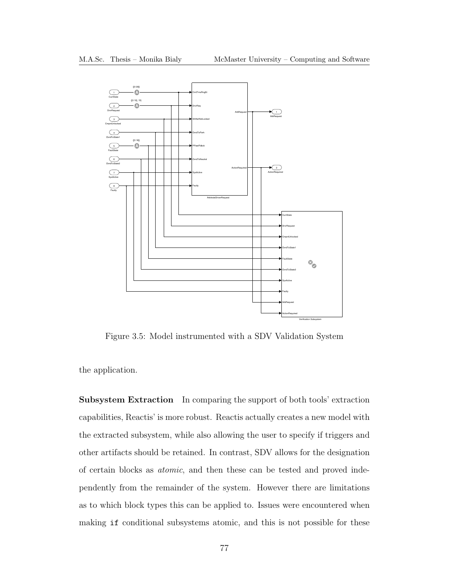<span id="page-90-0"></span>

Figure 3.5: Model instrumented with a SDV Validation System

the application.

Subsystem Extraction In comparing the support of both tools' extraction capabilities, Reactis' is more robust. Reactis actually creates a new model with the extracted subsystem, while also allowing the user to specify if triggers and other artifacts should be retained. In contrast, [SDV](#page-13-6) allows for the designation of certain blocks as atomic, and then these can be tested and proved independently from the remainder of the system. However there are limitations as to which block types this can be applied to. Issues were encountered when making if conditional subsystems atomic, and this is not possible for these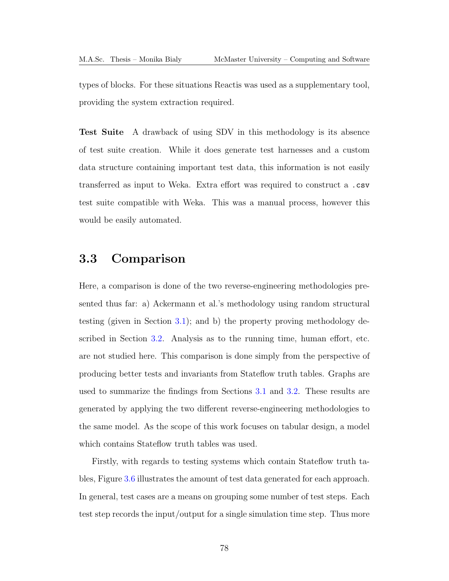types of blocks. For these situations Reactis was used as a supplementary tool, providing the system extraction required.

Test Suite A drawback of using [SDV](#page-13-6) in this methodology is its absence of test suite creation. While it does generate test harnesses and a custom data structure containing important test data, this information is not easily transferred as input to Weka. Extra effort was required to construct a .csv test suite compatible with Weka. This was a manual process, however this would be easily automated.

# 3.3 Comparison

Here, a comparison is done of the two reverse-engineering methodologies presented thus far: a) Ackermann et al.'s methodology using random structural testing (given in Section [3.1\)](#page-64-0); and b) the property proving methodology described in Section [3.2.](#page-84-0) Analysis as to the running time, human effort, etc. are not studied here. This comparison is done simply from the perspective of producing better tests and invariants from Stateflow truth tables. Graphs are used to summarize the findings from Sections [3.1](#page-64-0) and [3.2.](#page-84-0) These results are generated by applying the two different reverse-engineering methodologies to the same model. As the scope of this work focuses on tabular design, a model which contains Stateflow truth tables was used.

Firstly, with regards to testing systems which contain Stateflow truth tables, Figure [3.6](#page-92-0) illustrates the amount of test data generated for each approach. In general, test cases are a means on grouping some number of test steps. Each test step records the input/output for a single simulation time step. Thus more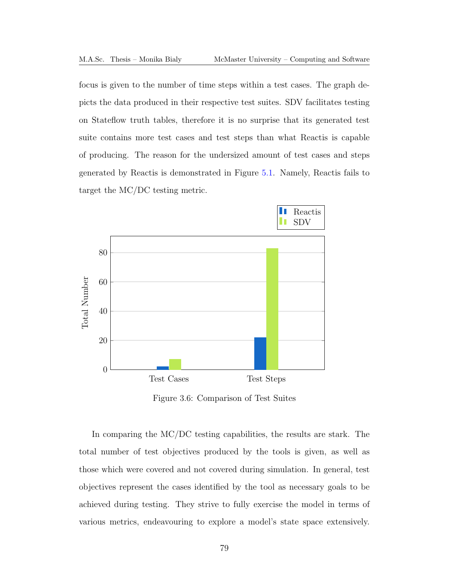focus is given to the number of time steps within a test cases. The graph depicts the data produced in their respective test suites. [SDV](#page-13-6) facilitates testing on Stateflow truth tables, therefore it is no surprise that its generated test suite contains more test cases and test steps than what Reactis is capable of producing. The reason for the undersized amount of test cases and steps generated by Reactis is demonstrated in Figure [5.1.](#page-145-0) Namely, Reactis fails to target the [MC/DC](#page-13-1) testing metric.

<span id="page-92-0"></span>

Figure 3.6: Comparison of Test Suites

In comparing the [MC/DC](#page-13-1) testing capabilities, the results are stark. The total number of test objectives produced by the tools is given, as well as those which were covered and not covered during simulation. In general, test objectives represent the cases identified by the tool as necessary goals to be achieved during testing. They strive to fully exercise the model in terms of various metrics, endeavouring to explore a model's state space extensively.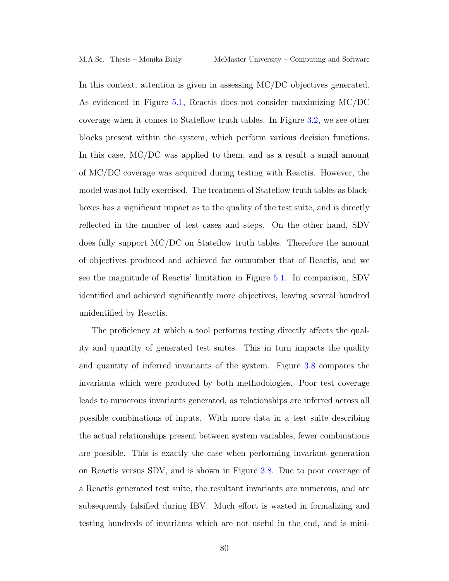In this context, attention is given in assessing [MC/DC](#page-13-1) objectives generated. As evidenced in Figure [5.1,](#page-145-0) Reactis does not consider maximizing [MC/DC](#page-13-1) coverage when it comes to Stateflow truth tables. In Figure [3.2,](#page-69-0) we see other blocks present within the system, which perform various decision functions. In this case, [MC/DC](#page-13-1) was applied to them, and as a result a small amount of [MC/DC](#page-13-1) coverage was acquired during testing with Reactis. However, the model was not fully exercised. The treatment of Stateflow truth tables as blackboxes has a significant impact as to the quality of the test suite, and is directly reflected in the number of test cases and steps. On the other hand, [SDV](#page-13-6) does fully support [MC/DC](#page-13-1) on Stateflow truth tables. Therefore the amount of objectives produced and achieved far outnumber that of Reactis, and we see the magnitude of Reactis' limitation in Figure [5.1.](#page-145-0) In comparison, [SDV](#page-13-6) identified and achieved significantly more objectives, leaving several hundred unidentified by Reactis.

The proficiency at which a tool performs testing directly affects the quality and quantity of generated test suites. This in turn impacts the quality and quantity of inferred invariants of the system. Figure [3.8](#page-95-0) compares the invariants which were produced by both methodologies. Poor test coverage leads to numerous invariants generated, as relationships are inferred across all possible combinations of inputs. With more data in a test suite describing the actual relationships present between system variables, fewer combinations are possible. This is exactly the case when performing invariant generation on Reactis versus [SDV,](#page-13-6) and is shown in Figure [3.8.](#page-95-0) Due to poor coverage of a Reactis generated test suite, the resultant invariants are numerous, and are subsequently falsified during [IBV.](#page-13-0) Much effort is wasted in formalizing and testing hundreds of invariants which are not useful in the end, and is mini-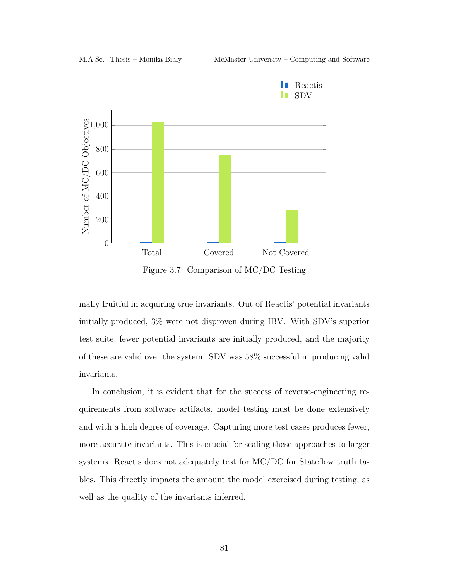

Figure 3.7: Comparison of [MC/DC](#page-13-1) Testing

mally fruitful in acquiring true invariants. Out of Reactis' potential invariants initially produced, 3% were not disproven during [IBV.](#page-13-0) With [SDV'](#page-13-6)s superior test suite, fewer potential invariants are initially produced, and the majority of these are valid over the system. [SDV](#page-13-6) was 58% successful in producing valid invariants.

In conclusion, it is evident that for the success of reverse-engineering requirements from software artifacts, model testing must be done extensively and with a high degree of coverage. Capturing more test cases produces fewer, more accurate invariants. This is crucial for scaling these approaches to larger systems. Reactis does not adequately test for [MC/DC](#page-13-1) for Stateflow truth tables. This directly impacts the amount the model exercised during testing, as well as the quality of the invariants inferred.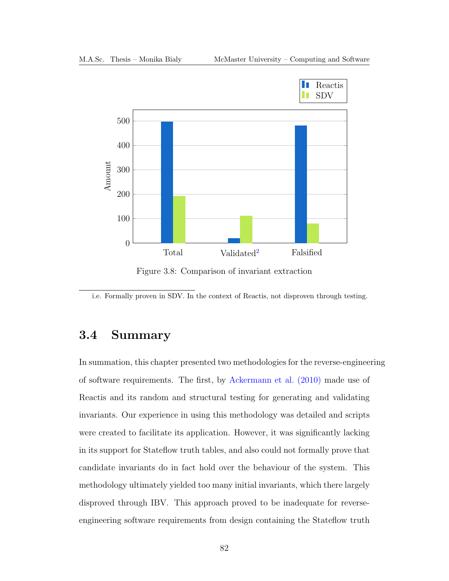<span id="page-95-0"></span>

Figure 3.8: Comparison of invariant extraction

<span id="page-95-1"></span>i.e. Formally proven in SDV. In the context of Reactis, not disproven through testing.

# 3.4 Summary

In summation, this chapter presented two methodologies for the reverse-engineering of software requirements. The first, by [Ackermann et al. \(2010\)](#page-190-1) made use of Reactis and its random and structural testing for generating and validating invariants. Our experience in using this methodology was detailed and scripts were created to facilitate its application. However, it was significantly lacking in its support for Stateflow truth tables, and also could not formally prove that candidate invariants do in fact hold over the behaviour of the system. This methodology ultimately yielded too many initial invariants, which there largely disproved through [IBV.](#page-13-0) This approach proved to be inadequate for reverseengineering software requirements from design containing the Stateflow truth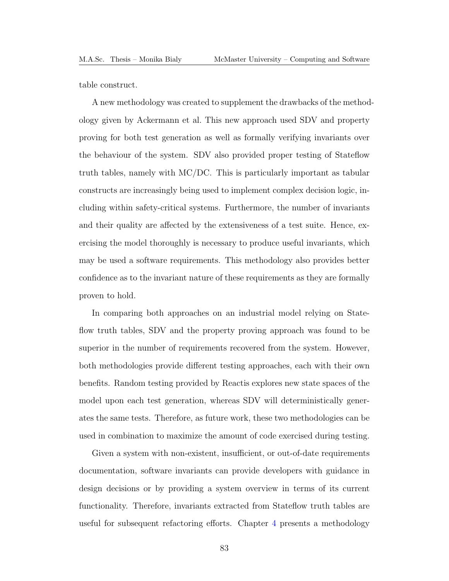table construct.

A new methodology was created to supplement the drawbacks of the methodology given by Ackermann et al. This new approach used [SDV](#page-13-6) and property proving for both test generation as well as formally verifying invariants over the behaviour of the system. [SDV](#page-13-6) also provided proper testing of Stateflow truth tables, namely with [MC/DC.](#page-13-1) This is particularly important as tabular constructs are increasingly being used to implement complex decision logic, including within safety-critical systems. Furthermore, the number of invariants and their quality are affected by the extensiveness of a test suite. Hence, exercising the model thoroughly is necessary to produce useful invariants, which may be used a software requirements. This methodology also provides better confidence as to the invariant nature of these requirements as they are formally proven to hold.

In comparing both approaches on an industrial model relying on Stateflow truth tables, [SDV](#page-13-6) and the property proving approach was found to be superior in the number of requirements recovered from the system. However, both methodologies provide different testing approaches, each with their own benefits. Random testing provided by Reactis explores new state spaces of the model upon each test generation, whereas [SDV](#page-13-6) will deterministically generates the same tests. Therefore, as future work, these two methodologies can be used in combination to maximize the amount of code exercised during testing.

Given a system with non-existent, insufficient, or out-of-date requirements documentation, software invariants can provide developers with guidance in design decisions or by providing a system overview in terms of its current functionality. Therefore, invariants extracted from Stateflow truth tables are useful for subsequent refactoring efforts. Chapter [4](#page-98-0) presents a methodology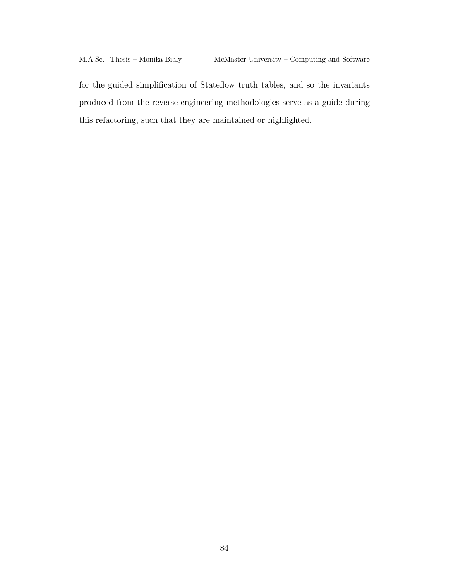for the guided simplification of Stateflow truth tables, and so the invariants produced from the reverse-engineering methodologies serve as a guide during this refactoring, such that they are maintained or highlighted.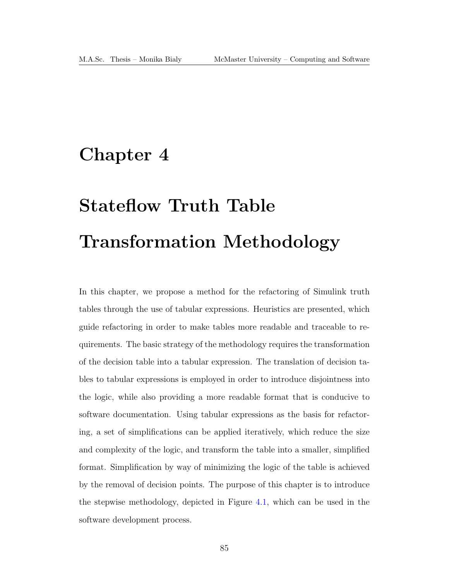# <span id="page-98-0"></span>Chapter 4

# Stateflow Truth Table Transformation Methodology

In this chapter, we propose a method for the refactoring of Simulink truth tables through the use of tabular expressions. Heuristics are presented, which guide refactoring in order to make tables more readable and traceable to requirements. The basic strategy of the methodology requires the transformation of the decision table into a tabular expression. The translation of decision tables to tabular expressions is employed in order to introduce disjointness into the logic, while also providing a more readable format that is conducive to software documentation. Using tabular expressions as the basis for refactoring, a set of simplifications can be applied iteratively, which reduce the size and complexity of the logic, and transform the table into a smaller, simplified format. Simplification by way of minimizing the logic of the table is achieved by the removal of decision points. The purpose of this chapter is to introduce the stepwise methodology, depicted in Figure [4.1,](#page-99-0) which can be used in the software development process.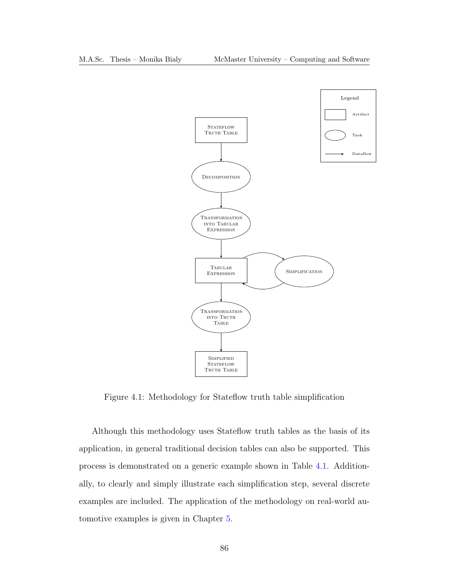<span id="page-99-0"></span>

Figure 4.1: Methodology for Stateflow truth table simplification

Although this methodology uses Stateflow truth tables as the basis of its application, in general traditional decision tables can also be supported. This process is demonstrated on a generic example shown in Table [4.1.](#page-100-0) Additionally, to clearly and simply illustrate each simplification step, several discrete examples are included. The application of the methodology on real-world automotive examples is given in Chapter [5.](#page-129-0)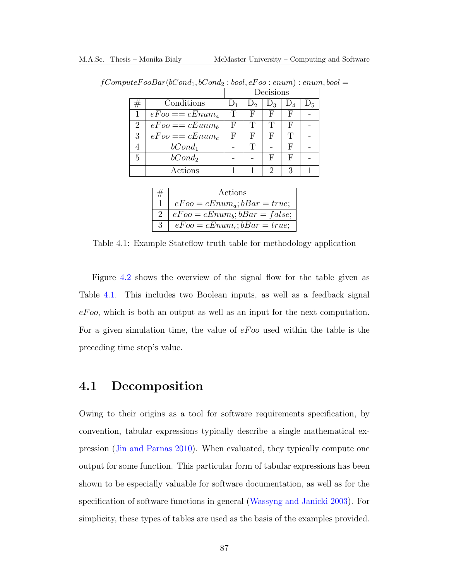|   |                   | Decisions |                |       |   |                |
|---|-------------------|-----------|----------------|-------|---|----------------|
|   | Conditions        |           | $\mathrm{D}_2$ | $D_3$ |   | $\mathrm{D}_5$ |
|   | $eFoo == cEnum_a$ | T         | F              | F     | F |                |
| 2 | $eEoo == cEunn_h$ | F         | T              | T     | F |                |
| 3 | $eEoo == cEnum_c$ | F         | F              | H,    | T |                |
|   | $bCond_1$         |           | Т              |       | F |                |
| 5 | $bCond_2$         |           |                | Ħ     | F |                |
|   | Actions           |           |                |       |   |                |

<span id="page-100-0"></span> $fComputeFooBar(bCond_1, bCond_2:bool, eFoo: enum): enum, bool =$ 

|               | Actions                             |
|---------------|-------------------------------------|
|               | $eFoo = cEnum_a$ ; $bBar = true$ ;  |
| $\mathcal{L}$ | $eFoo = cEnum_b$ ; $bBar = false$ ; |
| 3             | $eFoo = cEnum_c$ ; $bBar = true$ ;  |

Table 4.1: Example Stateflow truth table for methodology application

Figure [4.2](#page-101-0) shows the overview of the signal flow for the table given as Table [4.1.](#page-100-0) This includes two Boolean inputs, as well as a feedback signal  $eFo$ , which is both an output as well as an input for the next computation. For a given simulation time, the value of  $eFoo$  used within the table is the preceding time step's value.

# 4.1 Decomposition

Owing to their origins as a tool for software requirements specification, by convention, tabular expressions typically describe a single mathematical expression [\(Jin and Parnas 2010\)](#page-192-0). When evaluated, they typically compute one output for some function. This particular form of tabular expressions has been shown to be especially valuable for software documentation, as well as for the specification of software functions in general [\(Wassyng and Janicki 2003\)](#page-194-1). For simplicity, these types of tables are used as the basis of the examples provided.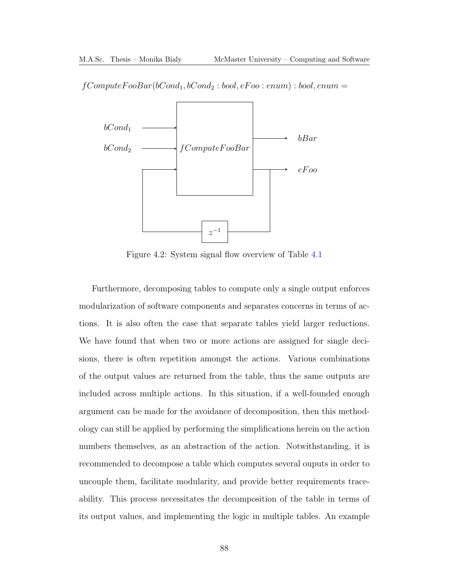<span id="page-101-0"></span>



Figure 4.2: System signal flow overview of Table [4.1](#page-100-0)

Furthermore, decomposing tables to compute only a single output enforces modularization of software components and separates concerns in terms of actions. It is also often the case that separate tables yield larger reductions. We have found that when two or more actions are assigned for single decisions, there is often repetition amongst the actions. Various combinations of the output values are returned from the table, thus the same outputs are included across multiple actions. In this situation, if a well-founded enough argument can be made for the avoidance of decomposition, then this methodology can still be applied by performing the simplifications herein on the action numbers themselves, as an abstraction of the action. Notwithstanding, it is recommended to decompose a table which computes several ouputs in order to uncouple them, facilitate modularity, and provide better requirements traceability. This process necessitates the decomposition of the table in terms of its output values, and implementing the logic in multiple tables. An example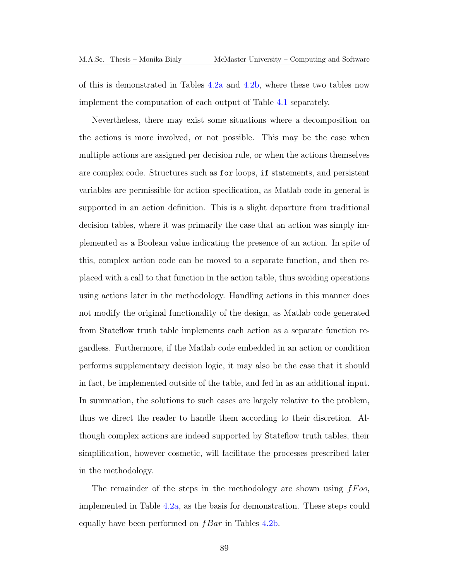of this is demonstrated in Tables [4.2a](#page-103-0) and [4.2b,](#page-103-0) where these two tables now implement the computation of each output of Table [4.1](#page-100-0) separately.

Nevertheless, there may exist some situations where a decomposition on the actions is more involved, or not possible. This may be the case when multiple actions are assigned per decision rule, or when the actions themselves are complex code. Structures such as for loops, if statements, and persistent variables are permissible for action specification, as Matlab code in general is supported in an action definition. This is a slight departure from traditional decision tables, where it was primarily the case that an action was simply implemented as a Boolean value indicating the presence of an action. In spite of this, complex action code can be moved to a separate function, and then replaced with a call to that function in the action table, thus avoiding operations using actions later in the methodology. Handling actions in this manner does not modify the original functionality of the design, as Matlab code generated from Stateflow truth table implements each action as a separate function regardless. Furthermore, if the Matlab code embedded in an action or condition performs supplementary decision logic, it may also be the case that it should in fact, be implemented outside of the table, and fed in as an additional input. In summation, the solutions to such cases are largely relative to the problem, thus we direct the reader to handle them according to their discretion. Although complex actions are indeed supported by Stateflow truth tables, their simplification, however cosmetic, will facilitate the processes prescribed later in the methodology.

The remainder of the steps in the methodology are shown using  $fFoo$ , implemented in Table [4.2a,](#page-103-0) as the basis for demonstration. These steps could equally have been performed on  $fBar$  in Tables [4.2b.](#page-103-0)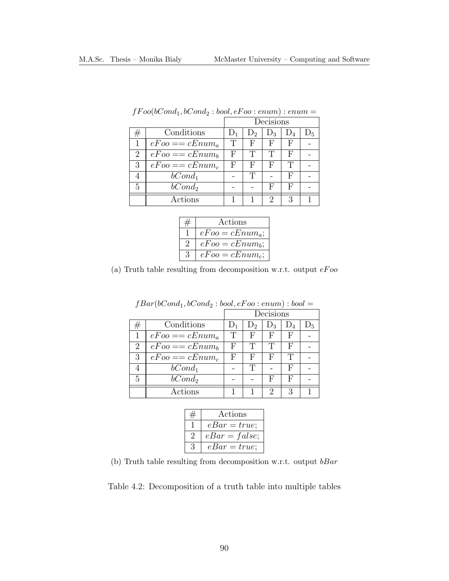<span id="page-103-0"></span>

|   |                    | Decisions |       |       |    |       |  |
|---|--------------------|-----------|-------|-------|----|-------|--|
|   | Conditions         |           | $D_2$ | $D_3$ |    | $D_5$ |  |
|   | $eFoo == cEnum_a$  | T         | F     | F     |    |       |  |
| 2 | $eEoo == cEnum_b$  | F         | Т     | T     | н, |       |  |
| 3 | $eEoo == cEnum_c$  | F         | F     | F     | T  |       |  |
|   | $bCond_1$          |           | Т     |       | F  |       |  |
| 5 | bCond <sub>2</sub> |           |       | F     | F  |       |  |
|   | Actions            |           |       | 2     |    |       |  |

| $\textit{f} \textit{Foo}(\textit{bCond}_1, \textit{bCond}_2: \textit{bool}, \textit{eFoo}: \textit{enum}): \textit{enum} =$ |  |  |
|-----------------------------------------------------------------------------------------------------------------------------|--|--|
|-----------------------------------------------------------------------------------------------------------------------------|--|--|

|   | Actions           |
|---|-------------------|
|   | $eFoo = cEnum_a;$ |
|   | $eFoo = cEnum_b$  |
| 3 | $eFoo = cEnum_c;$ |

(a) Truth table resulting from decomposition w.r.t. output  $eFoo$ 

|   |                   | Decisions |       |                             |       |                |
|---|-------------------|-----------|-------|-----------------------------|-------|----------------|
| ₩ | Conditions        |           | $D_2$ | $D_3$                       | $D_4$ | $\mathrm{D}_5$ |
|   | $eFoo == cEnum_a$ | Ͳ         | F     | F                           | F     |                |
| 2 | $eEoo == cEnum_b$ | F         | Ͳ     | T                           | F     |                |
| 3 | $eEoo == cEnum_c$ | F         | F     | F                           | T     |                |
|   | $bCond_1$         |           | Ͳ     |                             | F     |                |
| 5 | $bCond_2$         |           |       | F                           | F     |                |
|   | Actions           |           |       | $\mathcal{D}_{\mathcal{L}}$ | 3     |                |

 $fBar(bCond_1, bCond_2:bool, eFoo: enum): bool =$ 

|               | Actions         |
|---------------|-----------------|
|               | $eBar = true;$  |
| $\mathcal{D}$ | $eBar = false;$ |
| 3             | $eBar = true;$  |

(b) Truth table resulting from decomposition w.r.t. output  $bBar$ 

Table 4.2: Decomposition of a truth table into multiple tables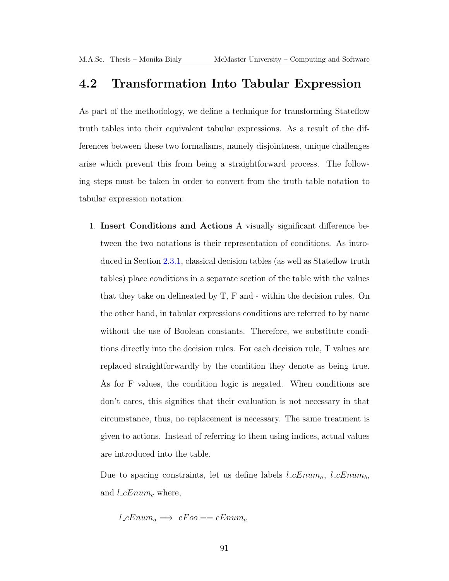# 4.2 Transformation Into Tabular Expression

As part of the methodology, we define a technique for transforming Stateflow truth tables into their equivalent tabular expressions. As a result of the differences between these two formalisms, namely disjointness, unique challenges arise which prevent this from being a straightforward process. The following steps must be taken in order to convert from the truth table notation to tabular expression notation:

1. Insert Conditions and Actions A visually significant difference between the two notations is their representation of conditions. As introduced in Section [2.3.1,](#page-38-0) classical decision tables (as well as Stateflow truth tables) place conditions in a separate section of the table with the values that they take on delineated by T, F and - within the decision rules. On the other hand, in tabular expressions conditions are referred to by name without the use of Boolean constants. Therefore, we substitute conditions directly into the decision rules. For each decision rule, T values are replaced straightforwardly by the condition they denote as being true. As for F values, the condition logic is negated. When conditions are don't cares, this signifies that their evaluation is not necessary in that circumstance, thus, no replacement is necessary. The same treatment is given to actions. Instead of referring to them using indices, actual values are introduced into the table.

Due to spacing constraints, let us define labels  $l_{c}Enum_{a}$ ,  $l_{c}Enum_{b}$ , and  $l_{\mathcal{L}} E_{num_c}$  where,

$$
l\_{cEnum_a} \Longrightarrow eFoo == cEnum_a
$$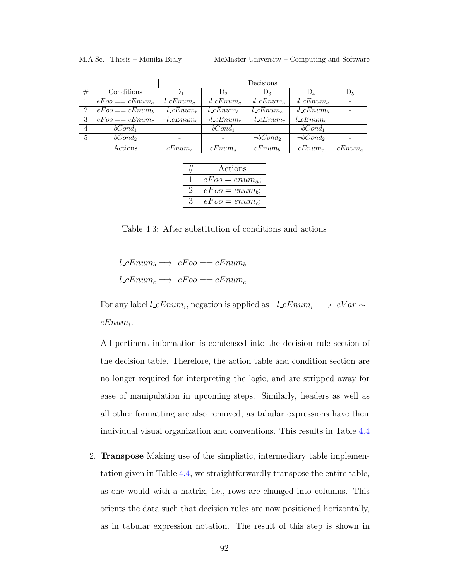|                |                   |                                 | Decisions                |                          |                          |           |  |  |  |
|----------------|-------------------|---------------------------------|--------------------------|--------------------------|--------------------------|-----------|--|--|--|
| #              | Conditions        | $D_1$                           | $D_2$                    | $D_3$                    | $D_4$                    | $D_5$     |  |  |  |
|                | $eEoo == cEnum_a$ | $l_{\mathcal{L}} Enum_a$        | $\neg l_c Enum_a$        | $\neg l_c Enum_a$        | $\neg l_c Enum_a$        |           |  |  |  |
| $\overline{2}$ | $eEoo == cEnum_b$ | $\neg l$ <sub>-C</sub> $Enum_b$ | $l_{\mathcal{L}} Enum_b$ | $l_{\mathcal{L}} Enum_b$ | $\neg l_c Enum_b$        |           |  |  |  |
| 3              | $eEoo == cEnum_c$ | $\neg l_c Enum_c$               | $\neg l_c Enum_c$        | $\neg l_c Enum_c$        | $l_{\mathcal{L}} Enum_c$ |           |  |  |  |
| $\overline{4}$ | $bCond_1$         |                                 | $bCond_1$                |                          | $\neg bCond_1$           |           |  |  |  |
| $\overline{5}$ | $bCond_2$         |                                 |                          | $\neg bCond_2$           | $\neg bCond_2$           |           |  |  |  |
|                | Actions           | $cEnum_a$                       | $cEnum_a$                | $cEnum_b$                | $cEnum_c$                | $cEnum_a$ |  |  |  |

| Actions          |  |  |  |
|------------------|--|--|--|
| $eFoo = enum_a;$ |  |  |  |
| $eFoo = enum_b;$ |  |  |  |
| $eFoo = enum_c;$ |  |  |  |

Table 4.3: After substitution of conditions and actions

 $l_cEnum_b \Longrightarrow eFoo == cEnum_b$  $l_c Enum_c \Longrightarrow eFoo == cEnum_c$ 

For any label  $l$ <sub>-c</sub> $Enum_i$ , negation is applied as  $\neg l$ <sub>-c</sub> $Enum_i \implies eVar \sim$  $cEnum_i$ .

All pertinent information is condensed into the decision rule section of the decision table. Therefore, the action table and condition section are no longer required for interpreting the logic, and are stripped away for ease of manipulation in upcoming steps. Similarly, headers as well as all other formatting are also removed, as tabular expressions have their individual visual organization and conventions. This results in Table [4.4](#page-106-0)

2. Transpose Making use of the simplistic, intermediary table implementation given in Table [4.4,](#page-106-0) we straightforwardly transpose the entire table, as one would with a matrix, i.e., rows are changed into columns. This orients the data such that decision rules are now positioned horizontally, as in tabular expression notation. The result of this step is shown in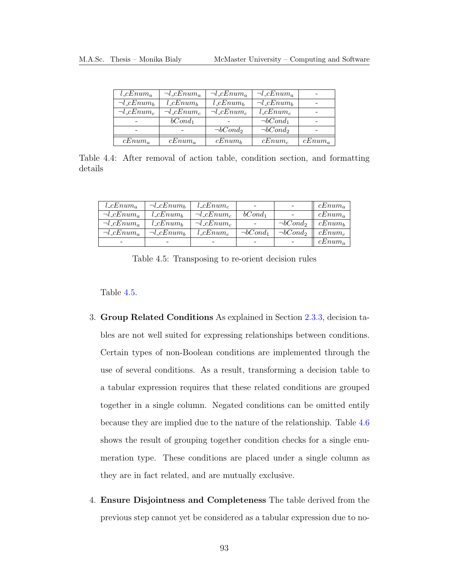<span id="page-106-0"></span>

| $l_{\mathcal{L}} Enum_a$ | $\neg l_c Enum_a$        | $\neg l$ <sub>c</sub> $Enum_a$ | $\neg l_c Enum_a$               |           |
|--------------------------|--------------------------|--------------------------------|---------------------------------|-----------|
| $\neg l_c Enum_b$        | $l_{\mathcal{L}} Enum_b$ | $l_{\mathcal{L}} Enum_b$       | $\neg l$ <sub>-C</sub> $Enum_b$ |           |
| $\neg l_c Enum_c$        | $\neg l_c Enum_c$        | $\neg l_c Enum_c$              | $l_{\text{-}cEnum_c}$           |           |
|                          | $bCond_1$                |                                | $\neg bCond_1$                  |           |
|                          |                          | $\neg bCond_2$                 | $\neg bCond_2$                  |           |
| $cEnum_a$                | $cEnum_a$                | $cEnum_b$                      | $cEnum_c$                       | $cEnum_a$ |

Table 4.4: After removal of action table, condition section, and formatting details

<span id="page-106-1"></span>

| $l_{\alpha} E_{num_a}$         | $\neg l$ <sub>-C</sub> $Enum_b$ | $l_{\mathcal{L}} Enum_c$ | -                        | $\qquad \qquad$ | $cEnum_a$ |
|--------------------------------|---------------------------------|--------------------------|--------------------------|-----------------|-----------|
| $\neg l$ <sub>c</sub> $Enum_a$ | $l_{\mathcal{L}} Enum_b$        | $\neg l_c Enum_c$        | $bCond_1$                |                 | $cEnum_a$ |
| $\neg l_c Enum_a$              | $l_{\mathcal{L}} Enum_b$        | $\neg l_c Enum_c$        | $\overline{\phantom{a}}$ | $\neg bCond_2$  | $cEnum_b$ |
| $\neg l_c Enum_a$              | $\neg l$ <sub>-C</sub> $Enum_b$ | $l_{\mathcal{L}} Enum_c$ | $\neg bCond_1$           | $\neg bCond_2$  | $cEnum_c$ |
|                                |                                 |                          | -                        |                 | $cEnum_a$ |

Table 4.5: Transposing to re-orient decision rules

Table [4.5.](#page-106-1)

- 3. Group Related Conditions As explained in Section [2.3.3,](#page-45-0) decision tables are not well suited for expressing relationships between conditions. Certain types of non-Boolean conditions are implemented through the use of several conditions. As a result, transforming a decision table to a tabular expression requires that these related conditions are grouped together in a single column. Negated conditions can be omitted entily because they are implied due to the nature of the relationship. Table [4.6](#page-107-0) shows the result of grouping together condition checks for a single enumeration type. These conditions are placed under a single column as they are in fact related, and are mutually exclusive.
- 4. Ensure Disjointness and Completeness The table derived from the previous step cannot yet be considered as a tabular expression due to no-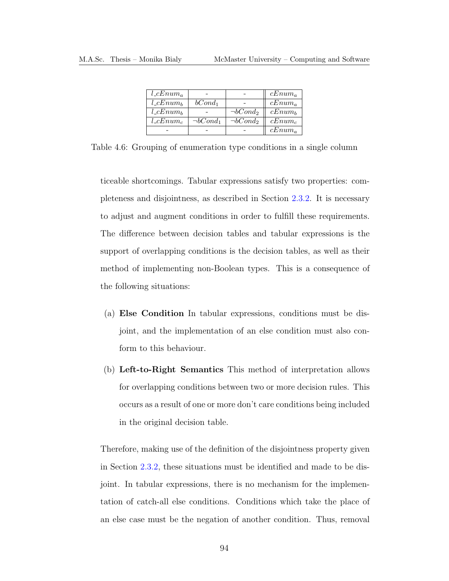<span id="page-107-0"></span>

| $l_{\alpha} \in Enum_{\alpha}$ |                |                | $cEnum_a$ |
|--------------------------------|----------------|----------------|-----------|
| $l_{\mathcal{L}} Enum_b$       | $bCond_1$      |                | $cEnum_a$ |
| $l_{\mathcal{L}} Enum_b$       |                | $\neg bCond_2$ | $cEnum_b$ |
| $l_{\mathcal{L}} Enum_c$       | $\neg bCond_1$ | $\neg bCond_2$ | $cEnum_c$ |
|                                |                |                | $cEnum_a$ |

Table 4.6: Grouping of enumeration type conditions in a single column

ticeable shortcomings. Tabular expressions satisfy two properties: completeness and disjointness, as described in Section [2.3.2.](#page-41-0) It is necessary to adjust and augment conditions in order to fulfill these requirements. The difference between decision tables and tabular expressions is the support of overlapping conditions is the decision tables, as well as their method of implementing non-Boolean types. This is a consequence of the following situations:

- (a) Else Condition In tabular expressions, conditions must be disjoint, and the implementation of an else condition must also conform to this behaviour.
- (b) Left-to-Right Semantics This method of interpretation allows for overlapping conditions between two or more decision rules. This occurs as a result of one or more don't care conditions being included in the original decision table.

Therefore, making use of the definition of the disjointness property given in Section [2.3.2,](#page-41-0) these situations must be identified and made to be disjoint. In tabular expressions, there is no mechanism for the implementation of catch-all else conditions. Conditions which take the place of an else case must be the negation of another condition. Thus, removal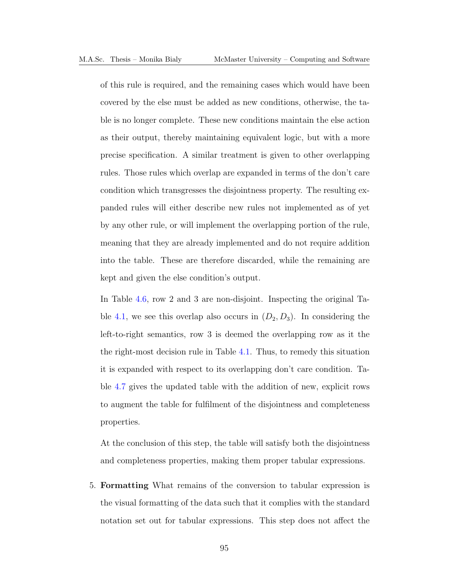of this rule is required, and the remaining cases which would have been covered by the else must be added as new conditions, otherwise, the table is no longer complete. These new conditions maintain the else action as their output, thereby maintaining equivalent logic, but with a more precise specification. A similar treatment is given to other overlapping rules. Those rules which overlap are expanded in terms of the don't care condition which transgresses the disjointness property. The resulting expanded rules will either describe new rules not implemented as of yet by any other rule, or will implement the overlapping portion of the rule, meaning that they are already implemented and do not require addition into the table. These are therefore discarded, while the remaining are kept and given the else condition's output.

In Table [4.6,](#page-107-0) row 2 and 3 are non-disjoint. Inspecting the original Ta-ble [4.1,](#page-100-0) we see this overlap also occurs in  $(D_2, D_3)$ . In considering the left-to-right semantics, row 3 is deemed the overlapping row as it the the right-most decision rule in Table [4.1.](#page-100-0) Thus, to remedy this situation it is expanded with respect to its overlapping don't care condition. Table [4.7](#page-109-0) gives the updated table with the addition of new, explicit rows to augment the table for fulfilment of the disjointness and completeness properties.

At the conclusion of this step, the table will satisfy both the disjointness and completeness properties, making them proper tabular expressions.

5. Formatting What remains of the conversion to tabular expression is the visual formatting of the data such that it complies with the standard notation set out for tabular expressions. This step does not affect the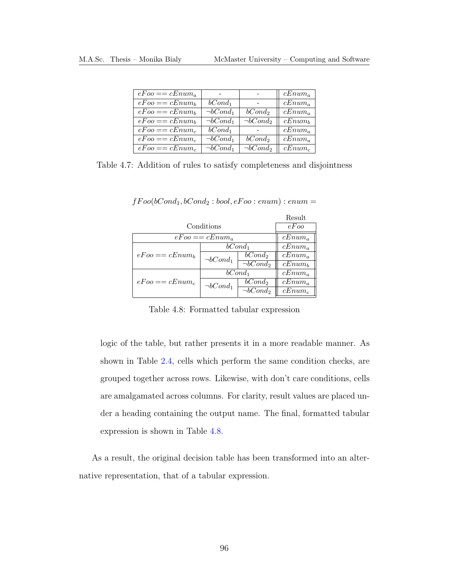<span id="page-109-0"></span>

| $eFoo == cEnum_a$ |                           |                           | $cEnum_a$   |
|-------------------|---------------------------|---------------------------|-------------|
| $eFoo == cEnum_b$ | $bCond_1$                 |                           | $cEnum_a$   |
| $eFoo == cEnum_b$ | $\overline{\neg}bCond_1$  | $bCond_2$                 | $cEnum_a$   |
| $eFoo == cEnum_b$ | $\overline{\neg b}Cond_1$ | $\overline{\neg bCond_2}$ | $cEnum_b$   |
| $eFoo == cEnum_c$ | $bCond_1$                 |                           | $cEnum_a$   |
| $eFoo == cEnum_c$ | $\neg bCond_1$            | bCond <sub>2</sub>        | $cEnum_{a}$ |
| $eFoo == cEnum_c$ | $\neg bCond_1$            | $\neg bCond_2$            | $cEnum_c$   |

<span id="page-109-1"></span>Table 4.7: Addition of rules to satisfy completeness and disjointness

|                   |                   |                           | Result      |
|-------------------|-------------------|---------------------------|-------------|
|                   | Conditions        |                           | eFoo        |
|                   | $eFoo == cEnum_a$ |                           | $cEnum_a$   |
|                   |                   | $bCond_1$                 | $cEnum_a$   |
| $eEoo == cEnum_b$ | $\neg bCond_1$    | $bCond_2$                 | $cEnum_a$   |
|                   |                   | $\overline{\neg bCond_2}$ | $cEnum_b$   |
|                   | $bCond_1$         |                           | $cEnum_a$   |
| $eEoo == cEnum_c$ | $\neg bCond_1$    | bCond <sub>2</sub>        | $cEnum_{a}$ |
|                   |                   | $\overline{\neg b}Cond_2$ | $cEnum_c$   |

 $fFoo(bCond_1, bCond_2:bool, eFoo: enum): enum =$ 

Table 4.8: Formatted tabular expression

logic of the table, but rather presents it in a more readable manner. As shown in Table [2.4,](#page-43-0) cells which perform the same condition checks, are grouped together across rows. Likewise, with don't care conditions, cells are amalgamated across columns. For clarity, result values are placed under a heading containing the output name. The final, formatted tabular expression is shown in Table [4.8.](#page-109-1)

As a result, the original decision table has been transformed into an alternative representation, that of a tabular expression.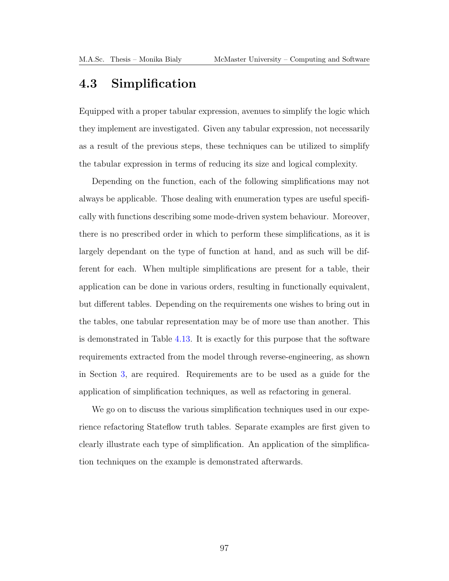### 4.3 Simplification

Equipped with a proper tabular expression, avenues to simplify the logic which they implement are investigated. Given any tabular expression, not necessarily as a result of the previous steps, these techniques can be utilized to simplify the tabular expression in terms of reducing its size and logical complexity.

Depending on the function, each of the following simplifications may not always be applicable. Those dealing with enumeration types are useful specifically with functions describing some mode-driven system behaviour. Moreover, there is no prescribed order in which to perform these simplifications, as it is largely dependant on the type of function at hand, and as such will be different for each. When multiple simplifications are present for a table, their application can be done in various orders, resulting in functionally equivalent, but different tables. Depending on the requirements one wishes to bring out in the tables, one tabular representation may be of more use than another. This is demonstrated in Table [4.13.](#page-114-0) It is exactly for this purpose that the software requirements extracted from the model through reverse-engineering, as shown in Section [3,](#page-62-0) are required. Requirements are to be used as a guide for the application of simplification techniques, as well as refactoring in general.

We go on to discuss the various simplification techniques used in our experience refactoring Stateflow truth tables. Separate examples are first given to clearly illustrate each type of simplification. An application of the simplification techniques on the example is demonstrated afterwards.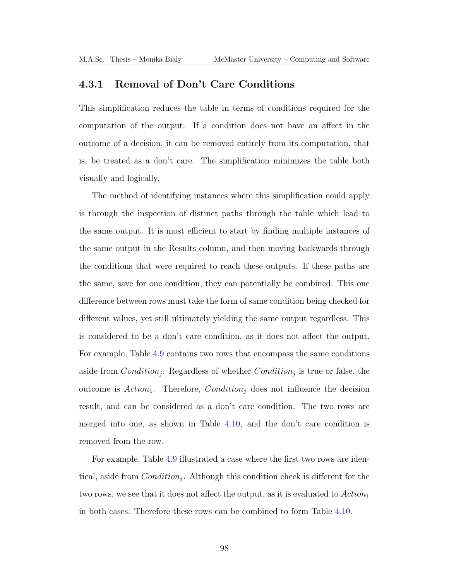### <span id="page-111-0"></span>4.3.1 Removal of Don't Care Conditions

This simplification reduces the table in terms of conditions required for the computation of the output. If a condition does not have an affect in the outcome of a decision, it can be removed entirely from its computation, that is, be treated as a don't care. The simplification minimizes the table both visually and logically.

The method of identifying instances where this simplification could apply is through the inspection of distinct paths through the table which lead to the same output. It is most efficient to start by finding multiple instances of the same output in the Results column, and then moving backwards through the conditions that were required to reach these outputs. If these paths are the same, save for one condition, they can potentially be combined. This one difference between rows must take the form of same condition being checked for different values, yet still ultimately yielding the same output regardless. This is considered to be a don't care condition, as it does not affect the output. For example, Table [4.9](#page-112-0) contains two rows that encompass the same conditions aside from  $Condition_j$ . Regardless of whether  $Condition_j$  is true or false, the outcome is  $Action_1$ . Therefore,  $Condition_i$  does not influence the decision result, and can be considered as a don't care condition. The two rows are merged into one, as shown in Table [4.10,](#page-112-1) and the don't care condition is removed from the row.

For example, Table [4.9](#page-112-0) illustrated a case where the first two rows are identical, aside from  $Condition_j$ . Although this condition check is different for the two rows, we see that it does not affect the output, as it is evaluated to  $Action_1$ in both cases. Therefore these rows can be combined to form Table [4.10.](#page-112-1)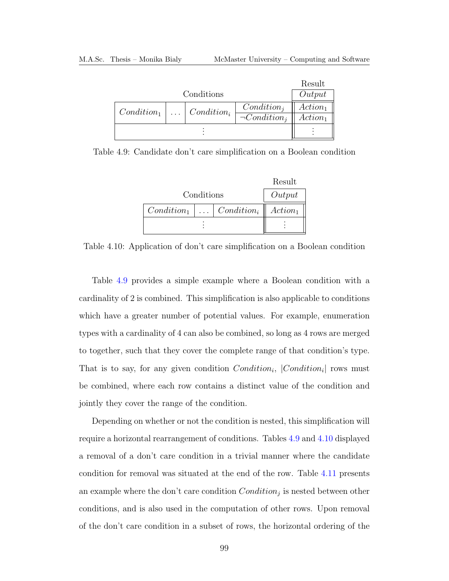|  |                                               | Result             |
|--|-----------------------------------------------|--------------------|
|  |                                               | Output             |
|  | $Condition_i$                                 | $Action_1$         |
|  |                                               | $Action_1$         |
|  |                                               |                    |
|  | Conditions<br>$\ldots$ Condition <sub>i</sub> | $\neg Condition_i$ |

Table 4.9: Candidate don't care simplification on a Boolean condition

<span id="page-112-0"></span>

|            |                                                      | Result     |
|------------|------------------------------------------------------|------------|
| Conditions | Output                                               |            |
|            | $Condition_1 \mid \ldots \mid Condition_i \parallel$ | $Action_1$ |
|            |                                                      |            |

<span id="page-112-1"></span>Table 4.10: Application of don't care simplification on a Boolean condition

Table [4.9](#page-112-0) provides a simple example where a Boolean condition with a cardinality of 2 is combined. This simplification is also applicable to conditions which have a greater number of potential values. For example, enumeration types with a cardinality of 4 can also be combined, so long as 4 rows are merged to together, such that they cover the complete range of that condition's type. That is to say, for any given condition  $Condition_i$ ,  $|Condition_i|$  rows must be combined, where each row contains a distinct value of the condition and jointly they cover the range of the condition.

Depending on whether or not the condition is nested, this simplification will require a horizontal rearrangement of conditions. Tables [4.9](#page-112-0) and [4.10](#page-112-1) displayed a removal of a don't care condition in a trivial manner where the candidate condition for removal was situated at the end of the row. Table [4.11](#page-113-0) presents an example where the don't care condition  $Condition_j$  is nested between other conditions, and is also used in the computation of other rows. Upon removal of the don't care condition in a subset of rows, the horizontal ordering of the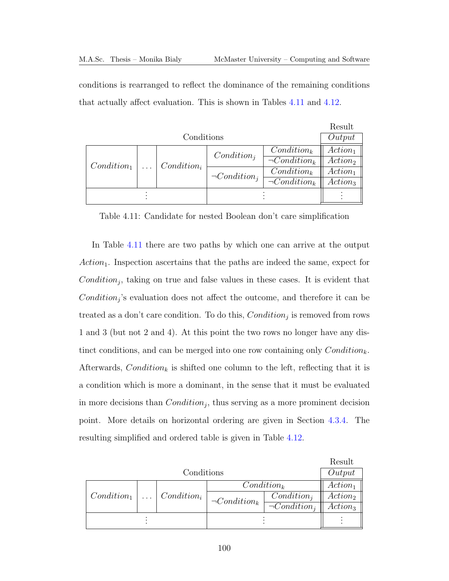conditions is rearranged to reflect the dominance of the remaining conditions that actually affect evaluation. This is shown in Tables [4.11](#page-113-0) and [4.12.](#page-114-1)

|               |               |                    |                    | Result     |
|---------------|---------------|--------------------|--------------------|------------|
|               | Conditions    |                    |                    | Output     |
|               |               | $Condition_i$      | $Condition_k$      | $Action_1$ |
| $Condition_1$ | $Condition_i$ |                    | $\neg Condition_k$ | $Action_2$ |
|               |               | $\neg Condition_i$ | $Condition_k$      | $Action_1$ |
|               |               |                    | $\neg Condition_k$ | $Action_3$ |
|               |               |                    |                    |            |
|               |               |                    |                    |            |

<span id="page-113-0"></span>Table 4.11: Candidate for nested Boolean don't care simplification

In Table [4.11](#page-113-0) there are two paths by which one can arrive at the output  $Action<sub>1</sub>$ . Inspection ascertains that the paths are indeed the same, expect for  $Condition_j$ , taking on true and false values in these cases. It is evident that  $Condition_j$ 's evaluation does not affect the outcome, and therefore it can be treated as a don't care condition. To do this,  $Condition_j$  is removed from rows 1 and 3 (but not 2 and 4). At this point the two rows no longer have any distinct conditions, and can be merged into one row containing only  $Condition_k$ . Afterwards, Condition<sub>k</sub> is shifted one column to the left, reflecting that it is a condition which is more a dominant, in the sense that it must be evaluated in more decisions than  $Condition_j$ , thus serving as a more prominent decision point. More details on horizontal ordering are given in Section [4.3.4.](#page-118-0) The resulting simplified and ordered table is given in Table [4.12.](#page-114-1)

|               |            |                                 |                    |                    | Result     |
|---------------|------------|---------------------------------|--------------------|--------------------|------------|
|               | Conditions |                                 |                    |                    |            |
|               |            |                                 | $Condition_k$      |                    | $Action_1$ |
| $Condition_1$ |            | $\ldots$ Condition <sub>i</sub> | $\neg Condition_k$ | $Condition_i$      | $Action_2$ |
|               |            |                                 |                    | $\neg Condition_i$ | $Action_3$ |
|               |            |                                 |                    |                    |            |
|               |            |                                 |                    |                    |            |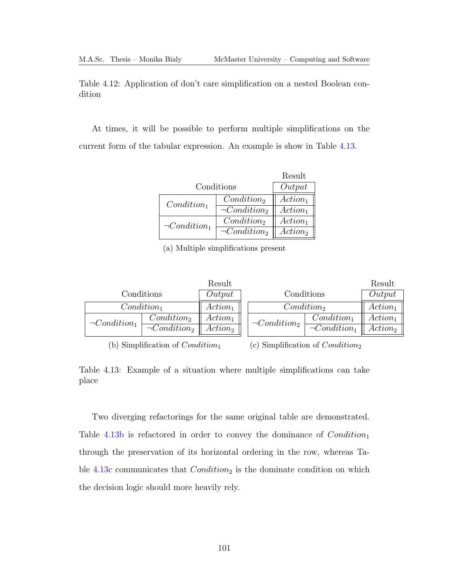<span id="page-114-1"></span>Table 4.12: Application of don't care simplification on a nested Boolean condition

<span id="page-114-0"></span>At times, it will be possible to perform multiple simplifications on the current form of the tabular expression. An example is show in Table [4.13.](#page-114-0)

|                    |                    | Result              |
|--------------------|--------------------|---------------------|
|                    | Conditions         | Output              |
| $Condition_1$      | $Condition_2$      | $Action_1$          |
|                    | $\neg Condition_2$ | $Action_1$          |
| $\neg Condition_1$ | $Condition_2$      | $Action_1$          |
|                    | $\neg Condition_2$ | Action <sub>2</sub> |

(a) Multiple simplifications present

|                    |                    | Result     |                    |                    | Result     |
|--------------------|--------------------|------------|--------------------|--------------------|------------|
|                    | Conditions         | Output     | Conditions         |                    | Output     |
|                    | $Condition_1$      | $Action_1$ |                    | $Condition_2$      | $Action_1$ |
| $\neg Condition_1$ | $Condition_2$      | $Action_1$ | $\neg Condition_2$ | $Condition_1$      | $Action_1$ |
|                    | $\neg Condition_2$ | $Action_2$ |                    | $\neg Condition_1$ | $Action_2$ |

(b) Simplification of  $Condition_1$ 

(c) Simplification of Condition<sup>2</sup>

Table 4.13: Example of a situation where multiple simplifications can take place

Two diverging refactorings for the same original table are demonstrated. Table [4.13b](#page-114-0) is refactored in order to convey the dominance of  $Condition_1$ through the preservation of its horizontal ordering in the row, whereas Ta-ble [4.13c](#page-114-0) communicates that  $Condition_2$  is the dominate condition on which the decision logic should more heavily rely.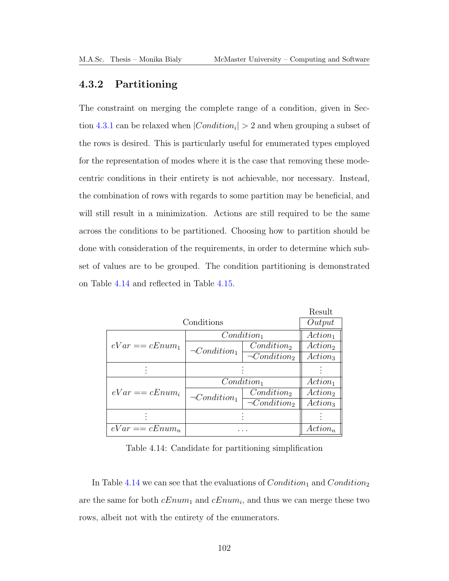### 4.3.2 Partitioning

The constraint on merging the complete range of a condition, given in Sec-tion [4.3.1](#page-111-0) can be relaxed when  $|Condition_i| > 2$  and when grouping a subset of the rows is desired. This is particularly useful for enumerated types employed for the representation of modes where it is the case that removing these modecentric conditions in their entirety is not achievable, nor necessary. Instead, the combination of rows with regards to some partition may be beneficial, and will still result in a minimization. Actions are still required to be the same across the conditions to be partitioned. Choosing how to partition should be done with consideration of the requirements, in order to determine which subset of values are to be grouped. The condition partitioning is demonstrated on Table [4.14](#page-115-0) and reflected in Table [4.15.](#page-116-0)

|                   |                    |                        | Result                     |
|-------------------|--------------------|------------------------|----------------------------|
|                   | Conditions         |                        | Output                     |
|                   |                    | $Condition_1$          | $Action_1$                 |
| $eVar == cEnum_1$ | $\neg Condition_1$ | Condition <sub>2</sub> | Action <sub>2</sub>        |
|                   |                    | $\neg Condition_2$     | Action <sub>3</sub>        |
|                   |                    |                        |                            |
|                   |                    | $Condition_1$          | $Action_1$                 |
| $eVar == cEnum_i$ | $\neg Condition_1$ | $Condition_2$          | <i>Action</i> <sub>2</sub> |
|                   |                    | $\neg Condition_2$     | Action <sub>3</sub>        |
|                   |                    |                        |                            |
| $eVar == cEnum_n$ |                    |                        | $Action_n$                 |

<span id="page-115-0"></span>Table 4.14: Candidate for partitioning simplification

In Table [4.14](#page-115-0) we can see that the evaluations of  $Condition_1$  and  $Condition_2$ are the same for both  $cEnum_1$  and  $cEnum_i$ , and thus we can merge these two rows, albeit not with the entirety of the enumerators.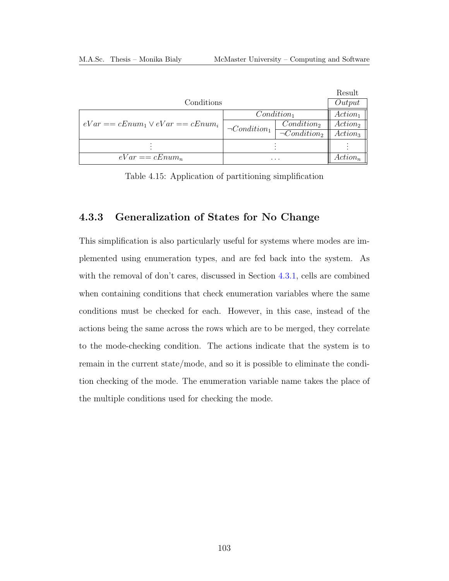|                                      |                    |                               | Result              |
|--------------------------------------|--------------------|-------------------------------|---------------------|
| Conditions                           |                    |                               | Output              |
|                                      | $Condition_1$      |                               | $Action_1$          |
| $eVar = cEnum_1 \vee eVar = cEnum_i$ | $\neg Condition_1$ | $Condition_2$                 | $Action_2$          |
|                                      |                    | $\overline{\neg Condition_2}$ | Action <sub>3</sub> |
|                                      |                    |                               |                     |
| $eVar == cEnum_n$<br>$\cdots$        |                    |                               | $Action_n$          |

<span id="page-116-0"></span>Table 4.15: Application of partitioning simplification

### <span id="page-116-1"></span>4.3.3 Generalization of States for No Change

This simplification is also particularly useful for systems where modes are implemented using enumeration types, and are fed back into the system. As with the removal of don't cares, discussed in Section [4.3.1,](#page-111-0) cells are combined when containing conditions that check enumeration variables where the same conditions must be checked for each. However, in this case, instead of the actions being the same across the rows which are to be merged, they correlate to the mode-checking condition. The actions indicate that the system is to remain in the current state/mode, and so it is possible to eliminate the condition checking of the mode. The enumeration variable name takes the place of the multiple conditions used for checking the mode.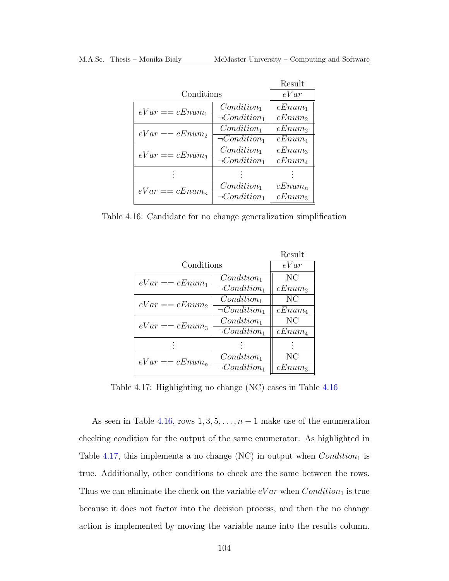|                   |                    | Result    |
|-------------------|--------------------|-----------|
| Conditions        |                    | eVar      |
| $eVar == cEnum_1$ | $Condition_1$      | $cEnum_1$ |
|                   | $\neg Condition_1$ | $cEnum_2$ |
| $eVar == cEnum_2$ | $Condition_1$      | $cEnum_2$ |
|                   | $\neg Condition_1$ | $cEnum_4$ |
| $eVar == cEnum_3$ | $Condition_1$      | $cEnum_3$ |
|                   | $\neg Condition_1$ | $cEnum_4$ |
|                   |                    |           |
| $eVar == cEnum_n$ | $Condition_1$      | $cEnum_n$ |
|                   | $\neg Condition_1$ | $cEnum_3$ |

Table 4.16: Candidate for no change generalization simplification

<span id="page-117-0"></span>

|                    | Result    |
|--------------------|-----------|
| Conditions         | eVar      |
| $Condition_1$      | NC        |
| $\neg Condition_1$ | $cEnum_2$ |
| $Condition_1$      | NC        |
| $\neg Condition_1$ | $cEnum_4$ |
| $Condition_1$      | NC        |
| $\neg Condition_1$ | $cEnum_4$ |
|                    |           |
| $Condition_1$      | NС        |
| $\neg Condition_1$ | $cEnum_3$ |
|                    |           |

<span id="page-117-1"></span>Table 4.17: Highlighting no change (NC) cases in Table [4.16](#page-117-0)

As seen in Table [4.16,](#page-117-0) rows  $1, 3, 5, \ldots, n-1$  make use of the enumeration checking condition for the output of the same enumerator. As highlighted in Table [4.17,](#page-117-1) this implements a no change (NC) in output when  $Condition_1$  is true. Additionally, other conditions to check are the same between the rows. Thus we can eliminate the check on the variable  $eVar$  when  $Condition_1$  is true because it does not factor into the decision process, and then the no change action is implemented by moving the variable name into the results column.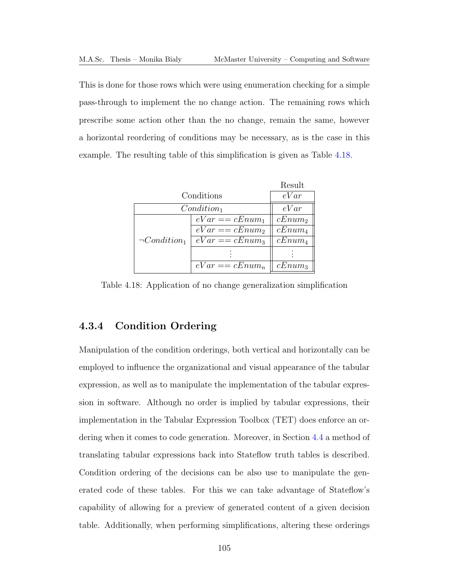This is done for those rows which were using enumeration checking for a simple pass-through to implement the no change action. The remaining rows which prescribe some action other than the no change, remain the same, however a horizontal reordering of conditions may be necessary, as is the case in this example. The resulting table of this simplification is given as Table [4.18.](#page-118-1)

|                    |                   | Result    |
|--------------------|-------------------|-----------|
| Conditions         |                   | eVar      |
| $Condition_1$      |                   | eVar      |
|                    | $eVar == cEnum_1$ | $cEnum_2$ |
|                    | $eVar == cEnum_2$ | $cEnum_4$ |
| $\neg Condition_1$ | $eVar == cEnum_3$ | $cEnum_4$ |
|                    |                   |           |
|                    | $eVar == cEnum_n$ | $cEnum_3$ |

<span id="page-118-1"></span>Table 4.18: Application of no change generalization simplification

### <span id="page-118-0"></span>4.3.4 Condition Ordering

Manipulation of the condition orderings, both vertical and horizontally can be employed to influence the organizational and visual appearance of the tabular expression, as well as to manipulate the implementation of the tabular expression in software. Although no order is implied by tabular expressions, their implementation in the Tabular Expression Toolbox [\(TET\)](#page-13-0) does enforce an ordering when it comes to code generation. Moreover, in Section [4.4](#page-125-0) a method of translating tabular expressions back into Stateflow truth tables is described. Condition ordering of the decisions can be also use to manipulate the generated code of these tables. For this we can take advantage of Stateflow's capability of allowing for a preview of generated content of a given decision table. Additionally, when performing simplifications, altering these orderings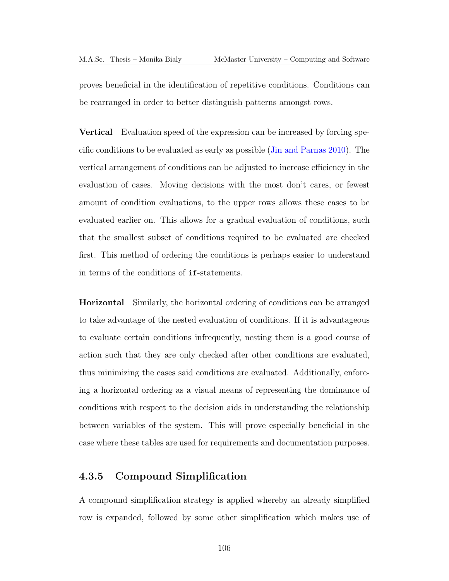proves beneficial in the identification of repetitive conditions. Conditions can be rearranged in order to better distinguish patterns amongst rows.

Vertical Evaluation speed of the expression can be increased by forcing specific conditions to be evaluated as early as possible [\(Jin and Parnas 2010\)](#page-192-0). The vertical arrangement of conditions can be adjusted to increase efficiency in the evaluation of cases. Moving decisions with the most don't cares, or fewest amount of condition evaluations, to the upper rows allows these cases to be evaluated earlier on. This allows for a gradual evaluation of conditions, such that the smallest subset of conditions required to be evaluated are checked first. This method of ordering the conditions is perhaps easier to understand in terms of the conditions of if-statements.

Horizontal Similarly, the horizontal ordering of conditions can be arranged to take advantage of the nested evaluation of conditions. If it is advantageous to evaluate certain conditions infrequently, nesting them is a good course of action such that they are only checked after other conditions are evaluated, thus minimizing the cases said conditions are evaluated. Additionally, enforcing a horizontal ordering as a visual means of representing the dominance of conditions with respect to the decision aids in understanding the relationship between variables of the system. This will prove especially beneficial in the case where these tables are used for requirements and documentation purposes.

### 4.3.5 Compound Simplification

A compound simplification strategy is applied whereby an already simplified row is expanded, followed by some other simplification which makes use of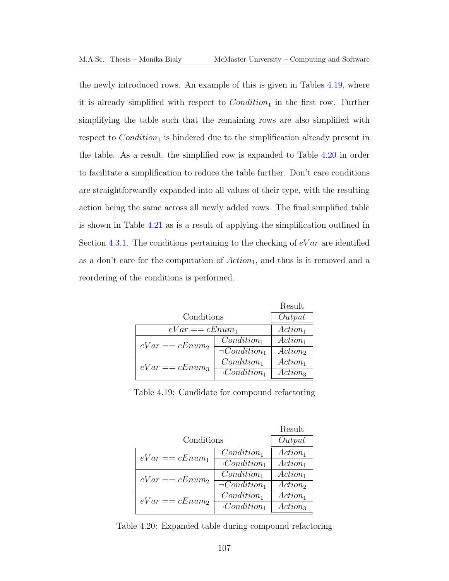the newly introduced rows. An example of this is given in Tables [4.19,](#page-120-0) where it is already simplified with respect to  $Condition_1$  in the first row. Further simplifying the table such that the remaining rows are also simplified with respect to  $Condition_1$  is hindered due to the simplification already present in the table. As a result, the simplified row is expanded to Table [4.20](#page-120-1) in order to facilitate a simplification to reduce the table further. Don't care conditions are straightforwardly expanded into all values of their type, with the resulting action being the same across all newly added rows. The final simplified table is shown in Table [4.21](#page-121-0) as is a result of applying the simplification outlined in Section [4.3.1.](#page-111-0) The conditions pertaining to the checking of  $eVar$  are identified as a don't care for the computation of  $Action_1$ , and thus is it removed and a reordering of the conditions is performed.

|                   |                     | Result              |
|-------------------|---------------------|---------------------|
| Conditions        | Output              |                     |
| $eVar == cEnum_1$ | Action <sub>1</sub> |                     |
| $eVar == cEnum_2$ | $Condition_1$       | $Action_1$          |
|                   | $\neg Condition_1$  | Action <sub>2</sub> |
| $eVar == cEnum_3$ | $Condition_1$       | $Action_1$          |
|                   | $\neg Condition_1$  | Action <sub>3</sub> |

<span id="page-120-0"></span>Table 4.19: Candidate for compound refactoring

|                   |                    | Result              |
|-------------------|--------------------|---------------------|
| Conditions        |                    | Output              |
| $eVar == cEnum_1$ | $Condition_1$      | $Action_1$          |
|                   | $\neg Condition_1$ | $Action_1$          |
| $eVar == cEnum_2$ | $Condition_1$      | $Action_1$          |
|                   | $\neg Condition_1$ | Action <sub>2</sub> |
| $eVar == cEnum_2$ | $Condition_1$      | $Action_1$          |
|                   | $\neg Condition_1$ | Action <sub>3</sub> |

<span id="page-120-1"></span>Table 4.20: Expanded table during compound refactoring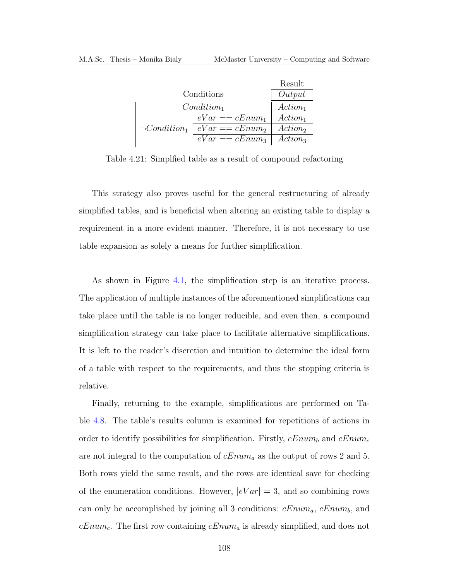|                    |                   | Result              |
|--------------------|-------------------|---------------------|
| Conditions         |                   | Output              |
| $Condition_1$      |                   | $Action_1$          |
|                    | $eVar == cEnum_1$ | $Action_1$          |
| $\neg Condition_1$ | $eVar == cEnum_2$ | Action <sub>2</sub> |
|                    | $eVar == cEnum_3$ | Action <sub>3</sub> |

<span id="page-121-0"></span>Table 4.21: Simplfied table as a result of compound refactoring

This strategy also proves useful for the general restructuring of already simplified tables, and is beneficial when altering an existing table to display a requirement in a more evident manner. Therefore, it is not necessary to use table expansion as solely a means for further simplification.

As shown in Figure [4.1,](#page-99-0) the simplification step is an iterative process. The application of multiple instances of the aforementioned simplifications can take place until the table is no longer reducible, and even then, a compound simplification strategy can take place to facilitate alternative simplifications. It is left to the reader's discretion and intuition to determine the ideal form of a table with respect to the requirements, and thus the stopping criteria is relative.

Finally, returning to the example, simplifications are performed on Table [4.8.](#page-109-1) The table's results column is examined for repetitions of actions in order to identify possibilities for simplification. Firstly,  $cEnum_b$  and  $cEnum_c$ are not integral to the computation of  $cEnum_a$  as the output of rows 2 and 5. Both rows yield the same result, and the rows are identical save for checking of the enumeration conditions. However,  $|eVar| = 3$ , and so combining rows can only be accomplished by joining all 3 conditions:  $cEnum_a$ ,  $cEnum_b$ , and  $cEnum<sub>c</sub>$ . The first row containing  $cEnum<sub>a</sub>$  is already simplified, and does not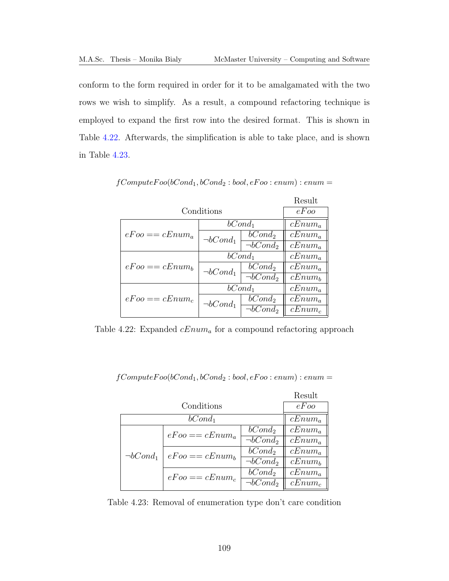conform to the form required in order for it to be amalgamated with the two rows we wish to simplify. As a result, a compound refactoring technique is employed to expand the first row into the desired format. This is shown in Table [4.22.](#page-122-0) Afterwards, the simplification is able to take place, and is shown in Table [4.23.](#page-122-1)

|                   |                |                           | Result    |
|-------------------|----------------|---------------------------|-----------|
|                   | Conditions     |                           | $eF$ oo   |
|                   |                | $bCond_1$                 | $cEnum_a$ |
| $eEoo == cEnum_a$ | $\neg bCond_1$ | $bCond_2$                 | $cEnum_a$ |
|                   |                | $\overline{\neg bCond_2}$ | $cEnum_a$ |
|                   |                | $bCond_1$                 | $cEnum_a$ |
| $eFoo == cEnum_b$ | $\neg bCond_1$ | $bCond_2$                 | $cEnum_a$ |
|                   |                | $\overline{\neg bCond_2}$ | $cEnum_b$ |
|                   | $bCond_1$      |                           | $cEnum_a$ |
| $eFoo == cEnum_c$ | $\neg bCond_1$ | $bCond_2$                 | $cEnum_a$ |
|                   |                | $\overline{\neg bCond_2}$ | $cEnum_c$ |

<span id="page-122-0"></span> $fComputeFoo(bCond_1, bCond_2:bool, eFoo: enum): enum =$ 

<span id="page-122-1"></span>Table 4.22: Expanded  $cEnum_a$  for a compound refactoring approach

 $fComputeFoo(bCond_1, bCond_2:bool, eFoo: enum): enum =$ 

|                |                      |                    | Result    |
|----------------|----------------------|--------------------|-----------|
|                | Conditions           |                    | eFoo      |
|                | $bCond_1$            |                    | $cEnum_a$ |
|                | $eFoo == cEnum_a$    | bCond <sub>2</sub> | $cEnum_a$ |
|                |                      | $\neg bCond_2$     | $cEnum_a$ |
| $\neg bCond_1$ | $eE$ oo == $cEnum_b$ | bCond <sub>2</sub> | $cEnum_a$ |
|                |                      | $\neg bCond_2$     | $cEnum_b$ |
|                | $eFoo == cEnum_c$    | bCond <sub>2</sub> | $cEnum_a$ |
|                |                      | $\neg bCond_2$     | $cEnum_c$ |

Table 4.23: Removal of enumeration type don't care condition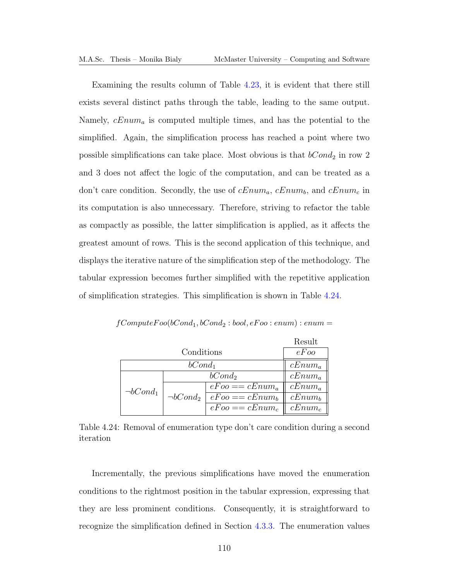Examining the results column of Table [4.23,](#page-122-1) it is evident that there still exists several distinct paths through the table, leading to the same output. Namely,  $cEnum_a$  is computed multiple times, and has the potential to the simplified. Again, the simplification process has reached a point where two possible simplifications can take place. Most obvious is that  $bCond_2$  in row 2 and 3 does not affect the logic of the computation, and can be treated as a don't care condition. Secondly, the use of  $cEnum_a$ ,  $cEnum_b$ , and  $cEnum_c$  in its computation is also unnecessary. Therefore, striving to refactor the table as compactly as possible, the latter simplification is applied, as it affects the greatest amount of rows. This is the second application of this technique, and displays the iterative nature of the simplification step of the methodology. The tabular expression becomes further simplified with the repetitive application of simplification strategies. This simplification is shown in Table [4.24.](#page-123-0)

|                |                |                   | Result    |
|----------------|----------------|-------------------|-----------|
|                | Conditions     |                   |           |
|                | $bCond_1$      |                   | $cEnum_a$ |
|                |                | $bCond_2$         | $cEnum_a$ |
| $\neg bCond_1$ |                | $eFoo == cEnum_a$ | $cEnum_a$ |
|                | $\neg bCond_2$ | $eEoo == cEnum_b$ | $cEnum_b$ |
|                |                | $eFoo == cEnum_c$ | $cEnum_c$ |

<span id="page-123-0"></span> $fComputeFoo(bCond_1, bCond_2:bool, eFoo: enum): enum =$ 

Table 4.24: Removal of enumeration type don't care condition during a second iteration

Incrementally, the previous simplifications have moved the enumeration conditions to the rightmost position in the tabular expression, expressing that they are less prominent conditions. Consequently, it is straightforward to recognize the simplification defined in Section [4.3.3.](#page-116-1) The enumeration values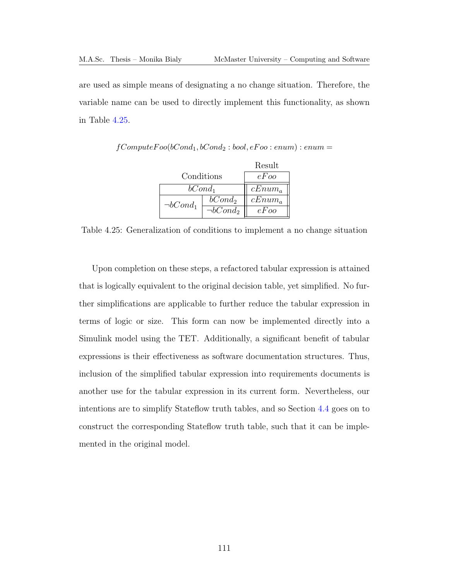are used as simple means of designating a no change situation. Therefore, the variable name can be used to directly implement this functionality, as shown in Table [4.25.](#page-124-0)

|                |                | Result    |
|----------------|----------------|-----------|
| Conditions     |                | e F'oo    |
| $bCond_1$      |                | $cEnum_a$ |
| $\neg bCond_1$ | $bCond_2$      | $cEnum_a$ |
|                | $\neg bCond_2$ | $eE$ oo   |

<span id="page-124-0"></span> $fComputeFoo(bCond_1, bCond_2:bool, eFoo: enum): enum =$ 

Table 4.25: Generalization of conditions to implement a no change situation

Upon completion on these steps, a refactored tabular expression is attained that is logically equivalent to the original decision table, yet simplified. No further simplifications are applicable to further reduce the tabular expression in terms of logic or size. This form can now be implemented directly into a Simulink model using the [TET.](#page-13-0) Additionally, a significant benefit of tabular expressions is their effectiveness as software documentation structures. Thus, inclusion of the simplified tabular expression into requirements documents is another use for the tabular expression in its current form. Nevertheless, our intentions are to simplify Stateflow truth tables, and so Section [4.4](#page-125-0) goes on to construct the corresponding Stateflow truth table, such that it can be implemented in the original model.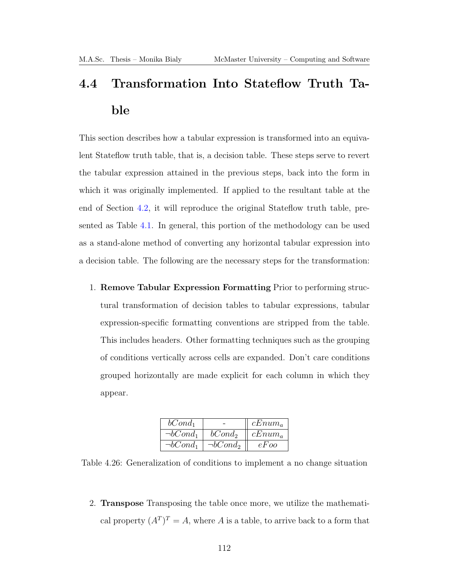# <span id="page-125-0"></span>4.4 Transformation Into Stateflow Truth Table

This section describes how a tabular expression is transformed into an equivalent Stateflow truth table, that is, a decision table. These steps serve to revert the tabular expression attained in the previous steps, back into the form in which it was originally implemented. If applied to the resultant table at the end of Section [4.2,](#page-104-0) it will reproduce the original Stateflow truth table, presented as Table [4.1.](#page-100-0) In general, this portion of the methodology can be used as a stand-alone method of converting any horizontal tabular expression into a decision table. The following are the necessary steps for the transformation:

1. Remove Tabular Expression Formatting Prior to performing structural transformation of decision tables to tabular expressions, tabular expression-specific formatting conventions are stripped from the table. This includes headers. Other formatting techniques such as the grouping of conditions vertically across cells are expanded. Don't care conditions grouped horizontally are made explicit for each column in which they appear.

| $bCond_1$      |                | $cEnum_a$ |
|----------------|----------------|-----------|
| $\neg bCond_1$ | $bCond_2$      | $cEnum_a$ |
| $\neg bCond_1$ | $\neg bCond_2$ | $eE$ oo   |

Table 4.26: Generalization of conditions to implement a no change situation

2. Transpose Transposing the table once more, we utilize the mathematical property  $(A^T)^T = A$ , where A is a table, to arrive back to a form that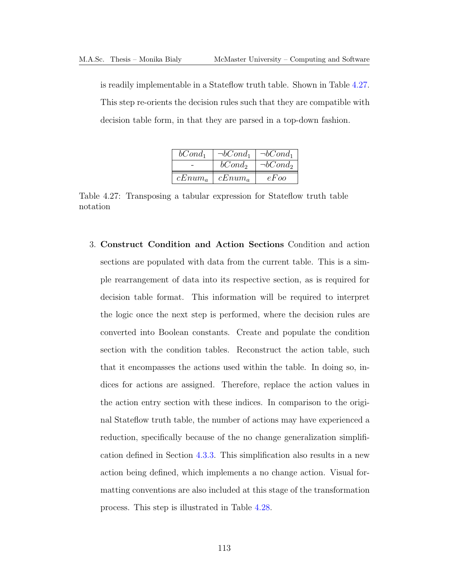is readily implementable in a Stateflow truth table. Shown in Table [4.27.](#page-126-0) This step re-orients the decision rules such that they are compatible with decision table form, in that they are parsed in a top-down fashion.

| $bCond_1$ | $\neg bCond_1$ | $\neg bCond_1$ |
|-----------|----------------|----------------|
|           | $bCond_2$      | $\neg bCond_2$ |
| $cEnum_a$ | $cEnum_a$      | eFoo           |

<span id="page-126-0"></span>Table 4.27: Transposing a tabular expression for Stateflow truth table notation

3. Construct Condition and Action Sections Condition and action sections are populated with data from the current table. This is a simple rearrangement of data into its respective section, as is required for decision table format. This information will be required to interpret the logic once the next step is performed, where the decision rules are converted into Boolean constants. Create and populate the condition section with the condition tables. Reconstruct the action table, such that it encompasses the actions used within the table. In doing so, indices for actions are assigned. Therefore, replace the action values in the action entry section with these indices. In comparison to the original Stateflow truth table, the number of actions may have experienced a reduction, specifically because of the no change generalization simplification defined in Section [4.3.3.](#page-116-1) This simplification also results in a new action being defined, which implements a no change action. Visual formatting conventions are also included at this stage of the transformation process. This step is illustrated in Table [4.28.](#page-127-0)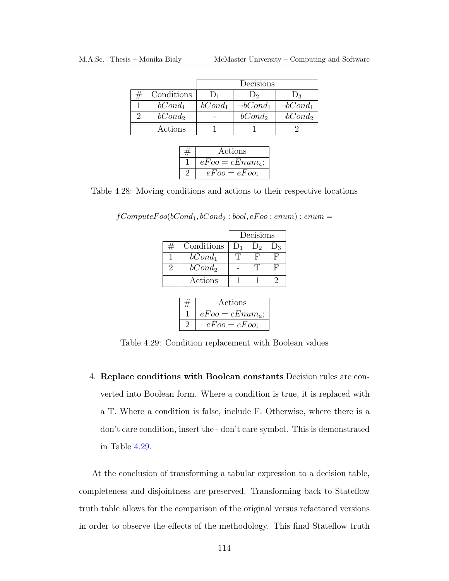<span id="page-127-0"></span>

|            |           | Decisions          |                |
|------------|-----------|--------------------|----------------|
| Conditions |           |                    | $\mathsf{D}_3$ |
| $bCond_1$  | $bCond_1$ | $\neg bCond_1$     | $\neg bCond_1$ |
| $bCond_2$  |           | bCond <sub>2</sub> | $\neg bCond_2$ |
| Actions    |           |                    |                |

| Actions           |
|-------------------|
| $eFoo = cEnum_a;$ |
| $eFoo = eFoo$     |

<span id="page-127-1"></span>Table 4.28: Moving conditions and actions to their respective locations

 $\label{eq:recon} fComputeFoo(bCond_1, bCond_2:bool, eFoo: enum): enum =$ 

|            | Decisions |    |         |  |  |
|------------|-----------|----|---------|--|--|
| Conditions | $D_1$     | D۰ | $J_{3}$ |  |  |
| $bCond_1$  |           | H, |         |  |  |
| $bCond_2$  |           |    |         |  |  |
| Actions    |           |    |         |  |  |

| Actions           |
|-------------------|
| $eFoo = cEnum_a;$ |
| $eFoo = eFoo$     |

Table 4.29: Condition replacement with Boolean values

4. Replace conditions with Boolean constants Decision rules are converted into Boolean form. Where a condition is true, it is replaced with a T. Where a condition is false, include F. Otherwise, where there is a don't care condition, insert the - don't care symbol. This is demonstrated in Table [4.29.](#page-127-1)

At the conclusion of transforming a tabular expression to a decision table, completeness and disjointness are preserved. Transforming back to Stateflow truth table allows for the comparison of the original versus refactored versions in order to observe the effects of the methodology. This final Stateflow truth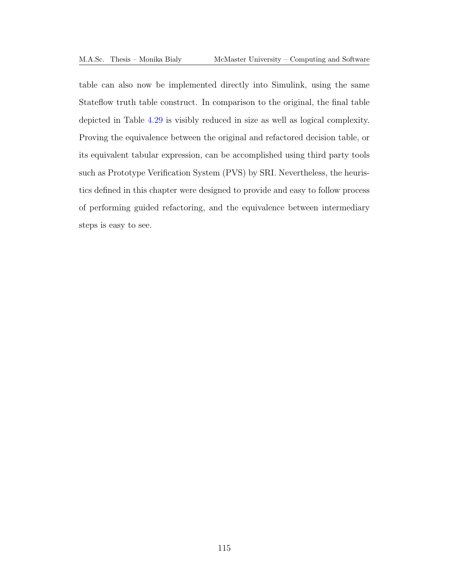table can also now be implemented directly into Simulink, using the same Stateflow truth table construct. In comparison to the original, the final table depicted in Table [4.29](#page-127-1) is visibly reduced in size as well as logical complexity. Proving the equivalence between the original and refactored decision table, or its equivalent tabular expression, can be accomplished using third party tools such as Prototype Verification System (PVS) by SRI. Nevertheless, the heuristics defined in this chapter were designed to provide and easy to follow process of performing guided refactoring, and the equivalence between intermediary steps is easy to see.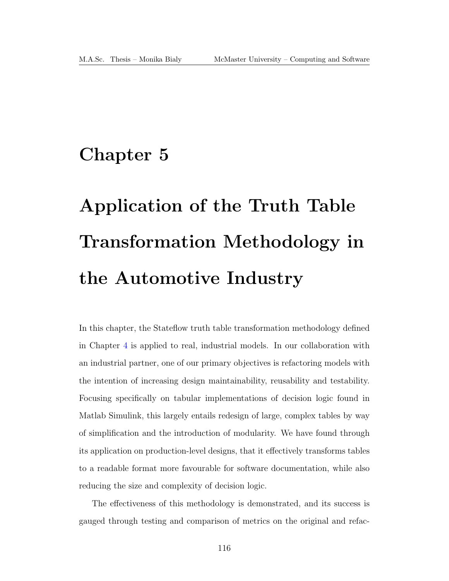## Chapter 5

# Application of the Truth Table Transformation Methodology in the Automotive Industry

In this chapter, the Stateflow truth table transformation methodology defined in Chapter [4](#page-98-0) is applied to real, industrial models. In our collaboration with an industrial partner, one of our primary objectives is refactoring models with the intention of increasing design maintainability, reusability and testability. Focusing specifically on tabular implementations of decision logic found in Matlab Simulink, this largely entails redesign of large, complex tables by way of simplification and the introduction of modularity. We have found through its application on production-level designs, that it effectively transforms tables to a readable format more favourable for software documentation, while also reducing the size and complexity of decision logic.

The effectiveness of this methodology is demonstrated, and its success is gauged through testing and comparison of metrics on the original and refac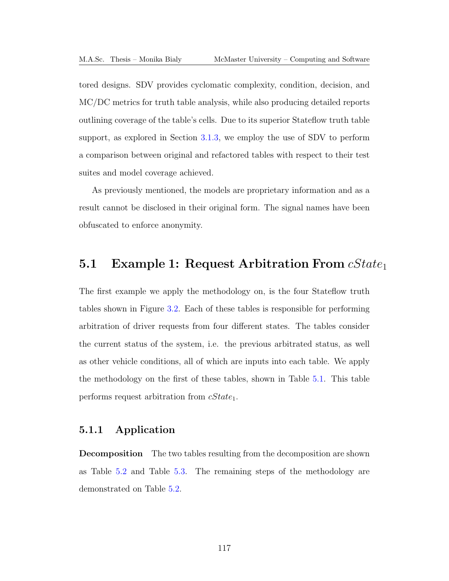tored designs. [SDV](#page-13-1) provides cyclomatic complexity, condition, decision, and [MC/DC](#page-13-2) metrics for truth table analysis, while also producing detailed reports outlining coverage of the table's cells. Due to its superior Stateflow truth table support, as explored in Section [3.1.3,](#page-73-0) we employ the use of [SDV](#page-13-1) to perform a comparison between original and refactored tables with respect to their test suites and model coverage achieved.

As previously mentioned, the models are proprietary information and as a result cannot be disclosed in their original form. The signal names have been obfuscated to enforce anonymity.

### 5.1 Example 1: Request Arbitration From  $cState_1$

The first example we apply the methodology on, is the four Stateflow truth tables shown in Figure [3.2.](#page-69-0) Each of these tables is responsible for performing arbitration of driver requests from four different states. The tables consider the current status of the system, i.e. the previous arbitrated status, as well as other vehicle conditions, all of which are inputs into each table. We apply the methodology on the first of these tables, shown in Table [5.1.](#page-131-0) This table performs request arbitration from  $cState_1$ .

### 5.1.1 Application

Decomposition The two tables resulting from the decomposition are shown as Table [5.2](#page-131-1) and Table [5.3.](#page-132-0) The remaining steps of the methodology are demonstrated on Table [5.2.](#page-131-1)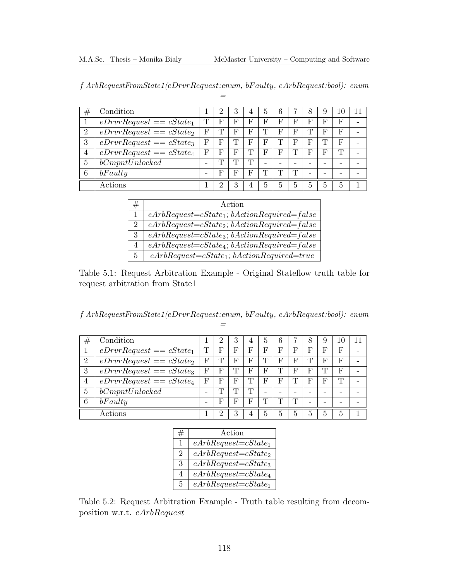<span id="page-131-0"></span>

| $f$ ArbRequestFromState1(eDrvrRequest:enum, bFaulty, eArbRequest:bool): enum |  |  |
|------------------------------------------------------------------------------|--|--|
|                                                                              |  |  |

| $^{\#}$        | Condition                  |   | ີ          | 3            | 4          | 5 | 6          |   | 8 | 9          |   |  |
|----------------|----------------------------|---|------------|--------------|------------|---|------------|---|---|------------|---|--|
|                | $eDrvrRequest == cState_1$ | Т | $_{\rm F}$ | $\mathbb{F}$ | $_{\rm F}$ | F | $_{\rm F}$ | F | F | F          | F |  |
| $\overline{2}$ | $eDrvrRequest == cState_2$ | F | m          | $\mathbb{F}$ | F          |   | F          | F | Т | F          | F |  |
| 3              | $eDrvrRequest == cState_3$ | F | F          |              | F          | F | T          | F | F | m          | F |  |
| 4              | $eDrvRequest == cState_4$  | F | F          | $\mathbf F$  | ጉ          | F | F          | T | F | F          | Т |  |
| $\overline{5}$ | bCompt Unlocked            | - | m          |              | m          |   | -          |   |   |            |   |  |
| 6              | bFaulty                    | - | F          | F            | F          |   |            | Т |   |            |   |  |
|                | Actions                    |   |            |              |            | 5 | 5          | 5 | 5 | $\ddot{a}$ | 5 |  |

| #              | Action                                               |
|----------------|------------------------------------------------------|
|                | $eArbRequest = cState_1$ ; $bActionRequired = false$ |
| $\overline{2}$ | $eArbRequest = cState_2$ ; $bActionRequired = false$ |
| 3              | $eArbRequest = cState_3$ ; $bActionRequired = false$ |
| 4              | $eArbRequest = cState_4$ ; $bActionRequired = false$ |
| $5^{\circ}$    | $eArbRequest = cState_1; bActionRequired = true$     |

Table 5.1: Request Arbitration Example - Original Stateflow truth table for request arbitration from State1

<span id="page-131-1"></span>f ArbRequestFromState1(eDrvrRequest:enum, bF aulty, eArbRequest:bool): enum =

| #              | Condition                  |   | ച            | 3 | $\overline{4}$ | $\mathbf{5}$ | 6            |   | 8            | 9          | 10 |  |
|----------------|----------------------------|---|--------------|---|----------------|--------------|--------------|---|--------------|------------|----|--|
| 1              | $eDrvrRequest == cState_1$ | Т | $_{\rm F}$   | F | F              | F            | F            | F | F            | $_{\rm F}$ | F  |  |
| $\overline{2}$ | $eDrvrRequest == cState_2$ | F | m            | F | F              | T            | F            | F | m            | F          | F  |  |
| 3              | $eDrvrRequest == cState_3$ | F | F            | m | F              | F            | ╖            | F | F            | m          | F  |  |
| 4              | $eDrvrRequest == cState_4$ | F | $\mathbf{F}$ | F | Т              | F            | $\mathbf{F}$ |   | $\mathbf{F}$ | $_{\rm F}$ | Т  |  |
| $\overline{5}$ | bCompt Unlocked            |   | m            | m | m              | -            | -            |   |              |            |    |  |
| 6              | bFaulty                    |   | F            | F | F              | T            | m            | m |              |            |    |  |
|                | Actions                    |   | റ            | 3 | 4              | 5            | 5            | 5 | 5            | 5          | 5  |  |

|                             | Action                   |
|-----------------------------|--------------------------|
| 1                           | $eArbRequest = cState_1$ |
| $\mathcal{D}_{\mathcal{L}}$ | $eArbRequest = cState_2$ |
| 3                           | $eArbRequest = cState_3$ |
| 4                           | $eArbRequest = cState_4$ |
| 5                           | $eArbRequest = cState_1$ |

Table 5.2: Request Arbitration Example - Truth table resulting from decomposition w.r.t. eArbRequest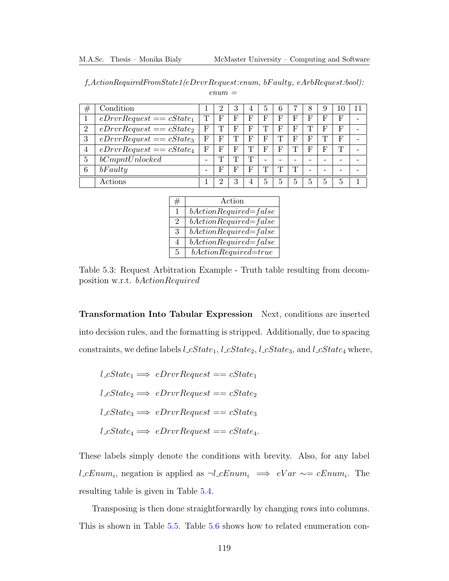<span id="page-132-0"></span>

| $f_{\mathcal{A}}: A {\mathcal{A}}: A {\mathcal{A}}: A {\mathcal{A}}: A {\mathcal{A}}: A {\mathcal{A}}: A {\mathcal{A}}: A {\mathcal{A}}: A {\mathcal{A}}: A {\mathcal{A}}: A {\mathcal{A}}: A {\mathcal{A}}: A {\mathcal{A}}: A {\mathcal{A}}: A {\mathcal{A}}: A {\mathcal{A}}: A {\mathcal{A}}: A {\mathcal{A}}: A {\mathcal{A}}: A {\mathcal{A}}: A {\mathcal{A}}: A {\mathcal{A}}: A {\mathcal{A}}: A {\mathcal{A}}: A {\mathcal{A}}: A {\mathcal{A}}: A {\mathcal{A}}: A {\math$ |  |
|---------------------------------------------------------------------------------------------------------------------------------------------------------------------------------------------------------------------------------------------------------------------------------------------------------------------------------------------------------------------------------------------------------------------------------------------------------------------------------------|--|
| $enum =$                                                                                                                                                                                                                                                                                                                                                                                                                                                                              |  |

| $^{\#}$        | Condition                  |   | ົ | 3 |    | 5                        | 6          |   | 8 | 9 | 10 |  |
|----------------|----------------------------|---|---|---|----|--------------------------|------------|---|---|---|----|--|
|                | $eDrvrRequest == cState_1$ | m | F | F | Ь, | F                        | F          | F | F | F | F  |  |
| $\overline{2}$ | $eDrvrRequest == cState_2$ | F |   | F | F  |                          | F          | F | m | F | F  |  |
| 3              | $eDrvrRequest == cState_3$ | F | F | m | F  | F                        | m          | F | F | m | F  |  |
| 4              | $eDrvrRequest == cState_4$ | F | F | F | ᇚ  | F                        | $_{\rm F}$ | ╓ | F | F | m  |  |
| 5              | bCompt Unlocked            |   | m | m | ╖  | $\overline{\phantom{0}}$ | -          |   |   |   |    |  |
| 6              | bFaulty                    |   | F | F | F  | m                        | m          | Т | - |   |    |  |
|                | Actions                    |   |   |   | 4  | 5                        | 5          | 5 | 5 | 5 | 5  |  |

| #                           | Action                    |
|-----------------------------|---------------------------|
| 1                           | $bActionRequired = false$ |
| $\mathcal{D}_{\mathcal{L}}$ | $bActionRequired = false$ |
| 3                           | $bActionRequired = false$ |
| 4                           | $bActionRequired = false$ |
| 5                           | $bActionRequired=true$    |

Table 5.3: Request Arbitration Example - Truth table resulting from decomposition w.r.t. bActionRequired

Transformation Into Tabular Expression Next, conditions are inserted into decision rules, and the formatting is stripped. Additionally, due to spacing constraints, we define labels  $l\_cState_1$ ,  $l\_cState_2$ ,  $l\_cState_3$ , and  $l\_cState_4$  where,

 $l\_cState_1 \Longrightarrow eDrvrRequest == cState_1$  $l\_cState_2 \Longrightarrow eDrvrRequest == cState_2$  $l\_cState_3 \Longrightarrow eDrvrRequest == cState_3$  $l\_cState_4 \Longrightarrow eDrvrRequest == cState_4.$ 

These labels simply denote the conditions with brevity. Also, for any label *l*\_cEnum<sub>i</sub>, negation is applied as  $\neg l$ <sub>-c</sub>Enum<sub>i</sub>  $\implies$  eVar  $\sim$  = cEnum<sub>i</sub>. The resulting table is given in Table [5.4.](#page-133-0)

Transposing is then done straightforwardly by changing rows into columns. This is shown in Table [5.5.](#page-134-0) Table [5.6](#page-134-1) shows how to related enumeration con-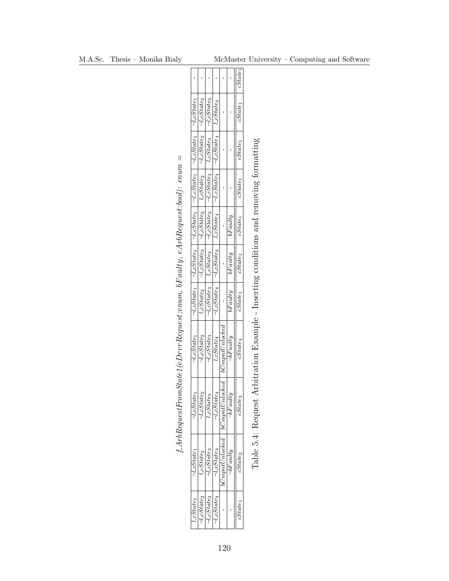<span id="page-133-0"></span>

|                                                                       |                                                                                                                   |                                          |                                             |                                                          |                               |                   | cState              |
|-----------------------------------------------------------------------|-------------------------------------------------------------------------------------------------------------------|------------------------------------------|---------------------------------------------|----------------------------------------------------------|-------------------------------|-------------------|---------------------|
|                                                                       |                                                                                                                   | $\neg l$ _c $State_2$                    | $-l$ <sub>-C</sub> State <sub>3</sub>       | $_{l\_cState_4}$                                         |                               |                   | $cState_1$          |
|                                                                       |                                                                                                                   | $\neg l$ _c $State_2$                    | $l\_cStates$                                | $\sqrt{-1}cState_4$                                      |                               |                   | $cState_1$          |
|                                                                       | $\neg l\_cState_1$ $\neg l\_cState_1$ $\neg l\_cState_1$ $\neg l\_cState_1$ $\neg l\_cState_1$ $\neg l\_cState_1$ | $l_{\text{-}cState_2}$                   | $\neg l\_cStates$                           | $\sqrt{-1 - cState_4}$                                   |                               |                   | $cState_1$          |
|                                                                       |                                                                                                                   | $\neg$ l_cState <sub>2</sub>             | $-l$ $\mathcal{L}State_3$                   |                                                          |                               | bFavity           | $cState_1$          |
|                                                                       |                                                                                                                   | $1 - l$ <sub>-C</sub> State <sub>2</sub> | $l$ $\overline{c}$ State <sub>3</sub>       | $\neg l\_cState_4$ $\neg l\_cState_4$ $\neg l\_cState_4$ |                               | $\sqrt{bF}$ aulty | $cState_1$          |
|                                                                       |                                                                                                                   | $t$ - $CState_2$                         | $\neg$ <i>l</i> _cState <sub>3</sub> $\neg$ |                                                          |                               | bFavity           | $cState_1$          |
| $\emph{State1}(eDrvrRequest:enum, bFaulty, eArbRequest:bool): enum =$ | $\neg$ <i>l</i> _c $State_1$                                                                                      | $-l$ _ $cState_2$                        | $\neg$ <i>l</i> -c $State_3$                | $l\_cState_4$                                            | $^{bComputUnlocked}$          | $\neg bFauty$     | $cState_4$          |
| ArbRequesttror                                                        | $\neg$ <i>L</i> cState <sub>1</sub>                                                                               | $l_{\textit{cState}_2}$                  | CState <sub>3</sub>                         | $\overline{\lnot}$ <i>cState<sub>4</sub></i>             | ked<br>$10$ C $m$ pnt $Unloc$ | $\neg hFautri$    | $\it cState_3$      |
|                                                                       | J_cState1                                                                                                         | cState <sub>2</sub>                      | $_{L}{\it S}tate_{3}$                       | $_{l\_cState_4}$                                         | bCmmtUnlocked                 | $\neg hFautr$     | $25 \text{tate}$    |
|                                                                       | $cState_1$                                                                                                        | $1_c$ State <sub>2</sub>                 | $l_{\textit{cState}_3}$                     | $\iota_{\mathcal{L}}$ State4                             |                               |                   | cState <sub>1</sub> |

Table 5.4: Request Arbitration Example - Inserting conditions and removing formatting Table 5.4: Request Arbitration Example - Inserting conditions and removing formatting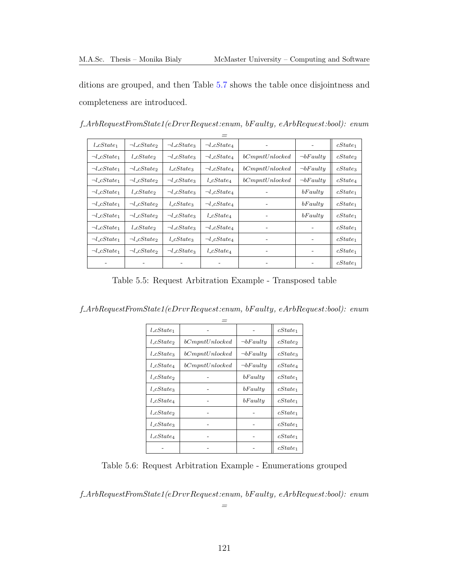ditions are grouped, and then Table [5.7](#page-135-0) shows the table once disjointness and completeness are introduced.

| $l\_cState_1$                       | $\neg$ <i>l_cState</i> <sub>2</sub> | $\neg l\_cState_3$      | $\neg$ <i>l_cState<sub>4</sub></i> |                 |                   | $cState_1$          |
|-------------------------------------|-------------------------------------|-------------------------|------------------------------------|-----------------|-------------------|---------------------|
| $\neg$ <i>l_cState</i> <sub>1</sub> | $l\_cState_2$                       | $\neg$ <i>LcStates</i>  | $\neg l\_cState_A$                 | bComputUnlocked | $\neg bFaulty$    | cState <sub>2</sub> |
| $\neg$ <i>l_cState</i> <sub>1</sub> | $\neg$ <i>l_cState</i>              | $l\_cState_3$           | $\neg$ <i>l_cState<sub>4</sub></i> | bComputUnlocked | $\neg bFaulty$    | $cState_3$          |
| $\neg l\_cState_1$                  | $\neg l\_cState_2$                  | $\neg$ <i>l_cState3</i> | $l\_cState_4$                      | bComputUnlocked | $\neg bFaulty$    | $cState_4$          |
| $\neg$ <i>l_cState</i> <sub>1</sub> | $l\_cState_2$                       | $\neg$ <i>LcStates</i>  | $\neg$ <i>l_cState<sub>4</sub></i> |                 | bFaulty           | $cState_1$          |
| $\neg l\_cState_1$                  | $\neg$ <i>LcState</i>               | $l\_cState_3$           | $\neg l\_cState_A$                 |                 | bFaulty           | $cState_1$          |
| $\neg l\_cState_1$                  | $\neg$ <i>LcState</i>               | $\neg$ <i>l_cState3</i> | $l\_cState_4$                      |                 | bFaulty           | $cState_1$          |
| $\neg l\_cState_1$                  | $l\_cState_2$                       | $\neg$ <i>l_cState3</i> | $\neg$ <i>l_cState<sub>4</sub></i> |                 |                   | $cState_1$          |
| $\neg l\_cState_1$                  | $\neg$ <i>l_cState</i> <sub>2</sub> | $l\_cState_3$           | $\neg$ <i>l_cState<sub>4</sub></i> |                 |                   | $cState_1$          |
| $\neg l\_cState_1$                  | $\neg$ <i>LcState</i>               | $\neg$ <i>l_cState3</i> | $l\_cState_4$                      |                 | $\qquad \qquad -$ | $cState_1$          |
|                                     |                                     |                         |                                    |                 |                   | $cState_1$          |

f ArbRequestFromState1(eDrvrRequest:enum, bF aulty, eArbRequest:bool): enum

<span id="page-134-0"></span>Table 5.5: Request Arbitration Example - Transposed table

f ArbRequestFromState1(eDrvrRequest:enum, bF aulty, eArbRequest:bool): enum

| $l\_cState_1$ |                 |                | $cState_1$          |
|---------------|-----------------|----------------|---------------------|
| $l\_cState$   | bComputUnlocked | $\neg bFaulty$ | cState <sub>2</sub> |
| $l\_cState_3$ | bCompt Unlocked | $\neg bFaulty$ | $cState_3$          |
| $l\_cState_4$ | bComputUnlocked | $\neg bFaulty$ | $cState_4$          |
| $l\_cState$   |                 | bFaulty        | $cState_1$          |
| $l\_cState_3$ |                 | bFaulty        | $cState_1$          |
| $l\_cState_4$ |                 | bFaulty        | $cState_1$          |
| $l\_cState$   |                 |                | $cState_1$          |
| $l\_cState_3$ |                 |                | $cState_1$          |
| $l\_cState_4$ |                 |                | $cState_1$          |
|               |                 |                | $cState_1$          |

<span id="page-134-1"></span>Table 5.6: Request Arbitration Example - Enumerations grouped

f ArbRequestFromState1(eDrvrRequest:enum, bF aulty, eArbRequest:bool): enum

=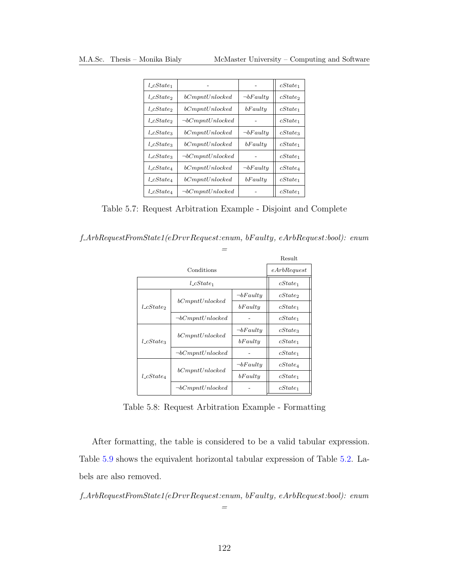| $l\_cState$   |                        |                | cState              |
|---------------|------------------------|----------------|---------------------|
| $l\_cState_2$ | bCompt Unlocked        | $\neg bFaulty$ | cState <sub>2</sub> |
| $l\_cState$   | bCompt Unlocked        | bFaulty        | $cState_1$          |
| $l\_cState$   | $\neg bCompt Unlocked$ |                | $cState_1$          |
| $l\_cStates$  | bCompt Unlocked        | $\neg bFaulty$ | $cState_3$          |
| $l\_cState$   | bCompt Unlocked        | bFaulty        | $cState_1$          |
| $l\_cStates$  | $\neg bCompt Unlocked$ |                | cState              |
| $l\_cState_4$ | bCompt Unlocked        | $\neg bFaulty$ | $cState_4$          |
| $l\_cState_4$ | bCompt Unlocked        | bFaulty        | $cState_1$          |
| $l\_cState_4$ | $\neg bCompt Unlocked$ |                | $cState_1$          |

<span id="page-135-0"></span>Table 5.7: Request Arbitration Example - Disjoint and Complete

f ArbRequestFromState1(eDrvrRequest:enum, bF aulty, eArbRequest:bool): enum

|               |                        |                | Result      |
|---------------|------------------------|----------------|-------------|
|               | Conditions             |                | eArbRequest |
|               | $l\_cState_1$          |                | $cState_1$  |
|               |                        | $\neg bFaulty$ | cState      |
| $l\_cState$   | bComputUnlocked        | bFaultu        | $cState_1$  |
|               | $\neg bCompt Unlocked$ |                | $cState_1$  |
|               |                        | $\neg bFaulty$ | $cState_3$  |
| $l\_cState_3$ | bCompt Unlocked        | bFaulty        | $cState_1$  |
|               | $\neg bCompt Unlocked$ |                | $cState_1$  |
| $l\_cState_4$ |                        | $\neg bFaulty$ | $cState_4$  |
|               | bCompt Unlocked        | bFaulty        | $cState_1$  |
|               | $\neg bCompt Unlocked$ |                | $cState_1$  |

Table 5.8: Request Arbitration Example - Formatting

After formatting, the table is considered to be a valid tabular expression. Table [5.9](#page-136-0) shows the equivalent horizontal tabular expression of Table [5.2.](#page-131-1) Labels are also removed.

f ArbRequestFromState1(eDrvrRequest:enum, bF aulty, eArbRequest:bool): enum

=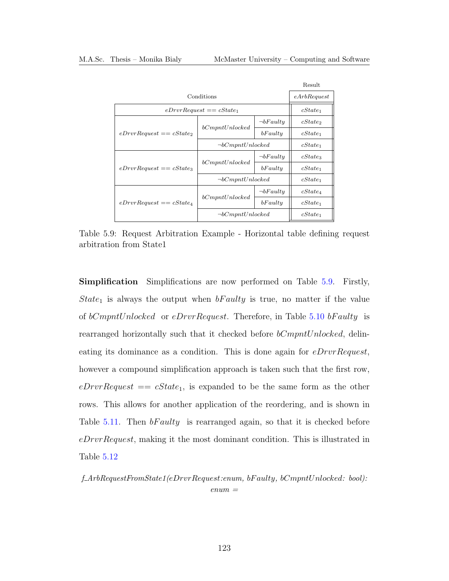|                            |                            |                | Result              |
|----------------------------|----------------------------|----------------|---------------------|
|                            | Conditions                 |                |                     |
|                            | $eDrvrRequest == cState_1$ |                | $cState_1$          |
|                            |                            | $\neg bFaulty$ | cState <sub>2</sub> |
| $eDrvrRequest == cState_2$ | bCompt Unlocked            | bFaultu        | $cState_1$          |
|                            | $\neg bComptUnlocked$      |                | $cState_1$          |
|                            |                            | $\neg bFaulty$ | $cState_3$          |
| $eDrvrRequest == cState_3$ | bCompt Unlocked            | bFaulty        | $cState_1$          |
|                            | $\neg bComptUnlocked$      |                | $cState_1$          |
|                            | bCompt Unlocked            | $\neg bFaulty$ | $cState_4$          |
| $eDrvrRequest == cState_4$ |                            | bFaulty        | $cState_1$          |
|                            | $\neg bComptUnlocked$      |                | $cState_1$          |

<span id="page-136-0"></span>Table 5.9: Request Arbitration Example - Horizontal table defining request arbitration from State1

Simplification Simplifications are now performed on Table [5.9.](#page-136-0) Firstly, State<sub>1</sub> is always the output when  $bFaulty$  is true, no matter if the value of bCmpntUnlocked or eDrvrRequest. Therefore, in Table [5.10](#page-137-0) bF aulty is rearranged horizontally such that it checked before  $bComptUnlocked$ , delineating its dominance as a condition. This is done again for *eDrvrRequest*, however a compound simplification approach is taken such that the first row,  $eDrvRequest == cState_1$ , is expanded to be the same form as the other rows. This allows for another application of the reordering, and is shown in Table [5.11.](#page-137-1) Then  $\delta F \in \mathcal{U}$  is rearranged again, so that it is checked before eDrvrRequest, making it the most dominant condition. This is illustrated in Table [5.12](#page-138-0)

f ArbRequestFromState1(eDrvrRequest:enum, bF aulty, bCmpntUnlocked: bool):  $enum =$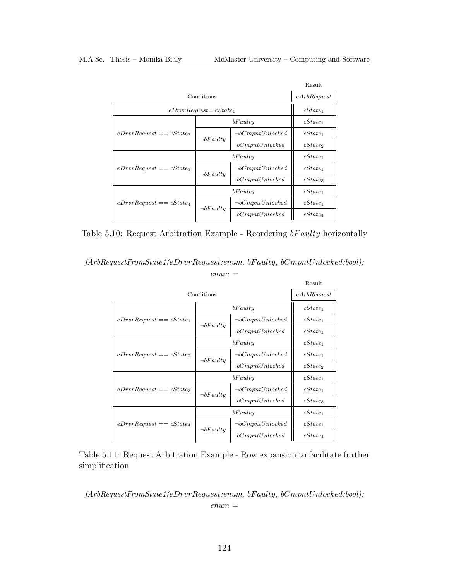|                            |                           |                        | Result              |
|----------------------------|---------------------------|------------------------|---------------------|
|                            | Conditions                |                        |                     |
|                            | $eDrvrRequest = cState_1$ |                        | $cState_1$          |
|                            |                           | bFaultu                | $cState_1$          |
| $eDrvrRequest == cState_2$ |                           | $\neg bComptUnlocked$  | $cState_1$          |
|                            | $\neg bFaulty$            | bCompt Unlocked        | cState <sub>2</sub> |
|                            | bFaulty                   |                        | $cState_1$          |
| $eDrvrRequest == cState_3$ |                           | $\neg bCompt Unlocked$ | $cState_1$          |
|                            | $\neg bFaulty$            | bCompt Unlocked        | $cState_3$          |
|                            | bFaulty                   |                        | $cState_1$          |
| $eDrvrRequest == cState_4$ |                           | $\neg bCompt Unlocked$ | $cState_1$          |
|                            | $\neg bFaulty$            | bCompt Unlocked        | $cState_4$          |

<span id="page-137-0"></span>Table 5.10: Request Arbitration Example - Reordering bF aulty horizontally

fArbRequestFromState1(eDrvrRequest:enum, bF aulty, bCmpntUnlocked:bool):

 $enum =$ Result Conditions  $\left| \right|$  eArbRequest  $eDrvrRequest == cState_1$  $\begin{array}{ccc} bFaulty & \hspace{1cm} & cState_1 \end{array}$  $\neg bFaulty$  $\neg bComptUnlocked$   $\vert$   $cState_1$  $bComptUnlocked$   $\vert$   $cState_1$  $eDrvrRequest == cState_2$  $\left\| \right.$   $\left\| \right.$   $\left\| \right.$   $\left\| \right.$   $\left\| \right.$   $\left\| \right.$   $\left\| \right.$   $\left\| \right.$   $\left\| \right.$   $\left\| \right.$   $\left\| \right.$   $\left\| \right.$   $\left\| \right.$   $\left\| \right.$   $\left\| \right.$   $\left\| \right.$   $\left\| \right.$   $\left\| \right.$   $\left\| \right.$   $\left\| \right.$   $\left\| \right.$   $\left\| \right.$   $\neg bFaulty$  $\neg bCmmtUnlocked$   $\vert$   $cState_1$  $bComptUnlocked$   $\vert$   $cState_2$  $eDrvrRequest == cState_3$  $\begin{array}{c|c}\n 6 \text{Faulty} \\
\hline\n 6 \text{Fate}_1\n \end{array}$  $\neg bFaulty$  $\neg bComptUnlocked$   $\bigcup$  cState<sub>1</sub>  $bComptUnlocked$   $\vert$   $cState_3$  $eDrvrRequest == cState_4$  $\boldsymbol{b} \boldsymbol{F} \boldsymbol{a} \boldsymbol{u} \boldsymbol{t} \boldsymbol{y}$   $\boldsymbol{c} \boldsymbol{S} \boldsymbol{t} \boldsymbol{a} \boldsymbol{t} \boldsymbol{e}_1$  $\neg bFaulty$  $\neg bCmmptUnlocked$   $\big|$   $cState_1$  $bComptUnlocked$   $\vert$   $cState_4$ 

<span id="page-137-1"></span>Table 5.11: Request Arbitration Example - Row expansion to facilitate further simplification

fArbRequestFromState1(eDrvrRequest:enum, bF aulty, bCmpntUnlocked:bool):  $enum =$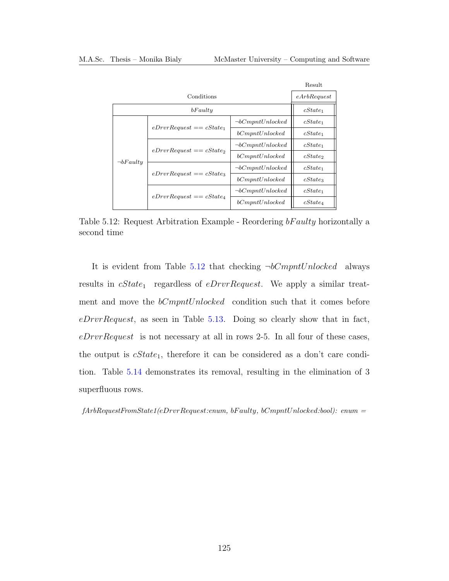|                |                            |                        | Result              |
|----------------|----------------------------|------------------------|---------------------|
|                | Conditions                 |                        | eArbRequest         |
| bFaulty        |                            | $cState_1$             |                     |
|                | $eDrvrRequest == cState_1$ | $\neg bCompt Unlocked$ | $cState_1$          |
|                |                            | bCompt Unlocked        | $cState_1$          |
|                | $eDrvrRequest == cState_2$ | $\neg bCompt Unlocked$ | $cState_1$          |
| $\neg bFaulty$ |                            | bCompt Unlocked        | cState <sub>2</sub> |
|                |                            | $\neg bComptUnlocked$  | $cState_1$          |
|                | $eDrvrRequest == cState_3$ | bCompt Unlocked        | $cState_3$          |
|                |                            | $\neg bComptUnlocked$  | $cState_1$          |
|                | $eDrvrRequest == cState_4$ | bCompt Unlocked        | $cState_4$          |

<span id="page-138-0"></span>Table 5.12: Request Arbitration Example - Reordering bF aulty horizontally a second time

It is evident from Table [5.12](#page-138-0) that checking  $\neg bComptUnlocked$  always results in  $cState_1$  regardless of  $eDrvRequest$ . We apply a similar treatment and move the  $bComptUnlocked$  condition such that it comes before eDrvrRequest, as seen in Table [5.13.](#page-139-0) Doing so clearly show that in fact,  $eDrvrRequest$  is not necessary at all in rows 2-5. In all four of these cases, the output is  $cState_1$ , therefore it can be considered as a don't care condition. Table [5.14](#page-139-1) demonstrates its removal, resulting in the elimination of 3 superfluous rows.

 $fArbRequestFrom State1(eDrvrRequest:enum, bFaulty, bCmmtUnlocked:bool): enum =$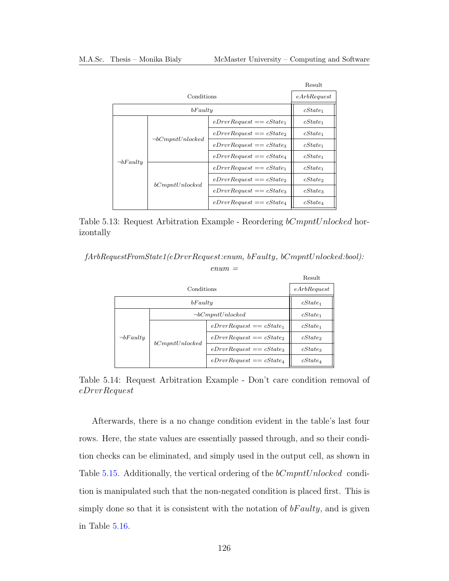|                |                       |                            | Result      |
|----------------|-----------------------|----------------------------|-------------|
|                | Conditions            |                            | eArbRequest |
| bFaulty        |                       | $cState_1$                 |             |
|                |                       | $eDrvrRequest == cState_1$ | $cState_1$  |
|                | $\neg bComptUnlocked$ | $eDrvrRequest == cState_2$ | $cState_1$  |
|                |                       | $eDrvrRequest == cState_3$ | $cState_1$  |
|                |                       | $eDrvrRequest == cState_4$ | $cState_1$  |
| $\neg bFaulty$ |                       | $eDrvrRequest == cState_1$ | $cState_1$  |
|                | bCompt Unlocked       | $eDrvrRequest == cState_2$ | cState      |
|                |                       | $eDrvrRequest == cState_3$ | $cState_3$  |
|                |                       | $eDrvrRequest == cState_4$ | $cState_4$  |

<span id="page-139-0"></span>Table 5.13: Request Arbitration Example - Reordering bCmpntUnlocked horizontally

fArbRequestFromState1(eDrvrRequest:enum, bF aulty, bCmpntUnlocked:bool):

 $enum =$ 

|                |                       |                            | Result              |
|----------------|-----------------------|----------------------------|---------------------|
|                | Conditions            |                            |                     |
| bFaulty        |                       |                            | $cState_1$          |
|                | $\neg bComptUnlocked$ |                            | $cState_1$          |
|                |                       | $eDrvrRequest == cState_1$ | $cState_1$          |
| $\neg bFaulty$ | bComputUnlocked       | $eDrvrRequest == cState_2$ | cState <sub>2</sub> |
|                |                       | $eDrvrRequest == cState_3$ | $cState_3$          |
|                |                       | $eDrvrRequest == cState_4$ | $cState_4$          |

<span id="page-139-1"></span>Table 5.14: Request Arbitration Example - Don't care condition removal of eDrvrRequest

Afterwards, there is a no change condition evident in the table's last four rows. Here, the state values are essentially passed through, and so their condition checks can be eliminated, and simply used in the output cell, as shown in Table [5.15.](#page-140-0) Additionally, the vertical ordering of the bCmpntUnlocked condition is manipulated such that the non-negated condition is placed first. This is simply done so that it is consistent with the notation of  $bFaulty$ , and is given in Table [5.16.](#page-140-1)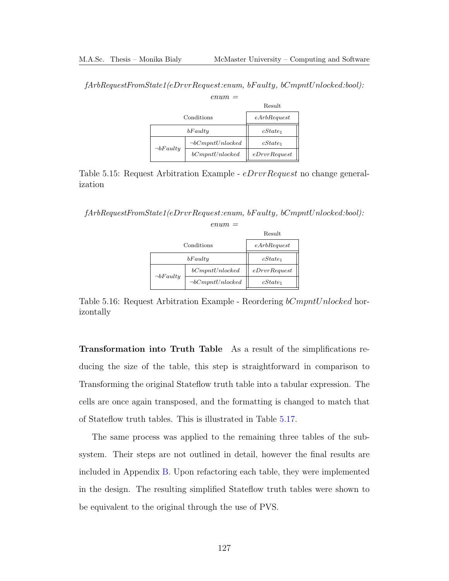fArbRequestFromState1(eDrvrRequest:enum, bF aulty, bCmpntUnlocked:bool):

 $enum =$ 

|                |                       | Result       |
|----------------|-----------------------|--------------|
| Conditions     |                       | eArbRequest  |
| bFaulty        |                       | $cState_1$   |
|                | $\neg bComptUnlocked$ | $cState_1$   |
| $\neg bFaulty$ | bCompt Unlocked       | eDrvrRequest |

<span id="page-140-0"></span>Table 5.15: Request Arbitration Example - eDrvrRequest no change generalization

fArbRequestFromState1(eDrvrRequest:enum, bF aulty, bCmpntUnlocked:bool):  $enum =$ 

|                |                       | Result       |
|----------------|-----------------------|--------------|
| Conditions     |                       | eArbRequest  |
| bFaulty        |                       | $cState_1$   |
|                | bCompt Unlocked       | eDrvrRequest |
| $\neg bFaulty$ | $\neg bComptUnlocked$ | cState       |

<span id="page-140-1"></span>Table 5.16: Request Arbitration Example - Reordering bCmpntUnlocked horizontally

Transformation into Truth Table As a result of the simplifications reducing the size of the table, this step is straightforward in comparison to Transforming the original Stateflow truth table into a tabular expression. The cells are once again transposed, and the formatting is changed to match that of Stateflow truth tables. This is illustrated in Table [5.17.](#page-141-0)

The same process was applied to the remaining three tables of the subsystem. Their steps are not outlined in detail, however the final results are included in Appendix [B.](#page-175-0) Upon refactoring each table, they were implemented in the design. The resulting simplified Stateflow truth tables were shown to be equivalent to the original through the use of PVS.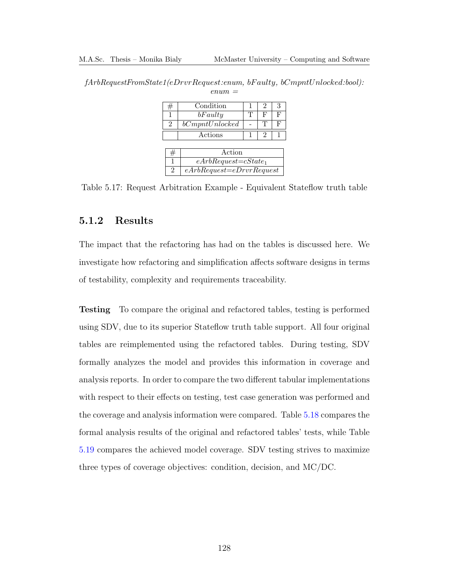| #              | Condition                    |   | 2 | 3 |
|----------------|------------------------------|---|---|---|
| 1              | bFaulty                      | Т | F | F |
| $\overline{2}$ | bCompt Unlocked              |   | Т | F |
|                | Actions                      |   | 2 |   |
|                |                              |   |   |   |
| #              | Action                       |   |   |   |
| 1              | $eArbRequest = cState_1$     |   |   |   |
| $\overline{2}$ | $eArbRequest = eDrvrRequest$ |   |   |   |

<span id="page-141-0"></span>fArbRequestFromState1(eDrvrRequest:enum, bF aulty, bCmpntUnlocked:bool):  $enum =$ 

Table 5.17: Request Arbitration Example - Equivalent Stateflow truth table

### 5.1.2 Results

The impact that the refactoring has had on the tables is discussed here. We investigate how refactoring and simplification affects software designs in terms of testability, complexity and requirements traceability.

Testing To compare the original and refactored tables, testing is performed using [SDV,](#page-13-1) due to its superior Stateflow truth table support. All four original tables are reimplemented using the refactored tables. During testing, SDV formally analyzes the model and provides this information in coverage and analysis reports. In order to compare the two different tabular implementations with respect to their effects on testing, test case generation was performed and the coverage and analysis information were compared. Table [5.18](#page-142-0) compares the formal analysis results of the original and refactored tables' tests, while Table [5.19](#page-142-1) compares the achieved model coverage. SDV testing strives to maximize three types of coverage objectives: condition, decision, and [MC/DC.](#page-13-2)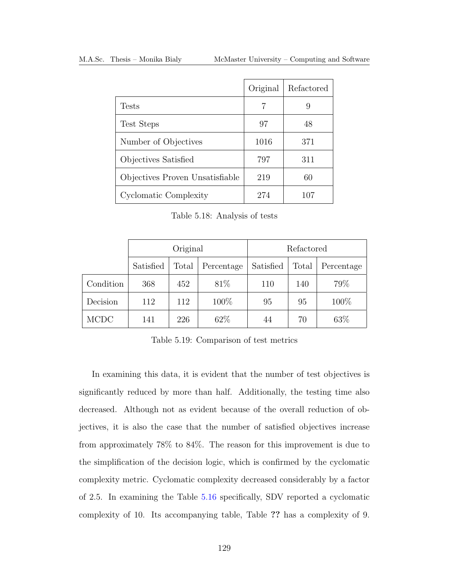|                                 | Original | Refactored |
|---------------------------------|----------|------------|
| Tests                           | 7        | 9          |
| Test Steps                      | 97       | 48         |
| Number of Objectives            | 1016     | 371        |
| Objectives Satisfied            | 797      | 311        |
| Objectives Proven Unsatisfiable | 219      | 60         |
| Cyclomatic Complexity           | 274      | 107        |

<span id="page-142-0"></span>Table 5.18: Analysis of tests

|             | Original  |       |            | Refactored |       |            |
|-------------|-----------|-------|------------|------------|-------|------------|
|             | Satisfied | Total | Percentage | Satisfied  | Total | Percentage |
| Condition   | 368       | 452   | 81\%       | 110        | 140   | 79%        |
| Decision    | 112       | 112   | 100%       | 95         | 95    | 100%       |
| <b>MCDC</b> | 141       | 226   | 62\%       | 44         | 70    | 63\%       |

<span id="page-142-1"></span>Table 5.19: Comparison of test metrics

In examining this data, it is evident that the number of test objectives is significantly reduced by more than half. Additionally, the testing time also decreased. Although not as evident because of the overall reduction of objectives, it is also the case that the number of satisfied objectives increase from approximately 78% to 84%. The reason for this improvement is due to the simplification of the decision logic, which is confirmed by the cyclomatic complexity metric. Cyclomatic complexity decreased considerably by a factor of 2.5. In examining the Table [5.16](#page-140-1) specifically, [SDV](#page-13-1) reported a cyclomatic complexity of 10. Its accompanying table, Table ?? has a complexity of 9.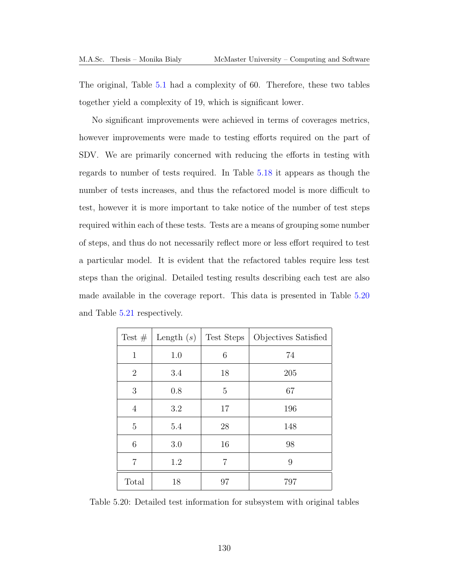The original, Table [5.1](#page-131-0) had a complexity of 60. Therefore, these two tables together yield a complexity of 19, which is significant lower.

No significant improvements were achieved in terms of coverages metrics, however improvements were made to testing efforts required on the part of [SDV.](#page-13-1) We are primarily concerned with reducing the efforts in testing with regards to number of tests required. In Table [5.18](#page-142-0) it appears as though the number of tests increases, and thus the refactored model is more difficult to test, however it is more important to take notice of the number of test steps required within each of these tests. Tests are a means of grouping some number of steps, and thus do not necessarily reflect more or less effort required to test a particular model. It is evident that the refactored tables require less test steps than the original. Detailed testing results describing each test are also made available in the coverage report. This data is presented in Table [5.20](#page-143-0) and Table [5.21](#page-144-0) respectively.

| Test $#$       | Length $(s)$ | Test Steps | Objectives Satisfied |
|----------------|--------------|------------|----------------------|
| $\mathbf{1}$   | 1.0          | 6          | 74                   |
| $\overline{2}$ | 3.4          | 18         | 205                  |
| 3              | 0.8          | 5          | 67                   |
| $\overline{4}$ | 3.2          | 17         | 196                  |
| 5              | 5.4          | 28         | 148                  |
| 6              | 3.0          | 16         | 98                   |
| $\overline{7}$ | 1.2          | 7          | 9                    |
| Total          | 18           | 97         | 797                  |

<span id="page-143-0"></span>Table 5.20: Detailed test information for subsystem with original tables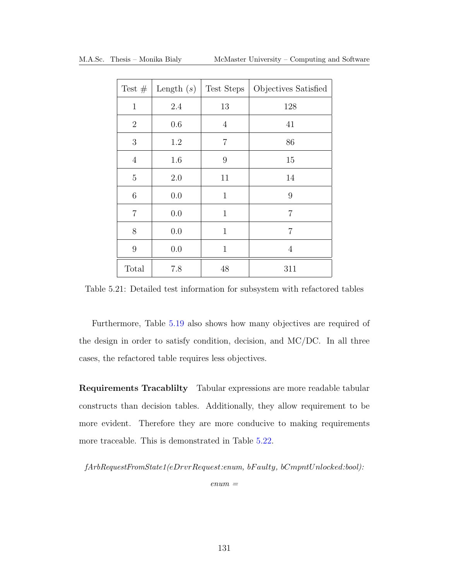| Test $#$       | Length $(s)$ | Test Steps     | Objectives Satisfied |
|----------------|--------------|----------------|----------------------|
| $\mathbf{1}$   | 2.4          | 13             | 128                  |
| $\overline{2}$ | 0.6          | $\overline{4}$ | 41                   |
| 3              | 1.2          | $\overline{7}$ | 86                   |
| $\overline{4}$ | 1.6          | 9              | 15                   |
| $\overline{5}$ | 2.0          | 11             | 14                   |
| $\,6$          | 0.0          | $\mathbf{1}$   | 9                    |
| $\overline{7}$ | 0.0          | $\mathbf 1$    | 7                    |
| 8              | 0.0          | $\mathbf{1}$   | $\overline{7}$       |
| 9              | 0.0          | $\mathbf{1}$   | $\overline{4}$       |
| Total          | 7.8          | 48             | 311                  |

Table 5.21: Detailed test information for subsystem with refactored tables

Furthermore, Table [5.19](#page-142-0) also shows how many objectives are required of the design in order to satisfy condition, decision, and [MC/DC.](#page-13-0) In all three cases, the refactored table requires less objectives.

Requirements Tracablilty Tabular expressions are more readable tabular constructs than decision tables. Additionally, they allow requirement to be more evident. Therefore they are more conducive to making requirements more traceable. This is demonstrated in Table [5.22.](#page-145-0)

fArbRequestFromState1(eDrvrRequest:enum, bF aulty, bCmpntUnlocked:bool):

 $enum =$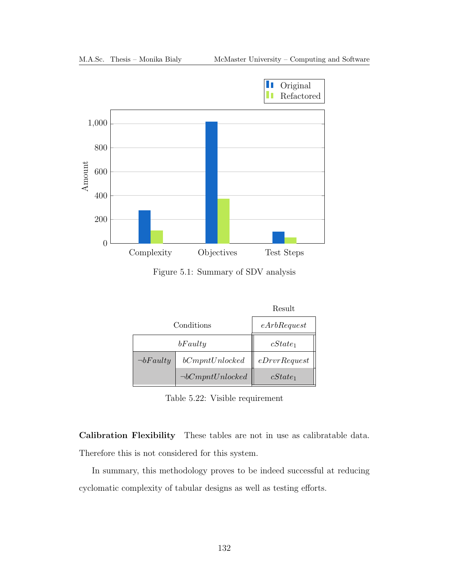

Figure 5.1: Summary of SDV analysis

|                |                        | Result       |
|----------------|------------------------|--------------|
| Conditions     | eArbRequest            |              |
|                | $cState_1$             |              |
| $\neg bFaulty$ | bCompt Unlocked        | eDrvrRequest |
|                | $\neg bCompt Unlocked$ | $cState_1$   |

<span id="page-145-0"></span>Table 5.22: Visible requirement

Calibration Flexibility These tables are not in use as calibratable data. Therefore this is not considered for this system.

In summary, this methodology proves to be indeed successful at reducing cyclomatic complexity of tabular designs as well as testing efforts.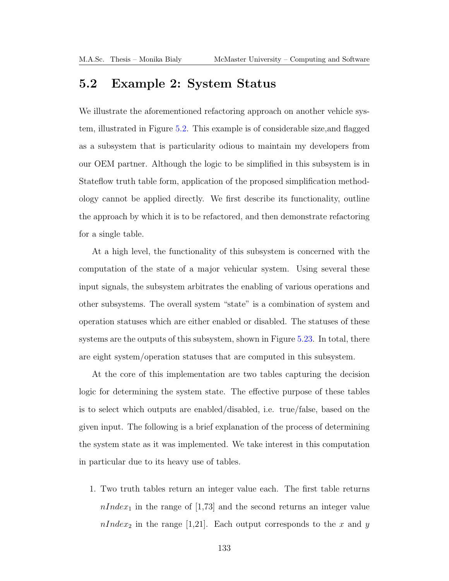## 5.2 Example 2: System Status

We illustrate the aforementioned refactoring approach on another vehicle system, illustrated in Figure [5.2.](#page-159-0) This example is of considerable size,and flagged as a subsystem that is particularity odious to maintain my developers from our [OEM](#page-13-1) partner. Although the logic to be simplified in this subsystem is in Stateflow truth table form, application of the proposed simplification methodology cannot be applied directly. We first describe its functionality, outline the approach by which it is to be refactored, and then demonstrate refactoring for a single table.

At a high level, the functionality of this subsystem is concerned with the computation of the state of a major vehicular system. Using several these input signals, the subsystem arbitrates the enabling of various operations and other subsystems. The overall system "state" is a combination of system and operation statuses which are either enabled or disabled. The statuses of these systems are the outputs of this subsystem, shown in Figure [5.23.](#page-150-0) In total, there are eight system/operation statuses that are computed in this subsystem.

At the core of this implementation are two tables capturing the decision logic for determining the system state. The effective purpose of these tables is to select which outputs are enabled/disabled, i.e. true/false, based on the given input. The following is a brief explanation of the process of determining the system state as it was implemented. We take interest in this computation in particular due to its heavy use of tables.

1. Two truth tables return an integer value each. The first table returns  $nIndex_1$  in the range of [1,73] and the second returns an integer value  $nIndex_2$  in the range [1,21]. Each output corresponds to the x and y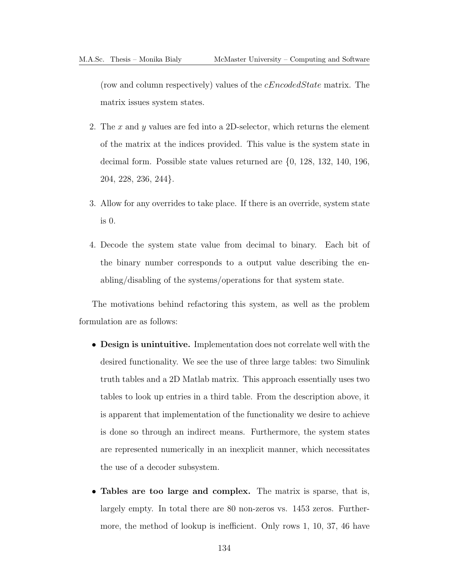(row and column respectively) values of the cEncodedState matrix. The matrix issues system states.

- 2. The x and y values are fed into a 2D-selector, which returns the element of the matrix at the indices provided. This value is the system state in decimal form. Possible state values returned are {0, 128, 132, 140, 196, 204, 228, 236, 244}.
- 3. Allow for any overrides to take place. If there is an override, system state is 0.
- 4. Decode the system state value from decimal to binary. Each bit of the binary number corresponds to a output value describing the enabling/disabling of the systems/operations for that system state.

The motivations behind refactoring this system, as well as the problem formulation are as follows:

- Design is unintuitive. Implementation does not correlate well with the desired functionality. We see the use of three large tables: two Simulink truth tables and a 2D Matlab matrix. This approach essentially uses two tables to look up entries in a third table. From the description above, it is apparent that implementation of the functionality we desire to achieve is done so through an indirect means. Furthermore, the system states are represented numerically in an inexplicit manner, which necessitates the use of a decoder subsystem.
- Tables are too large and complex. The matrix is sparse, that is, largely empty. In total there are 80 non-zeros vs. 1453 zeros. Furthermore, the method of lookup is inefficient. Only rows 1, 10, 37, 46 have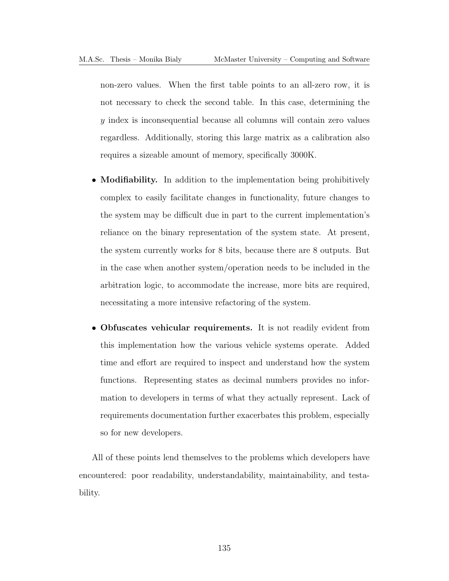non-zero values. When the first table points to an all-zero row, it is not necessary to check the second table. In this case, determining the y index is inconsequential because all columns will contain zero values regardless. Additionally, storing this large matrix as a calibration also requires a sizeable amount of memory, specifically 3000K.

- Modifiability. In addition to the implementation being prohibitively complex to easily facilitate changes in functionality, future changes to the system may be difficult due in part to the current implementation's reliance on the binary representation of the system state. At present, the system currently works for 8 bits, because there are 8 outputs. But in the case when another system/operation needs to be included in the arbitration logic, to accommodate the increase, more bits are required, necessitating a more intensive refactoring of the system.
- Obfuscates vehicular requirements. It is not readily evident from this implementation how the various vehicle systems operate. Added time and effort are required to inspect and understand how the system functions. Representing states as decimal numbers provides no information to developers in terms of what they actually represent. Lack of requirements documentation further exacerbates this problem, especially so for new developers.

All of these points lend themselves to the problems which developers have encountered: poor readability, understandability, maintainability, and testability.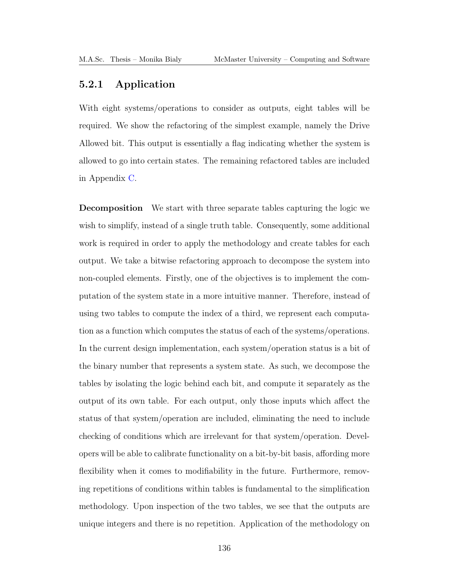#### 5.2.1 Application

With eight systems/operations to consider as outputs, eight tables will be required. We show the refactoring of the simplest example, namely the Drive Allowed bit. This output is essentially a flag indicating whether the system is allowed to go into certain states. The remaining refactored tables are included in Appendix [C.](#page-181-0)

Decomposition We start with three separate tables capturing the logic we wish to simplify, instead of a single truth table. Consequently, some additional work is required in order to apply the methodology and create tables for each output. We take a bitwise refactoring approach to decompose the system into non-coupled elements. Firstly, one of the objectives is to implement the computation of the system state in a more intuitive manner. Therefore, instead of using two tables to compute the index of a third, we represent each computation as a function which computes the status of each of the systems/operations. In the current design implementation, each system/operation status is a bit of the binary number that represents a system state. As such, we decompose the tables by isolating the logic behind each bit, and compute it separately as the output of its own table. For each output, only those inputs which affect the status of that system/operation are included, eliminating the need to include checking of conditions which are irrelevant for that system/operation. Developers will be able to calibrate functionality on a bit-by-bit basis, affording more flexibility when it comes to modifiability in the future. Furthermore, removing repetitions of conditions within tables is fundamental to the simplification methodology. Upon inspection of the two tables, we see that the outputs are unique integers and there is no repetition. Application of the methodology on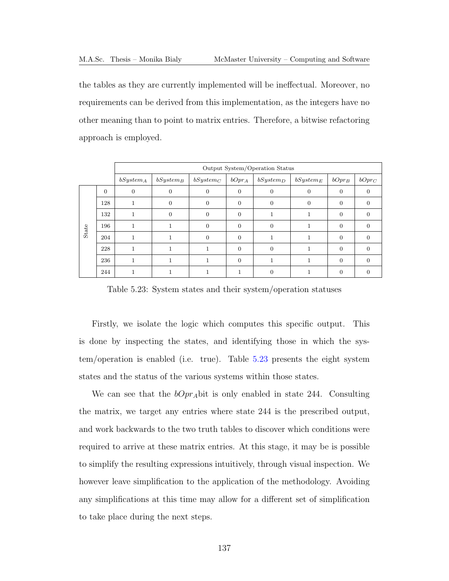the tables as they are currently implemented will be ineffectual. Moreover, no requirements can be derived from this implementation, as the integers have no other meaning than to point to matrix entries. Therefore, a bitwise refactoring approach is employed.

|       |          |                | Output System/Operation Status |             |          |                |             |          |                |  |  |
|-------|----------|----------------|--------------------------------|-------------|----------|----------------|-------------|----------|----------------|--|--|
|       |          | $bSystem_A$    | $bSystem_B$                    | $bSystem_C$ | $bOpt_A$ | $bSystem_D$    | $bSystem_E$ | $bOpt_B$ | $bOpr_C$       |  |  |
|       | $\theta$ | $\overline{0}$ | $\overline{0}$                 | $\Omega$    | $\theta$ | $\overline{0}$ | $\Omega$    | $\Omega$ | $\overline{0}$ |  |  |
|       | 128      |                | $\theta$                       | $\Omega$    | $\Omega$ | $\overline{0}$ | $\Omega$    | $\Omega$ | $\overline{0}$ |  |  |
|       | 132      |                | $\theta$                       | $\Omega$    | $\Omega$ |                |             | $\Omega$ | $\Omega$       |  |  |
| State | 196      |                | 1                              | $\Omega$    | $\Omega$ | $\Omega$       |             | $\Omega$ | $\Omega$       |  |  |
|       | 204      |                |                                | $\Omega$    | $\Omega$ |                |             | $\Omega$ | $\overline{0}$ |  |  |
|       | 228      |                |                                |             | $\Omega$ | $\Omega$       |             | $\Omega$ | $\Omega$       |  |  |
|       | 236      |                |                                |             | $\Omega$ |                |             | $\Omega$ | $\overline{0}$ |  |  |
|       | 244      |                |                                |             |          | $\Omega$       |             | 0        | $\Omega$       |  |  |

<span id="page-150-0"></span>Table 5.23: System states and their system/operation statuses

Firstly, we isolate the logic which computes this specific output. This is done by inspecting the states, and identifying those in which the system/operation is enabled (i.e. true). Table [5.23](#page-150-0) presents the eight system states and the status of the various systems within those states.

We can see that the  $bOpr_A$  bit is only enabled in state 244. Consulting the matrix, we target any entries where state 244 is the prescribed output, and work backwards to the two truth tables to discover which conditions were required to arrive at these matrix entries. At this stage, it may be is possible to simplify the resulting expressions intuitively, through visual inspection. We however leave simplification to the application of the methodology. Avoiding any simplifications at this time may allow for a different set of simplification to take place during the next steps.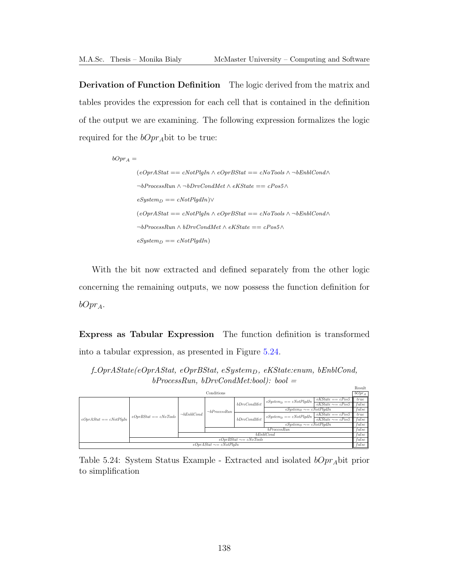Derivation of Function Definition The logic derived from the matrix and tables provides the expression for each cell that is contained in the definition of the output we are examining. The following expression formalizes the logic required for the  $bOpr_A$ bit to be true:

```
bOpt_A =(eOprAStat == cNotPlqIn \wedge eOprBStat == cNoTools \wedge \neg bEnblCond \wedge\neg bProcessRun \wedge \neg bDrvCondMet \wedge eKState == cPos5 \wedgeeSystem_D == cNotPlgdIn)∨
(eOprAStat == cNotPlgIn \wedge eOprBStat == cNoTools \wedge \neg bEnblCond \wedge\neg bProcessRun \wedge bDrvCondMet \wedge eKState == cPos5 \wedgeeSystem_D == cNotPlgdIn)
```
With the bit now extracted and defined separately from the other logic concerning the remaining outputs, we now possess the function definition for  $bOpt_A$ .

Express as Tabular Expression The function definition is transformed into a tabular expression, as presented in Figure [5.24.](#page-151-0)

<span id="page-151-0"></span>f-OprAState(eOprAStat, eOprBStat, eSystemp, eKState:enum, bEnblCond,  $bProcessRun, bDrvCondMet:bool): bool =$ 

|                                  |                         |                  |                              |             |                               |                        | Result   |
|----------------------------------|-------------------------|------------------|------------------------------|-------------|-------------------------------|------------------------|----------|
| Conditions                       |                         |                  |                              |             |                               |                        | $bOpt_A$ |
|                                  |                         |                  |                              |             | $eSystem_D == cNotPlqdIn$     | $eKState == cPos5$     | true     |
|                                  |                         |                  |                              | bDrvCondMet |                               | $eKState \sim = cPos5$ | false    |
|                                  |                         |                  | $\neg bProcessRun$           |             | $eSystem_D \sim = cNotPlqdIn$ |                        | false    |
|                                  | $eOprBStat == cNoTools$ | $\neg bEnblCond$ |                              |             | $eSystem_D == cNotPlqdIn$     | $eKState == cPos5$     | true     |
| $e$ Opr $A$ Stat == $e$ NotPlqIn |                         |                  |                              | bDrvCondMet |                               | $eKState \sim = cPos5$ | false    |
|                                  |                         |                  |                              |             | $eSystem_D \sim = cNotPlqdIn$ |                        | false    |
|                                  |                         | bProcessRun      |                              |             |                               |                        | false    |
|                                  |                         | bEnblCond        |                              |             |                               |                        | false    |
| $eOprBStat \sim = cNoTools$      |                         |                  |                              |             |                               | false                  |          |
|                                  |                         |                  | $eOprAStat \sim = cNotPlqIn$ |             |                               |                        | false    |

Table 5.24: System Status Example - Extracted and isolated  $bOpt_A$ bit prior to simplification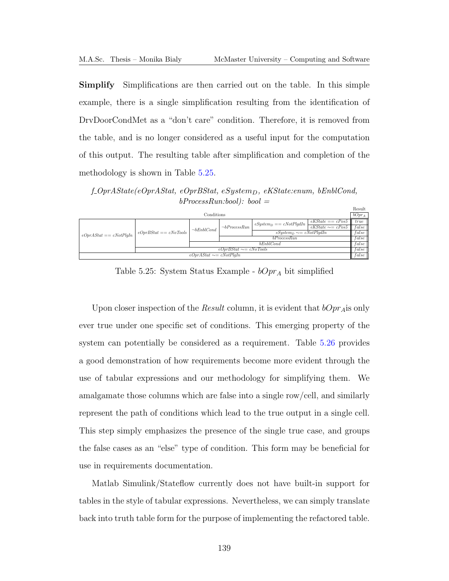Simplify Simplifications are then carried out on the table. In this simple example, there is a single simplification resulting from the identification of DrvDoorCondMet as a "don't care" condition. Therefore, it is removed from the table, and is no longer considered as a useful input for the computation of this output. The resulting table after simplification and completion of the methodology is shown in Table [5.25.](#page-152-0)

<span id="page-152-0"></span> $f_{\text{0}}$  f  $\text{0}$   $\text{0}$   $\text{0}$   $\text{0}$   $\text{0}$   $\text{0}$   $\text{0}$   $\text{0}$   $\text{0}$   $\text{0}$   $\text{0}$   $\text{0}$   $\text{0}$   $\text{0}$   $\text{0}$   $\text{0}$   $\text{0}$   $\text{0}$   $\text{0}$   $\text{0}$   $\text{0}$   $\text{0}$   $\text{0}$   $\text{0}$   $\text{0}$   $\text{0}$   $bProcessRun:bool): bool =$ 

|                                  |                             |                                      |                    |                               |                                | Result |
|----------------------------------|-----------------------------|--------------------------------------|--------------------|-------------------------------|--------------------------------|--------|
| Conditions                       |                             |                                      |                    |                               |                                |        |
|                                  | $eOprBStat = cNoTools$      |                                      | $\neg bProcessRun$ | $eSystem_D == cNotPlqdIn$     | $eKState = cPos5$              | true   |
|                                  |                             | $\neg bEnblCond$                     |                    |                               | $ekState \sim = cPos5$   false |        |
| $e$ Opr $A$ Stat == $c$ NotPlqIn |                             |                                      |                    | $eSystem_D \sim = cNotPlqdIn$ |                                | false  |
|                                  |                             |                                      | bProcessRun        |                               |                                |        |
|                                  |                             | bEnblCond                            |                    |                               |                                |        |
|                                  | $eOprBStat \sim = cNoTools$ |                                      |                    |                               |                                |        |
|                                  |                             | $e$ Opr $A$ Stat $\sim = c$ NotPlqIn |                    |                               |                                | false  |

Table 5.25: System Status Example -  $bOpr_A$  bit simplified

Upon closer inspection of the *Result* column, it is evident that  $bOpr_A$  is only ever true under one specific set of conditions. This emerging property of the system can potentially be considered as a requirement. Table [5.26](#page-153-0) provides a good demonstration of how requirements become more evident through the use of tabular expressions and our methodology for simplifying them. We amalgamate those columns which are false into a single row/cell, and similarly represent the path of conditions which lead to the true output in a single cell. This step simply emphasizes the presence of the single true case, and groups the false cases as an "else" type of condition. This form may be beneficial for use in requirements documentation.

Matlab Simulink/Stateflow currently does not have built-in support for tables in the style of tabular expressions. Nevertheless, we can simply translate back into truth table form for the purpose of implementing the refactored table.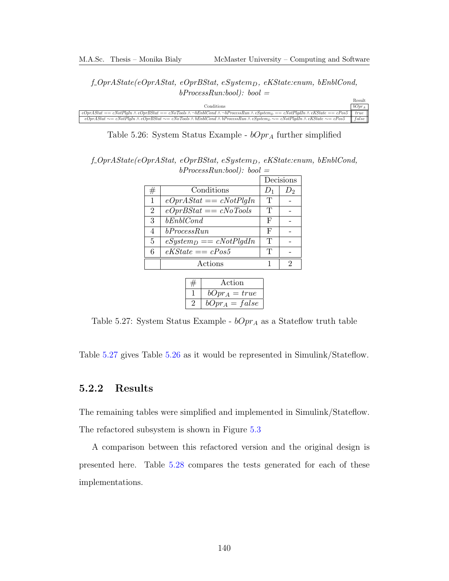<span id="page-153-0"></span> $f_{\text{0}}$ f-Opr $\text{AState}(e_{\text{0}})$ r $\text{AStat}, e_{\text{0}}$ pr $\text{BStat}, e_{\text{0}}$ stem $\text{D}, e_{\text{0}}$ KState:enum, bEnblCond,  $bProcessRun:bool): bool =$ 

|                                                                                                                                                                           | Result          |
|---------------------------------------------------------------------------------------------------------------------------------------------------------------------------|-----------------|
| Conditions                                                                                                                                                                | $bOpr_A$        |
| $eOprAStat == cNotPlqIn \wedge eOprBStat == cNoTools \wedge \neg bEnblCond \wedge \neg bProcessRun \wedge eSystem_D == cNotPlqdIn \wedge eKState == cPos5 \parallel true$ |                 |
| $eOprAStat \sim = cNotPlqIn \wedge eOprBStat \sim = cNoTools \wedge bEnblCond \wedge bProcessRun \wedge eSystem_D \sim = cNotPlqdln \wedge eKState \sim = cPos5$          | $\ $ false $\ $ |

Table 5.26: System Status Example -  $bOpr_A$  further simplified

<span id="page-153-1"></span> $f_{\text{0}}$ f-Opr $\text{AState}(e_{\text{0}})$ r $\text{AState}(e_{\text{0}})$ r $\text{AState}(e_{\text{0}})$  $bProcessRun:bool): bool =$ 

|                |                           |       | Decisions |
|----------------|---------------------------|-------|-----------|
| #              | Conditions                | $D_1$ | D۰        |
| 1              | $eOprAStat == cNotPlqIn$  | T     |           |
| $\overline{2}$ | $eOprBStat == cNoTools$   | T     |           |
| 3              | $b\mathit{EnblCond}$      | F     |           |
| 4              | bProcess Run              | F     |           |
| 5              | $eSystem_D == cNotPlqdIn$ | T     |           |
| 6              | $eKState == cPos5$        | Τ     |           |
|                | Actions                   |       | 2         |

| Action           |
|------------------|
| $bOpt_A = true$  |
| $bOpt_A = false$ |

Table 5.27: System Status Example -  $bOpr_A$  as a Stateflow truth table

Table [5.27](#page-153-1) gives Table [5.26](#page-153-0) as it would be represented in Simulink/Stateflow.

#### 5.2.2 Results

The remaining tables were simplified and implemented in Simulink/Stateflow.

The refactored subsystem is shown in Figure [5.3](#page-160-0)

A comparison between this refactored version and the original design is presented here. Table [5.28](#page-154-0) compares the tests generated for each of these implementations.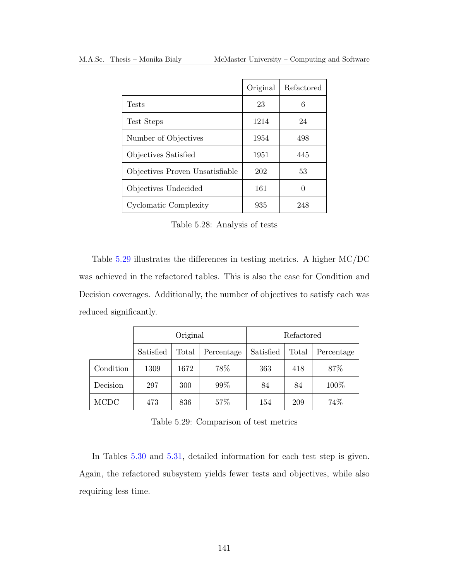|                                 | Original | Refactored |
|---------------------------------|----------|------------|
| <b>Tests</b>                    | 23       | 6          |
| Test Steps                      | 1214     | 24         |
| Number of Objectives            | 1954     | 498        |
| Objectives Satisfied            | 1951     | 445        |
| Objectives Proven Unsatisfiable | 202      | 53         |
| Objectives Undecided            | 161      | 0          |
| Cyclomatic Complexity           | 935      | 248        |

<span id="page-154-0"></span>Table 5.28: Analysis of tests

Table [5.29](#page-154-1) illustrates the differences in testing metrics. A higher [MC/DC](#page-13-0) was achieved in the refactored tables. This is also the case for Condition and Decision coverages. Additionally, the number of objectives to satisfy each was reduced significantly.

|           | Original  |       |            | Refactored |       |            |
|-----------|-----------|-------|------------|------------|-------|------------|
|           | Satisfied | Total | Percentage | Satisfied  | Total | Percentage |
| Condition | 1309      | 1672  | 78%        | 363        | 418   | 87%        |
| Decision  | 297       | 300   | 99%        | 84         | 84    | 100%       |
| MCDC      | 473       | 836   | 57%        | 154        | 209   | 74%        |

<span id="page-154-1"></span>Table 5.29: Comparison of test metrics

In Tables [5.30](#page-155-0) and [5.31,](#page-156-0) detailed information for each test step is given. Again, the refactored subsystem yields fewer tests and objectives, while also requiring less time.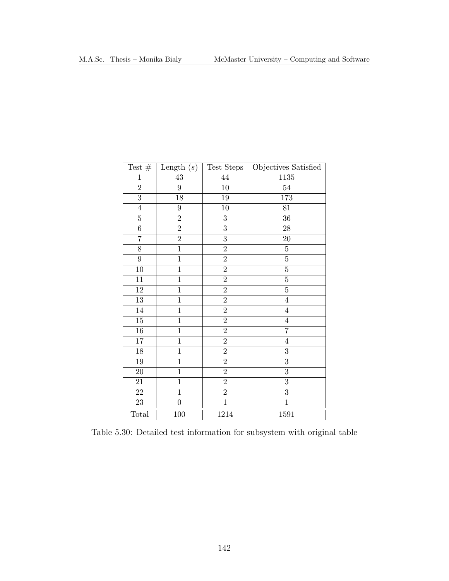<span id="page-155-0"></span>

| Test $#$       | Length $(s)$     | Test Steps       | Objectives Satisfied |
|----------------|------------------|------------------|----------------------|
| $\mathbf{1}$   | $\overline{43}$  | $44\,$           | 1135                 |
| $\overline{2}$ | $\boldsymbol{9}$ | 10               | $54\,$               |
| $\overline{3}$ | 18               | 19               | 173                  |
| $\sqrt{4}$     | $\boldsymbol{9}$ | 10               | 81                   |
| $\bf 5$        | $\overline{2}$   | $\boldsymbol{3}$ | 36                   |
| $\overline{6}$ | $\overline{2}$   | $\overline{3}$   | ${\bf 28}$           |
| $\overline{7}$ | $\overline{2}$   | $\overline{3}$   | 20                   |
| $\overline{8}$ | $\mathbf{1}$     | $\overline{2}$   | $\bf 5$              |
| $9\phantom{.}$ | $\overline{1}$   | $\overline{2}$   | $\overline{5}$       |
| 10             | $\mathbf{1}$     | $\overline{2}$   | $\overline{5}$       |
| 11             | $\overline{1}$   | $\overline{2}$   | $\overline{5}$       |
| $12\,$         | $\mathbf{1}$     | $\overline{2}$   | $\overline{5}$       |
| $13\,$         | $\mathbf{1}$     | $\overline{2}$   | $\overline{4}$       |
| $14\,$         | $\mathbf{1}$     | $\overline{2}$   | $\overline{4}$       |
| $15\,$         | $\mathbf{1}$     | $\overline{2}$   | $\,4\,$              |
| $16\,$         | $\mathbf 1$      | $\overline{2}$   | $\overline{7}$       |
| $17\,$         | $\overline{1}$   | $\overline{2}$   | $\bf 4$              |
| $18\,$         | $\mathbf{1}$     | $\overline{2}$   | $\overline{3}$       |
| $19\,$         | $\mathbf{1}$     | $\overline{2}$   | $\overline{3}$       |
| 20             | $\mathbf{1}$     | $\overline{2}$   | $\overline{3}$       |
| $21\,$         | $\mathbf{1}$     | $\overline{2}$   | $\boldsymbol{3}$     |
| 22             | $\mathbf{1}$     | $\overline{2}$   | $\overline{3}$       |
| 23             | $\boldsymbol{0}$ | $\overline{1}$   | $\overline{1}$       |
| Total          | 100              | 1214             | 1591                 |

Table 5.30: Detailed test information for subsystem with original table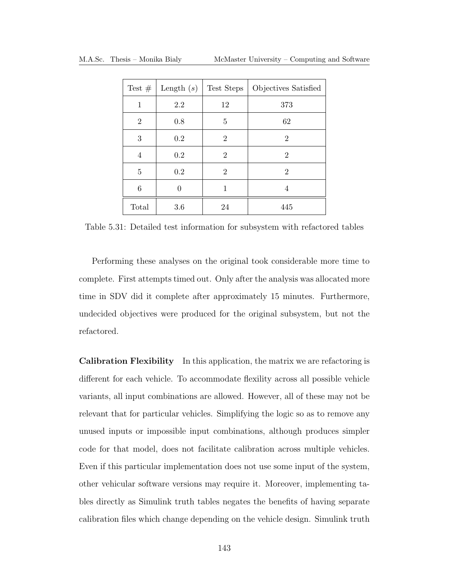|                | Test $\#$ Length $(s)$ | Test Steps     | Objectives Satisfied |
|----------------|------------------------|----------------|----------------------|
| 1              | 2.2                    | 12             | 373                  |
| $\overline{2}$ | 0.8                    | 5              | 62                   |
| 3              | $0.2\,$                | 2              | 2                    |
| 4              | $0.2\,$                | $\overline{2}$ | $\overline{2}$       |
| 5              | $0.2\,$                | $\overline{2}$ | $\overline{2}$       |
| 6              | 0                      | 1              | 4                    |
| Total          | 3.6                    | 24             | 445                  |

<span id="page-156-0"></span>Table 5.31: Detailed test information for subsystem with refactored tables

Performing these analyses on the original took considerable more time to complete. First attempts timed out. Only after the analysis was allocated more time in SDV did it complete after approximately 15 minutes. Furthermore, undecided objectives were produced for the original subsystem, but not the refactored.

Calibration Flexibility In this application, the matrix we are refactoring is different for each vehicle. To accommodate flexility across all possible vehicle variants, all input combinations are allowed. However, all of these may not be relevant that for particular vehicles. Simplifying the logic so as to remove any unused inputs or impossible input combinations, although produces simpler code for that model, does not facilitate calibration across multiple vehicles. Even if this particular implementation does not use some input of the system, other vehicular software versions may require it. Moreover, implementing tables directly as Simulink truth tables negates the benefits of having separate calibration files which change depending on the vehicle design. Simulink truth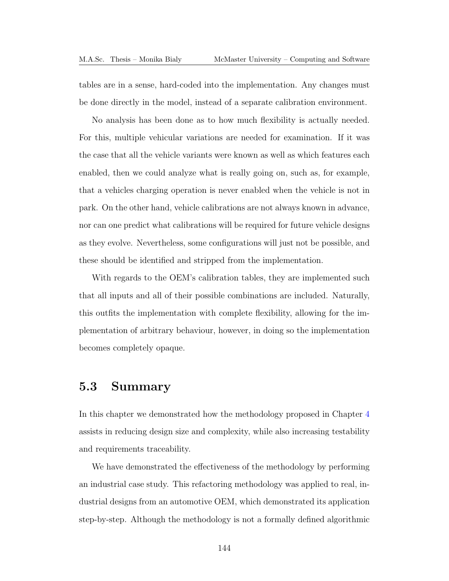tables are in a sense, hard-coded into the implementation. Any changes must be done directly in the model, instead of a separate calibration environment.

No analysis has been done as to how much flexibility is actually needed. For this, multiple vehicular variations are needed for examination. If it was the case that all the vehicle variants were known as well as which features each enabled, then we could analyze what is really going on, such as, for example, that a vehicles charging operation is never enabled when the vehicle is not in park. On the other hand, vehicle calibrations are not always known in advance, nor can one predict what calibrations will be required for future vehicle designs as they evolve. Nevertheless, some configurations will just not be possible, and these should be identified and stripped from the implementation.

With regards to the [OEM'](#page-13-1)s calibration tables, they are implemented such that all inputs and all of their possible combinations are included. Naturally, this outfits the implementation with complete flexibility, allowing for the implementation of arbitrary behaviour, however, in doing so the implementation becomes completely opaque.

## 5.3 Summary

In this chapter we demonstrated how the methodology proposed in Chapter [4](#page-98-0) assists in reducing design size and complexity, while also increasing testability and requirements traceability.

We have demonstrated the effectiveness of the methodology by performing an industrial case study. This refactoring methodology was applied to real, industrial designs from an automotive [OEM,](#page-13-1) which demonstrated its application step-by-step. Although the methodology is not a formally defined algorithmic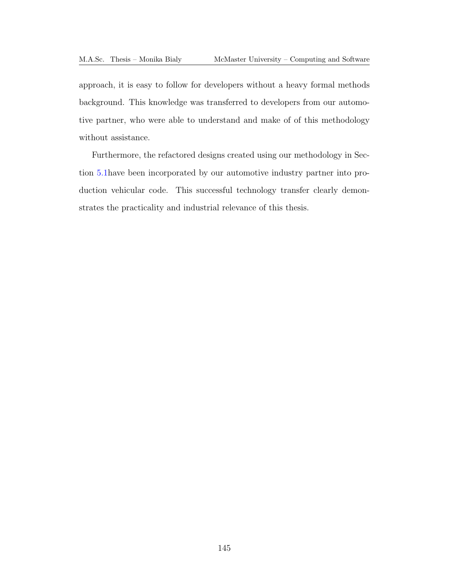approach, it is easy to follow for developers without a heavy formal methods background. This knowledge was transferred to developers from our automotive partner, who were able to understand and make of of this methodology without assistance.

Furthermore, the refactored designs created using our methodology in Section [5.1h](#page-130-0)ave been incorporated by our automotive industry partner into production vehicular code. This successful technology transfer clearly demonstrates the practicality and industrial relevance of this thesis.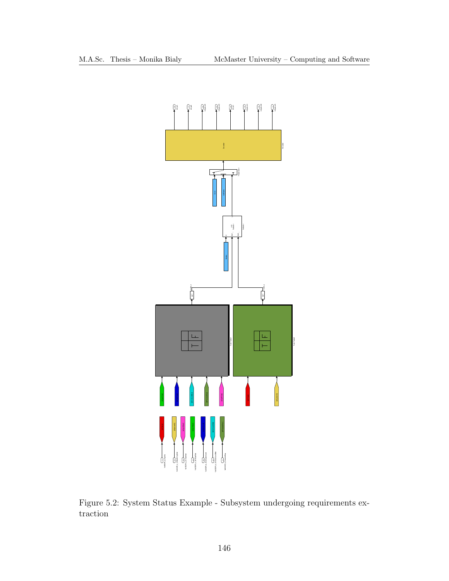<span id="page-159-0"></span>

Figure 5.2: System Status Example - Subsystem undergoing requirements extraction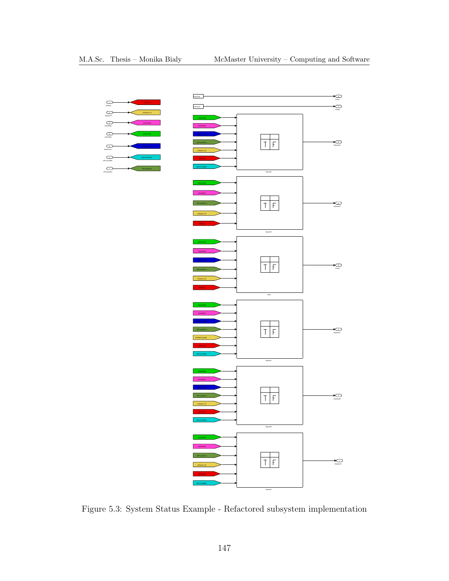<span id="page-160-0"></span>

Figure 5.3: System Status Example - Refactored subsystem implementation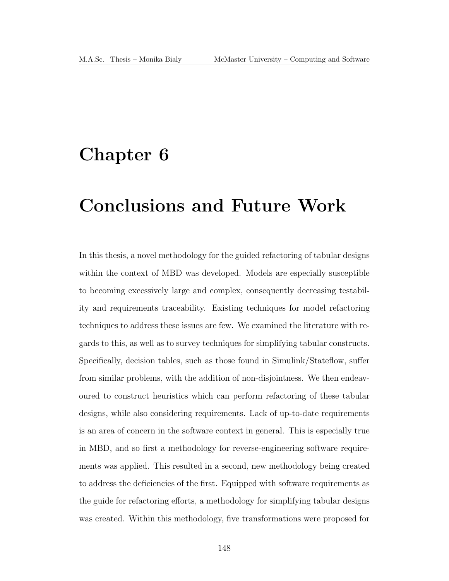## Chapter 6

# Conclusions and Future Work

In this thesis, a novel methodology for the guided refactoring of tabular designs within the context of [MBD](#page-13-2) was developed. Models are especially susceptible to becoming excessively large and complex, consequently decreasing testability and requirements traceability. Existing techniques for model refactoring techniques to address these issues are few. We examined the literature with regards to this, as well as to survey techniques for simplifying tabular constructs. Specifically, decision tables, such as those found in Simulink/Stateflow, suffer from similar problems, with the addition of non-disjointness. We then endeavoured to construct heuristics which can perform refactoring of these tabular designs, while also considering requirements. Lack of up-to-date requirements is an area of concern in the software context in general. This is especially true in [MBD,](#page-13-2) and so first a methodology for reverse-engineering software requirements was applied. This resulted in a second, new methodology being created to address the deficiencies of the first. Equipped with software requirements as the guide for refactoring efforts, a methodology for simplifying tabular designs was created. Within this methodology, five transformations were proposed for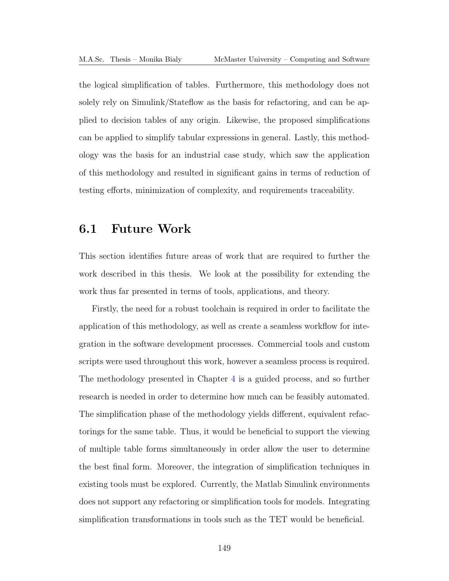the logical simplification of tables. Furthermore, this methodology does not solely rely on Simulink/Stateflow as the basis for refactoring, and can be applied to decision tables of any origin. Likewise, the proposed simplifications can be applied to simplify tabular expressions in general. Lastly, this methodology was the basis for an industrial case study, which saw the application of this methodology and resulted in significant gains in terms of reduction of testing efforts, minimization of complexity, and requirements traceability.

#### 6.1 Future Work

This section identifies future areas of work that are required to further the work described in this thesis. We look at the possibility for extending the work thus far presented in terms of tools, applications, and theory.

Firstly, the need for a robust toolchain is required in order to facilitate the application of this methodology, as well as create a seamless workflow for integration in the software development processes. Commercial tools and custom scripts were used throughout this work, however a seamless process is required. The methodology presented in Chapter [4](#page-98-0) is a guided process, and so further research is needed in order to determine how much can be feasibly automated. The simplification phase of the methodology yields different, equivalent refactorings for the same table. Thus, it would be beneficial to support the viewing of multiple table forms simultaneously in order allow the user to determine the best final form. Moreover, the integration of simplification techniques in existing tools must be explored. Currently, the Matlab Simulink environments does not support any refactoring or simplification tools for models. Integrating simplification transformations in tools such as the [TET](#page-13-3) would be beneficial.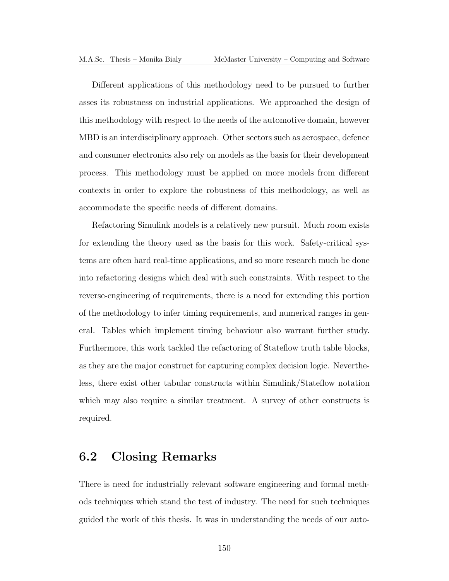Different applications of this methodology need to be pursued to further asses its robustness on industrial applications. We approached the design of this methodology with respect to the needs of the automotive domain, however [MBD](#page-13-2) is an interdisciplinary approach. Other sectors such as aerospace, defence and consumer electronics also rely on models as the basis for their development process. This methodology must be applied on more models from different contexts in order to explore the robustness of this methodology, as well as accommodate the specific needs of different domains.

Refactoring Simulink models is a relatively new pursuit. Much room exists for extending the theory used as the basis for this work. Safety-critical systems are often hard real-time applications, and so more research much be done into refactoring designs which deal with such constraints. With respect to the reverse-engineering of requirements, there is a need for extending this portion of the methodology to infer timing requirements, and numerical ranges in general. Tables which implement timing behaviour also warrant further study. Furthermore, this work tackled the refactoring of Stateflow truth table blocks, as they are the major construct for capturing complex decision logic. Nevertheless, there exist other tabular constructs within Simulink/Stateflow notation which may also require a similar treatment. A survey of other constructs is required.

## 6.2 Closing Remarks

There is need for industrially relevant software engineering and formal methods techniques which stand the test of industry. The need for such techniques guided the work of this thesis. It was in understanding the needs of our auto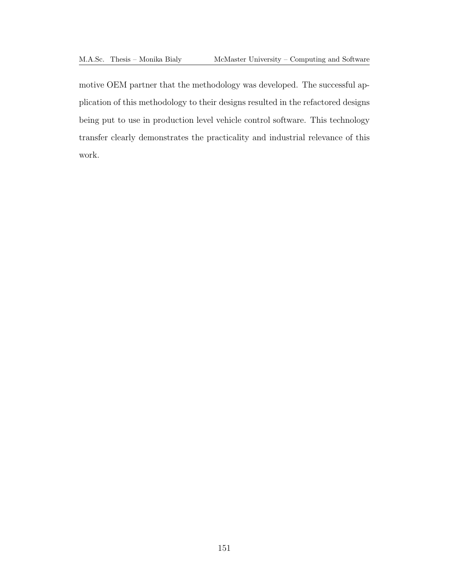motive [OEM](#page-13-1) partner that the methodology was developed. The successful application of this methodology to their designs resulted in the refactored designs being put to use in production level vehicle control software. This technology transfer clearly demonstrates the practicality and industrial relevance of this work.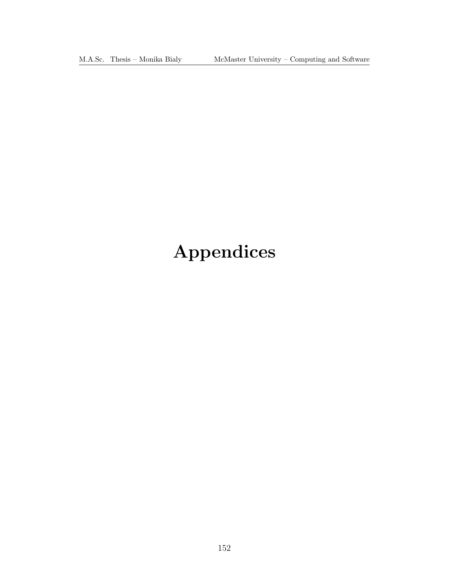M.A.Sc. Thesis – Monika Bialy McMaster University – Computing and Software

# Appendices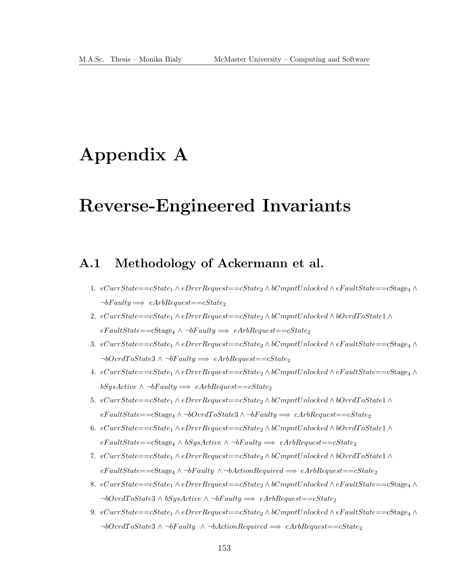# Appendix A

# Reverse-Engineered Invariants

## A.1 Methodology of Ackermann et al.

- 1.  $eCurrState = cState_1 \wedge eDrvRequest = cState_2 \wedge bCmpntUnlocked \wedge eFaultState = cStage_4 \wedge cFautState$  $\neg bFaulty \Longrightarrow eArbRequest = cState_2$
- 2. eCurrState==cState<sup>1</sup> ∧ eDrvrRequest==cState<sup>2</sup> ∧ bCmpntUnlocked ∧ bOvrdT oState1 ∧  $eFaultState = cStage_4 \wedge \neg bFaulty \Longrightarrow eArbRequest = cState_2$
- 3.  $eCurrState = cState_1 \wedge eDrvRequest = cState_2 \wedge bCmmtUnlocked \wedge eFaultState = cStage_4 \wedge cFautState$  $\neg bOvrdToState3 \wedge \neg bFaulty \Longrightarrow eArbRequest = cState_2$
- 4.  $eCurrentState= cState_1 \wedge eDrvRequest= cState_2 \wedge bCmpntUnlocked \wedge eFaultState= cStage_4 \wedge cFautState= cState_5 \wedge cFautState= cState_6 \wedge cFautState= cState_7 \wedge cFautState= cG,$  $bSysActive \wedge \neg bFaulty \Longrightarrow eArbRequest = cState_2$
- 5. eCurrState==cState<sub>1</sub> ∧ eDrvrRequest==cState<sub>2</sub> ∧ bCmpntUnlocked ∧ bOvrdToState1 ∧  $eFaultState = cStage_4 \wedge \neg bOvrdToState3 \wedge \neg bFaulty \Longrightarrow eArbRequest = cState_2$
- 6. eCurrState==cState<sub>1</sub> ∧ eDrvrRequest==cState<sub>2</sub> ∧ bCmpntUnlocked ∧ bOvrdToState1 ∧  $eFaultState = cStage_4 \wedge bSysActive \wedge \neg bFaulty \Longrightarrow eArbRequest = cState_2$
- 7. eCurrState==cState<sup>1</sup> ∧ eDrvrRequest==cState<sup>2</sup> ∧ bCmpntUnlocked ∧ bOvrdT oState1 ∧  $eFaultState = cStage_4 \wedge \neg bFaulty \wedge \neg bActionRequired \Longrightarrow eArbRequest = cState_2$
- 8.  $eCurrState = cState_1 \wedge eDrvRequest = cState_2 \wedge bCmpntUnlocked \wedge eFaultState = cStage_4 \wedge cFautState$  $\neg bOvrdToState3 \wedge bSysActive \wedge \neg bFaulty \Longrightarrow eArbRequest = cState_2$
- 9.  $eCurrState = cState_1 \wedge eDrvRequest = cState_2 \wedge bCmpntUnlocked \wedge eFaultState = cStage_4 \wedge cFautState$  $\neg bOvr dToState3 \wedge \neg bFaulty \wedge \neg bActionRequired \Longrightarrow eArbRequest = cState_2$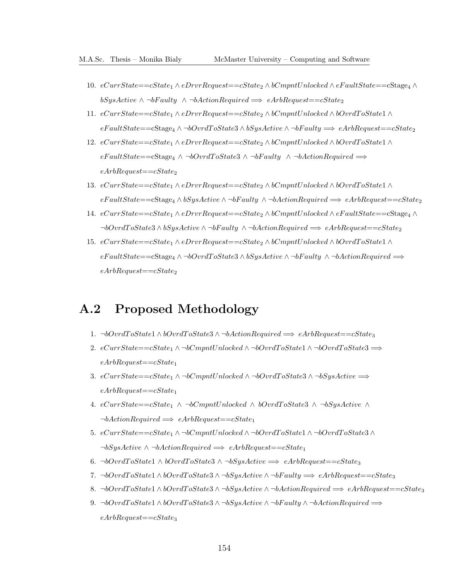- 10.  $eCurrentState = cState_1 \wedge eDrvrRequest = cState_2 \wedge bCmpntUnlocked \wedge eFaultState = cStage_4 \wedge cFautState = cState_5 \wedge cFautState = cState_6 \wedge cFautState = cState_7 \wedge cFautState = cEt_7 \wedge cFautState = cEt_8 \wedge cFautState = cEt_8 \wedge cFautState = cEt_8 \wedge cFautState = cEt_8 \wedge cFautState = cEt_8 \wedge cFautState = cEt_8 \wedge cFautState = cEt_8 \wedge cFautState = cFut_8 \wedge cFautState = cFut_8 \wedge cFautState = cFut_8 \wedge c$ bSysActive  $\land \neg bFaulty \land \neg bActionRequired \implies eArbRequest = cState_2$
- 11. eCurrState==cState<sup>1</sup> ∧ eDrvrRequest==cState<sup>2</sup> ∧ bCmpntUnlocked ∧ bOvrdT oState1 ∧  $eFaultState = cStage<sub>4</sub> ∧ ¬bOvr dToState3 ∧ bSysActive ∧ ¬bFaulty ⇒ eArbRequest = cState<sub>2</sub>$
- 12. eCurrState==cState<sup>1</sup> ∧ eDrvrRequest==cState<sup>2</sup> ∧ bCmpntUnlocked ∧ bOvrdT oState1 ∧  $eFaultState=<sup>c</sup>Stage<sub>4</sub> ∧ ¬bOvrdT oState3 ∧ ¬bF aulty ∧ ¬bActionRequired$   $\Longrightarrow$  $eArbRequest = cState_2$
- 13.  $eCurrentState = cState_1 \wedge eDrvrRequest = cState_2 \wedge bCmpntUnlocked \wedge bOvr dToState1 \wedge c$  $eFaultState=-cStage_4 \wedge bSysActive \wedge \neg bFaulty \wedge \neg bActionRequired \Longrightarrow eArbRequest=-cState_2$
- 14. eCurrState==cState<sub>1</sub> ∧ eDrvrRequest==cState<sub>2</sub> ∧ bCmpntUnlocked ∧ eFaultState==cStage<sub>4</sub> ∧  $\neg bOvr dToState3 \wedge bSysActive \wedge \neg bFaulty \wedge \neg bActionRequired \Longrightarrow eArbRequest = cState_2$
- 15.  $eCurrentState = cState_1 \wedge eDrvrRequest = cState_2 \wedge bComptUnlocked \wedge bOvr dToState1 \wedge c$  $eFaultState=\\cStage<sub>4</sub> ∧ ¬bOvr dToState3 ∧ bSysActive ∧ ¬bFaulty ∧ ¬bActionRequired$   $\Longrightarrow$  $eArbRequest = cState_2$

#### A.2 Proposed Methodology

- 1. ¬bOvrdToState1 ∧ bOvrdToState3 ∧ ¬bActionRequired  $\implies$  eArbRequest==cState3
- 2.  $eCurrentState = cState_1 \wedge \neg bComptUnlocked \wedge \neg bOvrdToState1 \wedge \neg bOvrdToState3 \Longrightarrow$  $eArbRequest = cState_1$
- 3.  $eCurrentState = cState_1 \wedge \neg bComptUnlocked \wedge \neg bOvrdToState3 \wedge \neg bSysActive \Longrightarrow$  $eArbRequest = cState_1$
- 4. eCurrState==cState<sub>1</sub> ∧ ¬bCmpntUnlocked ∧ bOvrdToState3 ∧ ¬bSysActive ∧  $\neg bActionRequired \implies eArbRequest = cState_1$
- 5. eCurrState==cState<sub>1</sub> ∧ ¬bCmpntUnlocked ∧ ¬bOvrdToState1 ∧ ¬bOvrdToState3 ∧  $\neg bSysActive \land \neg bActionRequired \implies eArbRequest = cState_1$
- 6. ¬bOvrdToState1  $\land$  bOvrdToState3  $\land$  ¬bSysActive  $\implies$  eArbRequest==cState<sub>3</sub>
- 7. ¬bOvrdToState1 ∧ bOvrdToState3 ∧ ¬bSysActive ∧ ¬bFaulty  $\implies$  eArbRequest==cState<sub>3</sub>
- 8. ¬b $OvrdToState1 \wedge bOvrdToState3 \wedge \neg bSysActive \wedge \neg bActionRequired \Longrightarrow eArbRequest = cState3$
- 9. ¬b $OvrdToState1 \wedge bOvr dToState3 \wedge \neg bSysActive \wedge \neg bFaulty \wedge \neg bActionRequired \Longrightarrow$  $eArbRequest = cState_3$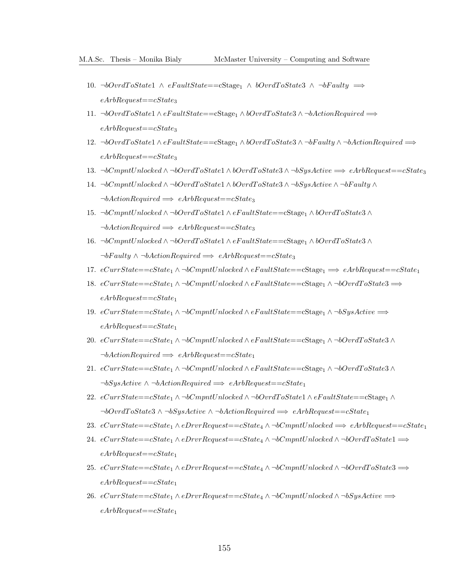- 10. ¬bOvrdToState1 ∧ eFaultState==cStage<sub>1</sub> ∧ bOvrdToState3 ∧ ¬bFaulty  $\implies$  $eArbRequest = cState_3$
- 11.  $\neg bOvr dToState1 \wedge eFaultState = \neg \text{Stage}_1 \wedge bOvr dToState3 \wedge \neg bActionRequired \Longrightarrow$  $eArbRequest = cState_3$
- 12. ¬bOvrdToState1 ∧ eFaultState==cStage<sub>1</sub> ∧ bOvrdToState3 ∧ ¬bFaulty ∧ ¬bActionRequired  $\Longrightarrow$  $eArbRequest = cState_3$
- 13. ¬bCmpntUnlocked  $\land \neg bOvr dToState1 \land bOvr dToState3 \land \neg bSysActive \implies eArbRequest = cState_3$
- 14. ¬bCmpntUnlocked ∧ ¬bOvrdT oState1 ∧ bOvrdT oState3 ∧ ¬bSysActive ∧ ¬bF aulty ∧  $\neg bActionRequired \implies eArbRequest = cState_3$
- 15. ¬bCmpntUnlocked ∧ ¬bOvrdToState1 ∧ eFaultState==cStage<sub>1</sub> ∧ bOvrdToState3 ∧  $\neg bActionRequired \implies eArbRequest = cState_3$
- 16. ¬bCmpntUnlocked ∧ ¬bOvrdT oState1 ∧ eF aultState==cStage<sup>1</sup> ∧ bOvrdT oState3 ∧  $\neg bFaulty \wedge \neg bActionRequired \implies eArbRequest = cState_3$
- 17. eCurrState==cState<sub>1</sub>  $\wedge \neg bCmmtUnlocked \wedge eFaultState = cStage_1 \Longrightarrow eArbRequest = cState_1$
- 18.  $eCurrentState = cState_1 \wedge \neg bCmmtUnlocked \wedge eFaultState = cStage_1 \wedge \neg bOvrdToState3 \Longrightarrow$  $eArbRequest = cState_1$
- 19.  $eCurrent state==cState_1 \wedge \neg bComptUnlocked \wedge eFaultState==cStage_1 \wedge \neg bSysActive \Longrightarrow$  $eArbRequest = cState_1$
- 20. eCurrState==cState<sub>1</sub> ∧ ¬bCmpntUnlocked ∧ eFaultState==cStage<sub>1</sub> ∧ ¬bOvrdToState3 ∧  $\neg bActionRequired \implies eArbRequest = cState_1$
- 21.  $eCurrentState = cState_1 \wedge \neg bComptUnlocked \wedge eFaultState = cStage_1 \wedge \neg bOvrdToState3 \wedge \neg bOvrdToState3$  $\neg bSysActive \wedge \neg bActionRequired \Longrightarrow eArbRequest = cState_1$
- 22. eCurrState==cState<sub>1</sub> ∧ ¬bCmpntUnlocked ∧ ¬bOvrdToState1 ∧ eFaultState==cStage<sub>1</sub> ∧  $\neg bOvr dToState3 \wedge \neg bSysActive \wedge \neg bActionRequired \Longrightarrow eArbRequest = cState_1$
- 23. eCurrState==cState<sub>1</sub>  $\land$ eDrvrRequest==cState<sub>4</sub>  $\land$  ¬bCmpntUnlocked  $\implies$  eArbRequest==cState<sub>1</sub>
- 24. eCurrState==cState<sub>1</sub> ∧ eDrvrRequest==cState<sub>4</sub> ∧ ¬bCmpntUnlocked ∧ ¬bOvrdToState1  $\Longrightarrow$  $eArbRequest = cState_1$
- 25.  $eCurrentState = cState_1 \wedge eDrvrRequest = cState_4 \wedge \neg bCmmtUnlocked \wedge \neg bOvrdToState3 \Longrightarrow$  $eArbRequest = cState_1$
- 26. eCurrState==cState<sub>1</sub> ∧ eDrvrRequest==cState<sub>4</sub> ∧ ¬bCmpntUnlocked ∧ ¬bSysActive  $\Longrightarrow$  $eArbRequest = cState_1$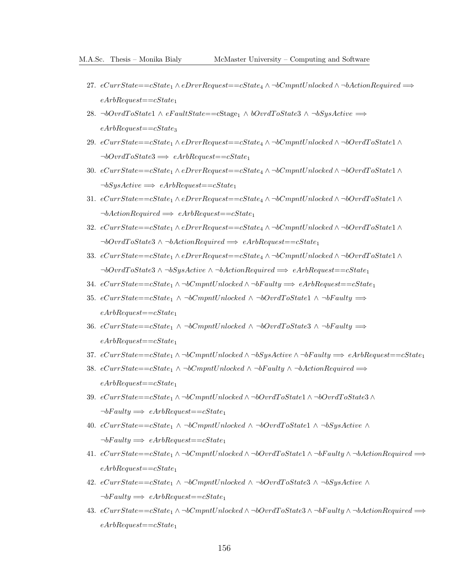- 27. eCurrState==cState<sub>1</sub> ∧ eDrvrRequest==cState<sub>4</sub> ∧ ¬bCmpntUnlocked ∧ ¬bActionRequired  $\Longrightarrow$  $eArbRequest = cState_1$
- 28. ¬bOvrdToState1 ∧ eFaultState==cStage<sub>1</sub> ∧ bOvrdToState3 ∧ ¬bSysActive  $\implies$  $eArbRequest = cState_3$
- 29. eCurrState==cState<sub>1</sub> ∧ eDrvrRequest==cState<sub>4</sub> ∧ ¬bCmpntUnlocked ∧ ¬bOvrdToState1 ∧  $\neg bOvrdToState3 \Longrightarrow eArbRequest = cState_1$
- 30. eCurrState==cState<sub>1</sub> ∧ eDrvrRequest==cState<sub>4</sub> ∧ ¬bCmpntUnlocked ∧ ¬bOvrdToState1 ∧  $\neg bSysActive \Longrightarrow eArbRequest = cState_1$
- 31. eCurrState==cState<sub>1</sub> ∧ eDrvrRequest==cState<sub>4</sub> ∧ ¬bCmpntUnlocked ∧ ¬bOvrdToState1 ∧  $\neg bActionRequired \implies eArbRequest = cState_1$
- 32. eCurrState==cState<sub>1</sub> ∧ eDrvrRequest==cState<sub>4</sub> ∧ ¬bCmpntUnlocked ∧ ¬bOvrdToState1 ∧  $\neg bOvr dToState3 \wedge \neg bActionRequired \implies eArbRequest = cState_1$
- 33. eCurrState==cState<sub>1</sub> ∧ eDrvrRequest==cState<sub>4</sub> ∧ ¬bCmpntUnlocked ∧ ¬bOvrdToState1 ∧  $\neg bOvr dToState3 \wedge \neg bSysActive \wedge \neg bActionRequired \Longrightarrow eArbRequest = cState_1$
- 34.  $eCurrentate = cState_1 \wedge \neg bComptUnlocked \wedge \neg bFaulty \Longrightarrow eArbRequest = cState_1$
- 35. eCurrState==cState<sub>1</sub> ∧ ¬bCmpntUnlocked ∧ ¬bOvrdToState1 ∧ ¬bFaulty  $\Longrightarrow$  $eArbRequest = cState_1$
- 36. eCurrState==cState<sub>1</sub> ∧ ¬bCmpntUnlocked ∧ ¬bOvrdToState3 ∧ ¬bFaulty  $\implies$  $eArbRequest = cState_1$
- 37. eCurrState==cState<sub>1</sub>  $\land \neg bComptUnlocked \land \neg bSysActive \land \neg bFaulty \implies eArbRequest = cState_1$
- 38. eCurrState==cState<sub>1</sub> ∧ ¬bCmpntUnlocked ∧ ¬bF aulty ∧ ¬bActionRequired  $\implies$  $eArbRequest = cState_1$
- 39.  $eCurrentate==cState_1 \wedge \neg bComptUnlocked \wedge \neg bOvrdToState1 \wedge \neg bOvrdToState3 \wedge \neg bOvrdToState2$  $\neg bFaulty \Longrightarrow eArbRequest = cState_1$
- 40. eCurrState==cState<sub>1</sub> ∧ ¬bCmpntUnlocked ∧ ¬bOvrdToState1 ∧ ¬bSysActive ∧  $\neg bFaulty \Longrightarrow eArbRequest = cState_1$
- 41. eCurrState==cState<sub>1</sub> ∧ ¬bCmpntUnlocked ∧ ¬bOvrdToState1 ∧ ¬bFaulty ∧ ¬bActionRequired  $\Longrightarrow$  $eArbRequest = cState_1$
- 42. eCurrState==cState<sub>1</sub> ∧ ¬bCmpntUnlocked ∧ ¬bOvrdToState3 ∧ ¬bSysActive ∧  $\neg bFaulty \Longrightarrow eArbRequest = cState_1$
- 43. eCurrState==cState<sub>1</sub> ∧ ¬bCmpntUnlocked ∧ ¬bOvrdToState3 ∧ ¬bFaulty ∧ ¬bActionRequired  $\Longrightarrow$  $eArbRequest = cState_1$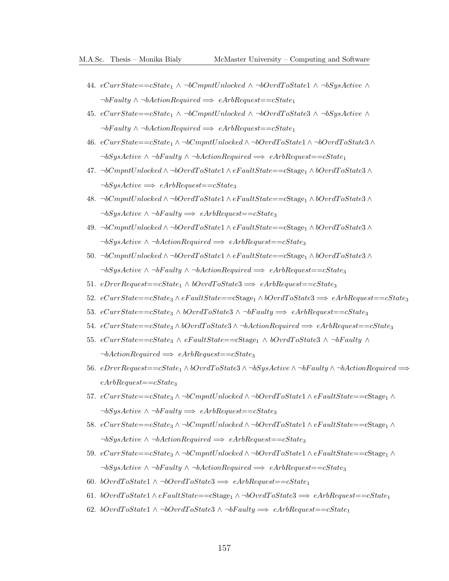- 44. eCurrState==cState<sub>1</sub> ∧ ¬bCmpntUnlocked ∧ ¬bOvrdToState1 ∧ ¬bSysActive ∧  $\neg bFaulty \wedge \neg bActionRequired \Longrightarrow eArbRequest = cState_1$
- 45. eCurrState==cState<sub>1</sub>  $\land \neg bCmmU$ nlocked  $\land \neg bOvr$ dToState3  $\land \neg bSysActive \land \neg bSysActive \land \neg bSysActive \land \neg bSysActive \land \neg bSysActive \land \neg bSysActive \land \neg bSysActive \land \neg bSysActive \land \neg bSysSteve \land \neg bSysActive \land \neg bSysSteve \land \neg bSysActive \land \neg bSysSteve \land \neg bSysSteve \land \neg bSysSteve \land \neg bSysSteve \land \neg bSysSteve \land \neg bSysSteve \land \neg bSysSteve \land \neg$  $\neg bFaulty \wedge \neg bActionRequired \implies eArbRequest = cState_1$
- 46. eCurrState==cState<sub>1</sub> ∧ ¬bCmpntUnlocked ∧ ¬bOvrdToState1 ∧ ¬bOvrdToState3 ∧  $\neg bSysActive \wedge \neg bFaulty \wedge \neg bActionRequired \Longrightarrow eArbRequest = cState_1$
- 47. ¬bCmpntUnlocked  $\wedge \neg bOvrdToState1 \wedge eFaultState==cStage_1 \wedge bOvrdToState3 \wedge$  $\neg bSysActive \Longrightarrow eArbRequest = cState_3$
- 48. ¬bCmpntUnlocked  $\wedge \neg bOvrdToState1 \wedge eFaultState==cStage_1 \wedge bOvrdToState3 \wedge$  $\neg bSysActive \land \neg bFaulty \Longrightarrow eArbRequest = cState_3$
- 49. ¬bCmpntUnlocked ∧ ¬bOvrdToState1 ∧ eFaultState==cStage<sub>1</sub> ∧ bOvrdToState3 ∧  $\neg bSysActive \wedge \neg bActionRequired \implies eArbRequest = cState_3$
- 50. ¬bCmpntUnlocked  $\wedge \neg bOvrdToState1 \wedge eFaultState==cStage_1 \wedge bOvrdToState3 \wedge$  $\neg bSysActive \land \neg bFaulty \land \neg bActionRequired \implies eArbRequest = cState_3$
- 51. eDrvrRequest==cState<sub>1</sub>  $\land$  bOvrdToState3  $\implies$  eArbRequest==cState<sub>3</sub>
- 52.  $eCurrState=-cState_3 \wedge eFaultState=-cStage_1 \wedge bOvr dToState3 \implies eArbRequest=-cState_3$
- 53. eCurrState==cState<sub>3</sub>  $\land$  bOvrdToState3  $\land$  ¬bFaulty  $\implies$  eArbRequest==cState<sub>3</sub>
- 54. eCurrState==cState<sub>3</sub>  $\land$ bOvrdToState3  $\land$  ¬bActionRequired  $\implies$  eArbRequest==cState<sub>3</sub>
- 55. eCurrState==cState<sub>3</sub>  $\land$  eFaultState==cStage<sub>1</sub>  $\land$  bOvrdToState3  $\land$  ¬bFaulty  $\land$  $\neg bActionRequired \implies eArbRequest = cState_3$
- 56. eDrvrRequest==cState<sub>1</sub> ∧ bOvrdToState3 ∧ ¬bSysActive ∧ ¬bFaulty ∧ ¬bActionRequired  $\Longrightarrow$  $eArbRequest = cState_3$
- 57. eCurrState==cState<sub>3</sub> ∧ ¬bCmpntUnlocked ∧ ¬bOvrdToState1 ∧ eFaultState==cStage<sub>1</sub> ∧  $\neg bSysActive \land \neg bFaulty \Longrightarrow eArbRequest = cState_3$
- 58.  $eCurrent \text{rate} == cState_3 \wedge \neg bComptUnlocked \wedge \neg bOvrd \text{ToState1} \wedge eFault State == cStage_1 \wedge$  $\neg bSysActive \land \neg bActionRequired \implies eArbRequest = cState_3$
- 59. eCurrState==cState<sub>3</sub> ∧ ¬bCmpntUnlocked ∧ ¬bOvrdToState1 ∧ eF aultState==cStage<sub>1</sub> ∧  $\neg bSysActive \wedge \neg bFaulty \wedge \neg bActionRequired \Longrightarrow eArbRequest = cState_3$
- 60. bOvrdToState1  $\land \neg$ bOvrdToState3  $\implies$  eArbRequest==cState<sub>1</sub>
- 61. bOvrdToState1∧eFaultState==cStage<sub>1</sub>∧¬bOvrdToState3  $\implies$  eArbRequest==cState<sub>1</sub>
- 62. bOvrdToState1 ∧ ¬bOvrdToState3 ∧ ¬bFaulty  $\implies$  eArbRequest==cState<sub>1</sub>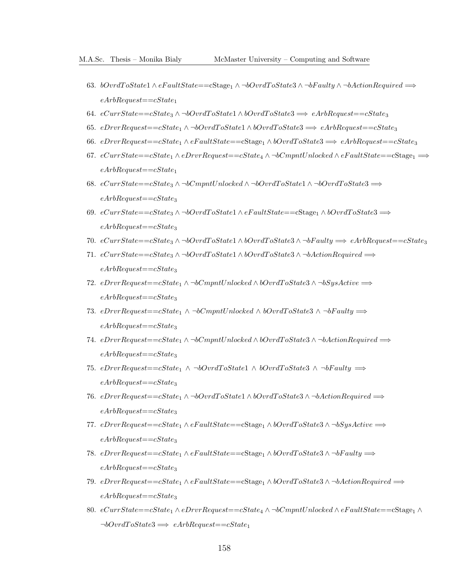- 63. bOvrdToState1 ∧ eFaultState==cStage<sub>1</sub> ∧ ¬bOvrdToState3 ∧ ¬bFaulty ∧ ¬bActionRequired  $\Longrightarrow$  $eArbRequest = cState_1$
- 64. eCurrState==cState<sub>3</sub> ∧ ¬bOvrdToState1 ∧ bOvrdToState3  $\implies$  eArbRequest==cState<sub>3</sub>
- 65. eDrvrRequest==cState<sub>1</sub>  $\wedge \neg bOv$ rdToState1  $\wedge bOv$ rdToState3  $\implies$  eArbRequest==cState<sub>3</sub>
- 66. eDrvrRequest==cState<sub>1</sub>  $\land$  eFaultState==cStage<sub>1</sub>  $\land$  bOvrdToState3  $\implies$  eArbRequest==cState<sub>3</sub>
- 67. eCurrState==cState<sub>1</sub> ∧ eDrvrRequest==cState<sub>4</sub> ∧ ¬bCmpntUnlocked ∧ eFaultState==cStage<sub>1</sub>  $\implies$  $eArbRequest = cState_1$
- 68.  $eCurrentate==cState_3 \wedge \neg bComptUnlocked \wedge \neg bOvrdToState1 \wedge \neg bOvrdToState3 \Longrightarrow$  $eArbRequest = cState_3$
- 69. eCurrState==cState<sub>3</sub> ∧ ¬bOvrdToState1 ∧ eFaultState==cStage<sub>1</sub> ∧ bOvrdToState3  $\Longrightarrow$  $eArbRequest = cState_3$
- 70. eCurrState==cState<sub>3</sub> ∧ ¬bOvrdToState1 ∧ bOvrdToState3 ∧ ¬bFaulty  $\implies$  eArbRequest==cState<sub>3</sub>
- 71. eCurrState==cState<sub>3</sub> ∧ ¬bOvrdToState1 ∧ bOvrdToState3 ∧ ¬bActionRequired  $\Longrightarrow$  $eArbRequest = cState_3$
- 72. eDrvrRequest==cState<sub>1</sub> ∧ ¬bCmpntUnlocked ∧ bOvrdToState3 ∧ ¬bSysActive  $\Longrightarrow$  $eArbRequest = cState_3$
- 73. eDrvrRequest==cState<sub>1</sub> ∧ ¬bCmpntUnlocked ∧ bOvrdToState3 ∧ ¬bFaulty  $\Longrightarrow$  $eArbRequest = cState_3$
- 74. eDrvrRequest==cState<sub>1</sub> ∧ ¬bCmpntUnlocked ∧ bOvrdToState3 ∧ ¬bActionRequired  $\Longrightarrow$  $eArbRequest = cState_3$
- 75. eDrvrRequest==cState<sub>1</sub> ∧ ¬bOvrdToState1 ∧ bOvrdToState3 ∧ ¬bF aulty  $\implies$  $eArbRequest = cState_3$
- 76. eDrvrRequest==cState<sub>1</sub> ∧ ¬bOvrdToState1 ∧ bOvrdToState3 ∧ ¬bActionRequired  $\Longrightarrow$  $eArbRequest = cState_3$
- 77. eDrvrRequest==cState<sub>1</sub>  $\land$  eF aultState==cStage<sub>1</sub>  $\land$  bOvrdToState3  $\land$  ¬bSysActive  $\implies$  $eArbRequest = cState_3$
- 78. eDrvrRequest==cState<sub>1</sub> ∧ eF aultState==cStage<sub>1</sub> ∧ bOvrdToState3 ∧ ¬bF aulty  $\implies$  $eArbRequest = cState_3$
- 79. eDrvrRequest==cState<sub>1</sub> ∧ eFaultState==cStage<sub>1</sub> ∧ bOvrdToState3 ∧ ¬bActionRequired  $\Longrightarrow$  $eArbRequest = cState_3$
- 80.  $eCurrentState = cState_1 \wedge eDrvrRequest = cState_4 \wedge \neg bComptUnlocked \wedge eFaultState = cStage_1 \wedge$  $\neg bOvrdToState3 \Longrightarrow eArbRequest = cState_1$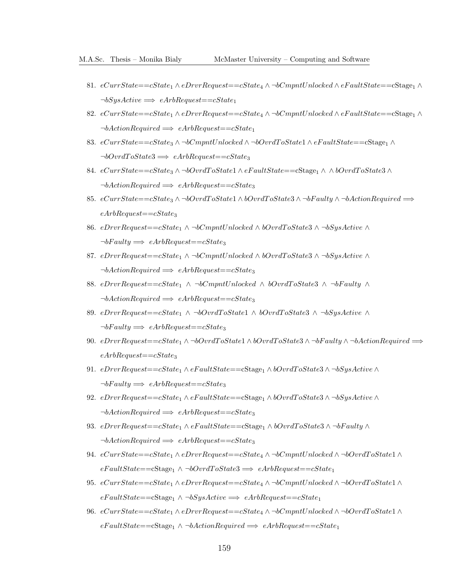- 81. eCurrState==cState<sub>1</sub> ∧ eDrvrRequest==cState<sub>4</sub> ∧ ¬bCmpntUnlocked ∧ eFaultState==cStage<sub>1</sub> ∧  $\neg bSysActive \Longrightarrow eArbRequest == cState_1$
- 82.  $eCurrState = cState_1 \wedge eDrvRequest = cState_4 \wedge \neg bCmpntUnlocked \wedge eFaultState = cStage_1 \wedge$  $\neg bActionRequired \implies eArbRequest = cState_1$
- 83.  $eCurrState==cState_3 \wedge \neg bCmmtUnlocked \wedge \neg bOvrdToState1 \wedge eFaultState==cStage_1 \wedge$  $\neg bOvrdToState3 \Longrightarrow eArbRequest = cState_3$
- 84. eCurrState==cState<sub>3</sub> ∧ ¬bOvrdToState1 ∧ eFaultState==cStage<sub>1</sub> ∧ ∧ bOvrdToState3 ∧  $\neg bActionRequired \implies eArbRequest = cState_3$
- 85.  $eCurrState==cState_3 \wedge \neg bOvrdToState1 \wedge bOvrdToState3 \wedge \neg bFaulty \wedge \neg bActionRequired \Longrightarrow$  $eArbRequest = cState_3$
- 86. eDrvrRequest==cState<sub>1</sub> ∧ ¬bCmpntUnlocked ∧ bOvrdToState3 ∧ ¬bSysActive ∧  $\neg bFaulty \Longrightarrow eArbRequest = cState_3$
- 87. eDrvrRequest==cState<sub>1</sub> ∧ ¬bCmpntUnlocked ∧ bOvrdToState3 ∧ ¬bSysActive ∧  $\neg bActionRequired \implies eArbRequest = cState_3$
- 88. eDrvrRequest==cState<sub>1</sub> ∧ ¬bCmpntUnlocked ∧ bOvrdToState3 ∧ ¬bFaulty ∧  $\neg bActionRequired \implies eArbRequest = cState_3$
- 89. eDrvrRequest==cState<sub>1</sub> ∧ ¬bOvrdToState1 ∧ bOvrdToState3 ∧ ¬bSysActive ∧  $\neg bFaulty \Longrightarrow eArbRequest = cState_3$
- 90. eDrvrRequest==cState<sub>1</sub> ∧ ¬bOvrdToState1 ∧ bOvrdToState3 ∧ ¬bF aulty ∧ ¬bActionRequired  $\Longrightarrow$  $eArbRequest = cState_3$
- 91. eDrvrRequest==c $State_1 \wedge eFaultState$ =c $Stage_1 \wedge bOvrdToState3 \wedge \neg bSysActive \wedge$  $\neg bFaulty \Longrightarrow eArbRequest = cState_3$
- 92. eDrvrRequest== $cState_1 \wedge eFaultState$ == $cStage_1 \wedge bOvr$ dToState3  $\wedge \neg bSysActive \wedge$  $\neg bActionRequired \implies eArbRequest = cState_3$
- 93. eDrvrRequest==cState<sub>1</sub> ∧ eF aultState==cStage<sub>1</sub> ∧ bOvrdToState3 ∧ ¬bF aulty ∧  $\neg bActionRequired \Longrightarrow\ eArbRequest == cState_3$
- 94. eCurrState==cState<sub>1</sub> ∧ eDrvrRequest==cState<sub>4</sub> ∧ ¬bCmpntUnlocked ∧ ¬bOvrdToState1 ∧  $eFaultState = cStage<sub>1</sub> \wedge \neg bOvrdToState3 \Longrightarrow eArbRequest = cState<sub>1</sub>$
- 95. eCurrState==cState<sub>1</sub> ∧ eDrvrRequest==cState<sub>4</sub> ∧ ¬bCmpntUnlocked ∧ ¬bOvrdToState1 ∧  $eFaultState = cStage_1 \wedge \neg bSysActive \implies eArbRequest = cState_1$
- 96. eCurrState==cState<sub>1</sub> ∧ eDrvrRequest==cState<sub>4</sub> ∧ ¬bCmpntUnlocked ∧ ¬bOvrdToState1 ∧  $eFaultState = cStage_1 \wedge \neg bActionRequired \implies eArbRequest = cState_1$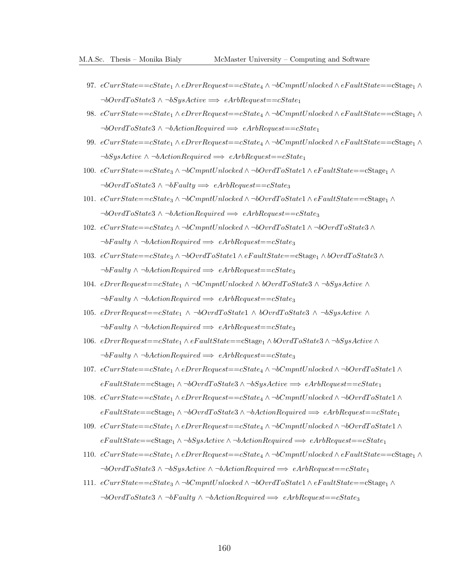- 97.  $eCurrentState = cState_1 \wedge eDrvrRequest = cState_4 \wedge \neg bComptUnlocked \wedge eFaultState = cStage_1 \wedge$  $\neg bOvrdToState3 \wedge \neg bSysActive \Longrightarrow eArbRequest = cState_1$
- 98.  $eCurrentState = cState_1 \wedge eDrvrRequest = cState_4 \wedge \neg bComptUnlocked \wedge eFaultState = cStage_1 \wedge$  $\neg bOvr dToState3 \wedge \neg bActionRequired \implies eArbRequest = cState_1$
- 99.  $eCurrentState = cState_1 \wedge eDrvrRequest = cState_4 \wedge \neg bComptUnlocked \wedge eFaultState = cStage_1 \wedge \neg bC$  $\neg bSysActive \wedge \neg bActionRequired \implies eArbRequest = cState_1$
- 100.  $eCurrentState==cState_3 \wedge \neg bComptUnlocked \wedge \neg bOvrdToState1 \wedge eFaultState==cStage_1 \wedge$  $\neg bOvrdToState3 \wedge \neg bFaulty \Longrightarrow eArbRequest = cState_3$
- 101.  $eCurrentState==cState_3 \wedge \neg bComptUnlocked \wedge \neg bOvrdToState1 \wedge eFaultState==cStage_1 \wedge$  $\neg bOvrdToState3 \wedge \neg bActionRequired \implies eArbRequest = cState_3$
- 102. eCurrState==cState<sup>3</sup> ∧ ¬bCmpntUnlocked ∧ ¬bOvrdT oState1 ∧ ¬bOvrdT oState3 ∧  $\neg bFaulty \wedge \neg bActionRequired \implies eArbRequest = cState_3$
- 103. eCurrState==cState<sup>3</sup> ∧ ¬bOvrdT oState1 ∧ eF aultState==cStage<sup>1</sup> ∧ bOvrdT oState3 ∧  $\neg bFaulty \wedge \neg bActionRequired \implies eArbRequest = cState_3$
- 104. eDrvrRequest==cState<sub>1</sub> ∧ ¬bCmpntUnlocked ∧ bOvrdToState3 ∧ ¬bSysActive ∧  $\neg bFaulty \wedge \neg bActionRequired \implies eArbRequest = cState_3$
- 105. eDrvrRequest==cState<sub>1</sub> ∧ ¬bOvrdToState1 ∧ bOvrdToState3 ∧ ¬bSysActive ∧  $\neg bFaulty \wedge \neg bActionRequired \implies eArbRequest = cState_3$
- 106. eDrvrRequest==cState<sup>1</sup> ∧ eF aultState==cStage<sup>1</sup> ∧ bOvrdT oState3 ∧ ¬bSysActive ∧  $\neg bFaulty \wedge \neg bActionRequired \implies eArbRequest = cState_3$
- 107. eCurrState==cState<sup>1</sup> ∧ eDrvrRequest==cState<sup>4</sup> ∧ ¬bCmpntUnlocked ∧ ¬bOvrdT oState1 ∧  $eFaultState = cStage_1 \wedge \neg bOvr dToState3 \wedge \neg bSystem$
- 108. eCurrState==cState<sup>1</sup> ∧ eDrvrRequest==cState<sup>4</sup> ∧ ¬bCmpntUnlocked ∧ ¬bOvrdT oState1 ∧  $eFaultState=\\cState_1 \wedge \neg bOvrdToState3 \wedge \neg bActionRequired \implies eArbRequest=\\cState_1$
- 109. eCurrState==cState<sup>1</sup> ∧ eDrvrRequest==cState<sup>4</sup> ∧ ¬bCmpntUnlocked ∧ ¬bOvrdT oState1 ∧  $eFaultState = cStage<sub>1</sub> ∧ ¬bSysActive ∧ ¬bActionRequired → eArbRequest = cState<sub>1</sub>$
- 110.  $eCurrState = cState_1 \wedge eDrvRequest = cState_4 \wedge \neg bCmpntUnlocked \wedge eFaultState = cStage_1 \wedge$  $\neg bOvr dToState3 \wedge \neg bSysActive \wedge \neg bActionRequired \implies eArbRequest = cState_1$
- 111. eCurrState==cState<sup>3</sup> ∧ ¬bCmpntUnlocked ∧ ¬bOvrdT oState1 ∧ eF aultState==cStage<sup>1</sup> ∧  $\neg bOvr dToState3 \wedge \neg bFaulty \wedge \neg bActionRequired \Longrightarrow eArbRequest = cState_3$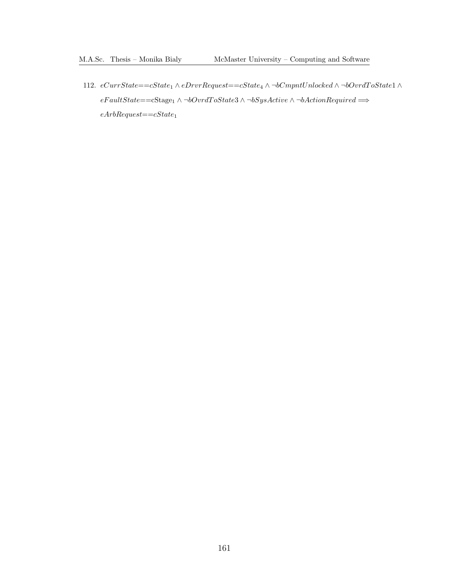112. eCurrState==cState<sup>1</sup> ∧ eDrvrRequest==cState<sup>4</sup> ∧ ¬bCmpntUnlocked ∧ ¬bOvrdT oState1 ∧  ${e} FaultState{=}{=}{\rm{cStage_1}} \wedge \neg bOvrdToState3 \wedge \neg bSysActive \wedge \neg bActionRequired \Longrightarrow$  $eArbRequest = cState_1$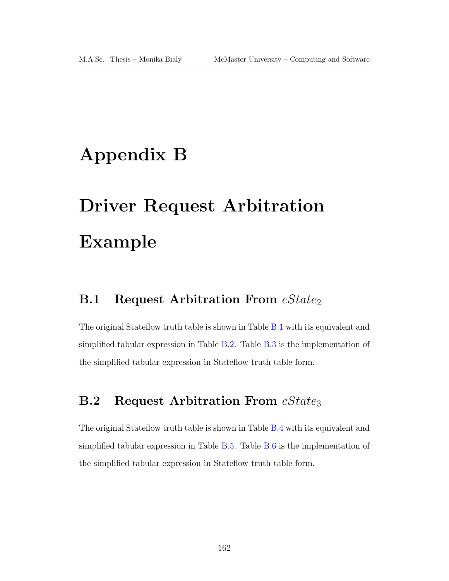# Appendix B

# Driver Request Arbitration Example

## **B.1** Request Arbitration From  $cState_2$

The original Stateflow truth table is shown in Table [B.1](#page-176-0) with its equivalent and simplified tabular expression in Table [B.2.](#page-176-1) Table [B.3](#page-177-0) is the implementation of the simplified tabular expression in Stateflow truth table form.

## **B.2** Request Arbitration From cState<sub>3</sub>

The original Stateflow truth table is shown in Table [B.4](#page-177-1) with its equivalent and simplified tabular expression in Table [B.5.](#page-178-0) Table [B.6](#page-178-1) is the implementation of the simplified tabular expression in Stateflow truth table form.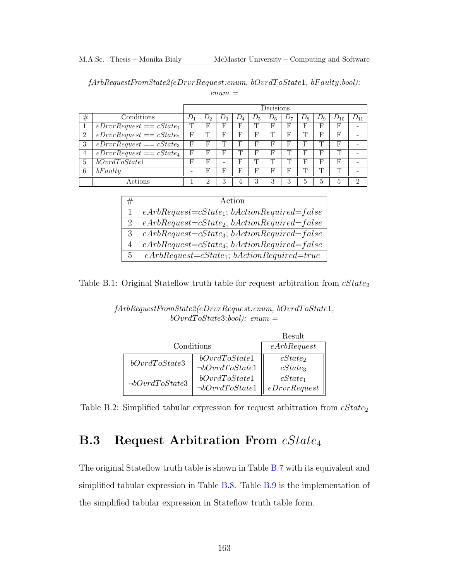<span id="page-176-0"></span>fArbRequestFromState2(eDrvrRequest:enum, bOvrdT oState1, bF aulty:bool):

| enum |  |
|------|--|
|------|--|

|                |                            | Decisions |   |                          |       |       |       |    |       |              |          |   |
|----------------|----------------------------|-----------|---|--------------------------|-------|-------|-------|----|-------|--------------|----------|---|
| #              | Conditions                 |           |   | $D_3$                    | $D_4$ | $D_5$ | $D_6$ | D7 | $D_8$ | $D_9$        | $D_{10}$ |   |
|                | $eDrvrRequest == cState_1$ | Τ         | F | F                        | F     | Τ     | F     | F  | F     | F            | F        |   |
| 2              | $eDrvrRequest == cState_2$ | F         | m | F                        | F     | F     | Τ     | F  | m     | F            | F        |   |
| 3              | $eDrvrRequest == cState_3$ | F         | F | m                        | F     | F     | F     | F  | F     | m            | F        |   |
| $\overline{4}$ | $eDrvrRequest == cState4$  | F         | F | F                        |       | F     | F     | Τ  | F     | F            | Т        |   |
| $\overline{5}$ | bOvrdToState1              | F         | F | $\overline{\phantom{0}}$ | F     | Τ     | Τ     | Τ  | F     | F            | F        |   |
| 6              | bFaultu                    | -         | F | F                        | F     | F     | F     | F  |       | ╓            | Т        |   |
|                | Actions                    |           | ച | 3                        | 4     | 3     | 3     | 3  | 5     | <sub>5</sub> | 5        | ച |

|                | Action                                               |
|----------------|------------------------------------------------------|
|                | $eArbRequest = cState_1; bActionRequired = false$    |
| 2              | $eArbRequest = cState_2$ ; $bActionRequired = false$ |
| $\mathcal{S}$  | $eArbRequest = cState_3$ ; $bActionRequired = false$ |
| 4              | $eArbRequest = cState_4$ ; $bActionRequired = false$ |
| 5 <sup>5</sup> | $eArbRequest = cState_1$ ; $bActionRequired = true$  |

<span id="page-176-1"></span>Table B.1: Original Stateflow truth table for request arbitration from  $cState_2$ 

#### fArbRequestFromState2(eDrvrRequest:enum, bOvrdT oState1,  $bOvrdToState3:bool):$  enum =

|                       |                                               | Result       |
|-----------------------|-----------------------------------------------|--------------|
| Conditions            | eArbRequest                                   |              |
| bOvrdToState3         | bOvrdToState1                                 | $cState_2$   |
|                       | $\neg bOvr dToState1$                         | $cState_3$   |
| $\neg bOvr dToState3$ | bOvrdToState1                                 | $cState_1$   |
|                       | $\overline{\rightarrow}$ <i>bOvrdToState1</i> | eDrvrRequest |

Table B.2: Simplified tabular expression for request arbitration from  $cState_2$ 

## **B.3** Request Arbitration From cState<sub>4</sub>

The original Stateflow truth table is shown in Table [B.7](#page-179-0) with its equivalent and simplified tabular expression in Table [B.8.](#page-179-1) Table [B.9](#page-180-0) is the implementation of the simplified tabular expression in Stateflow truth table form.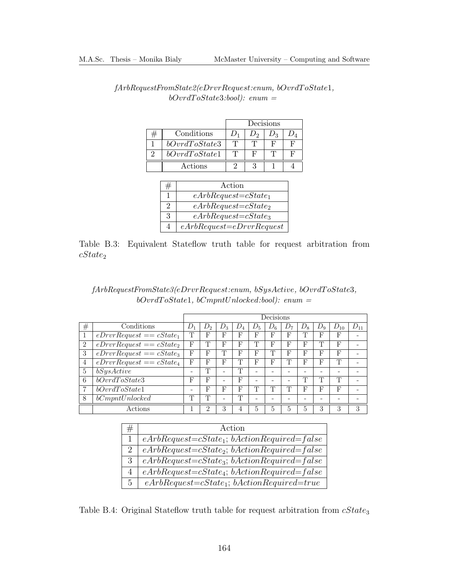|               | Decisions         |    |                |   |  |
|---------------|-------------------|----|----------------|---|--|
| Conditions    | $1)$ <sub>1</sub> |    | $\eta_{\rm q}$ |   |  |
| bOvrdToState3 | T                 |    |                | F |  |
| bOvrdToState1 | T                 | Ħ, |                | г |  |
| Actions       |                   |    |                |   |  |

<span id="page-177-0"></span>

| ${\it fArbRequestFromState2} (eDrvrRequest:enum, \textit{bO} vrdToState1,$ |  |
|----------------------------------------------------------------------------|--|
| $bOvrdToState3:bool):$ enum =                                              |  |

|   | Action                       |
|---|------------------------------|
|   | $eArbRequest = cState_1$     |
| 2 | $eArbRequest = cState_2$     |
| 3 | $eArbRequest = cState_3$     |
|   | $eArbRequest = eDrvrRequest$ |

Table B.3: Equivalent Stateflow truth table for request arbitration from  $cState_2$ 

<span id="page-177-1"></span>

| $fArbRequestFromState3(eDrvrRequest:enum, bSysActive, bOvrdToState3,$ |  |
|-----------------------------------------------------------------------|--|
| $bOvrdToState1, bCmpntUnlocked:bool): enum =$                         |  |

|                |                            | Decisions                |         |       |       |       |       |    |       |         |          |   |
|----------------|----------------------------|--------------------------|---------|-------|-------|-------|-------|----|-------|---------|----------|---|
| $^{\#}$        | Conditions                 | $D_{1}$                  | $D_{2}$ | $D_3$ | $D_4$ | $D_5$ | $D_6$ | D7 | $D_8$ | $D_{9}$ | $D_{10}$ |   |
|                | $eDrvrRequest == cState_1$ | T                        | F       | F     | F     | F     | F     | F  | m     | F       | F        |   |
| $\overline{2}$ | $eDrvRequest == cState_2$  | F                        | Τ       | F     | F     | m     | F     | F  | F     |         | F        |   |
| 3              | $eDrvRequest == cState_3$  | F                        | F       | T     | F     | F     | Т     | F  | F     | F       | F        |   |
| 4              | $eDrvRequest == cState_4$  | F                        | F       | F     | Т     | F     | F     | Τ  | F     | F       | Т        |   |
| 5              | bSysActive                 | $\overline{\phantom{a}}$ | Т       | ۰     | T     |       | -     | -  | ۰     |         |          |   |
| 6              | bOvrdToState3              | F                        | F       | ۰     | F     |       |       |    | Т     | m       | Т        |   |
| 7              | bOvrdToState1              | -                        | F       | F     | F     | m     | Τ     | Τ  | F     | F       | F        |   |
| 8              | bCompt Unlocked            | Τ                        | ጥ       | -     | Т     | -     |       |    |       |         |          |   |
|                | Actions                    |                          | 2       | 3     | 4     | 5     | 5     | 5  | 5     | 3       | 3        | 3 |

| #              | Action                                               |
|----------------|------------------------------------------------------|
|                | $eArbRequest = cState_1; bActionRequired = false$    |
| $2^{\circ}$    | $eArbRequest = cState_2$ ; $bActionRequired = false$ |
| $\mathcal{S}$  | $eArbRequest = cState_3$ ; $bActionRequired = false$ |
| $\overline{4}$ | $eArbRequest = cState_4$ ; $bActionRequired = false$ |
| $5 -$          | $eArbRequest = cState_1; bActionRequired = true$     |

Table B.4: Original Stateflow truth table for request arbitration from  $\it cState_3$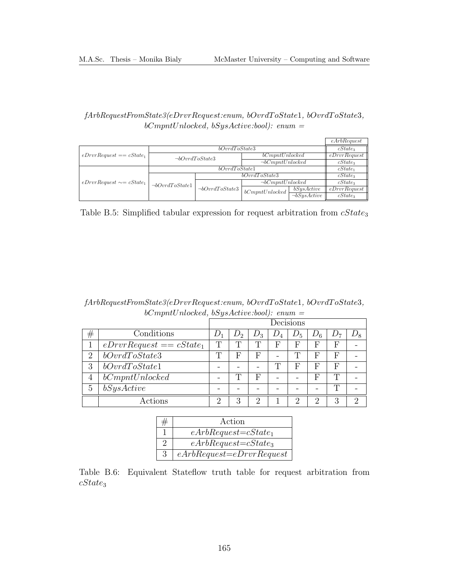#### <span id="page-178-0"></span> $\label{thm:1} \textit{fArbRequestFromState3}(eDrvrRequest:enum, \textit{bOvrdToState1}, \textit{bOvrdToState3},$  $bComptUnlocked, bSysActive:bool): enum =$

|                                |                       |                       |                        |                   | eArbRequest  |  |  |
|--------------------------------|-----------------------|-----------------------|------------------------|-------------------|--------------|--|--|
|                                |                       | $cState_3$            |                        |                   |              |  |  |
| $eDrvrRequest == cState_1$     |                       | $\neg bOvr dToState3$ | bComptUnlocked         |                   |              |  |  |
|                                |                       |                       | $\neg bCompt Unlocked$ | $cState_3$        |              |  |  |
|                                |                       | $cState_1$            |                        |                   |              |  |  |
|                                |                       |                       | bOvrdToState3          |                   |              |  |  |
| $eDrvrRequest \sim = cState_1$ | $\neg bOvr dToState1$ |                       | $\neg bCompt Unlocked$ |                   | $cState_3$   |  |  |
|                                |                       | $\neg bOvr dToState3$ | bCompt Unlocked        | bSysActive        | eDrvrRequest |  |  |
|                                |                       |                       |                        | $\neg bSysActive$ | $cState_3$   |  |  |

Table B.5: Simplified tabular expression for request arbitration from  $cState_3$ 

<span id="page-178-1"></span>fArbRequestFromState3(eDrvrRequest:enum, bOvrdT oState1, bOvrdT oState3,  $bComptUnlocked, \underline{bSysActive:bool): \ enum =}$ 

|                             |                            |       | Decisions |       |              |       |       |       |       |
|-----------------------------|----------------------------|-------|-----------|-------|--------------|-------|-------|-------|-------|
| #                           | Conditions                 | $L_1$ | $D_2$     | $D_3$ | $D_4\,$      | $D_5$ | $D_6$ | $D_7$ | $D_8$ |
| 1                           | $eDrvrRequest == cState_1$ | T     | ╓         |       | F            | F     | F     | F     |       |
| $\mathcal{D}_{\mathcal{L}}$ | bOvrdToState3              | T     | F         | F     |              | m     | F     | F     |       |
| 3                           | bOvrdToState1              |       |           |       | $\mathbf{T}$ | F     | F     | F     |       |
| $\overline{4}$              | bCompt Unlocked            |       | ᇚ         | F     |              |       | F     |       |       |
| 5                           | bSysActive                 |       |           |       |              |       |       |       |       |
|                             | Actions                    | ٠,    | З         | റ     |              | റ     | റ     | З     | 6)    |

|               | Action                       |
|---------------|------------------------------|
|               | $eArbRequest = cState_1$     |
|               | $eArbRequest = cState_3$     |
| $\mathcal{S}$ | $eArbRequest = eDrvrRequest$ |

Table B.6: Equivalent Stateflow truth table for request arbitration from  $cState_3$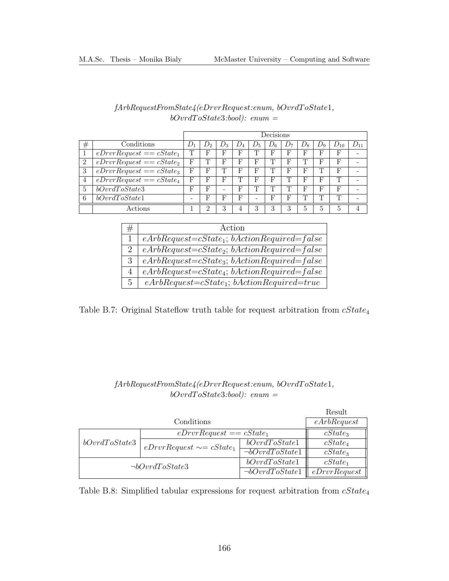<span id="page-179-0"></span>

|                |                            | Decisions |              |         |       |                          |         |               |           |            |          |          |
|----------------|----------------------------|-----------|--------------|---------|-------|--------------------------|---------|---------------|-----------|------------|----------|----------|
| $_{\#}$        | Conditions                 |           | $J_{\Omega}$ | $\nu_3$ | $D_4$ | $D_5$                    | $\nu_6$ | $\cup$ $\sim$ | $\nu_{8}$ | $\n  D0\n$ | $D_{10}$ | $D_{11}$ |
|                | $eDrvrRequest == cState_1$ |           |              | F       | F     | ᇚ                        | F       | F             | F         | F          |          |          |
| $\overline{2}$ | $eDrvrRequest == cState_2$ | F         | m            | F       | F     | F                        | m       | F             | m         | F          | F        |          |
| 3              | $eDrvrRequest == cState_3$ | F         | Ŀ,           | ጥ       | F     | F                        | m       | F             | F         | ጥ          | F        |          |
| 4              | $eDrvrRequest == cState_4$ | F         | Ŀ,           | F       | T     | F                        | F       | m             | F         | F          | m        |          |
| 5              | bOvrdToState3              | F         | F            | -       | F     | m                        | m       | m             | F         | F          | F        |          |
| 6              | bOvrdToState1              | -         | F            | F       | F     | $\overline{\phantom{a}}$ | F       | F             | m         | ╓          | m        |          |
|                | Actions                    |           | ∩            | 3       | 4     | 3                        | 3       | 3             | 5         | .5         | h,       | 4        |

#### fArbRequestFromState4(eDrvrRequest:enum, bOvrdT oState1,  $bOvrdToState3:bool):$  enum =

| #              | Action                                               |
|----------------|------------------------------------------------------|
|                | $eArbRequest = cState_1; bActionRequired = false$    |
| $2^{\circ}$    | $eArbRequest = cState_2$ ; $bActionRequired = false$ |
| $\mathcal{S}$  | $eArbRequest = cState_3$ ; $bActionRequired = false$ |
| $\overline{4}$ | $eArbRequest = cState_4$ ; $bActionRequired = false$ |
| $5 -$          | $eArbRequest = cState_1; bActionRequired = true$     |

Table B.7: Original Stateflow truth table for request arbitration from  $cState_4$ 

#### fArbRequestFromState4(eDrvrRequest:enum, bOvrdT oState1,  $bOvrdToState3:bool):$  enum =

<span id="page-179-1"></span>

|            |                                                        | Result                                             |  |  |
|------------|--------------------------------------------------------|----------------------------------------------------|--|--|
| Conditions |                                                        |                                                    |  |  |
|            | $cState_3$                                             |                                                    |  |  |
|            | bOvrdToState1                                          | $cState_4$                                         |  |  |
|            |                                                        | $cState_3$                                         |  |  |
|            | bOvrdToState1                                          | $cState_1$                                         |  |  |
|            | $\neg bOvrdToState1$                                   | eDrvrRequest                                       |  |  |
|            | $eDrvrRequest \sim = cState_1$<br>$\neg bOvrdToState3$ | $eDrvrRequest == cState_1$<br>$\neg bOvrdToState1$ |  |  |

Table B.8: Simplified tabular expressions for request arbitration from  $cState_4$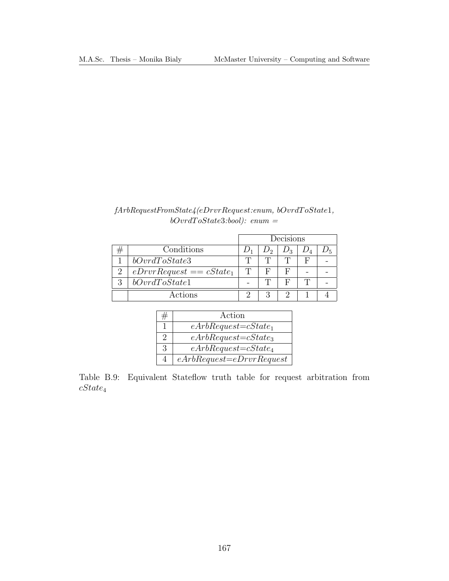### $\label{thm:ex1} fArbRequestFrom State 4 (eDrvrRequest: enum, \; bOvr dToState1,$  $bOvrdToState3:bool):$  enum =

|   |                            | Decisions |   |  |  |  |
|---|----------------------------|-----------|---|--|--|--|
|   | Conditions                 |           |   |  |  |  |
|   | bOvrdToState3              |           |   |  |  |  |
|   | $eDrvrRequest == cState_1$ |           | F |  |  |  |
| 2 | bOvrdToState1              |           |   |  |  |  |
|   | Actions                    |           |   |  |  |  |

| Action                       |
|------------------------------|
| $eArbRequest = cState_1$     |
| $eArbRequest = cState_3$     |
| $eArbRequest = cState_4$     |
| $eArbRequest = eDrvrRequest$ |

Table B.9: Equivalent Stateflow truth table for request arbitration from  $cState_4$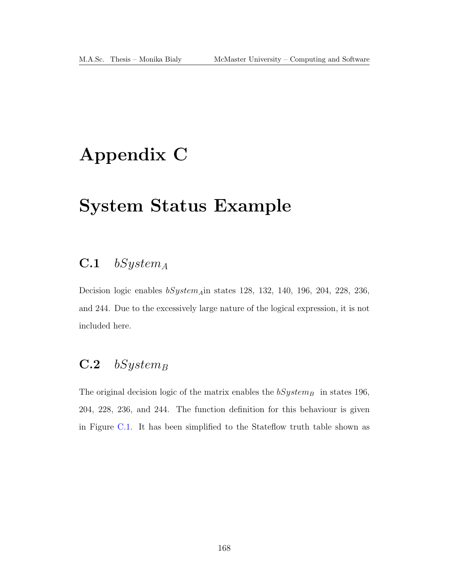# Appendix C

## System Status Example

### $C.1$  bSystem<sub>A</sub>

Decision logic enables  $bSystem_A$ in states 128, 132, 140, 196, 204, 228, 236, and 244. Due to the excessively large nature of the logical expression, it is not included here.

### $C.2$  bSystem<sub>B</sub>

The original decision logic of the matrix enables the  $bSystem_B$  in states 196, 204, 228, 236, and 244. The function definition for this behaviour is given in Figure [C.1.](#page-183-0) It has been simplified to the Stateflow truth table shown as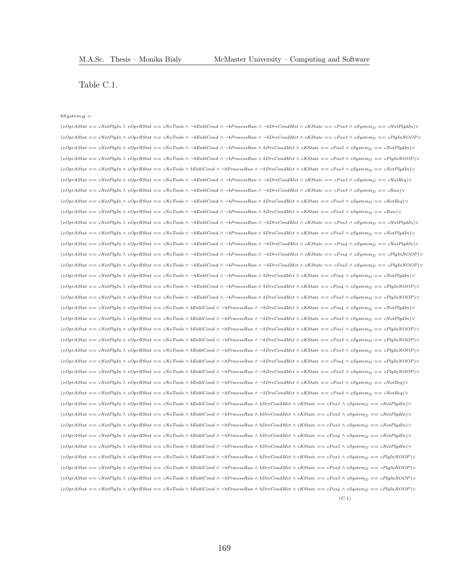Table [C.1.](#page-184-0)

#### $bSystem_B =$

 $(e^{OptAStat} == cNotPlqIn \wedge e^{OptBStat} == cNoTools \wedge \neg bEnblCond \wedge \neg bProcessRun \wedge \neg bDrvCondMet \wedge eKState == cPos3 \wedge eSystem_D == cNotPlqdln)$  $(e^{OptAS} = cNotPlgh \wedge e^{OptS}t$  =  $cNotTools \wedge \neg bEnblCond \wedge \neg bProcessRun \wedge \neg bDrvCondMet \wedge eKState = cPos3 \wedge eSystem_D = cPlgInNOOP$  $(e^{OPT}\text{AStat} == cNotPlgIn \wedge e^{OPT}\text{BStat} == cNoTools \wedge \neg bEnblCond \wedge \neg bProcessRun \wedge bDrvCondMet \wedge eKState == cPos3 \wedge eSystem_D == cNotPlgdm) \vee$  $(eOpt Astat == cNotPlgh \wedge eOptBStat == cNoTools \wedge \neg bEntComd \wedge \neg bProcessRun \wedge bDrvCondMet \wedge eKState == cPos3 \wedge eSystemp == cPlgInNOOP)$  $(e^{i\theta_{\text{max}}\theta_{\text{max}}}-e^{i\theta_{\text{max}}\theta_{\text{max}}}-e^{i\theta_{\text{max}}\theta_{\text{max}}\theta_{\text{max}}\theta_{\text{max}}\theta_{\text{max}}\theta_{\text{max}}\theta_{\text{max}}\theta_{\text{max}}\theta_{\text{max}}\theta_{\text{max}}\theta_{\text{max}}\theta_{\text{max}}\theta_{\text{max}}\theta_{\text{max}}\theta_{\text{max}}\theta_{\text{max}}\theta_{\text{max}}\theta_{\text{max}}\theta_{\text{max}}\theta_{\text{max}}\theta_{\text{max}}\theta_{\text{max}}\$  $(e^{OPT}\text{AStat} == c\text{NotPl}gIn \wedge e^{OPT}\text{BStat} == c\text{NoTools} \wedge \neg b\text{EnblCond} \wedge \neg b\text{ProcessRun} \wedge \neg b\text{DrvCondMet} \wedge eK\text{State} == c\text{Pos3} \wedge e\text{System}_D == c\text{NotReg} \vee \neg b\text{Probs}$  $(e_{\text{Opr}}\text{A} \text{S} \text{t}at == c \text{No} \text{I} \text{b}aln \wedge e_{\text{Opr}}\text{B} \text{S} \text{t}at == c \text{No} \text{Tools} \wedge \neg \text{b} \text{F} \text{m} \text{C} \text{c}as \text{Ru} \wedge \neg \text{b} \text{P} \text{m} \text{C} \text{c}as \text{Ru} \wedge \neg \text{b} \text{P} \text{m} \text{C} \text{c}b \text{d} \text{Me} \wedge \neg \text{c} \text{B} \text{S} \text{t}$  $(e^{OptAStat} == cNotPlgh \wedge e^{OptS}stat == cN\sigma T\text{ools} \wedge \neg bFnblCond \wedge \neg bFrocessRun \wedge bDrvCondMet \wedge eKState == cPos3 \wedge eSystemD == cNotPeq)$ (eOprAStat == cNotPlgIn ∧ eOprBStat == cNoTools ∧ ¬bEnblCond ∧ ¬bProcessRun ∧ bDrvCondMet ∧ eKState == cPos3 ∧ eSystem<sup>D</sup> == cRun)∨ (eOprAStat == cNotPlgIn ∧ eOprBStat == cNoTools ∧ ¬bEnblCond ∧ ¬bProcessRun ∧ ¬bDrvCondMet ∧ eKState == cPos5 ∧ eSystem<sup>D</sup> == cNotPlgdIn)∨  $(eOptAStat == cNotPlgh \wedge eOptBStat == cNoTools \wedge \neg bEnbCond \wedge \neg bProcessRun \wedge bDrvCondMet \wedge eKState == cPos5 \wedge eSystem_D == cNotPlgdIn) \vee$  $(e^{OPT}\text{AStat} == c^N\text{AvlP}lqIn \wedge e^T\text{AvlP}IqIm) \vee (e^{OPT}\text{AvlP}IqIm) \vee (e^{OPT}\text{AvlP}IqIm) \vee (e^{OPT}\text{AvlP}IqIm) \vee (e^{OPT}\text{AvlP}IqIm) \vee (e^{OPT}\text{AvlP}IqIm) \vee (e^{OPT}\text{AvlP}IqIm) \vee (e^{OPT}\text{AvlP}IqIm) \vee (e^{OPT}\text{AvlP}IqIm) \vee (e^{OPT}\text{AvlP}IqIm) \vee (e^{OPT}\$  $(eOptAStat == cNotPlgh \wedge eOptSstat == cNoTools \wedge \neg bEnblCond \wedge \neg bProcessRun \wedge \neg bDrvCondMet \wedge eKState == cPos4 \wedge eSystem_D == cPlgInNOOP)$  $(e^{Opr}\textit{AStat} == cN\textit{otPlgh} \wedge e^{Opr}\textit{BStat} == cN\textit{d} \textit{To} \textit{d} s \wedge \neg \textit{b} \textit{Enb}l\textit{Cond} \wedge \neg \textit{b} \textit{ProcessRun} \wedge \neg \textit{b} \textit{Drv}\textit{CondMet} \wedge \textit{e}K\textit{State} == c\textit{Pos} \wedge \textit{c}S\textit{ystem} \textit{p} == c\textit{PlgIn} \textit{NOOP} \vee \neg \textit{b}K\textit{f} \wedge \textit{f} \wedge$  $(e_{\text{Opt}} + \text{Set} = e_{\text{Not}} + \text{Set} = e_{\text{cont}} + \text{Set} = 0$  $(eOptAStat == cNotP1gIn \wedge eOptBStat == cNoTools \wedge \neg bEntCond \wedge \neg bProcessRun \wedge bDrvConsider \wedge eKState == cPos4 \wedge eSystemp == cP1gInNOOP)$  $(eOptAStat == cNotPlgh \wedge eOptBStat == cNoTools \wedge \neg bEntComd \wedge \neg bProcessRun \wedge bProcesSRun \wedge bProConstate == cPos5 \wedge eSystemp == cPlgInNOOP)$  $(e^{OptAStat} == cNotPlgh \wedge e^{OptBstat} == cNoTools \wedge bEmblCond \wedge \neg bProcessRun \wedge \neg bDrvCondMet \wedge eKState == cPos4 \wedge eSystem_D == cNotPlgdIn) \vee$  $(eOptAStat == cNotPlgh \wedge eOptBStat == cNoTools \wedge bEmbCond \wedge \neg bProcessRun \wedge \neg bDrvCondMet \wedge eKState == cPos5 \wedge eSystem_D == cNotPlgdIn) \vee$  $(e^{OPT}\text{AStat} == c^{\text{Not}}\text{PlgIn} \land e^{\text{OptBStat}} == c^{\text{Not}}\text{Aof} \text{Tools} \land \text{bEnblCond} \land \neg \text{bProcessRun} \land \neg \text{bProCondMet} \land \text{eKState} == c\text{Pos1} \land \text{eSystem} == c\text{PlgIn} \land \text{OOP}$  $(eOptAStat == cNotP1gIn \wedge eOptBStat == cNoTools \wedge bEnblCond \wedge \neg bProcessRun \wedge \neg bDrvCondMet \wedge eKState == cPos2 \wedge eSystemp == cP1gInNOOP)$  $(eOptAStat \;== \; cNotPlgh \;\wedge \; eOptBStat \;== \; cNoTools \;\wedge \; bEnblCond \;\wedge \; \neg bProcessRun \;\wedge \; \neg bDrvCondMet \;\wedge \; eKState \;== \; cPos3 \;\wedge \; eSystem_D \;== \; cPlgInNOOP) \vee \; beCholA$  $(e^{OPT}\text{AStat} == c^T\text{Aok} = c^T\text{Aok} = c^T\text{Aok} = c^T\text{Aok}$  $(eOptAStat == cNotP1gIn \wedge eOptBStat == cNoTools \wedge bEnblCond \wedge \neg bProcessRun \wedge \neg bDrvCondMet \wedge eKState == cPos \wedge eSystemp == cP1gInNOOP)$  $(e^{OptAStat} == cNotPlgh \wedge e^{OptS}tat == cN\sigma T\text{ools} \wedge bEnblC\text{ond} \wedge \neg bProcessRun \wedge \neg bDrvC\text{ondMet} \wedge eKState == cPos1 \wedge eSystemp == cNotPeq} \vee \neg bT\text{val} \wedge \neg bT\text{val} \wedge \neg bT\text{val} \wedge \neg bT\text{val} \wedge \neg bT\text{val} \wedge \neg bT\text{val} \wedge \neg bT\text{val} \wedge \neg bT\text{val} \wedge \neg bT\text{val} \wedge \neg bT\text{val} \wedge \neg bT$  $(e^{OptA}S_{t} = e^{NotP}Q_{t} \wedge e^{OptB}S_{t} = e^{NotRep}Q_{t} \wedge e^{E_{t} \wedge e^{E_{t}} \wedge \phi_{t}} \wedge \phi_{t} = 0$  $(eOptAStat == cNotPlgh \wedge eOptBStat == cNoTools \wedge bEnblCond \wedge \neg bProcessRun \wedge bDrvCondMet \wedge eKState == cPos1 \wedge eSystem_D == cNotPlgdIn) \vee$  $(e_{\text{Opt}} + \text{Set} = e_{\text{Not}} + \text{Set} = e_{\text{Not}} + \text{Set} = e_{\text{Not}} + \text{Set} = 0$  $(e^{Opt\hat{B}}\hat{B} = e^{\hat{B}}\hat{B})$   $\wedge$   $\hat{B}$   $\hat{C}$   $\hat{C}$   $\hat{C}$   $\hat{C}$   $\hat{C}$   $\hat{C}$   $\hat{C}$   $\hat{C}$   $\hat{C}$   $\hat{C}$   $\hat{C}$   $\hat{C}$   $\hat{C}$   $\hat{C}$   $\hat{C}$   $\hat{C}$   $\hat{C}$   $\hat{C}$   $\hat{C}$   $\hat{C}$   $\hat{C}$   $\hat{C}$   $\$  $(eOptAStat == cNotPlgh \wedge eOptBStat == cNoTools \wedge bEnblCond \wedge \neg bProcessRun \wedge bDrvCondMet \wedge eKState == cPos4 \wedge eSystem_D == cNotPlgdIn) \vee$  $(eOptAStat == cNotPlgh \wedge eOptBStat == cNoTools \wedge bEnblCond \wedge \neg bProcessRun \wedge bDrvCondMet \wedge eKState == cPos5 \wedge eSystem_D == cNotPlgdIn) \vee$  $(eOptAStat == cNotPlgh \wedge eOptBStat == cNoTools \wedge bEnbICond \wedge \neg bProcessRun \wedge bDrvCondMet \wedge eKState == cPos1 \wedge eSystemp == cPlgInNOOP)$  $(eOptAStat == cNotPlgh \wedge eOptBStat == cNoTools \wedge bEmbCond \wedge \neg bProcessRun \wedge bDrvCondMet \wedge eKState == cPos2 \wedge eSystem_D == cPlgInNOOP)$  $(e^{OPT}\text{AStat} == c^T\text{Not}$ PlgIn ∧  $e^{OPT}\text{BStat} == c^T\text{Not}$ Ools ∧ bEnblCond ∧ ¬bProcessRun ∧ bDrvCondMet ∧ eKState == cPos3 ∧ eSystemp == cPlgInNOOP)∨  $(eOptAStat == cNotPlgh \wedge eOptBStat == cNoTools \wedge bEmbCond \wedge \neg bProcessRun \wedge bDrvCondMet \wedge eKState == cPos4 \wedge eSystem_D == cPlgInNOOP)$  $(C.1)$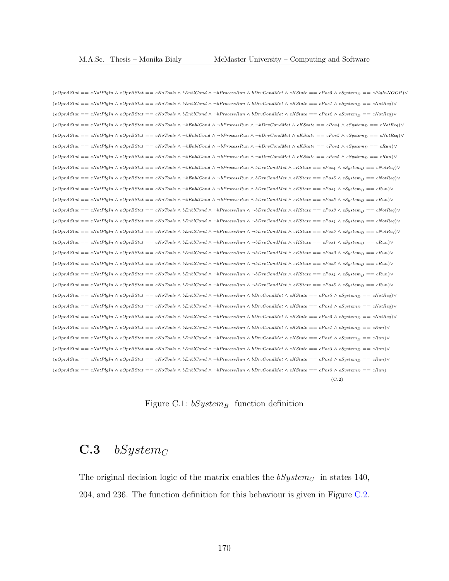$(eOptAStat == cNotPlgh \wedge eOptBStat == cNoTools \wedge bEmbCond \wedge \neg bProcessRun \wedge bDrvCondMet \wedge eKState == cPos5 \wedge eSystem_D == cPlgInNOOP)$  $(eOptAStat == cNotPlgh \wedge eOptBstat == cNoTools \wedge bEnbICond \wedge \neg bProcessRun \wedge bDrvCondMet \wedge eKState == cPos1 \wedge eSystem_D == cNotPeq)$  $(eOptAStat == cNotPlgh \wedge eOptBstat == cNoTools \wedge bEnbICond \wedge \neg bProcessRun \wedge bDrvCondMet \wedge eKState == cPos2 \wedge eSystemD == cNotPeq)$  $(eOpt Astat == cNotPlgh \wedge eOptBStat == cNoTools \wedge \neg bEntComd \wedge \neg bProcessRun \wedge \neg bDrvCondMet \wedge eKState == cPos4 \wedge eSystem_D == cNotReg) \vee$  $(eOpt Astat == cNotP1gh \wedge eOptBStat == cNoTools \wedge \neg bEntComd \wedge \neg bProcessRun \wedge \neg bDrvCondMet \wedge eKState == cPos5 \wedge eSystem_D == cNotRep \vee \neg bTockEq)$  $(eOptAStat == cNotPlghn \wedge eOptBStat == cNoTools \wedge \neg bEnblCond \wedge \neg bProcessRun \wedge \neg bDrvCondMet \wedge eKState == cPos4 \wedge eSystem_D == cRun) \vee$  $(eOptAStat == cNotPlgh \wedge eOptBstat == cNoTools \wedge \neg bEnblCond \wedge \neg bProcessRun \wedge \neg bDrvCondMet \wedge eKState == cPos5 \wedge eSystem_D == cRun) \vee$  $(e^{OptAS} = cNotPlqIn \wedge e^{OptS}Sta = cN\sigmaTools \wedge \neg bEnblCond \wedge \neg bProcessRun \wedge bDrvCondMet \wedge eKState = cPos4 \wedge eSystem \wedge = cNotRep \vee \neg bSstar = cN\sigmaTools$  $(eOpt Astat == cNotPlgh \wedge eOptBStat == cNoTools \wedge \neg bEnblCond \wedge \neg bProcessRun \wedge bDrvCondMet \wedge eKState == cPos5 \wedge eSystem_D == cNotPeq \vee \neg bT.$  $(e^{OptAS} = c^{\text{Not}}$ PlgIn ∧  $e^{optS}$ tat == cNoTools ∧ ¬bEnblCond ∧ ¬bProcessRun ∧ bDrvCondMet ∧ eKState == cPos4 ∧ eSystemp == cRun)∨  $(e^{OptAS} = cNotPlqIn \wedge e^{OptB}Sta = cNoTools \wedge \neg bEnblCond \wedge \neg bProcessRun \wedge bDrvCondMet \wedge eKState = cPos5 \wedge eSystem = cRun) \vee$  $(e^{OptAS} = cNotPlqIn \wedge e^{OptS}Sta = cNotTools \wedge bEnblCond \wedge \neg bProcessRun \wedge \neg bDrvCondMet \wedge eKState = cPos3 \wedge eSystemD = cNotReg) \vee$  $(eOpt Astat == cNotPlgh \wedge eOptStat == cNoTools \wedge bEmbCond \wedge \neg bProcessRun \wedge \neg bDrvCondMet \wedge eKState == cPos4 \wedge eSystem_D == cNotPeq \vee \neg bNchQed$  $(eOptAStat == cNotPlghn \land eOptBStat == cNoTools \land bEnblCond \land \neg bProcessRun \land \neg bDrvCondMet \land eKState == cPos5 \land eSystem_D == cNotRep)$  $(e^{OptAS} = c^{\text{Not}} \rightarrow e^{OptS} \land e^{ 2 \text{ch}} = c \text{NoTools} \land \text{beh} \land \text{Chbl} \land \text{N} \land \text{N} \land \text{N} \land \text{N} \land \text{N} \land \text{N} \land \text{N} \land \text{N} \land \text{N} \land \text{N} \land \text{N} \land \text{N} \land \text{N} \land \text{N} \land \text{N} \land \text{N} \land \text{N} \land \text{N} \land \text{N} \land \text{N} \land \text{N} \land \text{N} \land \text{N} \land \text{$  $(e^{OprAStat} == c^{Not}$ PlgIn ∧  $e^{OprBStat} == c^{Not}$ Tools ∧ bEnblCond ∧ ¬bProcessRun ∧ ¬bDrvCondMet ∧ eKState == cPos2 ∧ eSystemp == cRun)∨  $(eOptAStat == cNotPlgh \wedge eOptBStat == cNoTools \wedge bEnblCond \wedge \neg bProcessRun \wedge \neg bDrvCondMet \wedge eKState == cPos3 \wedge eSystem_D == cRun) \vee$  $(e^{OptAS} = cNotPlqIn \wedge e^{OptS}Sta = cN\sigmaTools \wedge bEnblCond \wedge \neg bProcessRun \wedge \neg bDrvCondMet \wedge eKState = cPos4 \wedge eSystem_D = cRun) \vee$  $(eOptAStat == cNotPlgh \wedge eOptBStat == cNoTools \wedge bEmbCond \wedge \neg bProcessRun \wedge \neg bDrvCondMet \wedge eKState == cPos5 \wedge eSystem_D == cRun) \vee$  $(eOptAStat == cNotPlgh \wedge eOptBStat == cNoTools \wedge bEnbICond \wedge \neg bProcessRun \wedge bDrvCondMet \wedge eKState == cPos3 \wedge eSystem_D == cNotRep)$  $(eOptAStat == cNotPlgh \wedge eOptBStat == cNoTools \wedge bEnbICond \wedge \neg bProcessRun \wedge bDrvCondMet \wedge eKState == cPos4 \wedge eSystem_D == cNotPeq \vee \neg bVarQ$  $(eOptAStat == cNotPlghn \wedge eOptBStat == cNoTools \wedge bEnbICond \wedge \neg bProcessRun \wedge bDrvCondMet \wedge eKState == cPos5 \wedge eSystem_D == cNotRep)$  $(eOptAStat == cNotPlgh \wedge eOptBstat == cNoTools \wedge bEnbICond \wedge \neg bProcessRun \wedge bDrvCondMet \wedge eKState == cPos1 \wedge eSystemD == cRun) \vee$  $(e^{OprAStat} == cNotPlgh \wedge e^{OprSstat} == cNoTools \wedge bEnblCond \wedge \neg bProcessRun \wedge bDrvCondMet \wedge eKState == cPos2 \wedge eSystemD == cRun) \vee$  $(e^{OptAState} = e^{NotPlgh} \wedge e^{OptBState} = e^{NoTools} \wedge b_{Emb}$ <br>  $\wedge b_{F}$ oressRun  $\wedge b_{F}$ CondMet  $\wedge e^{KState} = e^{Pos3} \wedge e^{System} = e^{Run}$  $(e^{OptAS} = cNotP \cdot q \cdot n \wedge e^{OptS} \cdot \text{Cov} = cNotP \cdot q \wedge e^{ 2Nc} \cdot \text{Cov} = cNotP \cdot q \wedge e^{ 2Nc} \cdot \text{Cov} = cNotP \cdot q \wedge e^{ 2Nc} \cdot \text{Cov} = cNotP \cdot q \wedge e^{ 2Nc} \cdot \text{Cov} = cNotP \cdot q \wedge e^{ 2Nc} \cdot \text{Cov} = cNotP \cdot q \wedge e^{ 2Nc} \cdot \text{Cov} = cNotP \cdot q \wedge e^{ 2Nc} \cdot \text{Cov} = cNotP \$  $(e^{OptAS} = cNotPlgIn \wedge e^{OptS}$ tat == cNoTools  $\wedge$  bEnblCond  $\wedge \neg b$ ProcessRun  $\wedge bDrv$ CondMet  $\wedge eKState = cPos5 \wedge eSystem$  == cRun) (C.2)

<span id="page-183-0"></span>Figure C.1:  $bSystem_B$  function definition

### $C.3$  bSystem<sub>C</sub>

The original decision logic of the matrix enables the  $bSystem_C$  in states 140, 204, and 236. The function definition for this behaviour is given in Figure [C.2.](#page-185-0)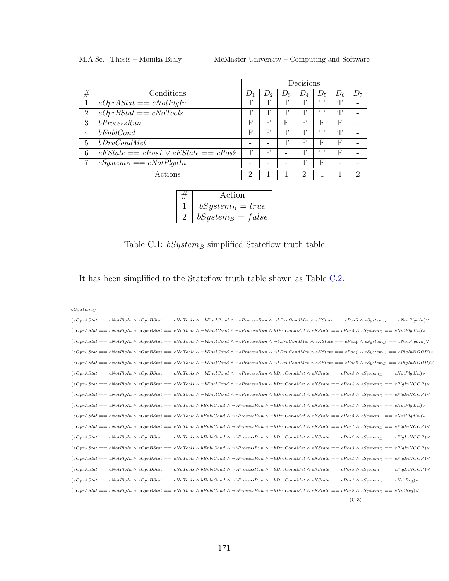<span id="page-184-0"></span>

|                |                                        | Decisions     |       |       |       |       |       |                |
|----------------|----------------------------------------|---------------|-------|-------|-------|-------|-------|----------------|
| #              | Conditions                             | $\mathcal{L}$ | $D_2$ | $D_3$ | $D_4$ | $D_5$ | $D_6$ | D <sub>7</sub> |
|                | $eOprAStat == cNotPlqIn$               | ╓             | T     | Т     | m     | Т     | T     |                |
| $\overline{2}$ | $eOprBStat == cNoTools$                | m             | T     | Τ     | Т     | Т     | T     |                |
| 3              | bProcessRun                            | $_{\rm F}$    | F     | F     | F     | F     | F     |                |
| 4              | bEnblCond                              | F             | F     | Т     | m     | Т     | T     |                |
| 5              | bDrvCondMet                            |               |       | Т     | F     | F     | F     |                |
| 6              | $eKState = cPos1 \vee eKState = cPos2$ | T             | F     |       | m     | Т     | F     |                |
| 7              | $eSystem_D == cNotPlqdIn$              |               |       |       | m     | F     |       |                |
|                | Actions                                | റ             |       |       | റ     |       |       | റ              |

|                | Action              |
|----------------|---------------------|
|                | $bSystem_B = true$  |
| $\overline{2}$ | $bSystem_B = false$ |

### Table C.1:  $bSystem_B$  simplified Stateflow truth table

It has been simplified to the Stateflow truth table shown as Table [C.2.](#page-186-0)

 $bSystem_C =$ 

| $(e^{OPT}\text{B}_{\text{S}})$ (e $C_{\text{P}}$ and $\theta$ ) $\theta$ and $\theta$ and $\theta$ and $\theta$ and $\theta$ and $\theta$ and $\theta$ and $\theta$ and $\theta$ and $\theta$ and $\theta$ and $\theta$ and $\theta$ and $\theta$ and $\theta$ and $\theta$ and $\theta$ and $\theta$ and $\theta$ and $\theta$ and $\$  |
|------------------------------------------------------------------------------------------------------------------------------------------------------------------------------------------------------------------------------------------------------------------------------------------------------------------------------------------|
| $(e{\it Opr}AStat == cNotPlqIn \wedge e{\it Opr}BStat == cNoTools \wedge \neg bEnblCond \wedge \neg bProcessRun \wedge bDrvCondMet \wedge eKState == cPos5 \wedge eSystem_D == cNotPlqdln) \vee$                                                                                                                                         |
| $(e^{OPT}\text{B}_{\text{S}})$ = $e^{T}$ cNotPlqIn $\wedge$ eOprBStat = $e^{T}$ cNoTools $\wedge$ $\neg$ bEnblCond $\wedge$ $\neg$ bProcessRun $\wedge$ $\neg$ bDrvCondMet $\wedge$ eKState = $e^{T}$ cPos4 $\wedge$ eSystem <sub>p</sub> = $e^{T}$ cNotPlqdIn) $\vee$                                                                   |
| $(e_{\text{OPT}}\Delta \text{Stat} == c\text{NotPlqIn} \wedge e_{\text{OPT}}\Delta \text{Stat} == c\text{No Tools} \wedge \neg \text{bEnblCond} \wedge \neg \text{bProcessRun} \wedge \neg \text{bDrvCondMet} \wedge \text{eKState} == c\text{Pos4} \wedge e\text{System}_D == c\text{PlqInNOOP} \vee \neg \text{bCov}$                  |
| $(eOnrAStat == cNotPlqIn \wedge eOnrBStat == cNoTools \wedge \neg bEnblCond \wedge \neg bProcessRun \wedge \neg bDrvCondMet \wedge eKState == cPos5 \wedge eSystem_D == cPlqInNOOP)$                                                                                                                                                     |
| $(eOnr Astat == cNotPlqIn \wedge eOnrBStat == cNoTools \wedge \neg bEnblCond \wedge \neg bProcessRun \wedge bDrvCondMet \wedge eKState == cPos4 \wedge eSystem_D == cNotPlqdln)$                                                                                                                                                         |
| $(e_{\text{Opr}}\Delta \text{Stat} == c \text{NotP} \text{lqIn} \wedge e_{\text{Opr}}\Delta \text{Stat} == c \text{No Tools} \wedge \neg \text{bEnblCond} \wedge \neg \text{bProcessRun} \wedge \text{bDrvCondMet} \wedge \text{eKState} == c \text{Pos4} \wedge e \text{System}_D == c \text{PlqInNOOP} \vee \neg \text{b}$             |
| $(e^{OPT}\text{B}_{\text{S}})$ (e $C_{\text{P}}$ and $\theta$ and $\theta$ and $\theta$ and $\theta$ and $\theta$ and $\theta$ and $\theta$ and $\theta$ and $\theta$ and $\theta$ and $\theta$ and $\theta$ and $\theta$ and $\theta$ and $\theta$ and $\theta$ and $\theta$ and $\theta$ and $\theta$ and $\theta$ and $\theta$ and    |
| $(eOnr Astat == cNotPlqIn \wedge eOnrBStat == cNoTools \wedge bEnblCond \wedge \neg bProcessRun \wedge \neg bDrvCondMet \wedge eKState == cPos4 \wedge eSystem_D == cNotPlqdm)$                                                                                                                                                          |
| $(eOnr Astat == cNotPlqIn \wedge eOnrBStat == cNoTools \wedge bEnblCond \wedge \neg bProcessRun \wedge \neg bDrvCondMet \wedge eKState == cPos5 \wedge eSystem_D == cNotPlqdln)$                                                                                                                                                         |
| $(e^{OptAStat} == cNotPlqIn \wedge e^{OptBStat} == cNoTools \wedge bEnblCond \wedge \neg bProcessRun \wedge \neg bDrvCondMet \wedge eKState == cPos1 \wedge eSystem_D == cPlqInNOOP) \vee$                                                                                                                                               |
| $(e^{OptAStat} == cNotPlqIn \wedge e^{OptBStat} == cNoTools \wedge bEnblCond \wedge \neg bProcessRun \wedge \neg bDrvCondMet \wedge eKState == cPos2 \wedge eSystem_D == cPlqInNOOP) \vee$                                                                                                                                               |
| $(e^{OptAS}t + e^{- B\omega})$ (e $E_{B} = e^{B\omega}$ and $E_{B} = e^{B\omega}$ and $\Delta$ and $\Delta$ and $\Delta$ and $\Delta$ and $\Delta$ and $\Delta$ and $\Delta$ and $\Delta$ and $\Delta$ and $\Delta$ and $\Delta$ and $\Delta$ and $\Delta$ and $\Delta$ and $\Delta$ and $\Delta$ and $\Delta$ and $\Delta$ and $\Delta$ |
| $(eOprAStat == cNotPlqIn \wedge eOprBStat == cNoTools \wedge bEnblCond \wedge \neg bProcessRun \wedge \neg bDrvCondMet \wedge eKState == cPos4 \wedge eSusterp == cPlqInNOOP)$                                                                                                                                                           |
| $(e^{OptAStat} == cNotPlqIn \wedge e^{OptBStat} == cNoTools \wedge bEnblCond \wedge \neg bProcessRun \wedge \neg bDrvCondMet \wedge eKState == cPos5 \wedge eSystem_D == cPlqInNOOP) \vee$                                                                                                                                               |
| $(e{\it Opr}AStat == cNotPlqIn \wedge e{\it Opr}BStat == cNoTools \wedge bEnblCond \wedge \neg bProcessRun \wedge \neg bDrvCondMet \wedge eKState == cPos1 \wedge eSystem_D == cNotReg) \vee$                                                                                                                                            |
| $(e{\it Opr}AStat == cNotPlqIn \wedge e{\it Opr}BStat == cNoTools \wedge bEnblCond \wedge \neg bProcessRun \wedge \neg bDrvCondMet \wedge eKState == cPos2 \wedge eSystem_D == cNotReg) \vee$                                                                                                                                            |
| (C.3)                                                                                                                                                                                                                                                                                                                                    |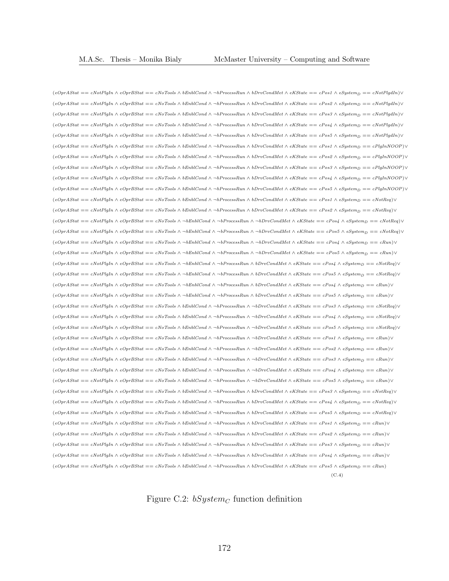$(eOptAStat == cNotPlgh \land eOptBStat == cNoTools \land bEnblCond \land \neg bProcessRun \land bDrvCondMet \land eKState == cPost \land eSystem_D == cNotPlgdIn) \lor$  $(eOptAStat == cNotPlgh \wedge eOptBStat == cNoTools \wedge bEnblCond \wedge \neg bProcessRun \wedge bDrvCondMet \wedge eKState == cPos2 \wedge eSystem_D == cNotPlgdIn) \vee$  $(eOptAStat == cNotPlgh \wedge eOptBStat == cNoTools \wedge bEnblCond \wedge \neg bProcessRun \wedge bDrvCondMet \wedge eKState == cPos3 \wedge eSystemp == cNotPlgdIn) \vee$  $(e^{OptAS} = cNotPlqIn \wedge e^{OptS}$ tat ==  $cNoTools \wedge bEnblCond \wedge \neg bProcessRun \wedge bDrvCondMet \wedge eKState = cPos4 \wedge eSystemp = cNotPlqdn)$  $(eOpt Astat == cNotPlgh \wedge eOptBStat == cNoTools \wedge bEnblCond \wedge \neg bProcessRun \wedge bDrvCondMet \wedge eKState == cPos5 \wedge eSystem_D == cNotPlgdIn) \vee$  $(eOptAStat == cNotPlgh \wedge eOptBStat == cNoTools \wedge bEnblCond \wedge \neg bProcessRun \wedge bDrvCondMet \wedge eKState == cPos1 \wedge eSystem_D == cPlghNOOP) \vee$  $(eOptAStat == cNotPlgh \wedge eOptBStat == cNoTools \wedge bEnbICond \wedge \neg bProcessRun \wedge bDrvCondMet \wedge eKState == cPos2 \wedge eSystemD == cPlgInNOOP)$  $(e^{i\theta_{\text{max}}\hat{\theta}_{\text{max}})} = e^{i\theta_{\text{max}}\hat{\theta}_{\text{max}}}\hat{\theta}_{\text{max}}\hat{\theta}_{\text{max}}\hat{\theta}_{\text{max}}\hat{\theta}_{\text{max}}\hat{\theta}_{\text{max}}\hat{\theta}_{\text{max}}\hat{\theta}_{\text{max}}\hat{\theta}_{\text{max}}\hat{\theta}_{\text{max}}\hat{\theta}_{\text{max}}\hat{\theta}_{\text{max}}\hat{\theta}_{\text{max}}\hat{\theta}_{\text{max}}\hat{\theta}_{\text{max}}\hat{\theta}_{\text{max}}\hat{\theta}_{\text{max}}\hat{\theta}_{\text{max}}\hat{\theta}_{\$  $(eOptAStat == cNotPlgh \wedge eOptBStat == cNoTools \wedge bEnbICond \wedge \neg bProcessRun \wedge bDrvCondMet \wedge eKState == cPos4 \wedge eSystem_D == cPlgInNOOP)$  $(e^{OptAS} = e^{NotP} \cup e^{OptS} \land e^{OptS} \cup e^{Mod} \land e^{End} \cup \text{F} \cup \text{F} \cup \text{F} \cup \text{F} \cup \text{F} \cup \text{F} \cup \text{F} \cup \text{F} \cup \text{F} \cup \text{F} \cup \text{F} \cup \text{F} \cup \text{F} \cup \text{F} \cup \text{F} \cup \text{F} \cup \text{F} \cup \text{F} \cup \text{F} \cup \text{F} \cup \text{F} \cup \text{F} \cup \text{F} \cup \text{F} \cup \text{F} \cup \text{F} \$  $(eOptAStat == cNotPlgh \wedge eOptBStat == cNoTools \wedge bEnblCond \wedge \neg bProcessRun \wedge bDrvCondMet \wedge eKState == cPost \wedge eSystemp == cNotRep \vee \neg bokerp$  $(e^{OptAS} = c \text{NotP} \cdot q \text{ for } p \in S \text{ for } s = c \text{NotP} \cdot q \text{ for } s = c \text{NotP} \cdot q \text{ for } s = c \text{NotP} \cdot q \text{ for } s = c \text{NotP} \cdot q \text{ for } s = c \text{NotP} \cdot q \text{ for } s = c \text{NotP} \cdot q \text{ for } s = c \text{NotP} \cdot q \text{ for } s = c \text{NotP} \cdot q \text{ for } s = c \text{NotP} \cdot q \text{ for } s = c \text{NotP} \cdot q \text{ for } s = c \text{NotP} \cdot q \text{ for } s = c$  $(eOpt Astat == cNotP1gh \wedge eOptBStat == cNoTools \wedge \neg bEntComd \wedge \neg bProcessRun \wedge \neg bDrvCondMet \wedge eKState == cPos4 \wedge eSystem_D == cNotReg) \vee$  $(eOptAStat == cNotPlghn \wedge eOptBStat == cNoTools \wedge \neg bEnblCond \wedge \neg bProcessRun \wedge \neg bDrvCondMet \wedge eKState == cPos5 \wedge eSystem_D == cNotRep \vee \neg bPerCohReg)$  $(eOptAStat == cNotPlgh \wedge eOptBstat == cNoTools \wedge \neg bEnblCond \wedge \neg bProcessRun \wedge \neg bDrvCondMet \wedge eKState == cPos4 \wedge eSystem_D == cRun) \vee$  $(eOptAStat == cNotPlgh \wedge eOptBstat == cNoTools \wedge \neg bEnblCond \wedge \neg bProcessRun \wedge \neg bDrvCondMet \wedge eKState == cPos5 \wedge eSystem_D == cRun) \vee$  $(eOpt Astat == cNotPlgh \wedge eOptBStat == cNoTools \wedge \neg bEnblCond \wedge \neg bProcessRun \wedge bDrvCondMet \wedge eKState == cPos4 \wedge eSystem_D == cNotPeq \vee \neg bT.$  $(e^{OptAS} = cNotPlqIn \wedge e^{OptS}Sta = cN\sigmaTools \wedge \neg bEnblCond \wedge \neg bProcessRun \wedge bDrvCondMet \wedge eKState = cPos5 \wedge eSystem_D = cNotRep \vee \neg bPocesRun \wedge bDrvCondNet \wedge eKState = cPos5 \wedge eSystem_D$  $(eOptAStat == cNotPlgh \wedge eOptBStat == cNoTools \wedge \neg bEnblCond \wedge \neg bProcessRun \wedge bDrvCondMet \wedge eKState == cPos4 \wedge eSystem_D == cRun) \vee$  $(eOptAStat == cNotPlgh \wedge eOptBStat == cNoTools \wedge \neg bEnbICond \wedge \neg bProcessRun \wedge bDrvCondMet \wedge eKState == cPos5 \wedge eSystem_D == cRun) \vee$  $(eOpt Astat == cNotPlgh \wedge eOptStat == cNoTools \wedge bEnbICond \wedge \neg bProcessRun \wedge \neg bDrvCondMet \wedge eKState == cPos3 \wedge eSystem_D == cNotPeq \vee \neg bVarQ$  $(eOptAStat == cNotPlghn \wedge eOptBStat == cNoTools \wedge bEnblCond \wedge \neg bProcessRun \wedge \neg bDrvCondMet \wedge eKState == cPos4 \wedge eSystem_D == cNotRep) \vee$  $(eOpt Astat == cNotPlgh \wedge eOptStat == cNoTools \wedge bEnbICond \wedge \neg bProcessRun \wedge \neg bDrvCondMet \wedge eKState == cPos5 \wedge eSystem_D == cNotPeq \vee \neg bVarQ$  $(e^{OprAStat} == c^{Not}$ PlgIn ∧  $e^{OprBStat} == c^{Not}$ Tools ∧ bEnblCond ∧ ¬bProcessRun ∧ ¬bDrvCondMet ∧ eKState == cPos1 ∧ eSystemp == cRun)∨  $(eOptAStat == cNotPlgh \wedge eOptBStat == cNoTools \wedge bEmbCond \wedge \neg bProcessRun \wedge \neg bDrvCondMet \wedge eKState == cPos2 \wedge eSystem_D == cRun) \vee$  $(eOptAStat \; == \; cNotPlgh \; \wedge \; eOptSstat \; == \; cNoTools \; \wedge \; bEnblCond \; \wedge \; \neg bProcessRun \; \wedge \; \neg bDrvCondMet \; \wedge \; eKState \; == \; cPos3 \; \wedge \; eSystem_D \; == \; cRun) \lor \; \neg bProcesRun \; \wedge \; \neg bProcesNum \; \wedge \; \neg bForCoindMet \; \wedge \; eKState \; == \; cPos3 \; \wedge \; eSystem_D \; == \; cRun) \lor \; \neg bProcesNum \; \wedge \; \neg bProcesNum \; \wedge \; \neg bProcesNum \; \w$  $(e^{OprAStat} == c^{Not}$ PlgIn ∧  $e^{OprBStat} == c^{Not}$ Tools ∧ bEnblCond ∧ ¬bProcessRun ∧ ¬bDrvCondMet ∧ eKState == cPos4 ∧ eSystemp == cRun)∨  $(eOptAStat == cNotPlgh \wedge eOptBStat == cNoTools \wedge bEmbCond \wedge \neg bProcessRun \wedge \neg bDrvCondMet \wedge eKState == cPos5 \wedge eSystem_D == cRun) \vee$  $(eOptAStat == cNotPlgh \wedge eOptBstat == cNoTools \wedge bEnbICond \wedge \neg bProcessRun \wedge bDrvCondMet \wedge eKState == cPos3 \wedge eSystem_D == cNotPeq \vee \neg bVarQ$  $(eOptAStat == cNotPlgh \wedge eOptBStat == cNoTools \wedge bEnbCond \wedge \neg bProcessRun \wedge bDrvCondMet \wedge eKState == cPos4 \wedge eSystem_D == cNotPeq \vee \neg bNchQed$  $(eOptAStat == cNotPlgh \wedge eOptBstat == cNoTools \wedge bEnbICond \wedge \neg bProcessRun \wedge bDrvCondMet \wedge eKState == cPos5 \wedge eSystem_D == cNotPeq \vee \neg bVarQ$  $(e^{OptAS} = cNotPlqIn \wedge e^{OptS}$ tat ==  $cN\sigma$ Tools  $\wedge$  bEnblCond  $\wedge \neg bProcessRun \wedge bDrvCondMet \wedge eKState = cPos1 \wedge eSystem \wedge eCum$  $\vee$  $(e^{OptAState} = e^{NotPlgh} \wedge e^{OptBState} = e^{NoTools} \wedge b_{Emb}$ Cond  $\wedge \neg b_{Process}$ Run  $\wedge b_{Drv}$ CondMet  $\wedge e^{KState} = e^{Pos2} \wedge e^{SystemD} = e^{Run}$  $(eOpr Astat == cNotPlgh \wedge eOprBstat == cNoTools \wedge bEnblCond \wedge \neg bProcessRun \wedge bDrvCondMet \wedge eKState == cPos3 \wedge eSystem_D == cRun) \vee$  $(e^{OprAStat} == cNotPlgh \wedge e^{OprSstat} == cNoTools \wedge bEnblCond \wedge \neg bProcessRun \wedge bDrvCondMet \wedge eKState == cPos4 \wedge eSystemp == cRun) \vee$  $(eOptAStat == cNotPlgh \wedge eOptSstat == cNoTools \wedge bEnbComd \wedge \neg bProcessRun \wedge bDrvCondMet \wedge eKState == cPos5 \wedge eSystem_D == cRun)$  $(C.4)$ 

<span id="page-185-0"></span>Figure C.2:  $bSystem_C$  function definition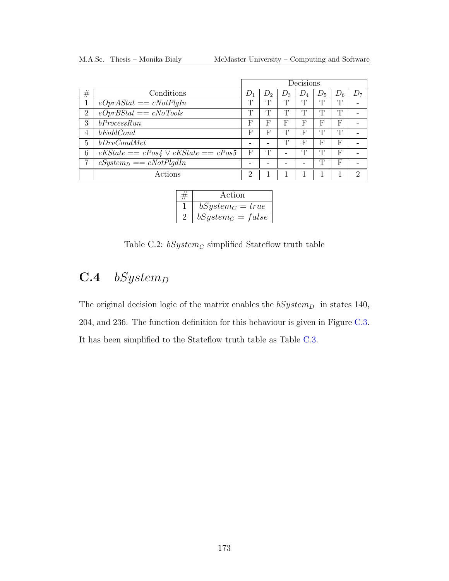<span id="page-186-0"></span>

|                |                                        | Decisions |       |       |        |       |       |          |
|----------------|----------------------------------------|-----------|-------|-------|--------|-------|-------|----------|
| #              | Conditions                             | $D_1$     | $D_2$ | $D_3$ | $D_4$  | $D_5$ | $D_6$ | $D_7$    |
| 1              | $eOprAStat == cNotPlqIn$               | T         | Τ     | Т     | Т      | Т     | Τ     |          |
| $\overline{2}$ | $eOprBStat == cNoTools$                | m         | Τ     | Τ     | $\top$ | ╓     | Τ     |          |
| 3              | bProcess Run                           | F         | F     | F     | F      | F     | F     |          |
| 4              | bEnblCond                              | F         | F     | Т     | F      | Т     | Τ     |          |
| 5              | bDrvCondMet                            |           |       | T     | F      | F     | F     |          |
| 6              | $eKState = cPos4 \vee eKState = cPos5$ | F         | T     |       | Τ      | m     | F     |          |
| 7              | $eSystem_D == cNotPlqdIn$              |           |       |       |        |       | F     |          |
|                | Actions                                | റ         |       |       |        |       |       | $\Omega$ |

| Action              |
|---------------------|
| $bSystem_C = true$  |
| $bSystem_C = false$ |

Table C.2:  $bSystem_C$  simplified Stateflow truth table

## $C.4$  bSystem<sub>D</sub>

The original decision logic of the matrix enables the  $bSystem_D$  in states 140, 204, and 236. The function definition for this behaviour is given in Figure [C.3.](#page-187-0) It has been simplified to the Stateflow truth table as Table [C.3.](#page-188-0)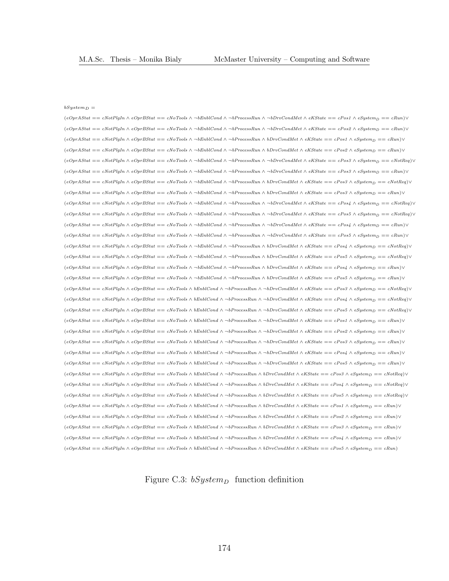#### $bS$ *ustem* $\theta$  =

 $(eOpt Astat == cNotPlgh \wedge eOptSstat == cNoTools \wedge \neg bEnblCond \wedge \neg bProcessRun \wedge \neg bDrvCondMet \wedge eKState == cPos1 \wedge eSystemD == cRun) \vee$  $(e{Opr}\Delta Stat == cNofP\hat{g}In \wedge e{Opr}BStat == cNofools \wedge \neg bEnblCond \wedge \neg bProcessRun \wedge \neg bDrvCondMet \wedge eKState == cPos2 \wedge eSystem_D == cRun) \vee \neg bCotP\hat{g}In \wedge \neg bCotP\hat{g}In \wedge \neg bCotP\hat{g}In \wedge \neg bCotP\hat{g}In \wedge \neg bCotP\hat{g}In \wedge \neg bCotP\hat{g}In \wedge \neg bCotP\hat{g}In \wedge \neg bCotP\hat{g}In \wedge \neg bCotP\hat{g}In \w$  $(e^{Opr}\textit{A} \textit{Stat} == c \textit{NotP} \textit{left} \wedge e^{Opr}\textit{B} \textit{Stat} == c \textit{No} \textit{Tools} \wedge \neg b \textit{Entl} \textit{Cond} \wedge \neg b \textit{Process} \textit{Run} \wedge b \textit{Drv} \textit{Cond} \textit{Met} \wedge e \textit{K} \textit{State} == c \textit{Pos1} \wedge e \textit{System}_D == c \textit{Run} \wedge \neg b \textit{F} \textit{roces} \textit{Run} \wedge b \textit{Drv} \textit{Cond} \wedge e \textit{K}$  $(eOptAStat == cNotPlghn \wedge eOptBStat == cNoTools \wedge \neg bEnblCond \wedge \neg bProcessRun \wedge bDrvCondMet \wedge eKState == cPos2 \wedge eSystem_D == cRun) \vee$  $(e{Opr}\Delta Stat == cNotPlyIn \wedge e{Opr}BStat == cNoTools \wedge \neg bEntComd \wedge \neg bProcessRun \wedge \neg bDrvCondMet \wedge eKState == cPos3 \wedge eSystem_D == cNotReg) \vee \neg bTord$  $(e^{OptAS} = cNotPlqIn \wedge e^{OptB}Sta = cN\sigmaTools \wedge \neg bEnblCond \wedge \neg bProcessRun \wedge \neg bProConsider \wedge eKState = cPos3 \wedge eSystem \wedge = cRun) \vee$  $(eOptAStat == cNotPlgh \wedge eOptBStat == cNoTools \wedge \neg bEnblCond \wedge \neg bProcessRun \wedge bDrvCondMet \wedge eKState == cPos3 \wedge eSystem_D == cNotReg) \vee$  $(e^{OprAStat} == cNotPlgh \wedge e^{OprBStat} == cNoTools \wedge \neg bEnblCond \wedge \neg bProcessRun \wedge bDrvCondMet \wedge eKState == cPos3 \wedge eSystem_D == cRun) \vee$  $(e^{C}C)$  $(e^{C}D)$  $\wedge$   $(e^{C}D)$  $\wedge$  $(e^{C}D)$  $\wedge$  $(e^{C}D)$  $\wedge$  $(e^{C}D)$  $\wedge$  $(e^{C}D)$  $\wedge$  $(e^{C}D)$  $\wedge$  $(e^{C}D)$  $\wedge$  $(e^{C}D)$  $\wedge$  $(e^{C}D)$  $\wedge$  $(e^{C}D)$  $\wedge$  $(e^{C}D)$  $\wedge$  $(e^{C}D)$  $\wedge$  $(e^{C}D)$  $\wedge$  $(e^{C}D)$  $\wedge$  $(e^{C}D)$  $\wedge$  $(e^{C$  $(e^{OptA}State = e^{NotP}lqIn \wedge e^{OptB}Sta = e^{NotTo}Iools \wedge \neg bEnb|Cond \wedge \neg bProcessRun \wedge \neg bDrvCondMet \wedge eKState = e^{PostA} \wedge eSystemp = e^{NotA}el \wedge \neg bFost$  $(e^{i\theta)}\left(e^{i\theta}\right) = e^{i\theta}e^{i\theta}$   $\Rightarrow$   $\theta_{\theta}$   $\theta_{\theta}$   $\Rightarrow$   $\theta_{\theta}$   $\theta_{\theta}$   $\Rightarrow$   $\theta_{\theta}$   $\theta_{\theta}$   $\Rightarrow$   $\theta_{\theta}$   $\theta_{\theta}$   $\Rightarrow$   $\theta_{\theta}$   $\theta_{\theta}$   $\Rightarrow$   $\theta_{\theta}$   $\theta_{\theta}$   $\Rightarrow$   $\theta_{\theta}$   $\theta_{\theta}$   $\Rightarrow$   $\theta_{\theta}$   $\theta_{\theta}$   $\Rightarrow$   $(eOptAStat \; == \; cNotPlgh \land eOptBStat \; == \; cNoTools \land \neg bEnblCond \land \neg bProcessRun \land \neg bDrvCondMet \land eKState \; == \; cPos5 \land eSystem_D \; == \; cRun) \lor \neg bInvCondNet \land \neg bProcessRun \; \land \; \neg bProcessRun \; \land \; \neg bProconsNum \; \land \; \neg bProconsNum \; \land \; \neg bProconsNum \; \land \; \neg bProconsNum \; \land \; \neg bProconsNum \; \land \; \neg bProconsNum \; \land \; \neg bProconsNum \; \land \; \neg bProconsNum \; \land \; \neg bProconsNum \; \land \;$  $(e{Opr}\Delta Stat == cNotPlgh \wedge e{Opr}BStat == cNofTools \wedge \neg bEnblCond \wedge \neg bProcessRun \wedge bDrvCondMet \wedge eKState == cPos4 \wedge eSystemD == cNotPeq)$  $(eOnrAStat == cNotPlay \land eOnrBStat == cNoTools \land \neg bEnblCond \land \neg bProcessRun \land bDrvCondMet \land eKState == cPos5 \land eSustenn == cNotReal \lor \neg bPerCosh$  $(eOpt Astat == cNotPlgh \wedge eOptSstat == cNoTools \wedge \neg bEnblCond \wedge \neg bProcessRun \wedge bDrvCondMet \wedge eKState == cPos4 \wedge eSystem_D == cRun) \vee$  $(e^{OptA}Stat == cNotPlqIn \wedge e^{OptB}Stat == cNoTools \wedge \neg bEnblCond \wedge \neg bProcessRun \wedge bDrvCondMet \wedge eKState == cPos5 \wedge eSystem_D == cRun) \vee$  $(eOpt Astat == cNotP1gh \wedge eOptBStat == cNoTools \wedge bEnblCond \wedge \neg bProcessRun \wedge \neg bDrvCondMet \wedge eKState == cPos3 \wedge eSystem_D == cNotRep \vee \neg bVarQ)$  $(eOptAStat == cNotPlgIn \wedge eOptBStat == cNoTools \wedge bEnblCond \wedge \neg bProcessRun \wedge \neg bDrvCondMet \wedge eKState == cPos4 \wedge eSystem_D == cNotReg) \vee$  $(eOpt Astat == cNotP1gh \wedge eOptBStat == cNoTools \wedge bEnblCond \wedge \neg bProcessRun \wedge \neg bDrvCondMet \wedge eKState == cPos5 \wedge eSystem_D == cNotReg) \vee$  $(eOptAStat == cNotPlghn \wedge eOptBStat == cNoTools \wedge bEnblCond \wedge \neg bProcessRun \wedge \neg bDrvCondMet \wedge eKState == cPos1 \wedge eSystem_D == cRun) \vee$  $(e^{OprAStat} == c^{NotPlgh} \land e^{OprBStat} == c^{NotPolsh} \land b^{EntlCond} \land \neg b^{ProcessRun} \land \neg b^{DrvCondMet} \land e^{KState} == c^{Post} \land e^{Stystem} == c\text{Run}$  $(eOpt Astat == cNotPlgh \wedge eOptBStat == cNoTools \wedge bEnbICond \wedge \neg bProcessRun \wedge \neg bDrvCondMet \wedge eKState == cPos \wedge eSystem_D == cRun) \vee$  $(eOptAStat == cNotPlghn \wedge eOptBStat == cNoTools \wedge bEnblCond \wedge \neg bProcessRun \wedge \neg bDrvCondMet \wedge eKState == cPos4 \wedge eSystemp == cRun) \vee$  $(eOpr Astat == cNotPlgh \wedge eOprBStat == cNoTools \wedge bEnblCond \wedge \neg bProcessRun \wedge \neg bDrvCondMet \wedge eKState == cPos5 \wedge eSystem_D == cRun) \vee$  $(eOpt Astat == cNotPlgh \wedge eOptSstat == cNoTools \wedge bEnbICond \wedge \neg bProcessRun \wedge bDrvCondMet \wedge eKState == cPos3 \wedge eSystemp == cNotPeq)$  $(eOptAStat == cNotPlghn \wedge eOptBStat == cNoTools \wedge bEnblCond \wedge \neg bProcessRun \wedge bDrvCondMet \wedge eKState == cPos4 \wedge eSystem_D == cNotReg) \vee$  $(e^{OptAStat} == cNotPlgh \wedge e^{OptS}stat == cN\sigma Tools \wedge bEnblCond \wedge \neg bProcessRun \wedge bDrvCondMet \wedge eKState == cPos5 \wedge eSystem_D == cNotPeq)$  $(eOpt Astat == cNotP1gh \wedge eOptBstat == cNoTools \wedge bEmblCond \wedge \neg bProcessRun \wedge bDrvCondMet \wedge eKState == cPos1 \wedge eSystem_D == cRun) \vee$  $(e^{OptAStat} == cNofPlgh \wedge e^{OptS}stat == cNofDols \wedge bEnblCond \wedge \neg bProcessRun \wedge bDrvCondMet \wedge eKState == cPos2 \wedge eSystemD == cRun) \vee$  $(eOpt Astat == cNotPlgh \wedge eOptSstat == cNoTools \wedge bEmblCond \wedge \neg bProcessRun \wedge bDrvCondMet \wedge eKState == cPos3 \wedge eSystem_D == cRun) \vee$  $(eOptAStat == cNotPlgh \wedge eOptBStat == cNoTools \wedge bEnblCond \wedge \neg bProcessRun \wedge bDrvCondMet \wedge eKState == cPos4 \wedge eSystem_D == cRun) \vee$  $(e^{OptAS} = cNotPlqIn \wedge e^{OptS}$ tat == cNoTools  $\wedge bEnblCond \wedge \neg bProcessRun \wedge bDrvCondMet \wedge eKState = cPos5 \wedge eSystem_D == cRun)$ 

<span id="page-187-0"></span>Figure C.3:  $bSystem_D$  function definition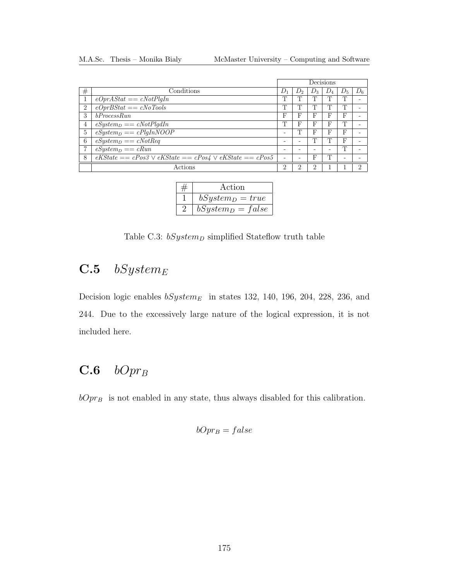<span id="page-188-0"></span>

|                |                                                             |                          |                |       | Decisions |   |       |
|----------------|-------------------------------------------------------------|--------------------------|----------------|-------|-----------|---|-------|
| #              | Conditions                                                  | IJ                       | D <sub>o</sub> | $D_3$ |           |   | $D_6$ |
|                | $eOprAStat == cNotPlqIn$                                    | m                        | т              | ጡ     |           |   |       |
| $\overline{2}$ | $eOprBStat == cNoTools$                                     | Т                        | Τ              | m     |           |   |       |
| 3              | bProcessRun                                                 | F                        | F              | F     | F         | F |       |
| 4              | $eSystem_D == cNotPlqdIn$                                   | Т                        | F              | F     | F         |   |       |
| 5              | $eSystem_D == cPlgInNOOP$                                   | -                        | т              | F     | F         |   |       |
| 6              | $eSystem_D == cNotReg$                                      |                          |                | ጡ     |           | F |       |
| 7              | $eSystem_D == cRun$                                         |                          |                |       |           | m |       |
| 8              | $eKState = cPos3 \vee eKState = cPos4 \vee eKState = cPos5$ | $\overline{\phantom{0}}$ |                | F     | m         |   |       |
|                | Actions                                                     |                          |                |       |           |   |       |

| Action              |
|---------------------|
| $bSystem_D = true$  |
| $bSystem_D = false$ |

Table C.3:  $bSystem_D$  simplified Stateflow truth table

## $C.5$  bSystem<sub>E</sub>

Decision logic enables  $bSystem_E$  in states 132, 140, 196, 204, 228, 236, and 244. Due to the excessively large nature of the logical expression, it is not included here.

## $C.6$  bOpr<sub>B</sub>

 $bOpt_B\;$  is not enabled in any state, thus always disabled for this calibration.

$$
bOpr_B = false
$$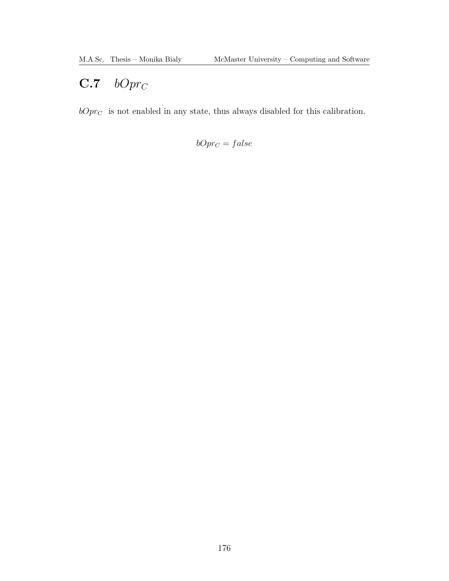## $C.7$  bOpr<sub>C</sub>

 $bOpr_{\mathbb{C}}\;$  is not enabled in any state, thus always disabled for this calibration.

 $bOpr_C = false$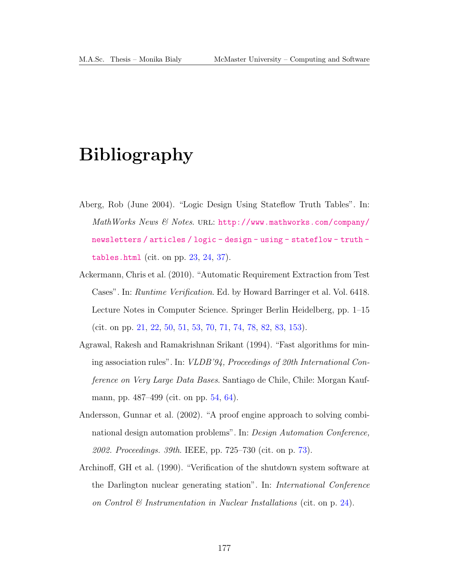# Bibliography

- Aberg, Rob (June 2004). "Logic Design Using Stateflow Truth Tables". In:  $MathWorks$  News  $\mathcal C$  Notes. URL: [http://www.mathworks.com/company/](http://www.mathworks.com/company/newsletters/articles/logic-design-using-stateflow-truth-tables.html) [newsletters / articles / logic - design - using - stateflow - truth](http://www.mathworks.com/company/newsletters/articles/logic-design-using-stateflow-truth-tables.html)  [tables.html](http://www.mathworks.com/company/newsletters/articles/logic-design-using-stateflow-truth-tables.html) (cit. on pp. [23,](#page-36-0) [24,](#page-37-0) [37\)](#page-50-0).
- Ackermann, Chris et al. (2010). "Automatic Requirement Extraction from Test Cases". In: Runtime Verification. Ed. by Howard Barringer et al. Vol. 6418. Lecture Notes in Computer Science. Springer Berlin Heidelberg, pp. 1–15 (cit. on pp. [21,](#page-34-0) [22,](#page-35-0) [50,](#page-63-0) [51,](#page-64-0) [53,](#page-66-0) [70,](#page-83-0) [71,](#page-84-0) [74,](#page-87-0) [78,](#page-91-0) [82,](#page-95-0) [83,](#page-96-0) [153\)](#page-166-0).
- Agrawal, Rakesh and Ramakrishnan Srikant (1994). "Fast algorithms for mining association rules". In: VLDB'94, Proceedings of 20th International Conference on Very Large Data Bases. Santiago de Chile, Chile: Morgan Kaufmann, pp. 487–499 (cit. on pp. [54,](#page-67-0) [64\)](#page-77-0).
- Andersson, Gunnar et al. (2002). "A proof engine approach to solving combinational design automation problems". In: Design Automation Conference, 2002. Proceedings. 39th. IEEE, pp. 725–730 (cit. on p. [73\)](#page-86-0).
- Archinoff, GH et al. (1990). "Verification of the shutdown system software at the Darlington nuclear generating station". In: International Conference on Control  $\mathcal C$  Instrumentation in Nuclear Installations (cit. on p. [24\)](#page-37-0).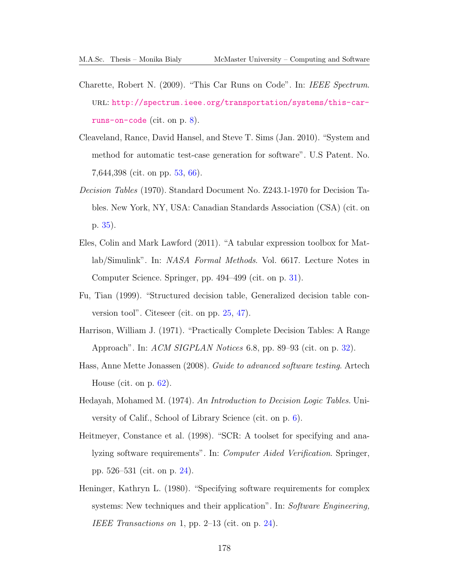- Charette, Robert N. (2009). "This Car Runs on Code". In: IEEE Spectrum. url: [http://spectrum.ieee.org/transportation/systems/this-car](http://spectrum.ieee.org/transportation/systems/this-car-runs-on-code)[runs-on-code](http://spectrum.ieee.org/transportation/systems/this-car-runs-on-code) (cit. on p. [8\)](#page-21-0).
- Cleaveland, Rance, David Hansel, and Steve T. Sims (Jan. 2010). "System and method for automatic test-case generation for software". U.S Patent. No. 7,644,398 (cit. on pp. [53,](#page-66-0) [66\)](#page-79-0).
- Decision Tables (1970). Standard Document No. Z243.1-1970 for Decision Tables. New York, NY, USA: Canadian Standards Association (CSA) (cit. on p. [35\)](#page-48-0).
- Eles, Colin and Mark Lawford (2011). "A tabular expression toolbox for Matlab/Simulink". In: NASA Formal Methods. Vol. 6617. Lecture Notes in Computer Science. Springer, pp. 494–499 (cit. on p. [31\)](#page-44-0).
- Fu, Tian (1999). "Structured decision table, Generalized decision table conversion tool". Citeseer (cit. on pp. [25,](#page-38-0) [47\)](#page-60-0).
- Harrison, William J. (1971). "Practically Complete Decision Tables: A Range Approach". In: ACM SIGPLAN Notices 6.8, pp. 89–93 (cit. on p. [32\)](#page-45-0).
- Hass, Anne Mette Jonassen (2008). Guide to advanced software testing. Artech House (cit. on p. [62\)](#page-75-0).
- Hedayah, Mohamed M. (1974). An Introduction to Decision Logic Tables. University of Calif., School of Library Science (cit. on p. [6\)](#page-19-0).
- Heitmeyer, Constance et al. (1998). "SCR: A toolset for specifying and analyzing software requirements". In: Computer Aided Verification. Springer, pp. 526–531 (cit. on p. [24\)](#page-37-0).
- Heninger, Kathryn L. (1980). "Specifying software requirements for complex systems: New techniques and their application". In: Software Engineering, IEEE Transactions on 1, pp.  $2-13$  (cit. on p. [24\)](#page-37-0).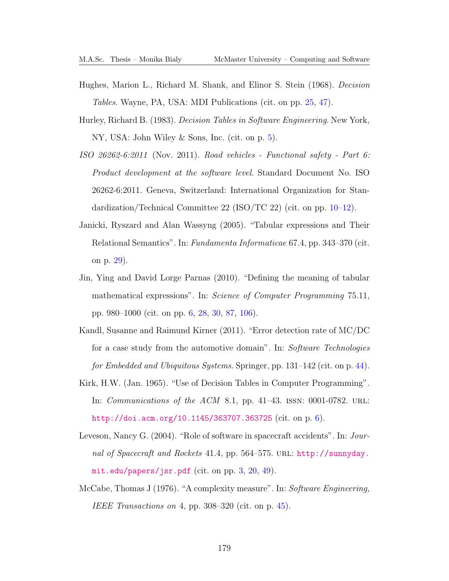- Hughes, Marion L., Richard M. Shank, and Elinor S. Stein (1968). Decision Tables. Wayne, PA, USA: MDI Publications (cit. on pp. [25,](#page-38-0) [47\)](#page-60-0).
- Hurley, Richard B. (1983). Decision Tables in Software Engineering. New York, NY, USA: John Wiley & Sons, Inc. (cit. on p. [5\)](#page-18-0).
- ISO 26262-6:2011 (Nov. 2011). Road vehicles Functional safety Part 6: Product development at the software level. Standard Document No. ISO 26262-6:2011. Geneva, Switzerland: International Organization for Standardization/Technical Committee 22 (ISO/TC 22) (cit. on pp. [10–](#page-23-0)[12\)](#page-25-0).
- Janicki, Ryszard and Alan Wassyng (2005). "Tabular expressions and Their Relational Semantics". In: Fundamenta Informaticae 67.4, pp. 343–370 (cit. on p. [29\)](#page-42-0).
- Jin, Ying and David Lorge Parnas (2010). "Defining the meaning of tabular mathematical expressions". In: Science of Computer Programming 75.11, pp. 980–1000 (cit. on pp. [6,](#page-19-0) [28,](#page-41-0) [30,](#page-43-0) [87,](#page-100-0) [106\)](#page-119-0).
- Kandl, Susanne and Raimund Kirner (2011). "Error detection rate of MC/DC for a case study from the automotive domain". In: Software Technologies for Embedded and Ubiquitous Systems. Springer, pp. 131–142 (cit. on p. [44\)](#page-57-0).
- Kirk, H.W. (Jan. 1965). "Use of Decision Tables in Computer Programming". In: *Communications of the ACM* 8.1, pp. 41–43. ISSN: 0001-0782. URL: <http://doi.acm.org/10.1145/363707.363725> (cit. on p. [6\)](#page-19-0).
- Leveson, Nancy G. (2004). "Role of software in spacecraft accidents". In: Journal of Spacecraft and Rockets 41.4, pp. 564–575. URL: [http://sunnyday.](http://sunnyday.mit.edu/papers/jsr.pdf) [mit.edu/papers/jsr.pdf](http://sunnyday.mit.edu/papers/jsr.pdf) (cit. on pp. [3,](#page-16-0) [20,](#page-33-0) [49\)](#page-62-0).
- McCabe, Thomas J (1976). "A complexity measure". In: Software Engineering, IEEE Transactions on 4, pp. 308–320 (cit. on p. [45\)](#page-58-0).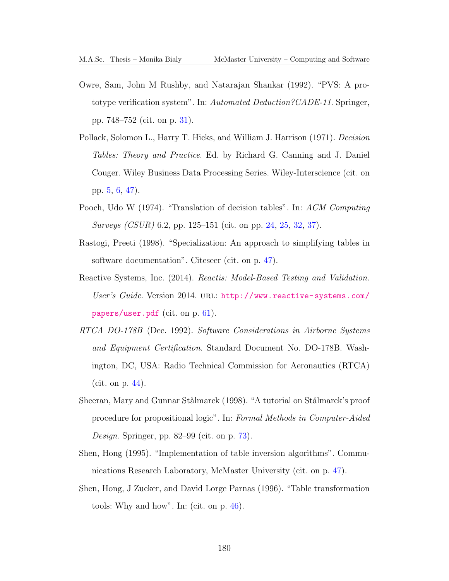- Owre, Sam, John M Rushby, and Natarajan Shankar (1992). "PVS: A prototype verification system". In: Automated Deduction?CADE-11. Springer, pp. 748–752 (cit. on p. [31\)](#page-44-0).
- Pollack, Solomon L., Harry T. Hicks, and William J. Harrison (1971). Decision Tables: Theory and Practice. Ed. by Richard G. Canning and J. Daniel Couger. Wiley Business Data Processing Series. Wiley-Interscience (cit. on pp. [5,](#page-18-0) [6,](#page-19-0) [47\)](#page-60-0).
- Pooch, Udo W (1974). "Translation of decision tables". In: ACM Computing Surveys (CSUR) 6.2, pp. 125–151 (cit. on pp. [24,](#page-37-0) [25,](#page-38-0) [32,](#page-45-0) [37\)](#page-50-0).
- Rastogi, Preeti (1998). "Specialization: An approach to simplifying tables in software documentation". Citeseer (cit. on p. [47\)](#page-60-0).
- Reactive Systems, Inc. (2014). Reactis: Model-Based Testing and Validation. User's Guide. Version 2014. URL: [http://www.reactive-systems.com/](http://www.reactive-systems.com/papers/user.pdf) [papers/user.pdf](http://www.reactive-systems.com/papers/user.pdf) (cit. on p. [61\)](#page-74-0).
- RTCA DO-178B (Dec. 1992). Software Considerations in Airborne Systems and Equipment Certification. Standard Document No. DO-178B. Washington, DC, USA: Radio Technical Commission for Aeronautics (RTCA) (cit. on p. [44\)](#page-57-0).
- Sheeran, Mary and Gunnar Stålmarck (1998). "A tutorial on Stålmarck's proof procedure for propositional logic". In: Formal Methods in Computer-Aided Design. Springer, pp. 82–99 (cit. on p. [73\)](#page-86-0).
- Shen, Hong (1995). "Implementation of table inversion algorithms". Communications Research Laboratory, McMaster University (cit. on p. [47\)](#page-60-0).
- Shen, Hong, J Zucker, and David Lorge Parnas (1996). "Table transformation tools: Why and how". In: (cit. on p. [46\)](#page-59-0).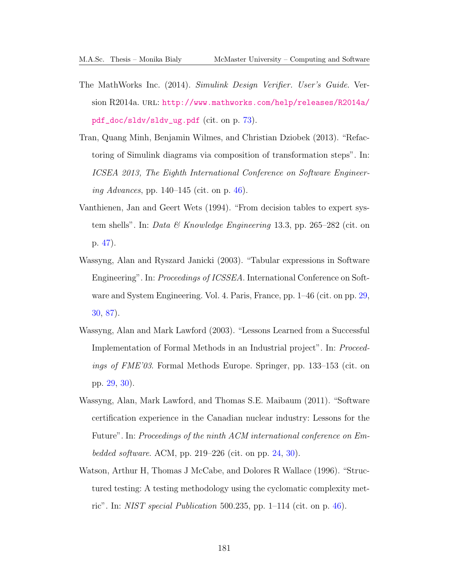- The MathWorks Inc. (2014). Simulink Design Verifier. User's Guide. Version R2014a. URL: [http://www.mathworks.com/help/releases/R2014a/](http://www.mathworks.com/help/releases/R2014a/pdf_doc/sldv/sldv_ug.pdf) [pdf\\_doc/sldv/sldv\\_ug.pdf](http://www.mathworks.com/help/releases/R2014a/pdf_doc/sldv/sldv_ug.pdf) (cit. on p. [73\)](#page-86-0).
- Tran, Quang Minh, Benjamin Wilmes, and Christian Dziobek (2013). "Refactoring of Simulink diagrams via composition of transformation steps". In: ICSEA 2013, The Eighth International Conference on Software Engineer-ing Advances, pp. 140–145 (cit. on p. [46\)](#page-59-0).
- Vanthienen, Jan and Geert Wets (1994). "From decision tables to expert system shells". In: Data & Knowledge Engineering 13.3, pp. 265–282 (cit. on p. [47\)](#page-60-0).
- Wassyng, Alan and Ryszard Janicki (2003). "Tabular expressions in Software Engineering". In: *Proceedings of ICSSEA*. International Conference on Software and System Engineering. Vol. 4. Paris, France, pp. 1–46 (cit. on pp. [29,](#page-42-0) [30,](#page-43-0) [87\)](#page-100-0).
- Wassyng, Alan and Mark Lawford (2003). "Lessons Learned from a Successful Implementation of Formal Methods in an Industrial project". In: Proceedings of FME'03. Formal Methods Europe. Springer, pp. 133–153 (cit. on pp. [29,](#page-42-0) [30\)](#page-43-0).
- Wassyng, Alan, Mark Lawford, and Thomas S.E. Maibaum (2011). "Software certification experience in the Canadian nuclear industry: Lessons for the Future". In: Proceedings of the ninth ACM international conference on Em-bedded software. ACM, pp. 219–226 (cit. on pp. [24,](#page-37-0) [30\)](#page-43-0).
- Watson, Arthur H, Thomas J McCabe, and Dolores R Wallace (1996). "Structured testing: A testing methodology using the cyclomatic complexity metric". In: *NIST special Publication* 500.235, pp.  $1-114$  (cit. on p. [46\)](#page-59-0).